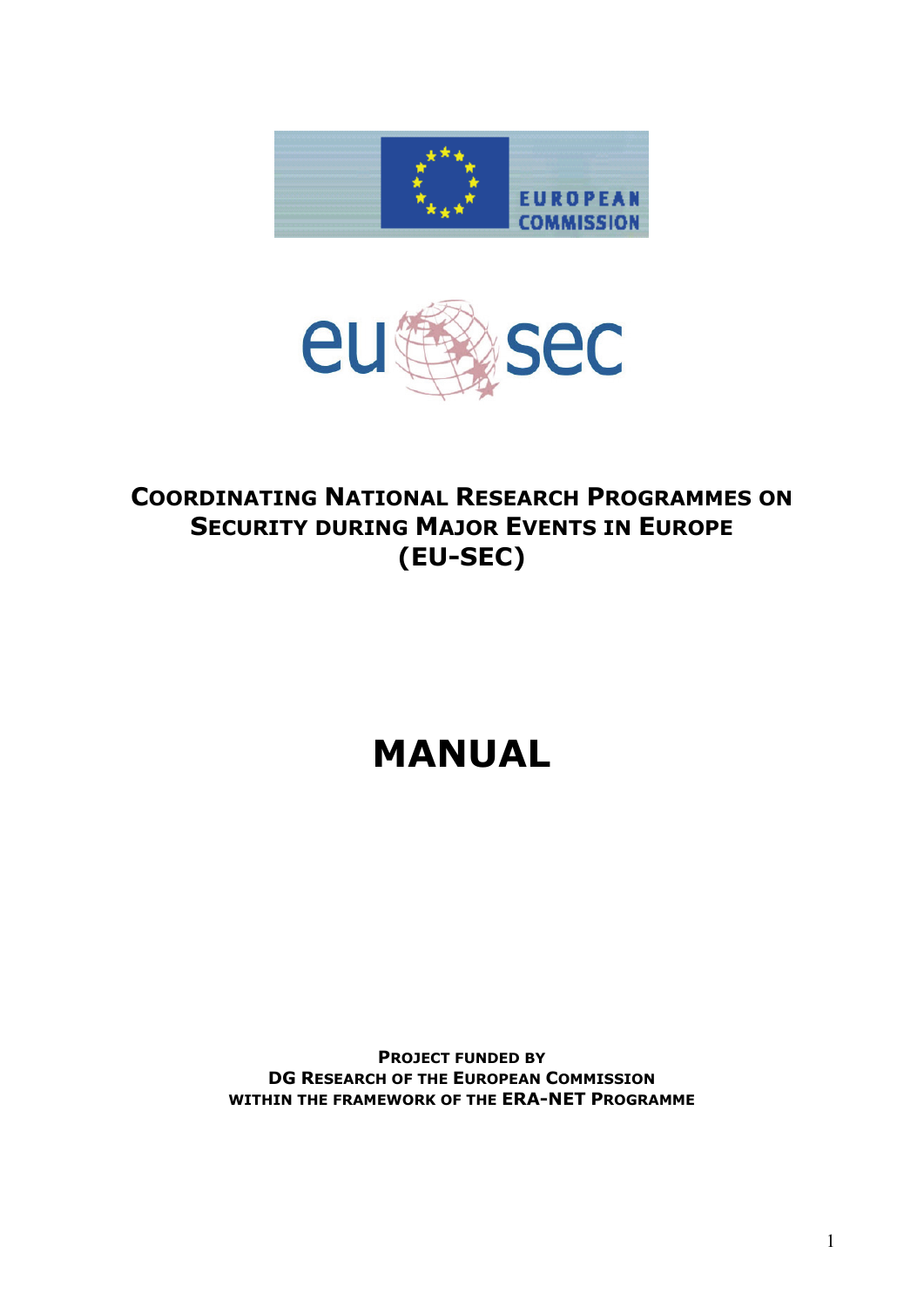



## **COORDINATING NATIONAL RESEARCH PROGRAMMES ON SECURITY DURING MAJOR EVENTS IN EUROPE (EU-SEC)**

# **MANUAL**

**PROJECT FUNDED BY DG RESEARCH OF THE EUROPEAN COMMISSION WITHIN THE FRAMEWORK OF THE ERA-NET PROGRAMME**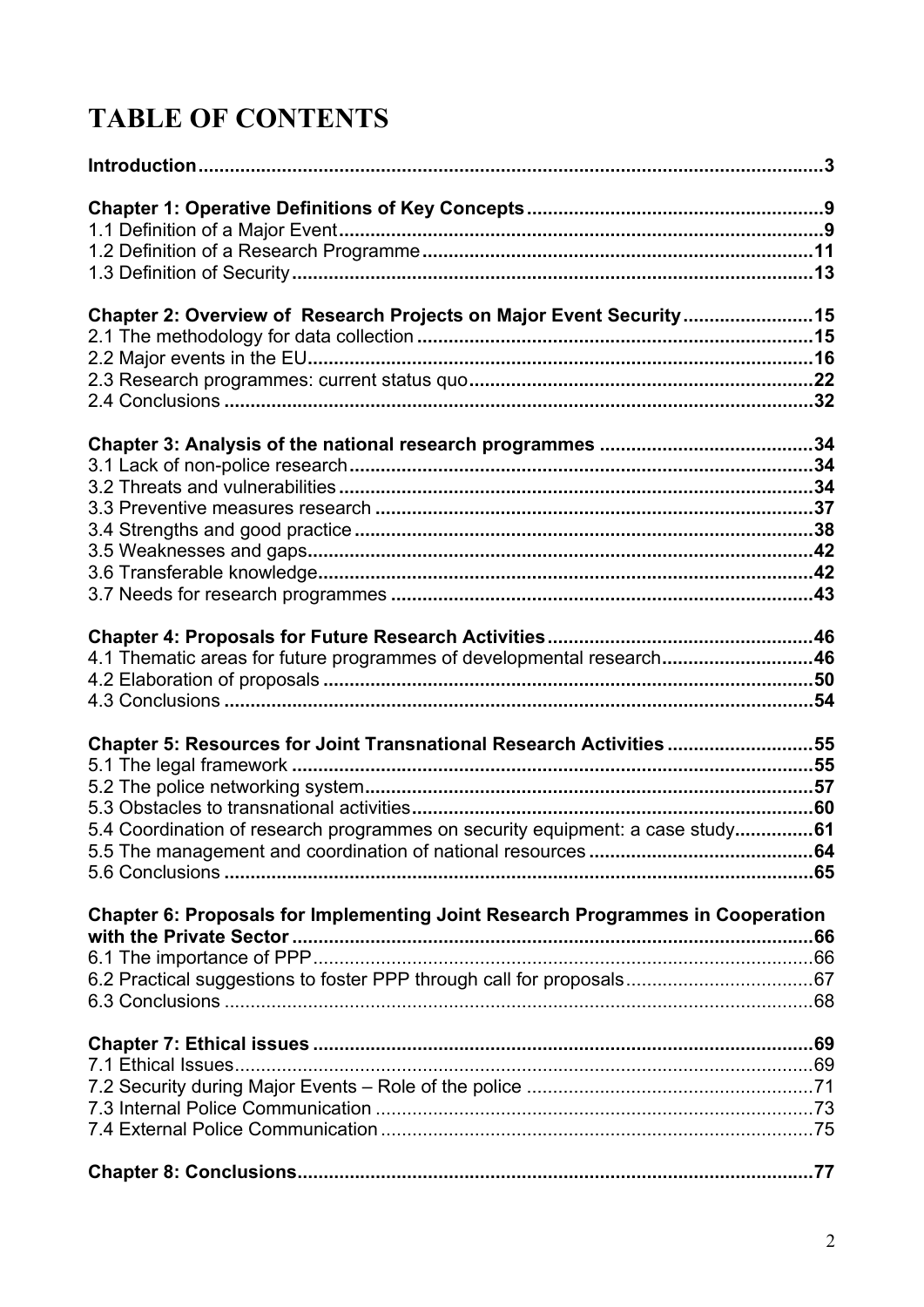# **TABLE OF CONTENTS**

| Chapter 2: Overview of Research Projects on Major Event Security15             |  |
|--------------------------------------------------------------------------------|--|
|                                                                                |  |
|                                                                                |  |
|                                                                                |  |
|                                                                                |  |
|                                                                                |  |
|                                                                                |  |
|                                                                                |  |
|                                                                                |  |
|                                                                                |  |
|                                                                                |  |
|                                                                                |  |
|                                                                                |  |
|                                                                                |  |
| 4.1 Thematic areas for future programmes of developmental research46           |  |
|                                                                                |  |
|                                                                                |  |
| Chapter 5: Resources for Joint Transnational Research Activities 55            |  |
|                                                                                |  |
|                                                                                |  |
|                                                                                |  |
| 5.4 Coordination of research programmes on security equipment: a case study61  |  |
|                                                                                |  |
|                                                                                |  |
| Chapter 6: Proposals for Implementing Joint Research Programmes in Cooperation |  |
|                                                                                |  |
|                                                                                |  |
|                                                                                |  |
|                                                                                |  |
|                                                                                |  |
|                                                                                |  |
|                                                                                |  |
|                                                                                |  |
|                                                                                |  |
|                                                                                |  |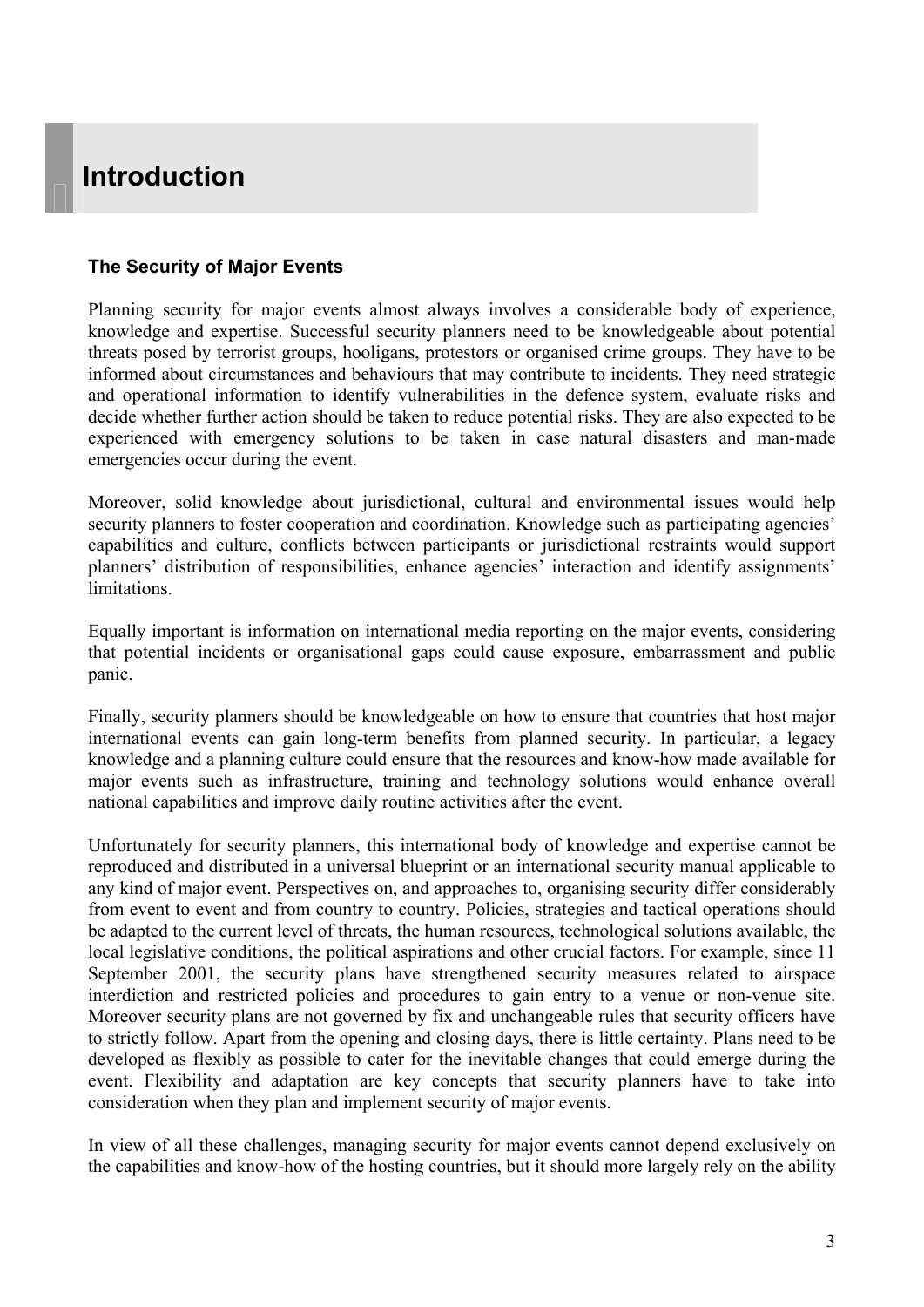## <span id="page-2-0"></span>**Introduction**

#### **The Security of Major Events**

Planning security for major events almost always involves a considerable body of experience, knowledge and expertise. Successful security planners need to be knowledgeable about potential threats posed by terrorist groups, hooligans, protestors or organised crime groups. They have to be informed about circumstances and behaviours that may contribute to incidents. They need strategic and operational information to identify vulnerabilities in the defence system, evaluate risks and decide whether further action should be taken to reduce potential risks. They are also expected to be experienced with emergency solutions to be taken in case natural disasters and man-made emergencies occur during the event.

Moreover, solid knowledge about jurisdictional, cultural and environmental issues would help security planners to foster cooperation and coordination. Knowledge such as participating agencies' capabilities and culture, conflicts between participants or jurisdictional restraints would support planners' distribution of responsibilities, enhance agencies' interaction and identify assignments' limitations.

Equally important is information on international media reporting on the major events, considering that potential incidents or organisational gaps could cause exposure, embarrassment and public panic.

Finally, security planners should be knowledgeable on how to ensure that countries that host major international events can gain long-term benefits from planned security. In particular, a legacy knowledge and a planning culture could ensure that the resources and know-how made available for major events such as infrastructure, training and technology solutions would enhance overall national capabilities and improve daily routine activities after the event.

Unfortunately for security planners, this international body of knowledge and expertise cannot be reproduced and distributed in a universal blueprint or an international security manual applicable to any kind of major event. Perspectives on, and approaches to, organising security differ considerably from event to event and from country to country. Policies, strategies and tactical operations should be adapted to the current level of threats, the human resources, technological solutions available, the local legislative conditions, the political aspirations and other crucial factors. For example, since 11 September 2001, the security plans have strengthened security measures related to airspace interdiction and restricted policies and procedures to gain entry to a venue or non-venue site. Moreover security plans are not governed by fix and unchangeable rules that security officers have to strictly follow. Apart from the opening and closing days, there is little certainty. Plans need to be developed as flexibly as possible to cater for the inevitable changes that could emerge during the event. Flexibility and adaptation are key concepts that security planners have to take into consideration when they plan and implement security of major events.

In view of all these challenges, managing security for major events cannot depend exclusively on the capabilities and know-how of the hosting countries, but it should more largely rely on the ability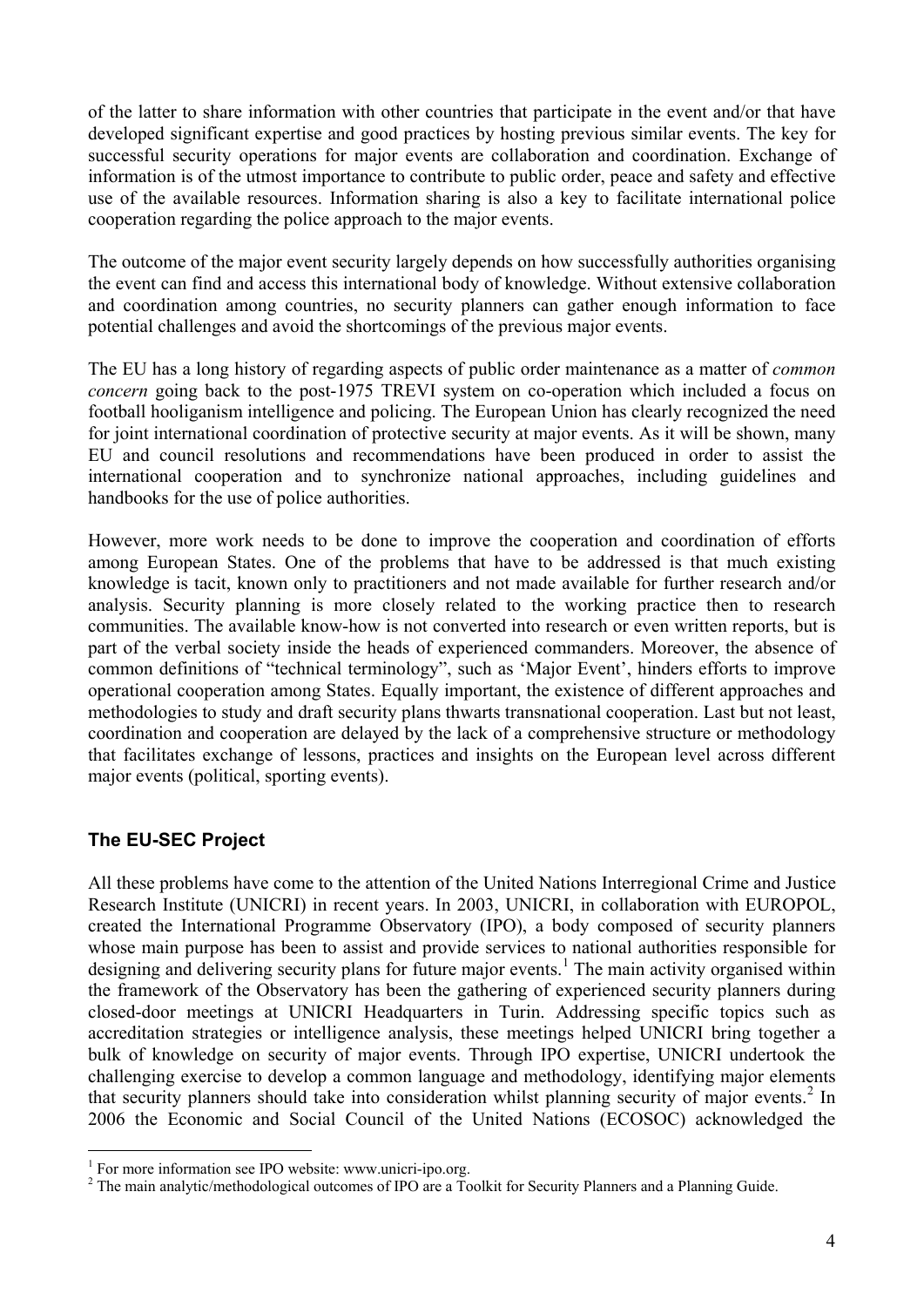of the latter to share information with other countries that participate in the event and/or that have developed significant expertise and good practices by hosting previous similar events. The key for successful security operations for major events are collaboration and coordination. Exchange of information is of the utmost importance to contribute to public order, peace and safety and effective use of the available resources. Information sharing is also a key to facilitate international police cooperation regarding the police approach to the major events.

The outcome of the major event security largely depends on how successfully authorities organising the event can find and access this international body of knowledge. Without extensive collaboration and coordination among countries, no security planners can gather enough information to face potential challenges and avoid the shortcomings of the previous major events.

The EU has a long history of regarding aspects of public order maintenance as a matter of *common concern* going back to the post-1975 TREVI system on co-operation which included a focus on football hooliganism intelligence and policing. The European Union has clearly recognized the need for joint international coordination of protective security at major events. As it will be shown, many EU and council resolutions and recommendations have been produced in order to assist the international cooperation and to synchronize national approaches, including guidelines and handbooks for the use of police authorities.

However, more work needs to be done to improve the cooperation and coordination of efforts among European States. One of the problems that have to be addressed is that much existing knowledge is tacit, known only to practitioners and not made available for further research and/or analysis. Security planning is more closely related to the working practice then to research communities. The available know-how is not converted into research or even written reports, but is part of the verbal society inside the heads of experienced commanders. Moreover, the absence of common definitions of "technical terminology", such as 'Major Event', hinders efforts to improve operational cooperation among States. Equally important, the existence of different approaches and methodologies to study and draft security plans thwarts transnational cooperation. Last but not least, coordination and cooperation are delayed by the lack of a comprehensive structure or methodology that facilitates exchange of lessons, practices and insights on the European level across different major events (political, sporting events).

### **The EU-SEC Project**

 $\overline{a}$ 

All these problems have come to the attention of the United Nations Interregional Crime and Justice Research Institute (UNICRI) in recent years. In 2003, UNICRI, in collaboration with EUROPOL, created the International Programme Observatory (IPO), a body composed of security planners whose main purpose has been to assist and provide services to national authorities responsible for designing and delivering security plans for future major events.<sup>[1](#page-3-0)</sup> The main activity organised within the framework of the Observatory has been the gathering of experienced security planners during closed-door meetings at UNICRI Headquarters in Turin. Addressing specific topics such as accreditation strategies or intelligence analysis, these meetings helped UNICRI bring together a bulk of knowledge on security of major events. Through IPO expertise, UNICRI undertook the challenging exercise to develop a common language and methodology, identifying major elements that security planners should take into consideration whilst planning security of major events.<sup>[2](#page-3-1)</sup> In 2006 the Economic and Social Council of the United Nations (ECOSOC) acknowledged the

<span id="page-3-0"></span><sup>&</sup>lt;sup>1</sup> For more information see IPO website: www.unicri-ipo.org.

<span id="page-3-1"></span><sup>&</sup>lt;sup>2</sup> The main analytic/methodological outcomes of IPO are a Toolkit for Security Planners and a Planning Guide.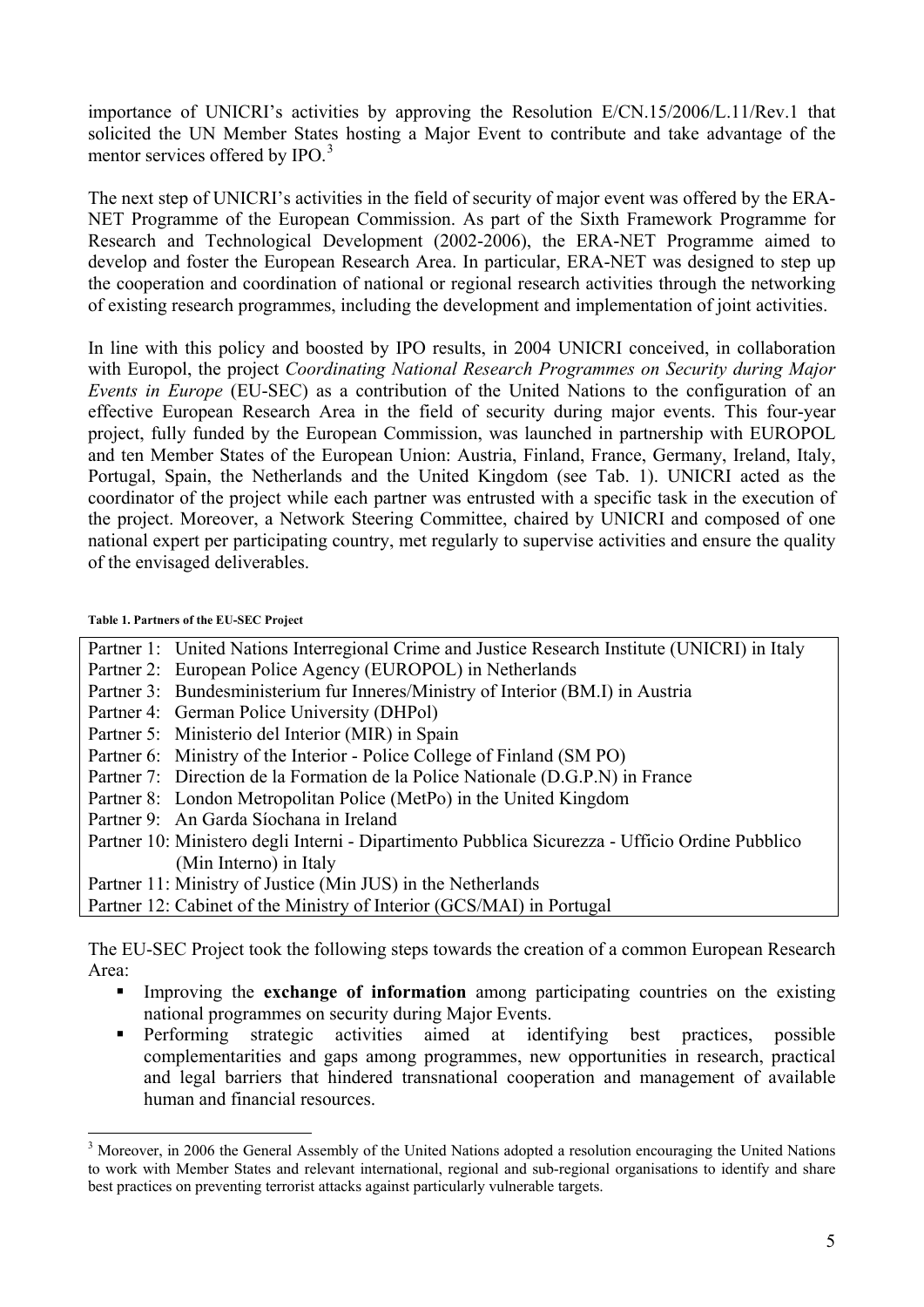importance of UNICRI's activities by approving the Resolution E/CN.15/2006/L.11/Rev.1 that solicited the UN Member States hosting a Major Event to contribute and take advantage of the mentor services offered by IPO.<sup>[3](#page-4-0)</sup>

The next step of UNICRI's activities in the field of security of major event was offered by the ERA-NET Programme of the European Commission. As part of the Sixth Framework Programme for Research and Technological Development (2002-2006), the ERA-NET Programme aimed to develop and foster the European Research Area. In particular, ERA-NET was designed to step up the cooperation and coordination of national or regional research activities through the networking of existing research programmes, including the development and implementation of joint activities.

In line with this policy and boosted by IPO results, in 2004 UNICRI conceived, in collaboration with Europol, the project *Coordinating National Research Programmes on Security during Major Events in Europe* (EU-SEC) as a contribution of the United Nations to the configuration of an effective European Research Area in the field of security during major events. This four-year project, fully funded by the European Commission, was launched in partnership with EUROPOL and ten Member States of the European Union: Austria, Finland, France, Germany, Ireland, Italy, Portugal, Spain, the Netherlands and the United Kingdom (see Tab. 1). UNICRI acted as the coordinator of the project while each partner was entrusted with a specific task in the execution of the project. Moreover, a Network Steering Committee, chaired by UNICRI and composed of one national expert per participating country, met regularly to supervise activities and ensure the quality of the envisaged deliverables.

#### **Table 1. Partners of the EU-SEC Project**

 $\overline{a}$ 

| Partner 1: United Nations Interregional Crime and Justice Research Institute (UNICRI) in Italy  |
|-------------------------------------------------------------------------------------------------|
| Partner 2: European Police Agency (EUROPOL) in Netherlands                                      |
| Partner 3: Bundesministerium fur Inneres/Ministry of Interior (BM.I) in Austria                 |
| Partner 4: German Police University (DHPol)                                                     |
| Partner 5: Ministerio del Interior (MIR) in Spain                                               |
| Partner 6: Ministry of the Interior - Police College of Finland (SM PO)                         |
| Partner 7: Direction de la Formation de la Police Nationale (D.G.P.N) in France                 |
| Partner 8: London Metropolitan Police (MetPo) in the United Kingdom                             |
| Partner 9: An Garda Síochana in Ireland                                                         |
| Partner 10: Ministero degli Interni - Dipartimento Pubblica Sicurezza - Ufficio Ordine Pubblico |
| (Min Interno) in Italy                                                                          |
| Partner 11: Ministry of Justice (Min JUS) in the Netherlands                                    |
| Partner 12: Cabinet of the Ministry of Interior (GCS/MAI) in Portugal                           |

The EU-SEC Project took the following steps towards the creation of a common European Research Area:

- **Improving the exchange of information** among participating countries on the existing national programmes on security during Major Events.
- Performing strategic activities aimed at identifying best practices, possible complementarities and gaps among programmes, new opportunities in research, practical and legal barriers that hindered transnational cooperation and management of available human and financial resources.

<span id="page-4-0"></span><sup>&</sup>lt;sup>3</sup> Moreover, in 2006 the General Assembly of the United Nations adopted a resolution encouraging the United Nations to work with Member States and relevant international, regional and sub-regional organisations to identify and share best practices on preventing terrorist attacks against particularly vulnerable targets.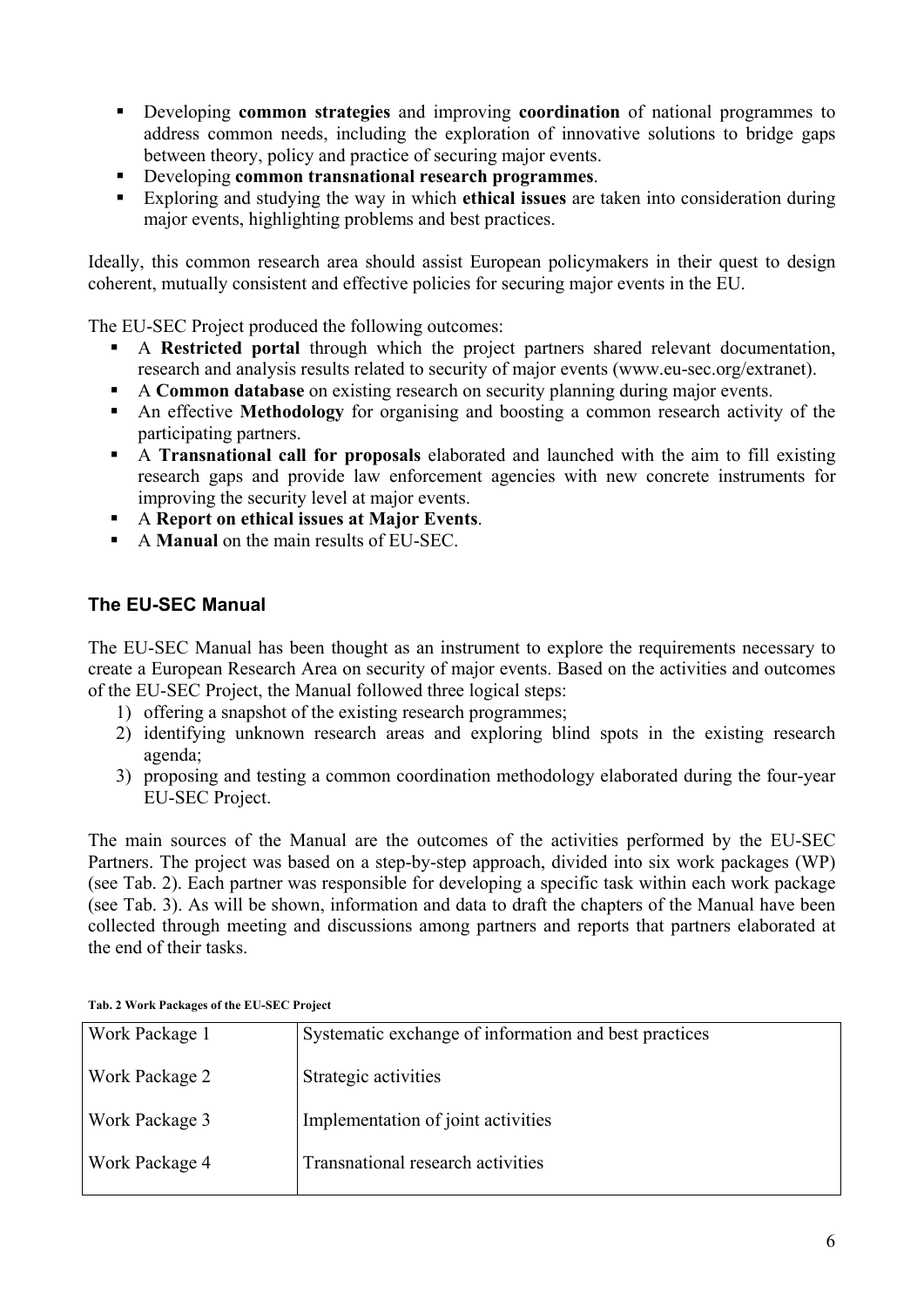- Developing **common strategies** and improving **coordination** of national programmes to address common needs, including the exploration of innovative solutions to bridge gaps between theory, policy and practice of securing major events.
- Developing **common transnational research programmes**.
- Exploring and studying the way in which **ethical issues** are taken into consideration during major events, highlighting problems and best practices.

Ideally, this common research area should assist European policymakers in their quest to design coherent, mutually consistent and effective policies for securing major events in the EU.

The EU-SEC Project produced the following outcomes:

- A **Restricted portal** through which the project partners shared relevant documentation, research and analysis results related to security of major events (www.eu-sec.org/extranet).
- A **Common database** on existing research on security planning during major events.
- An effective **Methodology** for organising and boosting a common research activity of the participating partners.
- A **Transnational call for proposals** elaborated and launched with the aim to fill existing research gaps and provide law enforcement agencies with new concrete instruments for improving the security level at major events.
- A **Report on ethical issues at Major Events**.
- A **Manual** on the main results of EU-SEC.

#### **The EU-SEC Manual**

The EU-SEC Manual has been thought as an instrument to explore the requirements necessary to create a European Research Area on security of major events. Based on the activities and outcomes of the EU-SEC Project, the Manual followed three logical steps:

- 1) offering a snapshot of the existing research programmes;
- 2) identifying unknown research areas and exploring blind spots in the existing research agenda;
- 3) proposing and testing a common coordination methodology elaborated during the four-year EU-SEC Project.

The main sources of the Manual are the outcomes of the activities performed by the EU-SEC Partners. The project was based on a step-by-step approach, divided into six work packages (WP) (see Tab. 2). Each partner was responsible for developing a specific task within each work package (see Tab. 3). As will be shown, information and data to draft the chapters of the Manual have been collected through meeting and discussions among partners and reports that partners elaborated at the end of their tasks.

| <b>Work Package 1</b> | Systematic exchange of information and best practices |
|-----------------------|-------------------------------------------------------|
| <b>Work Package 2</b> | Strategic activities                                  |
| <b>Work Package 3</b> | Implementation of joint activities                    |
| <b>Work Package 4</b> | Transnational research activities                     |

**Tab. 2 Work Packages of the EU-SEC Project**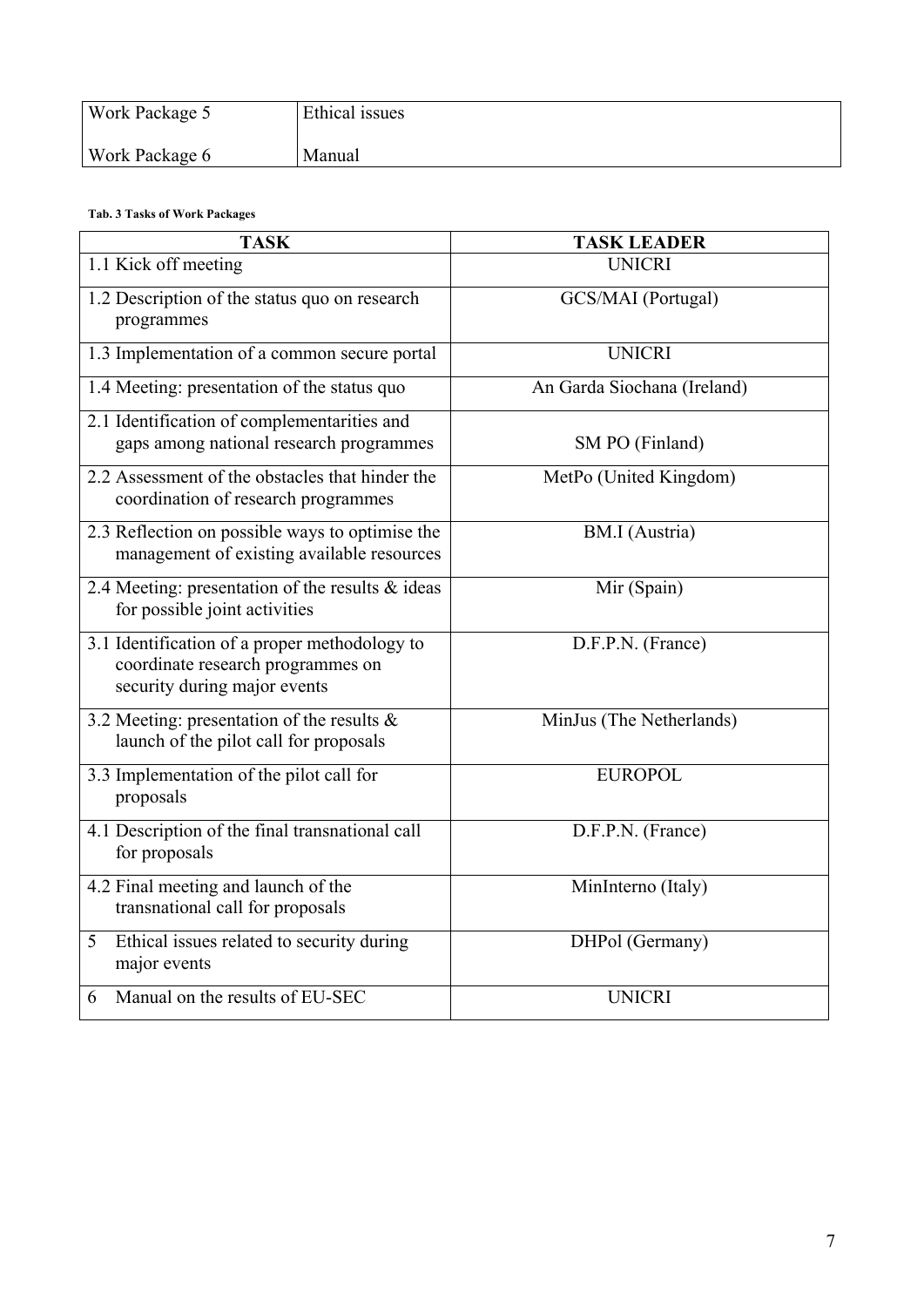| <b>Work Package 5</b> | Ethical issues |
|-----------------------|----------------|
| <b>Work Package 6</b> | Manual         |

#### **Tab. 3 Tasks of Work Packages**

| <b>TASK</b>                                                                                                        | <b>TASK LEADER</b>          |
|--------------------------------------------------------------------------------------------------------------------|-----------------------------|
| 1.1 Kick off meeting                                                                                               | <b>UNICRI</b>               |
| 1.2 Description of the status quo on research<br>programmes                                                        | GCS/MAI (Portugal)          |
| 1.3 Implementation of a common secure portal                                                                       | <b>UNICRI</b>               |
| 1.4 Meeting: presentation of the status quo                                                                        | An Garda Siochana (Ireland) |
| 2.1 Identification of complementarities and<br>gaps among national research programmes                             | SM PO (Finland)             |
| 2.2 Assessment of the obstacles that hinder the<br>coordination of research programmes                             | MetPo (United Kingdom)      |
| 2.3 Reflection on possible ways to optimise the<br>management of existing available resources                      | <b>BM.I</b> (Austria)       |
| 2.4 Meeting: presentation of the results $\&$ ideas<br>for possible joint activities                               | Mir (Spain)                 |
| 3.1 Identification of a proper methodology to<br>coordinate research programmes on<br>security during major events | D.F.P.N. (France)           |
| 3.2 Meeting: presentation of the results $\&$<br>launch of the pilot call for proposals                            | MinJus (The Netherlands)    |
| 3.3 Implementation of the pilot call for<br>proposals                                                              | <b>EUROPOL</b>              |
| 4.1 Description of the final transnational call<br>for proposals                                                   | D.F.P.N. (France)           |
| 4.2 Final meeting and launch of the<br>transnational call for proposals                                            | MinInterno (Italy)          |
| Ethical issues related to security during<br>5 <sup>1</sup><br>major events                                        | DHPol (Germany)             |
| Manual on the results of EU-SEC<br>6                                                                               | <b>UNICRI</b>               |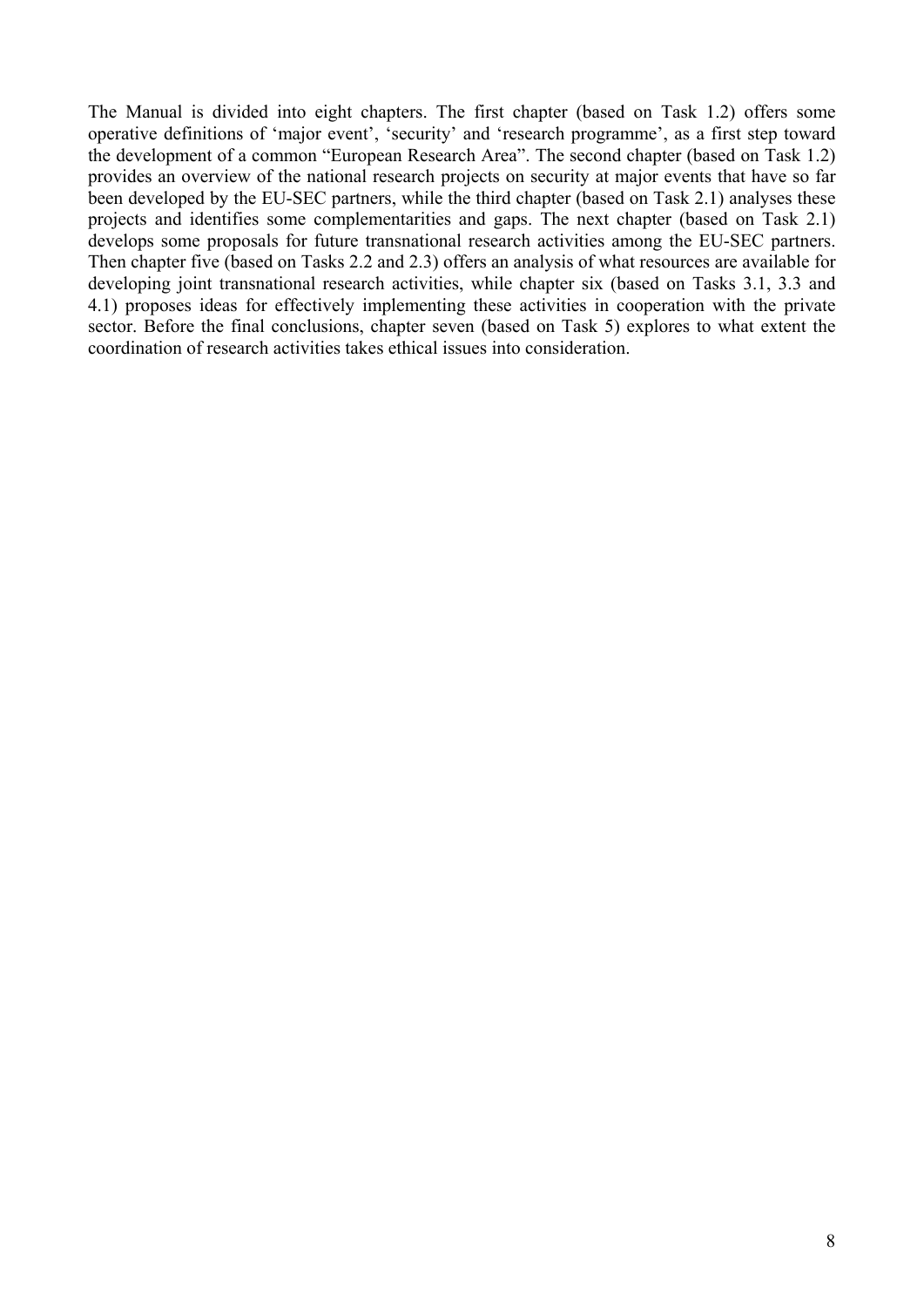The Manual is divided into eight chapters. The first chapter (based on Task 1.2) offers some operative definitions of 'major event', 'security' and 'research programme', as a first step toward the development of a common "European Research Area". The second chapter (based on Task 1.2) provides an overview of the national research projects on security at major events that have so far been developed by the EU-SEC partners, while the third chapter (based on Task 2.1) analyses these projects and identifies some complementarities and gaps. The next chapter (based on Task 2.1) develops some proposals for future transnational research activities among the EU-SEC partners. Then chapter five (based on Tasks 2.2 and 2.3) offers an analysis of what resources are available for developing joint transnational research activities, while chapter six (based on Tasks 3.1, 3.3 and 4.1) proposes ideas for effectively implementing these activities in cooperation with the private sector. Before the final conclusions, chapter seven (based on Task 5) explores to what extent the coordination of research activities takes ethical issues into consideration.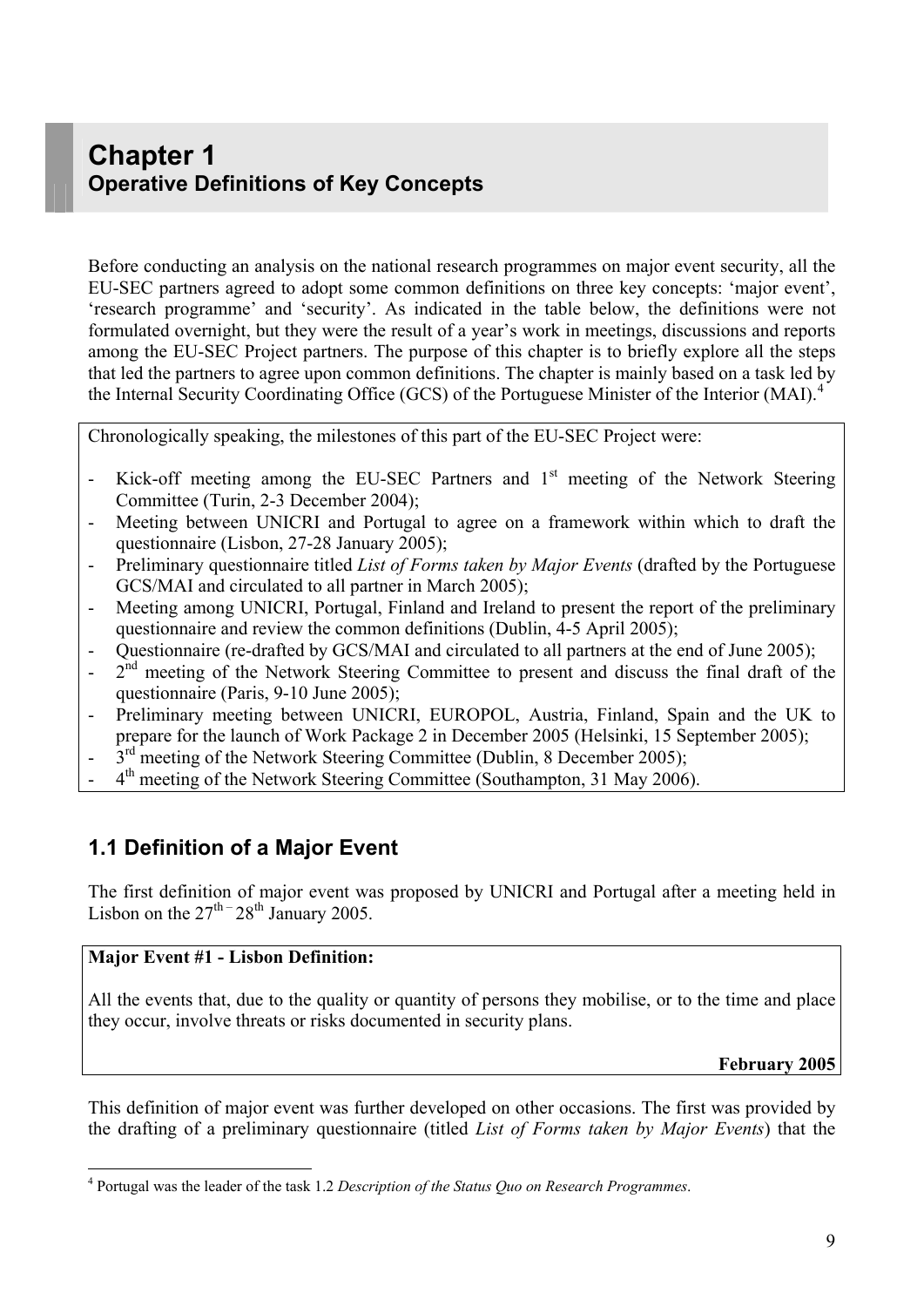## <span id="page-8-0"></span>**Chapter 1 Operative Definitions of Key Concepts**

Before conducting an analysis on the national research programmes on major event security, all the EU-SEC partners agreed to adopt some common definitions on three key concepts: 'major event', 'research programme' and 'security'. As indicated in the table below, the definitions were not formulated overnight, but they were the result of a year's work in meetings, discussions and reports among the EU-SEC Project partners. The purpose of this chapter is to briefly explore all the steps that led the partners to agree upon common definitions. The chapter is mainly based on a task led by the Internal Security Coordinating Office (GCS) of the Portuguese Minister of the Interior (MAI).<sup>[4](#page-8-1)</sup>

Chronologically speaking, the milestones of this part of the EU-SEC Project were:

- Kick-off meeting among the EU-SEC Partners and  $1<sup>st</sup>$  meeting of the Network Steering Committee (Turin, 2-3 December 2004);
- Meeting between UNICRI and Portugal to agree on a framework within which to draft the questionnaire (Lisbon, 27-28 January 2005);
- Preliminary questionnaire titled *List of Forms taken by Major Events* (drafted by the Portuguese GCS/MAI and circulated to all partner in March 2005);
- Meeting among UNICRI, Portugal, Finland and Ireland to present the report of the preliminary questionnaire and review the common definitions (Dublin, 4-5 April 2005);
- Questionnaire (re-drafted by GCS/MAI and circulated to all partners at the end of June 2005);
- $2<sup>nd</sup>$  meeting of the Network Steering Committee to present and discuss the final draft of the questionnaire (Paris, 9-10 June 2005);
- Preliminary meeting between UNICRI, EUROPOL, Austria, Finland, Spain and the UK to prepare for the launch of Work Package 2 in December 2005 (Helsinki, 15 September 2005);
- $3<sup>rd</sup>$  meeting of the Network Steering Committee (Dublin, 8 December 2005);
- $4<sup>th</sup>$  meeting of the Network Steering Committee (Southampton, 31 May 2006).

## **1.1 Definition of a Major Event**

The first definition of major event was proposed by UNICRI and Portugal after a meeting held in Lisbon on the  $27^{\text{th} -} 28^{\text{th}}$  January 2005.

#### **Major Event #1 - Lisbon Definition:**

 $\overline{a}$ 

All the events that, due to the quality or quantity of persons they mobilise, or to the time and place they occur, involve threats or risks documented in security plans.

**February 2005**

This definition of major event was further developed on other occasions. The first was provided by the drafting of a preliminary questionnaire (titled *List of Forms taken by Major Events*) that the

<span id="page-8-1"></span><sup>4</sup> Portugal was the leader of the task 1.2 *Description of the Status Quo on Research Programmes*.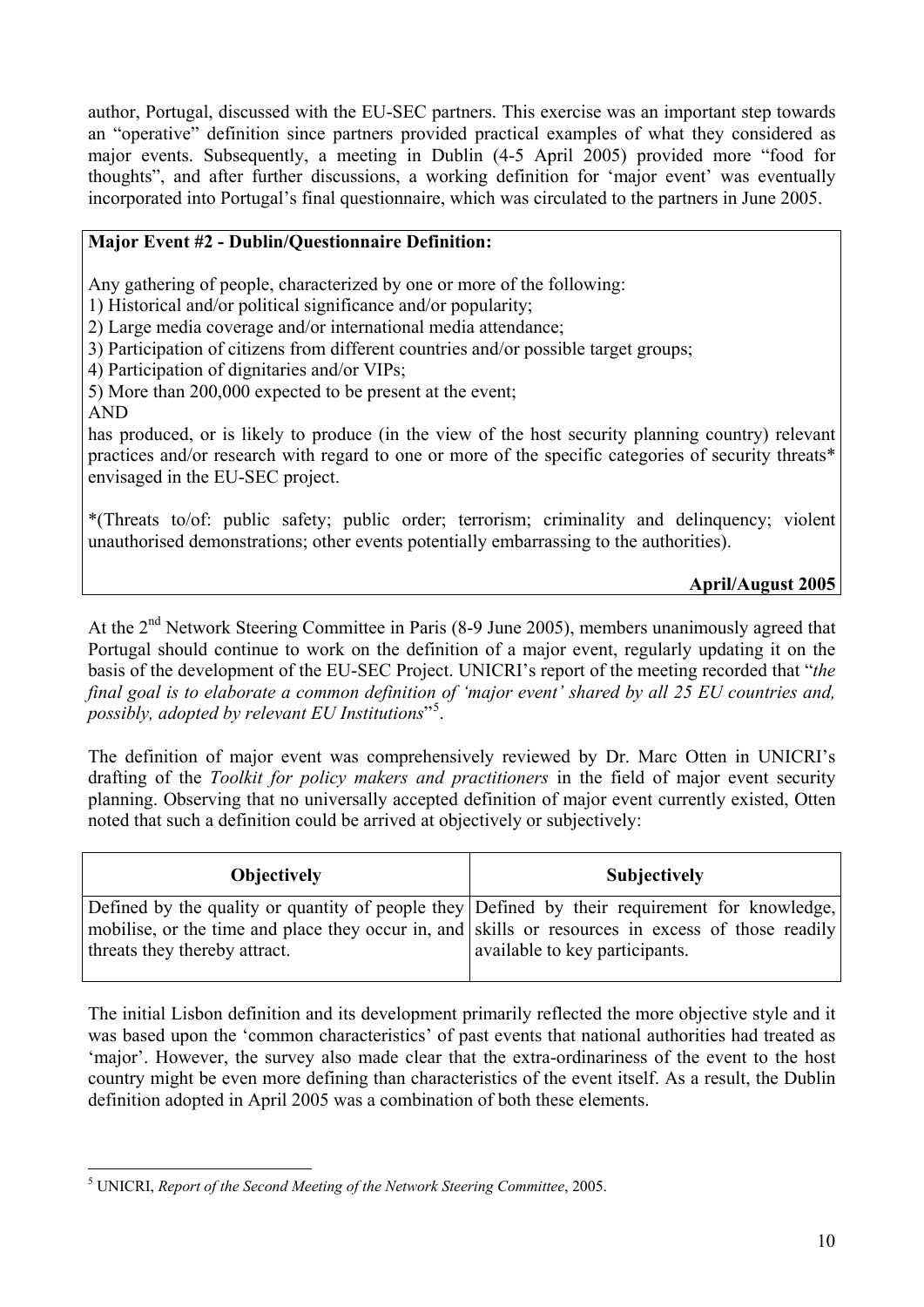author, Portugal, discussed with the EU-SEC partners. This exercise was an important step towards an "operative" definition since partners provided practical examples of what they considered as major events. Subsequently, a meeting in Dublin (4-5 April 2005) provided more "food for thoughts", and after further discussions, a working definition for 'major event' was eventually incorporated into Portugal's final questionnaire, which was circulated to the partners in June 2005.

#### **Major Event #2 - Dublin/Questionnaire Definition:**

Any gathering of people, characterized by one or more of the following:

1) Historical and/or political significance and/or popularity;

2) Large media coverage and/or international media attendance;

3) Participation of citizens from different countries and/or possible target groups;

4) Participation of dignitaries and/or VIPs;

5) More than 200,000 expected to be present at the event;

AND

has produced, or is likely to produce (in the view of the host security planning country) relevant practices and/or research with regard to one or more of the specific categories of security threats\* envisaged in the EU-SEC project.

\*(Threats to/of: public safety; public order; terrorism; criminality and delinquency; violent unauthorised demonstrations; other events potentially embarrassing to the authorities).

#### **April/August 2005**

At the 2<sup>nd</sup> Network Steering Committee in Paris (8-9 June 2005), members unanimously agreed that Portugal should continue to work on the definition of a major event, regularly updating it on the basis of the development of the EU-SEC Project. UNICRI's report of the meeting recorded that "*the final goal is to elaborate a common definition of 'major event' shared by all 25 EU countries and, possibly, adopted by relevant EU Institutions*"[5](#page-9-0) .

The definition of major event was comprehensively reviewed by Dr. Marc Otten in UNICRI's drafting of the *Toolkit for policy makers and practitioners* in the field of major event security planning. Observing that no universally accepted definition of major event currently existed, Otten noted that such a definition could be arrived at objectively or subjectively:

| <b>Objectively</b>                                                                                                                                                                                                                  | <b>Subjectively</b>            |
|-------------------------------------------------------------------------------------------------------------------------------------------------------------------------------------------------------------------------------------|--------------------------------|
| Defined by the quality or quantity of people they Defined by their requirement for knowledge,<br>mobilise, or the time and place they occur in, and skills or resources in excess of those readily<br>threats they thereby attract. | available to key participants. |

The initial Lisbon definition and its development primarily reflected the more objective style and it was based upon the 'common characteristics' of past events that national authorities had treated as 'major'. However, the survey also made clear that the extra-ordinariness of the event to the host country might be even more defining than characteristics of the event itself. As a result, the Dublin definition adopted in April 2005 was a combination of both these elements.

<span id="page-9-0"></span> $\overline{a}$ 5 UNICRI, *Report of the Second Meeting of the Network Steering Committee*, 2005.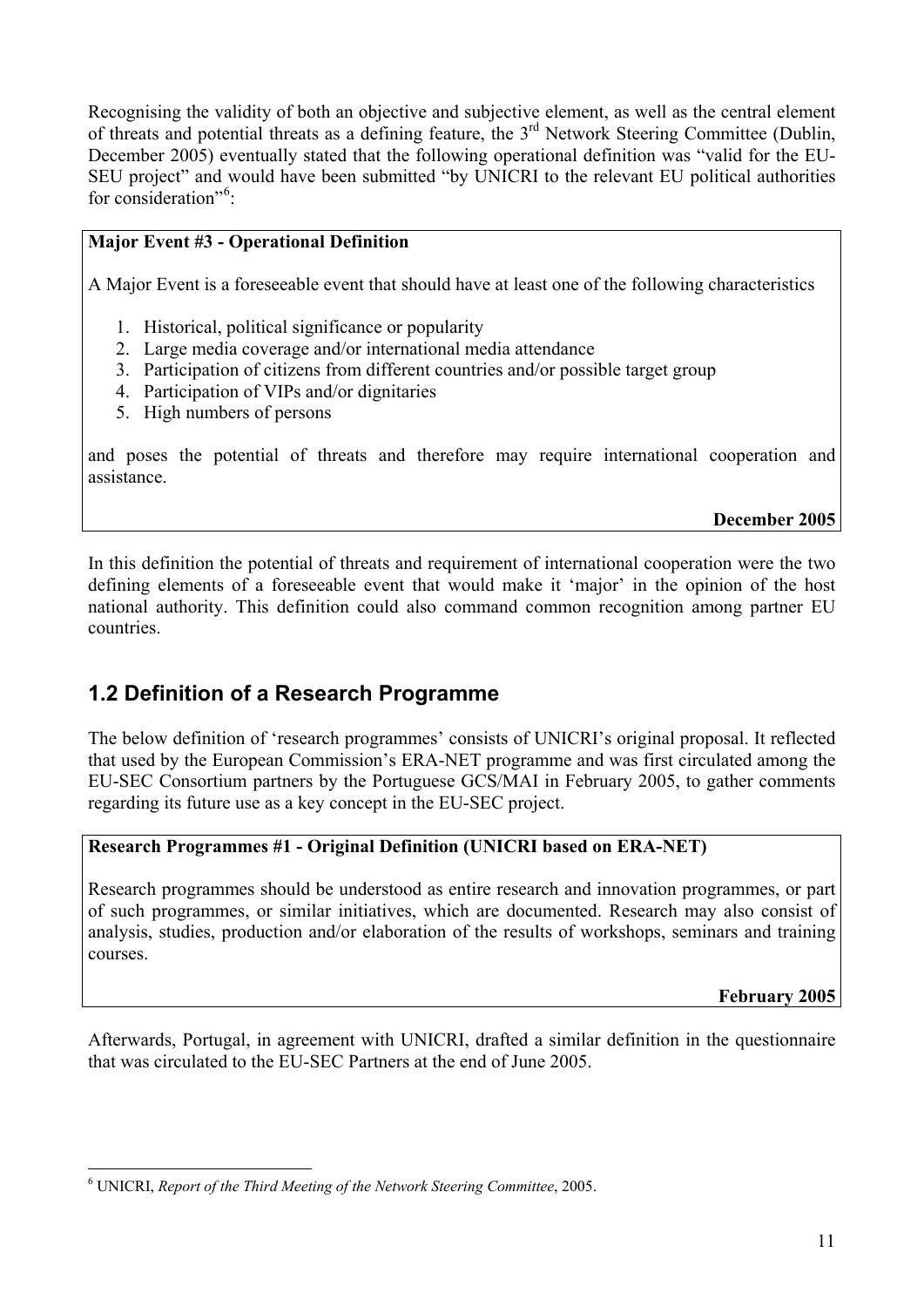<span id="page-10-0"></span>Recognising the validity of both an objective and subjective element, as well as the central element of threats and potential threats as a defining feature, the 3<sup>rd</sup> Network Steering Committee (Dublin, December 2005) eventually stated that the following operational definition was "valid for the EU-SEU project" and would have been submitted "by UNICRI to the relevant EU political authorities for consideration"<sup>[6](#page-10-1)</sup>:

#### **Major Event #3 - Operational Definition**

A Major Event is a foreseeable event that should have at least one of the following characteristics

- 1. Historical, political significance or popularity
- 2. Large media coverage and/or international media attendance
- 3. Participation of citizens from different countries and/or possible target group
- 4. Participation of VIPs and/or dignitaries
- 5. High numbers of persons

and poses the potential of threats and therefore may require international cooperation and assistance.

#### **December 2005**

In this definition the potential of threats and requirement of international cooperation were the two defining elements of a foreseeable event that would make it 'major' in the opinion of the host national authority. This definition could also command common recognition among partner EU countries.

## **1.2 Definition of a Research Programme**

The below definition of 'research programmes' consists of UNICRI's original proposal. It reflected that used by the European Commission's ERA-NET programme and was first circulated among the EU-SEC Consortium partners by the Portuguese GCS/MAI in February 2005, to gather comments regarding its future use as a key concept in the EU-SEC project.

#### **Research Programmes #1 - Original Definition (UNICRI based on ERA-NET)**

Research programmes should be understood as entire research and innovation programmes, or part of such programmes, or similar initiatives, which are documented. Research may also consist of analysis, studies, production and/or elaboration of the results of workshops, seminars and training courses.

**February 2005**

Afterwards, Portugal, in agreement with UNICRI, drafted a similar definition in the questionnaire that was circulated to the EU-SEC Partners at the end of June 2005.

<span id="page-10-1"></span> $\overline{a}$ 6 UNICRI, *Report of the Third Meeting of the Network Steering Committee*, 2005.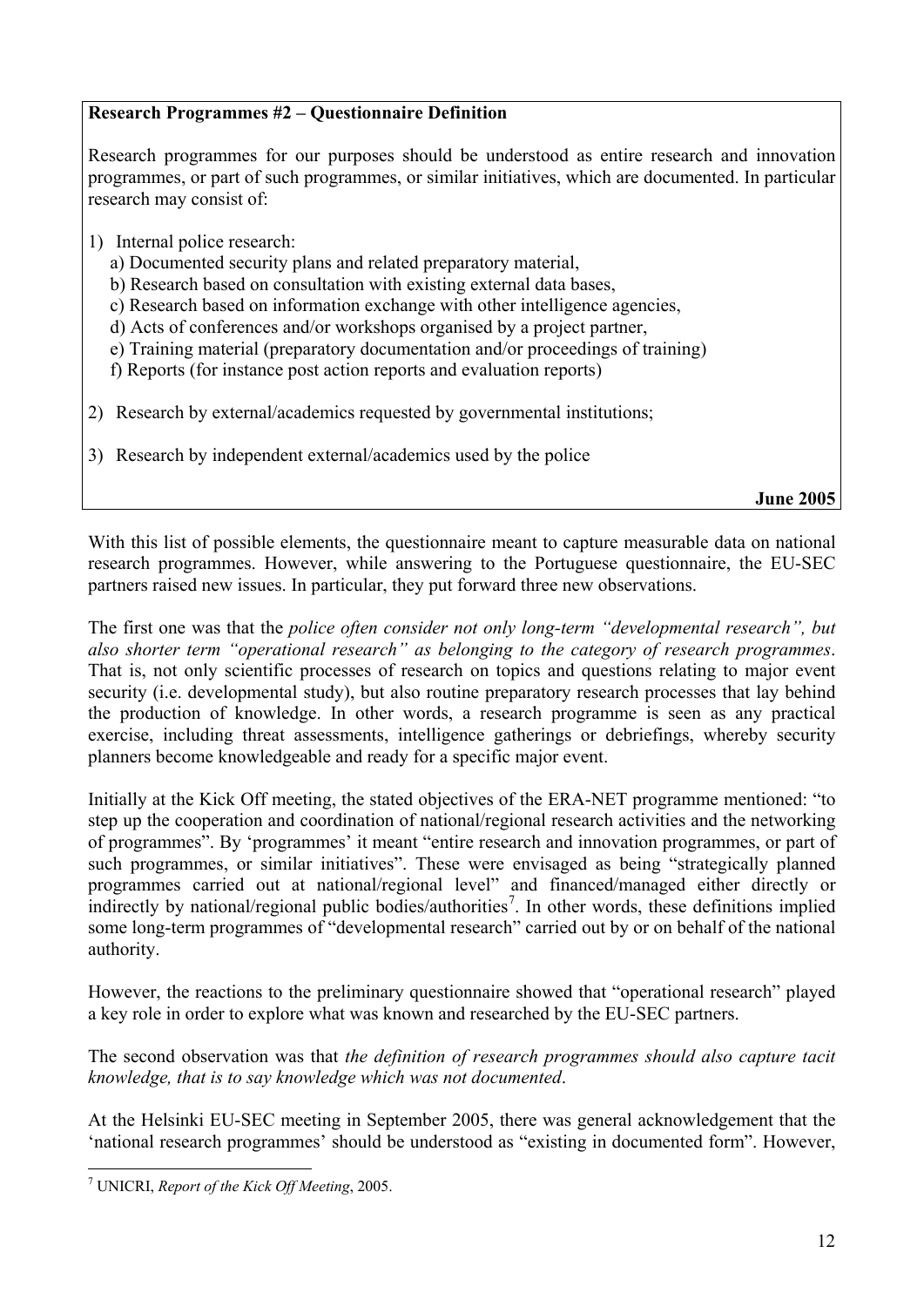#### **Research Programmes #2 – Questionnaire Definition**

Research programmes for our purposes should be understood as entire research and innovation programmes, or part of such programmes, or similar initiatives, which are documented. In particular research may consist of:

- 1) Internal police research:
	- a) Documented security plans and related preparatory material,
	- b) Research based on consultation with existing external data bases,
	- c) Research based on information exchange with other intelligence agencies,
	- d) Acts of conferences and/or workshops organised by a project partner,
	- e) Training material (preparatory documentation and/or proceedings of training)
	- f) Reports (for instance post action reports and evaluation reports)
- 2) Research by external/academics requested by governmental institutions;
- 3) Research by independent external/academics used by the police

**June 2005**

With this list of possible elements, the questionnaire meant to capture measurable data on national research programmes. However, while answering to the Portuguese questionnaire, the EU-SEC partners raised new issues. In particular, they put forward three new observations.

The first one was that the *police often consider not only long-term "developmental research", but also shorter term "operational research" as belonging to the category of research programmes*. That is, not only scientific processes of research on topics and questions relating to major event security (i.e. developmental study), but also routine preparatory research processes that lay behind the production of knowledge. In other words, a research programme is seen as any practical exercise, including threat assessments, intelligence gatherings or debriefings, whereby security planners become knowledgeable and ready for a specific major event.

Initially at the Kick Off meeting, the stated objectives of the ERA-NET programme mentioned: "to step up the cooperation and coordination of national/regional research activities and the networking of programmes". By 'programmes' it meant "entire research and innovation programmes, or part of such programmes, or similar initiatives". These were envisaged as being "strategically planned programmes carried out at national/regional level" and financed/managed either directly or indirectly by national/regional public bodies/authorities<sup>[7](#page-11-0)</sup>. In other words, these definitions implied some long-term programmes of "developmental research" carried out by or on behalf of the national authority.

However, the reactions to the preliminary questionnaire showed that "operational research" played a key role in order to explore what was known and researched by the EU-SEC partners.

The second observation was that *the definition of research programmes should also capture tacit knowledge, that is to say knowledge which was not documented*.

At the Helsinki EU-SEC meeting in September 2005, there was general acknowledgement that the 'national research programmes' should be understood as "existing in documented form". However,

<span id="page-11-0"></span> 7 UNICRI, *Report of the Kick Off Meeting*, 2005.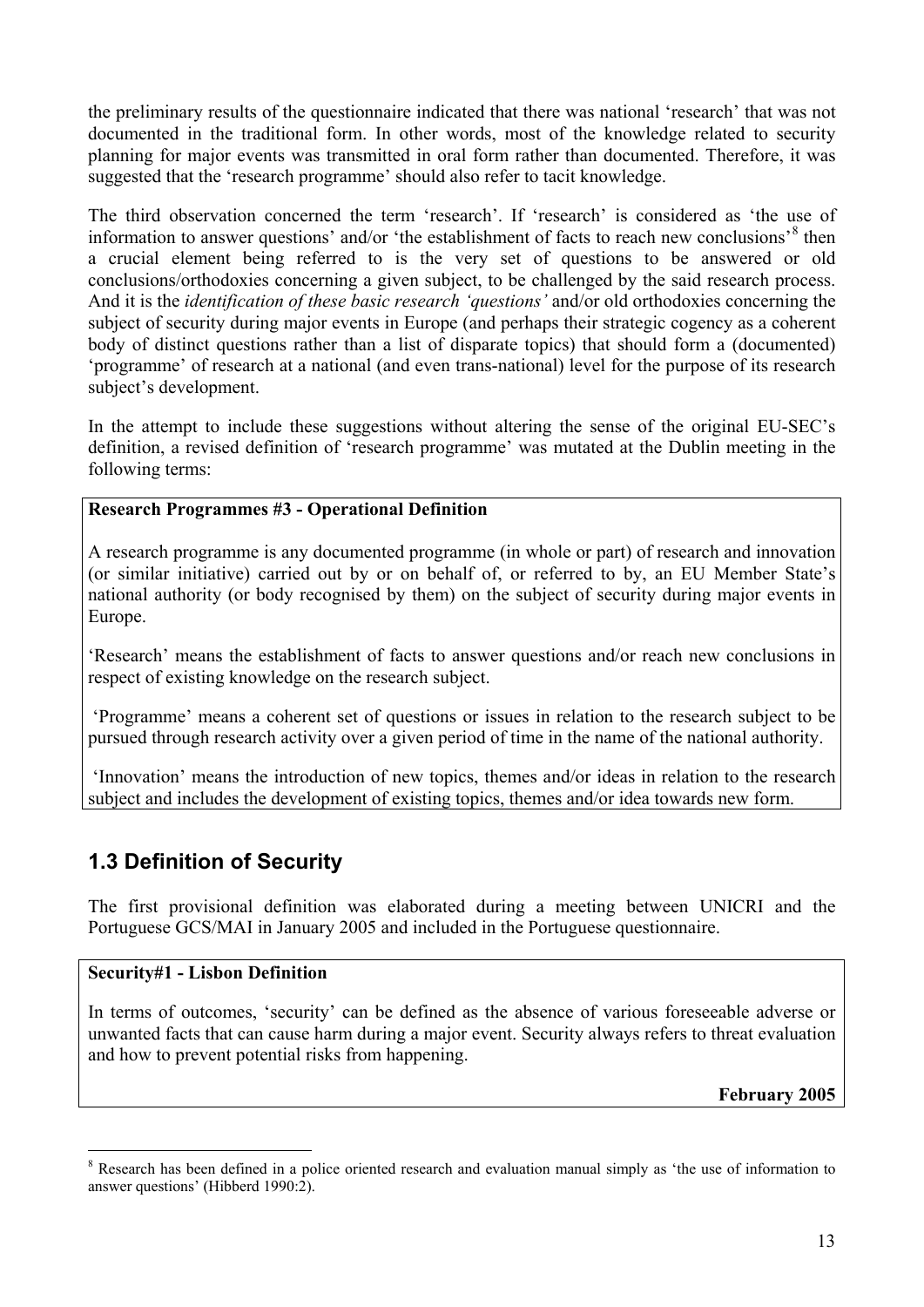<span id="page-12-0"></span>the preliminary results of the questionnaire indicated that there was national 'research' that was not documented in the traditional form. In other words, most of the knowledge related to security planning for major events was transmitted in oral form rather than documented. Therefore, it was suggested that the 'research programme' should also refer to tacit knowledge.

The third observation concerned the term 'research'. If 'research' is considered as 'the use of information to answer questions' and/or 'the establishment of facts to reach new conclusions'<sup>[8](#page-12-1)</sup> then a crucial element being referred to is the very set of questions to be answered or old conclusions/orthodoxies concerning a given subject, to be challenged by the said research process. And it is the *identification of these basic research 'questions'* and/or old orthodoxies concerning the subject of security during major events in Europe (and perhaps their strategic cogency as a coherent body of distinct questions rather than a list of disparate topics) that should form a (documented) 'programme' of research at a national (and even trans-national) level for the purpose of its research subject's development.

In the attempt to include these suggestions without altering the sense of the original EU-SEC's definition, a revised definition of 'research programme' was mutated at the Dublin meeting in the following terms:

#### **Research Programmes #3 - Operational Definition**

A research programme is any documented programme (in whole or part) of research and innovation (or similar initiative) carried out by or on behalf of, or referred to by, an EU Member State's national authority (or body recognised by them) on the subject of security during major events in Europe.

'Research' means the establishment of facts to answer questions and/or reach new conclusions in respect of existing knowledge on the research subject.

 'Programme' means a coherent set of questions or issues in relation to the research subject to be pursued through research activity over a given period of time in the name of the national authority.

 'Innovation' means the introduction of new topics, themes and/or ideas in relation to the research subject and includes the development of existing topics, themes and/or idea towards new form.

## **1.3 Definition of Security**

The first provisional definition was elaborated during a meeting between UNICRI and the Portuguese GCS/MAI in January 2005 and included in the Portuguese questionnaire.

#### **Security#1 - Lisbon Definition**

 $\overline{a}$ 

In terms of outcomes, 'security' can be defined as the absence of various foreseeable adverse or unwanted facts that can cause harm during a major event. Security always refers to threat evaluation and how to prevent potential risks from happening.

**February 2005** 

<span id="page-12-1"></span><sup>&</sup>lt;sup>8</sup> Research has been defined in a police oriented research and evaluation manual simply as 'the use of information to answer questions' (Hibberd 1990:2).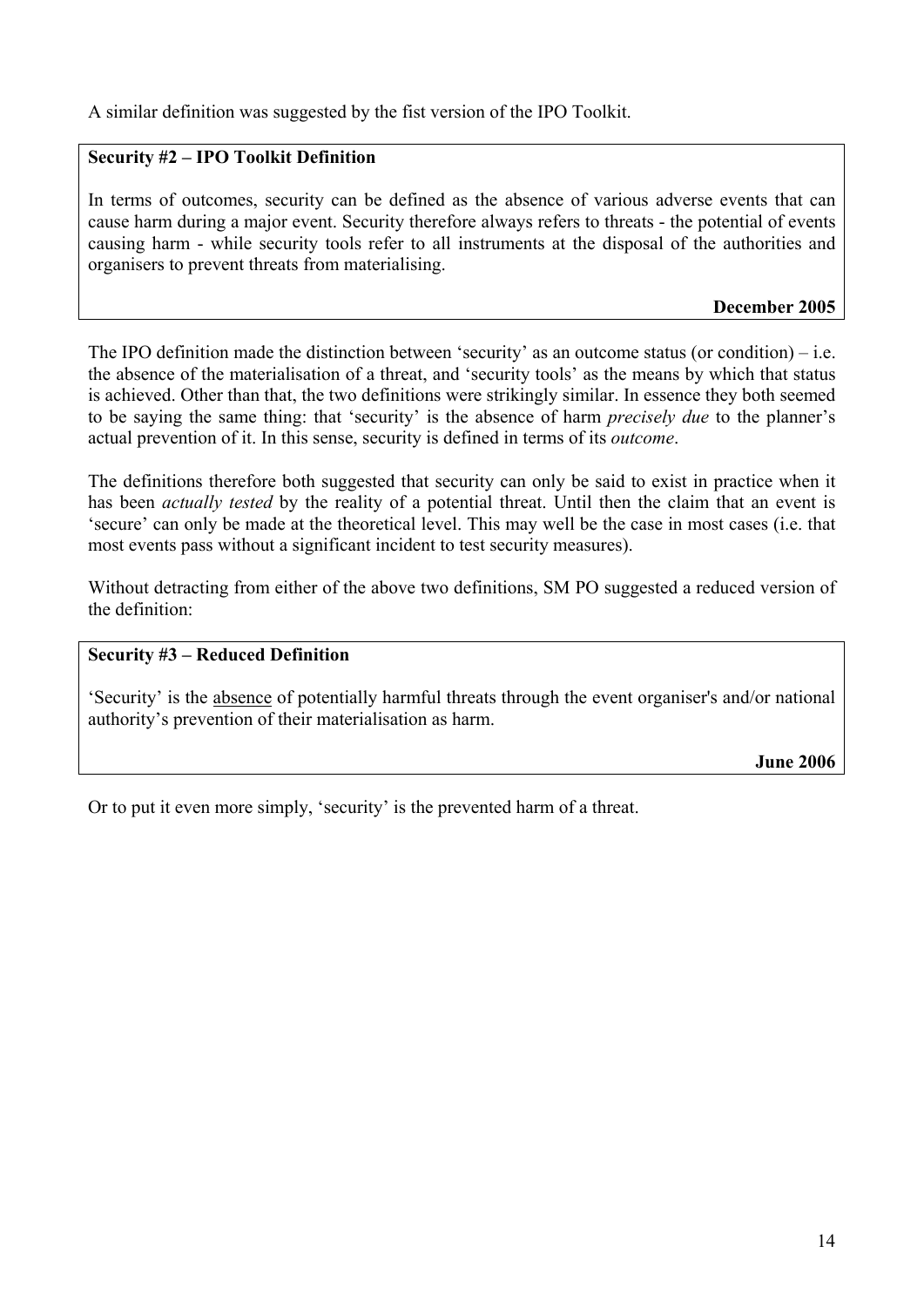A similar definition was suggested by the fist version of the IPO Toolkit.

#### **Security #2 – IPO Toolkit Definition**

In terms of outcomes, security can be defined as the absence of various adverse events that can cause harm during a major event. Security therefore always refers to threats - the potential of events causing harm - while security tools refer to all instruments at the disposal of the authorities and organisers to prevent threats from materialising.

#### **December 2005**

The IPO definition made the distinction between 'security' as an outcome status (or condition) – i.e. the absence of the materialisation of a threat, and 'security tools' as the means by which that status is achieved. Other than that, the two definitions were strikingly similar. In essence they both seemed to be saying the same thing: that 'security' is the absence of harm *precisely due* to the planner's actual prevention of it. In this sense, security is defined in terms of its *outcome*.

The definitions therefore both suggested that security can only be said to exist in practice when it has been *actually tested* by the reality of a potential threat. Until then the claim that an event is 'secure' can only be made at the theoretical level. This may well be the case in most cases (i.e. that most events pass without a significant incident to test security measures).

Without detracting from either of the above two definitions, SM PO suggested a reduced version of the definition:

#### **Security #3 – Reduced Definition**

'Security' is the absence of potentially harmful threats through the event organiser's and/or national authority's prevention of their materialisation as harm.

**June 2006** 

Or to put it even more simply, 'security' is the prevented harm of a threat.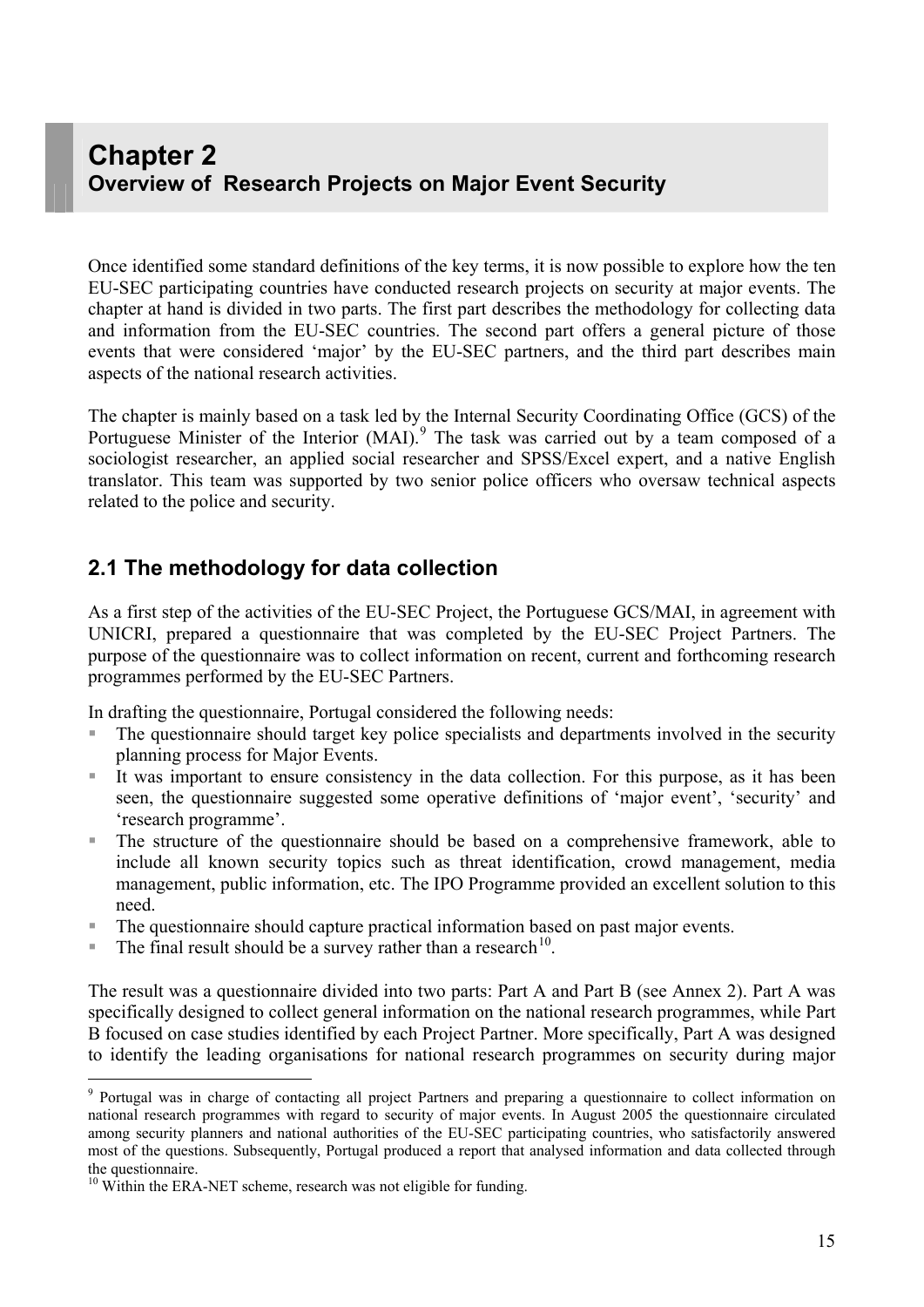## <span id="page-14-0"></span>**Chapter 2 Overview of Research Projects on Major Event Security**

Once identified some standard definitions of the key terms, it is now possible to explore how the ten EU-SEC participating countries have conducted research projects on security at major events. The chapter at hand is divided in two parts. The first part describes the methodology for collecting data and information from the EU-SEC countries. The second part offers a general picture of those events that were considered 'major' by the EU-SEC partners, and the third part describes main aspects of the national research activities.

The chapter is mainly based on a task led by the Internal Security Coordinating Office (GCS) of the Portuguese Minister of the Interior  $(MAI)$ .<sup>[9](#page-14-1)</sup> The task was carried out by a team composed of a sociologist researcher, an applied social researcher and SPSS/Excel expert, and a native English translator. This team was supported by two senior police officers who oversaw technical aspects related to the police and security.

### **2.1 The methodology for data collection**

As a first step of the activities of the EU-SEC Project, the Portuguese GCS/MAI, in agreement with UNICRI, prepared a questionnaire that was completed by the EU-SEC Project Partners. The purpose of the questionnaire was to collect information on recent, current and forthcoming research programmes performed by the EU-SEC Partners.

In drafting the questionnaire, Portugal considered the following needs:

- The questionnaire should target key police specialists and departments involved in the security planning process for Major Events.
- It was important to ensure consistency in the data collection. For this purpose, as it has been seen, the questionnaire suggested some operative definitions of 'major event', 'security' and 'research programme'.
- The structure of the questionnaire should be based on a comprehensive framework, able to include all known security topics such as threat identification, crowd management, media management, public information, etc. The IPO Programme provided an excellent solution to this need.
- The questionnaire should capture practical information based on past major events.
- The final result should be a survey rather than a research<sup>[1](#page-14-2)0</sup>.

The result was a questionnaire divided into two parts: Part A and Part B (see Annex 2). Part A was specifically designed to collect general information on the national research programmes, while Part B focused on case studies identified by each Project Partner. More specifically, Part A was designed to identify the leading organisations for national research programmes on security during major

 $\overline{a}$ 

<span id="page-14-1"></span><sup>&</sup>lt;sup>9</sup> Portugal was in charge of contacting all project Partners and preparing a questionnaire to collect information on national research programmes with regard to security of major events. In August 2005 the questionnaire circulated among security planners and national authorities of the EU-SEC participating countries, who satisfactorily answered most of the questions. Subsequently, Portugal produced a report that analysed information and data collected through the questionnaire.

<span id="page-14-2"></span> $10$  Within the ERA-NET scheme, research was not eligible for funding.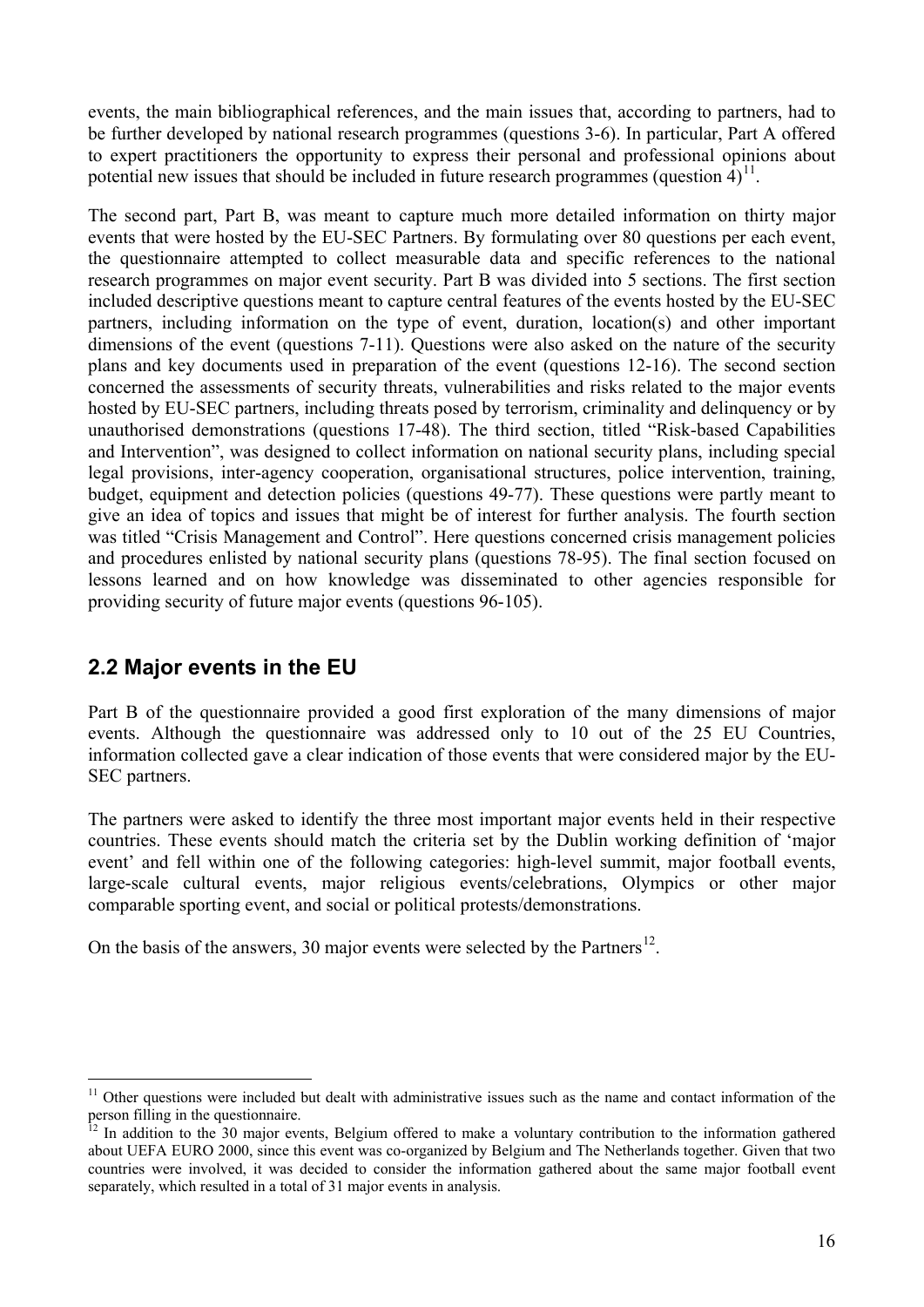<span id="page-15-0"></span>events, the main bibliographical references, and the main issues that, according to partners, had to be further developed by national research programmes (questions 3-6). In particular, Part A offered to expert practitioners the opportunity to express their personal and professional opinions about potential new issues that should be included in future research programmes (question  $4$ )<sup>[1](#page-15-1)1</sup>.

The second part, Part B, was meant to capture much more detailed information on thirty major events that were hosted by the EU-SEC Partners. By formulating over 80 questions per each event, the questionnaire attempted to collect measurable data and specific references to the national research programmes on major event security. Part B was divided into 5 sections. The first section included descriptive questions meant to capture central features of the events hosted by the EU-SEC partners, including information on the type of event, duration, location(s) and other important dimensions of the event (questions 7-11). Questions were also asked on the nature of the security plans and key documents used in preparation of the event (questions 12-16). The second section concerned the assessments of security threats, vulnerabilities and risks related to the major events hosted by EU-SEC partners, including threats posed by terrorism, criminality and delinquency or by unauthorised demonstrations (questions 17-48). The third section, titled "Risk-based Capabilities and Intervention", was designed to collect information on national security plans, including special legal provisions, inter-agency cooperation, organisational structures, police intervention, training, budget, equipment and detection policies (questions 49-77). These questions were partly meant to give an idea of topics and issues that might be of interest for further analysis. The fourth section was titled "Crisis Management and Control". Here questions concerned crisis management policies and procedures enlisted by national security plans (questions 78-95). The final section focused on lessons learned and on how knowledge was disseminated to other agencies responsible for providing security of future major events (questions 96-105).

## **2.2 Major events in the EU**

 $\overline{a}$ 

Part B of the questionnaire provided a good first exploration of the many dimensions of major events. Although the questionnaire was addressed only to 10 out of the 25 EU Countries, information collected gave a clear indication of those events that were considered major by the EU-SEC partners.

The partners were asked to identify the three most important major events held in their respective countries. These events should match the criteria set by the Dublin working definition of 'major event' and fell within one of the following categories: high-level summit, major football events, large-scale cultural events, major religious events/celebrations, Olympics or other major comparable sporting event, and social or political protests/demonstrations.

On the basis of the answers, 30 major events were selected by the Partners<sup>[1](#page-15-2)2</sup>.

<span id="page-15-1"></span> $11$  Other questions were included but dealt with administrative issues such as the name and contact information of the person filling in the questionnaire.

<span id="page-15-2"></span><sup>12</sup> In addition to the 30 major events, Belgium offered to make a voluntary contribution to the information gathered about UEFA EURO 2000, since this event was co-organized by Belgium and The Netherlands together. Given that two countries were involved, it was decided to consider the information gathered about the same major football event separately, which resulted in a total of 31 major events in analysis.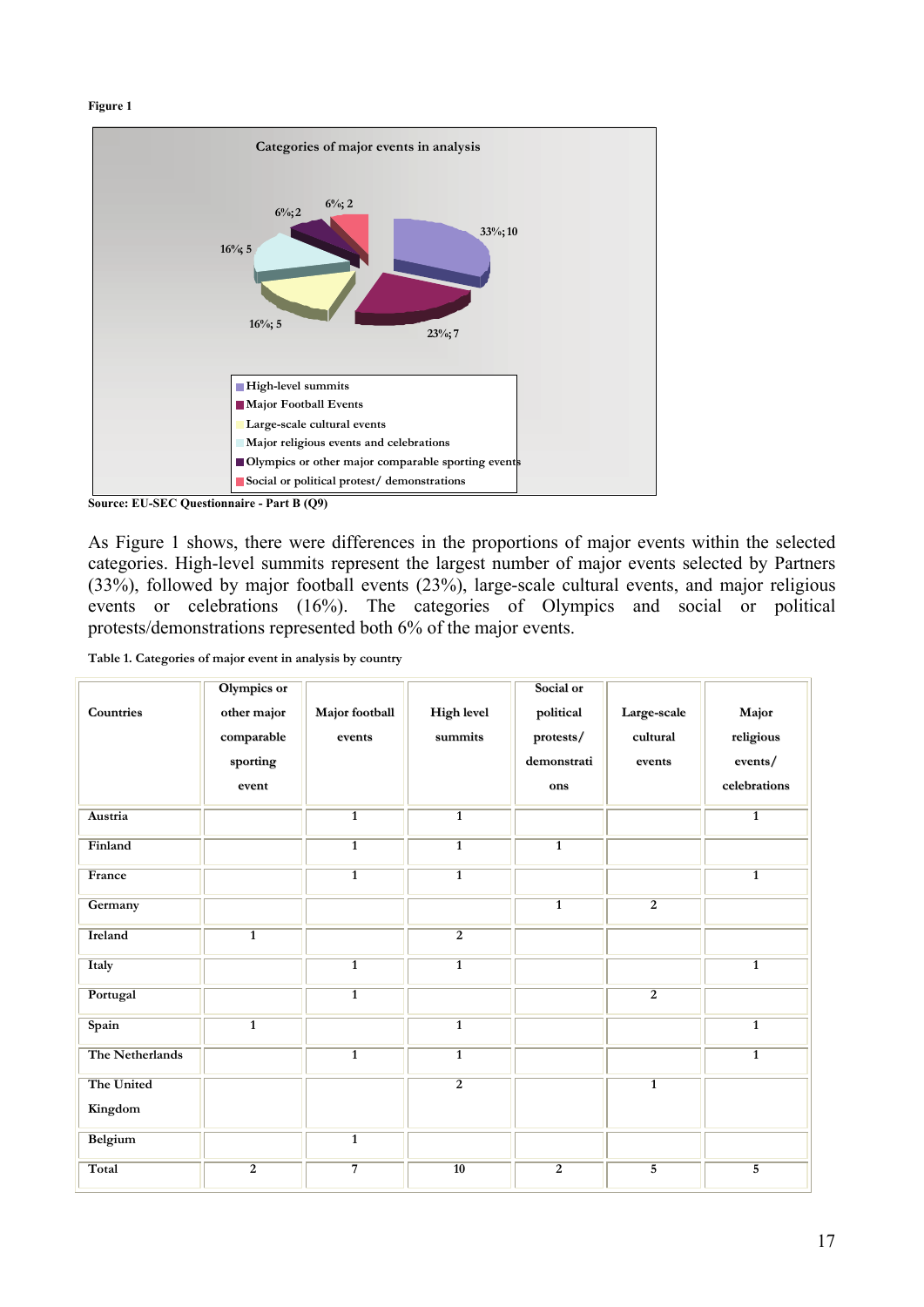```
Figure 1
```


**Source: EU-SEC Questionnaire - Part B (Q9)** 

As Figure 1 shows, there were differences in the proportions of major events within the selected categories. High-level summits represent the largest number of major events selected by Partners (33%), followed by major football events (23%), large-scale cultural events, and major religious events or celebrations (16%). The categories of Olympics and social or political protests/demonstrations represented both 6% of the major events.

|  | Table 1. Categories of major event in analysis by country |  |  |  |  |  |
|--|-----------------------------------------------------------|--|--|--|--|--|
|--|-----------------------------------------------------------|--|--|--|--|--|

| <b>Countries</b>      | Olympics or<br>other major<br>comparable<br>sporting<br>event | Major football<br>events | <b>High level</b><br>$\bf summits$ | Social or<br>political<br>protests/<br>demonstrati<br>ons | Large-scale<br>cultural<br>events | Major<br>religious<br>events/<br>celebrations |
|-----------------------|---------------------------------------------------------------|--------------------------|------------------------------------|-----------------------------------------------------------|-----------------------------------|-----------------------------------------------|
| Austria               |                                                               | $\overline{1}$           | $\overline{1}$                     |                                                           |                                   | $\overline{1}$                                |
| Finland               |                                                               | $\overline{1}$           | $\overline{1}$                     | $\overline{1}$                                            |                                   |                                               |
| France                |                                                               | $\overline{1}$           | $\mathbf{1}$                       |                                                           |                                   | $\overline{1}$                                |
| Germany               |                                                               |                          |                                    | $\overline{1}$                                            | $\overline{2}$                    |                                               |
| <b>Ireland</b>        | $\overline{1}$                                                |                          | $\overline{2}$                     |                                                           |                                   |                                               |
| Italy                 |                                                               | $\overline{1}$           | $\overline{1}$                     |                                                           |                                   | $\overline{1}$                                |
| Portugal              |                                                               | $\overline{1}$           |                                    |                                                           | $\overline{2}$                    |                                               |
| Spain                 | $\overline{1}$                                                |                          | $\overline{1}$                     |                                                           |                                   | $\overline{1}$                                |
| The Netherlands       |                                                               | $\overline{1}$           | $\overline{1}$                     |                                                           |                                   | $\overline{1}$                                |
| The United<br>Kingdom |                                                               |                          | $\overline{2}$                     |                                                           | $\overline{1}$                    |                                               |
| Belgium               |                                                               | $\mathbf{1}$             |                                    |                                                           |                                   |                                               |
| Total                 | $\overline{2}$                                                | $\overline{7}$           | $\overline{10}$                    | $\overline{2}$                                            | $\overline{5}$                    | 5                                             |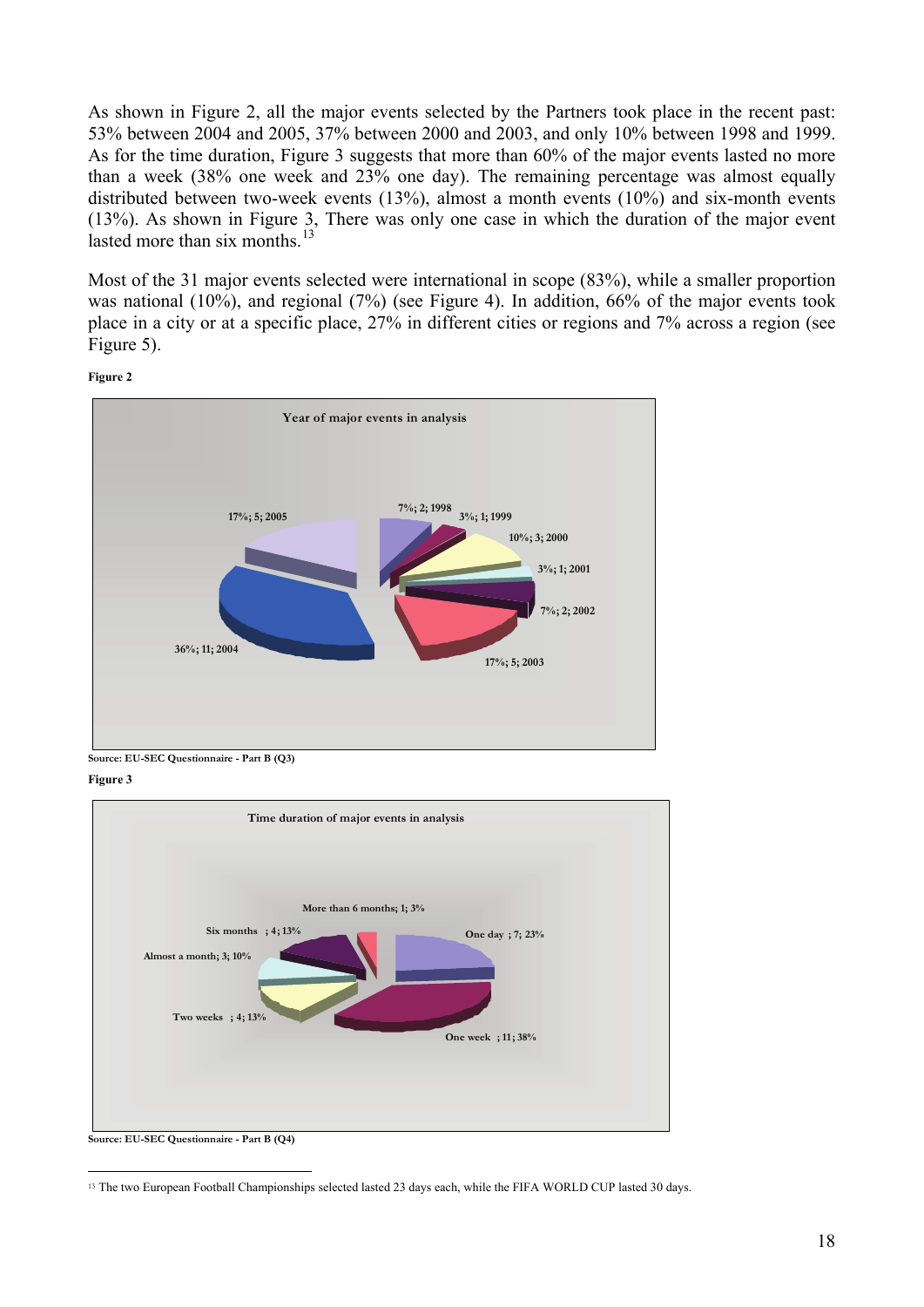As shown in Figure 2, all the major events selected by the Partners took place in the recent past: 53% between 2004 and 2005, 37% between 2000 and 2003, and only 10% between 1998 and 1999. As for the time duration, Figure 3 suggests that more than 60% of the major events lasted no more than a week (38% one week and 23% one day). The remaining percentage was almost equally distributed between two-week events (13%), almost a month events (10%) and six-month events (13%). As shown in Figure 3, There was only one case in which the duration of the major event lasted more than six months  $^{13}$  $^{13}$  $^{13}$ 

Most of the 31 major events selected were international in scope (83%), while a smaller proportion was national (10%), and regional (7%) (see Figure 4). In addition, 66% of the major events took place in a city or at a specific place, 27% in different cities or regions and 7% across a region (see Figure 5).





**Source: EU-SEC Questionnaire - Part B (Q3)**

**Figure 3** 



<span id="page-17-0"></span> $\overline{a}$ <sup>13</sup> The two European Football Championships selected lasted 23 days each, while the FIFA WORLD CUP lasted 30 days.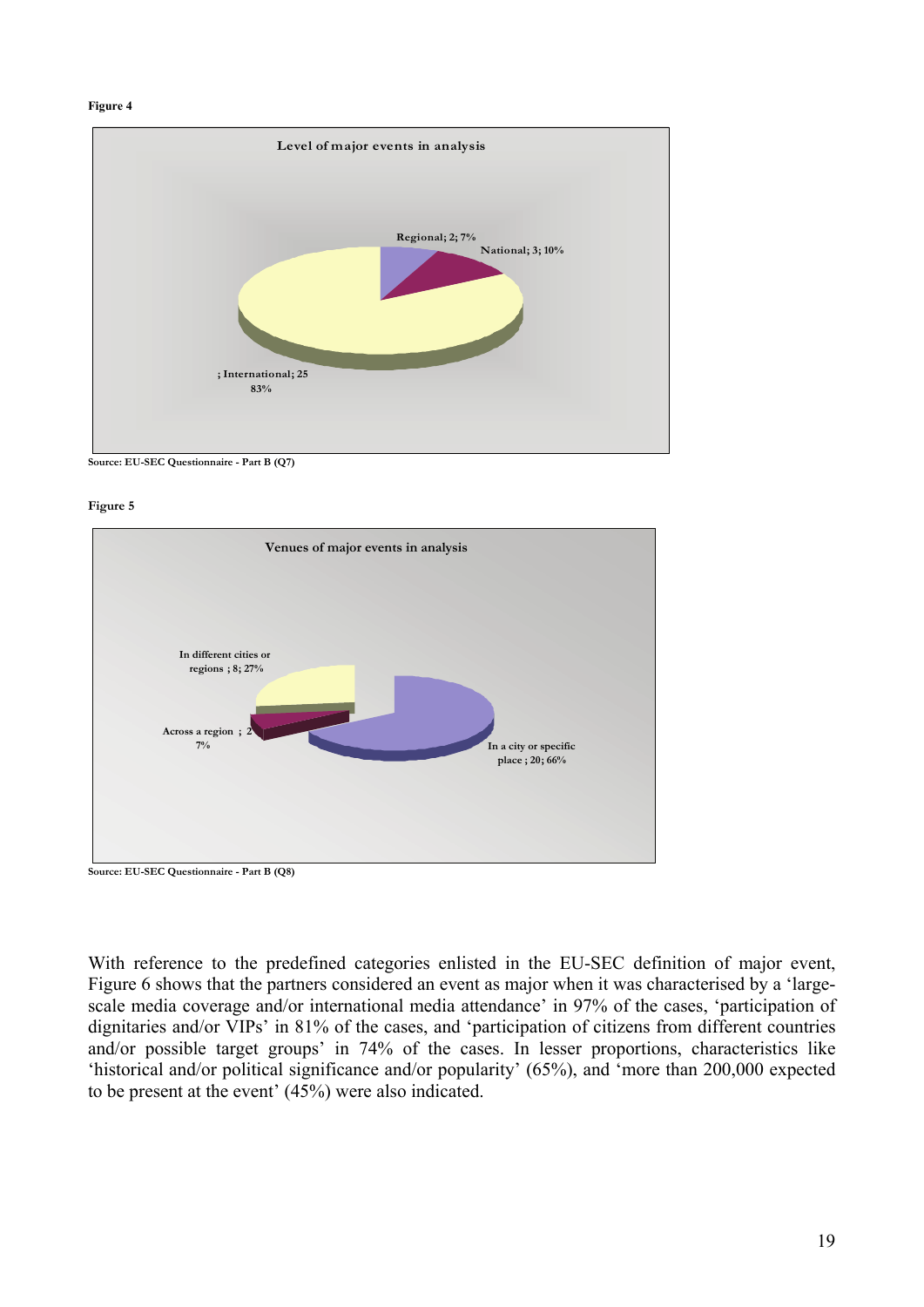#### **Figure 4**



**Source: EU-SEC Questionnaire - Part B (Q7)**

**Figure 5** 



**Source: EU-SEC Questionnaire - Part B (Q8)** 

With reference to the predefined categories enlisted in the EU-SEC definition of major event, Figure 6 shows that the partners considered an event as major when it was characterised by a 'largescale media coverage and/or international media attendance' in 97% of the cases, 'participation of dignitaries and/or VIPs' in 81% of the cases, and 'participation of citizens from different countries and/or possible target groups' in 74% of the cases. In lesser proportions, characteristics like 'historical and/or political significance and/or popularity' (65%), and 'more than 200,000 expected to be present at the event' (45%) were also indicated.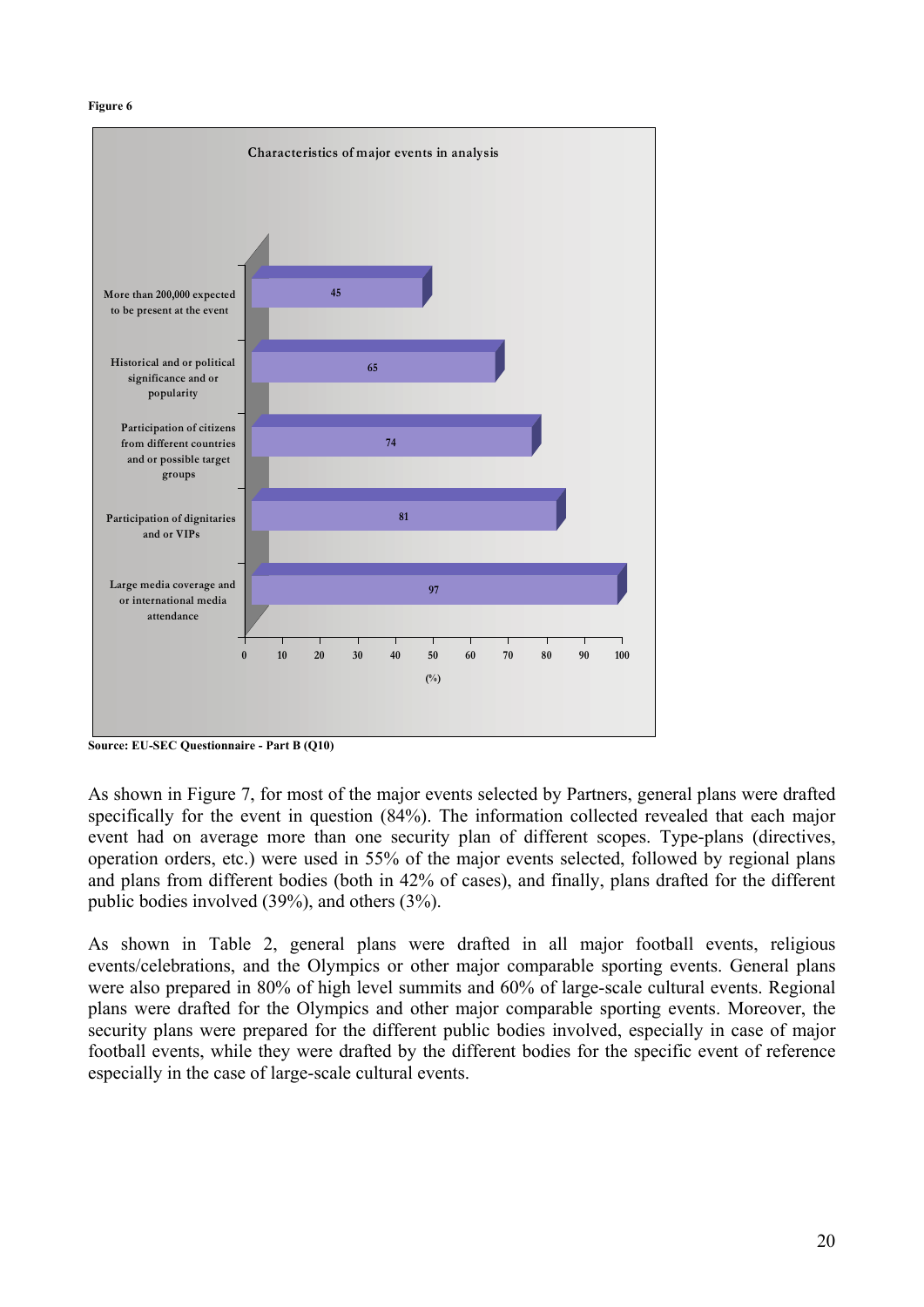#### **Figure 6**



**Source: EU-SEC Questionnaire - Part B (Q10)** 

As shown in Figure 7, for most of the major events selected by Partners, general plans were drafted specifically for the event in question (84%). The information collected revealed that each major event had on average more than one security plan of different scopes. Type-plans (directives, operation orders, etc.) were used in 55% of the major events selected, followed by regional plans and plans from different bodies (both in 42% of cases), and finally, plans drafted for the different public bodies involved (39%), and others (3%).

As shown in Table 2, general plans were drafted in all major football events, religious events/celebrations, and the Olympics or other major comparable sporting events. General plans were also prepared in 80% of high level summits and 60% of large-scale cultural events. Regional plans were drafted for the Olympics and other major comparable sporting events. Moreover, the security plans were prepared for the different public bodies involved, especially in case of major football events, while they were drafted by the different bodies for the specific event of reference especially in the case of large-scale cultural events.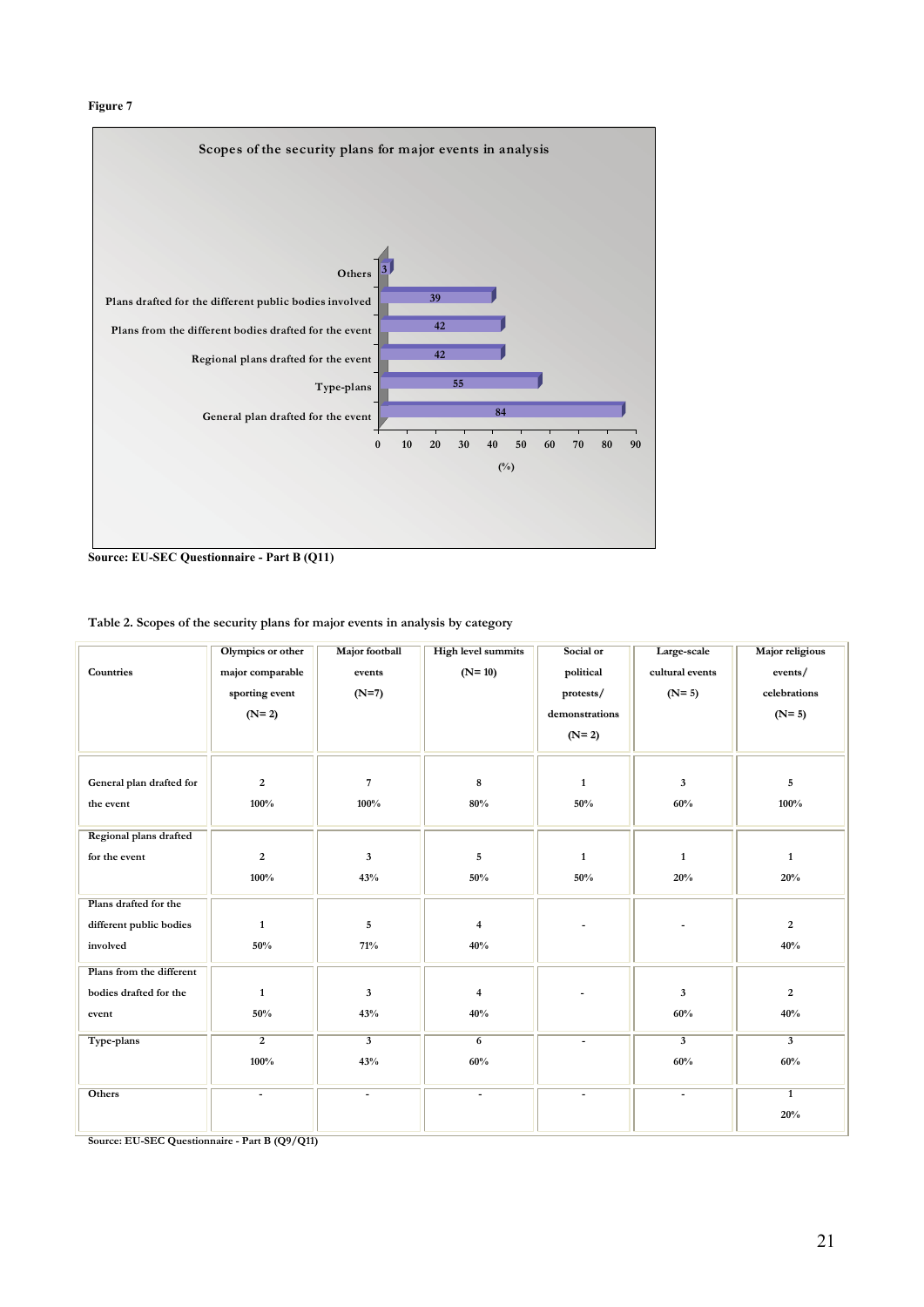#### **Figure 7**



**Source: EU-SEC Questionnaire - Part B (Q11)** 

| Table 2. Scopes of the security plans for major events in analysis by category |  |  |
|--------------------------------------------------------------------------------|--|--|
|--------------------------------------------------------------------------------|--|--|

|                               | Olympics or other | Major football           | <b>High level summits</b> | Social or      | Large-scale              | <b>Major religious</b> |
|-------------------------------|-------------------|--------------------------|---------------------------|----------------|--------------------------|------------------------|
| <b>Countries</b>              | major comparable  | events                   | $(N=10)$                  | political      | cultural events          | events/                |
|                               | sporting event    | $(N=7)$                  |                           | protests/      | $(N=5)$                  | celebrations           |
|                               | $(N=2)$           |                          |                           | demonstrations |                          | $(N=5)$                |
|                               |                   |                          |                           | $(N=2)$        |                          |                        |
|                               |                   |                          |                           |                |                          |                        |
|                               |                   |                          |                           |                |                          |                        |
| General plan drafted for      | $\overline{2}$    | $\sqrt{7}$               | 8                         | $\mathbf{1}$   | 3                        | 5                      |
| the event                     | 100%              | 100%                     | 80%                       | 50%            | 60%                      | 100%                   |
|                               |                   |                          |                           |                |                          |                        |
| <b>Regional plans drafted</b> |                   |                          |                           |                |                          |                        |
| for the event                 | $\overline{2}$    | $\mathbf{3}$             | 5                         | $\mathbf{1}$   | $\mathbf{1}$             | $\mathbf{1}$           |
|                               | 100%              | 43%                      | 50%                       | 50%            | 20%                      | 20%                    |
| Plans drafted for the         |                   |                          |                           |                |                          |                        |
| different public bodies       | $\mathbf{1}$      | $\sqrt{5}$               | 4                         |                |                          | $\overline{2}$         |
| involved                      | 50%               | 71%                      | 40%                       |                |                          | 40%                    |
|                               |                   |                          |                           |                |                          |                        |
| Plans from the different      |                   |                          |                           |                |                          |                        |
| bodies drafted for the        | $\mathbf{1}$      | $\mathbf{3}$             | $\overline{4}$            |                | 3                        | 2                      |
| event                         | 50%               | 43%                      | 40%                       |                | 60%                      | 40%                    |
| Type-plans                    | $\overline{2}$    | $\overline{\mathbf{3}}$  | $\overline{6}$            | $\blacksquare$ | $\overline{\mathbf{3}}$  | $\overline{3}$         |
|                               | 100%              | 43%                      | 60%                       |                | 60%                      | 60%                    |
|                               |                   |                          |                           |                |                          |                        |
| Others                        | $\blacksquare$    | $\overline{\phantom{a}}$ | $\blacksquare$            | $\blacksquare$ | $\overline{\phantom{a}}$ | $\overline{1}$         |
|                               |                   |                          |                           |                |                          | 20%                    |
|                               |                   |                          |                           |                |                          |                        |

**Source: EU-SEC Questionnaire - Part B (Q9/Q11)**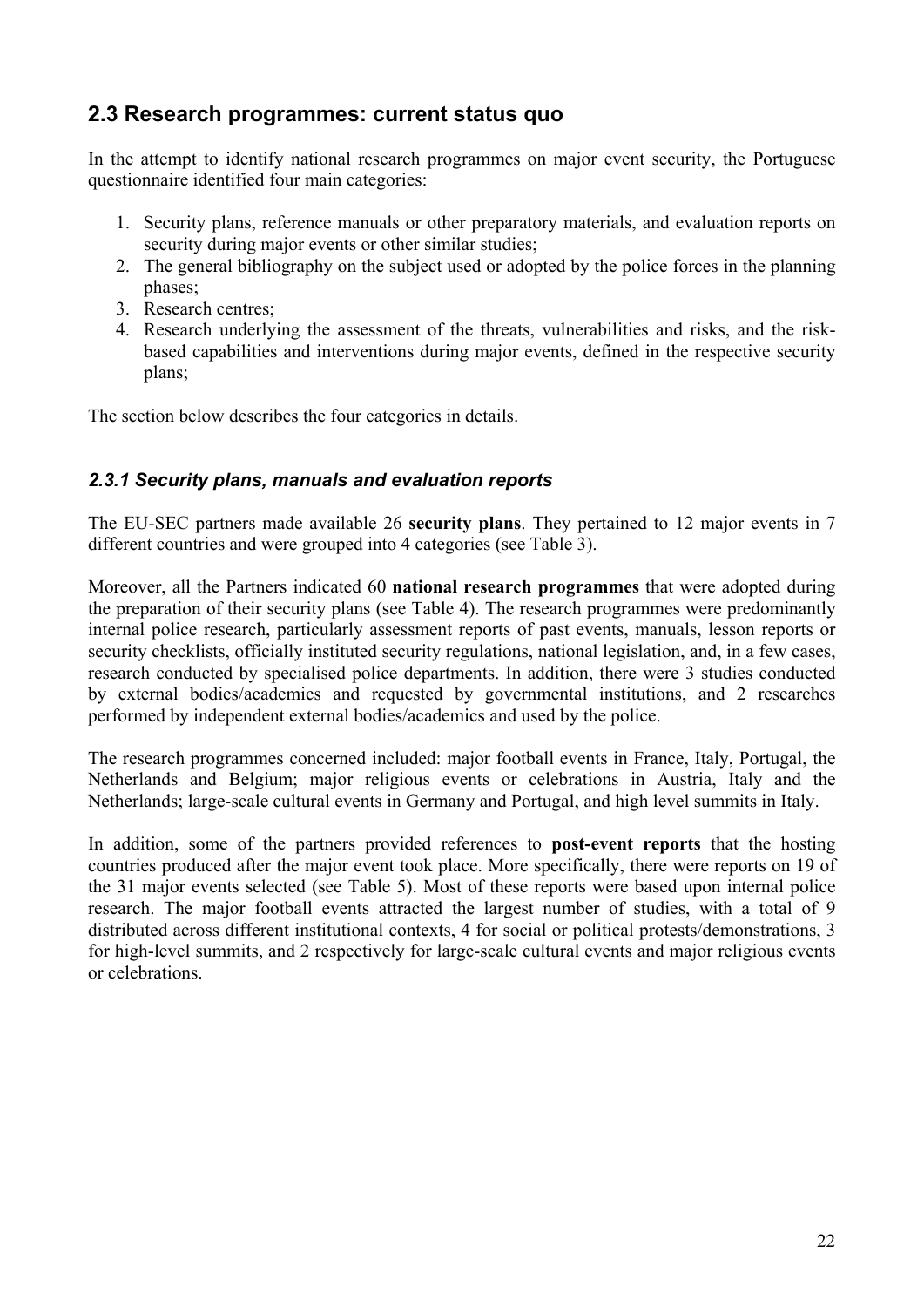## <span id="page-21-0"></span>**2.3 Research programmes: current status quo**

In the attempt to identify national research programmes on major event security, the Portuguese questionnaire identified four main categories:

- 1. Security plans, reference manuals or other preparatory materials, and evaluation reports on security during major events or other similar studies;
- 2. The general bibliography on the subject used or adopted by the police forces in the planning phases;
- 3. Research centres;
- 4. Research underlying the assessment of the threats, vulnerabilities and risks, and the riskbased capabilities and interventions during major events, defined in the respective security plans;

The section below describes the four categories in details.

#### *2.3.1 Security plans, manuals and evaluation reports*

The EU-SEC partners made available 26 **security plans**. They pertained to 12 major events in 7 different countries and were grouped into 4 categories (see Table 3).

Moreover, all the Partners indicated 60 **national research programmes** that were adopted during the preparation of their security plans (see Table 4). The research programmes were predominantly internal police research, particularly assessment reports of past events, manuals, lesson reports or security checklists, officially instituted security regulations, national legislation, and, in a few cases, research conducted by specialised police departments. In addition, there were 3 studies conducted by external bodies/academics and requested by governmental institutions, and 2 researches performed by independent external bodies/academics and used by the police.

The research programmes concerned included: major football events in France, Italy, Portugal, the Netherlands and Belgium; major religious events or celebrations in Austria, Italy and the Netherlands; large-scale cultural events in Germany and Portugal, and high level summits in Italy.

In addition, some of the partners provided references to **post-event reports** that the hosting countries produced after the major event took place. More specifically, there were reports on 19 of the 31 major events selected (see Table 5). Most of these reports were based upon internal police research. The major football events attracted the largest number of studies, with a total of 9 distributed across different institutional contexts, 4 for social or political protests/demonstrations, 3 for high-level summits, and 2 respectively for large-scale cultural events and major religious events or celebrations.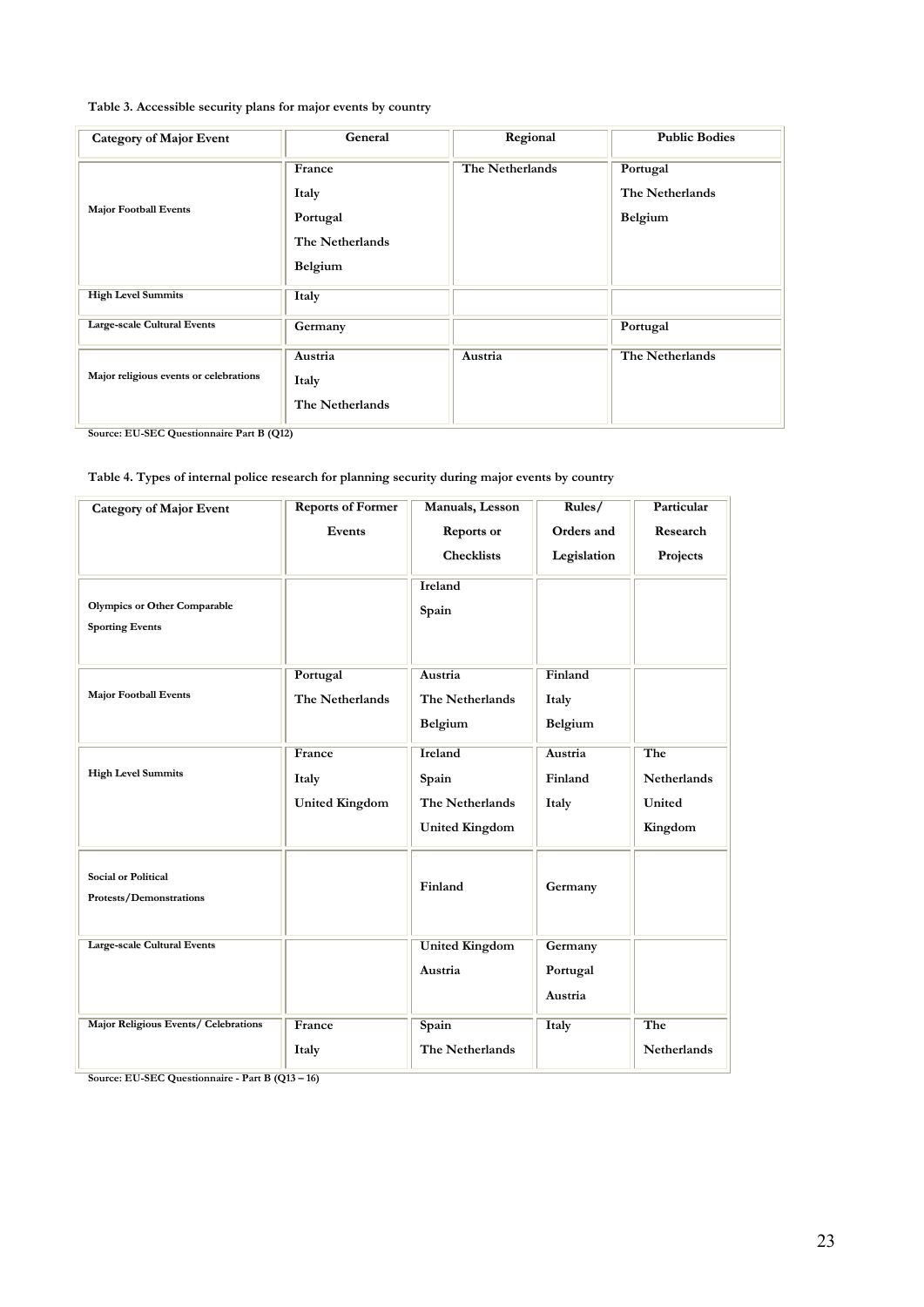#### **Table 3. Accessible security plans for major events by country**

| <b>Category of Major Event</b>         | General                                                   | Regional        | <b>Public Bodies</b>                   |
|----------------------------------------|-----------------------------------------------------------|-----------------|----------------------------------------|
| <b>Major Football Events</b>           | France<br>Italy<br>Portugal<br>The Netherlands<br>Belgium | The Netherlands | Portugal<br>The Netherlands<br>Belgium |
| <b>High Level Summits</b>              | <b>Italy</b>                                              |                 |                                        |
| <b>Large-scale Cultural Events</b>     | Germany                                                   |                 | Portugal                               |
| Major religious events or celebrations | Austria<br>Italy<br>The Netherlands                       | Austria         | The Netherlands                        |

**Source: EU-SEC Questionnaire Part B (Q12)**

#### **Table 4. Types of internal police research for planning security during major events by country**

| <b>Category of Major Event</b>                                | <b>Reports of Former</b>                 | Manuals, Lesson                                              | Rules/                         | Particular                                     |
|---------------------------------------------------------------|------------------------------------------|--------------------------------------------------------------|--------------------------------|------------------------------------------------|
|                                                               | Events                                   | <b>Reports or</b>                                            | Orders and                     | Research                                       |
|                                                               |                                          | <b>Checklists</b>                                            | Legislation                    | Projects                                       |
| <b>Olympics or Other Comparable</b><br><b>Sporting Events</b> |                                          | <b>Ireland</b><br>Spain                                      |                                |                                                |
| <b>Major Football Events</b>                                  | Portugal<br>The Netherlands              | Austria<br>The Netherlands<br>Belgium                        | Finland<br>Italy<br>Belgium    |                                                |
| <b>High Level Summits</b>                                     | France<br>Italy<br><b>United Kingdom</b> | Ireland<br>Spain<br>The Netherlands<br><b>United Kingdom</b> | Austria<br>Finland<br>Italy    | The<br><b>Netherlands</b><br>United<br>Kingdom |
| <b>Social or Political</b><br>Protests/Demonstrations         |                                          | Finland                                                      | Germany                        |                                                |
| <b>Large-scale Cultural Events</b>                            |                                          | <b>United Kingdom</b><br>Austria                             | Germany<br>Portugal<br>Austria |                                                |
| Major Religious Events/ Celebrations                          | France<br>Italy                          | Spain<br>The Netherlands                                     | Italy                          | The<br>Netherlands                             |

**Source: EU-SEC Questionnaire - Part B (Q13 – 16)**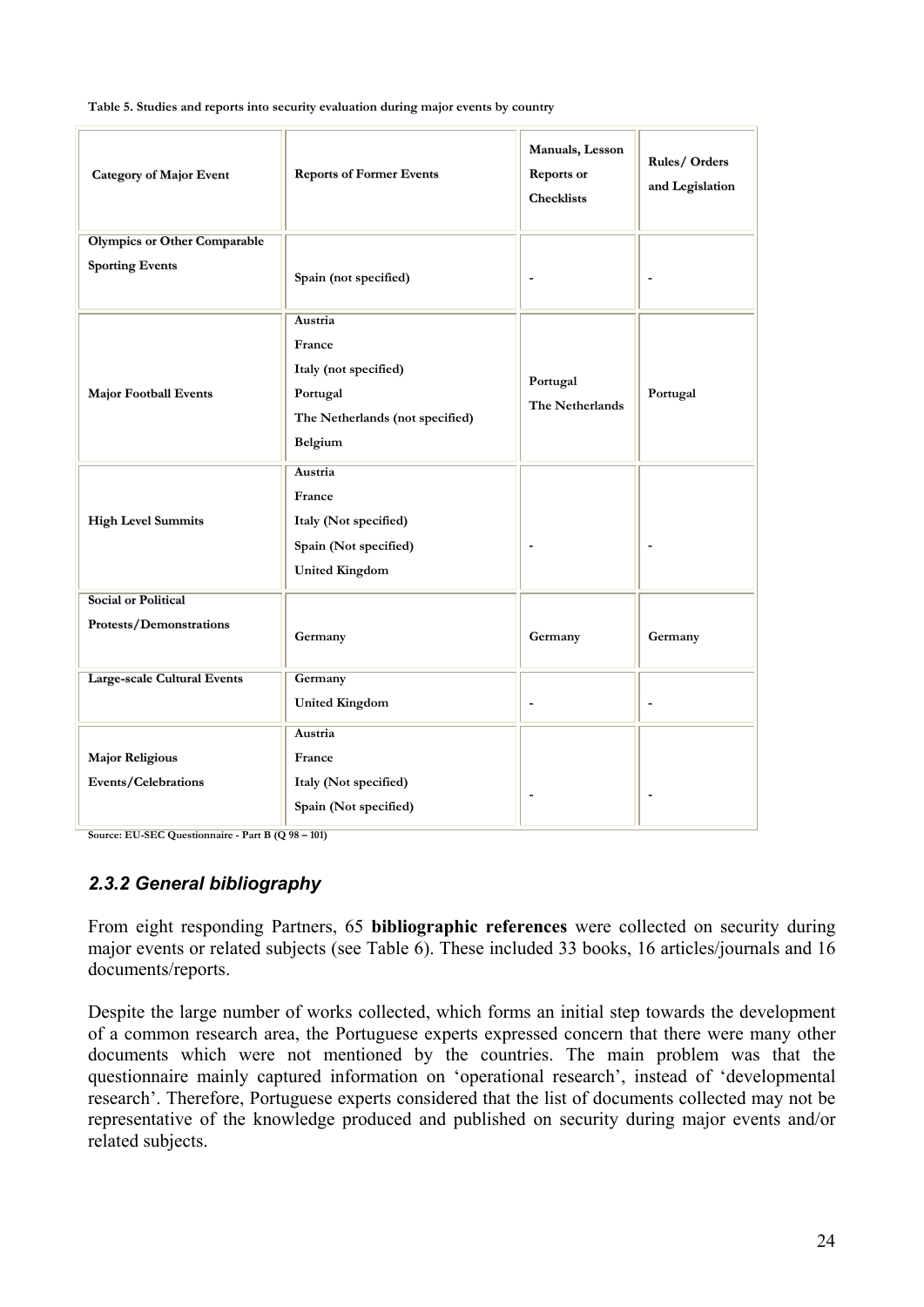**Table 5. Studies and reports into security evaluation during major events by country** 

| <b>Category of Major Event</b>      | <b>Reports of Former Events</b> | Manuals, Lesson<br><b>Reports</b> or<br><b>Checklists</b> | Rules/Orders<br>and Legislation |
|-------------------------------------|---------------------------------|-----------------------------------------------------------|---------------------------------|
| <b>Olympics or Other Comparable</b> |                                 |                                                           |                                 |
| <b>Sporting Events</b>              | Spain (not specified)           |                                                           |                                 |
|                                     | Austria                         |                                                           |                                 |
|                                     | France                          |                                                           |                                 |
|                                     | Italy (not specified)           |                                                           |                                 |
| <b>Major Football Events</b>        | Portugal                        | Portugal                                                  | Portugal                        |
|                                     | The Netherlands (not specified) | The Netherlands                                           |                                 |
|                                     |                                 |                                                           |                                 |
|                                     | Belgium                         |                                                           |                                 |
|                                     | Austria                         |                                                           |                                 |
|                                     | France                          |                                                           |                                 |
| <b>High Level Summits</b>           | Italy (Not specified)           |                                                           |                                 |
|                                     | Spain (Not specified)           |                                                           |                                 |
|                                     | <b>United Kingdom</b>           |                                                           |                                 |
| <b>Social or Political</b>          |                                 |                                                           |                                 |
| Protests/Demonstrations             |                                 |                                                           |                                 |
|                                     | Germany                         | Germany                                                   | Germany                         |
| <b>Large-scale Cultural Events</b>  | Germany                         |                                                           |                                 |
|                                     |                                 |                                                           |                                 |
|                                     | <b>United Kingdom</b>           | ٠                                                         | $\overline{\phantom{m}}$        |
|                                     | <b>Austria</b>                  |                                                           |                                 |
| <b>Major Religious</b>              | France                          |                                                           |                                 |
| Events/Celebrations                 | Italy (Not specified)           |                                                           |                                 |
|                                     | Spain (Not specified)           |                                                           |                                 |
|                                     |                                 |                                                           |                                 |

**Source: EU-SEC Questionnaire - Part B (Q 98 – 101)**

#### *2.3.2 General bibliography*

From eight responding Partners, 65 **bibliographic references** were collected on security during major events or related subjects (see Table 6). These included 33 books, 16 articles/journals and 16 documents/reports.

Despite the large number of works collected, which forms an initial step towards the development of a common research area, the Portuguese experts expressed concern that there were many other documents which were not mentioned by the countries. The main problem was that the questionnaire mainly captured information on 'operational research', instead of 'developmental research'. Therefore, Portuguese experts considered that the list of documents collected may not be representative of the knowledge produced and published on security during major events and/or related subjects.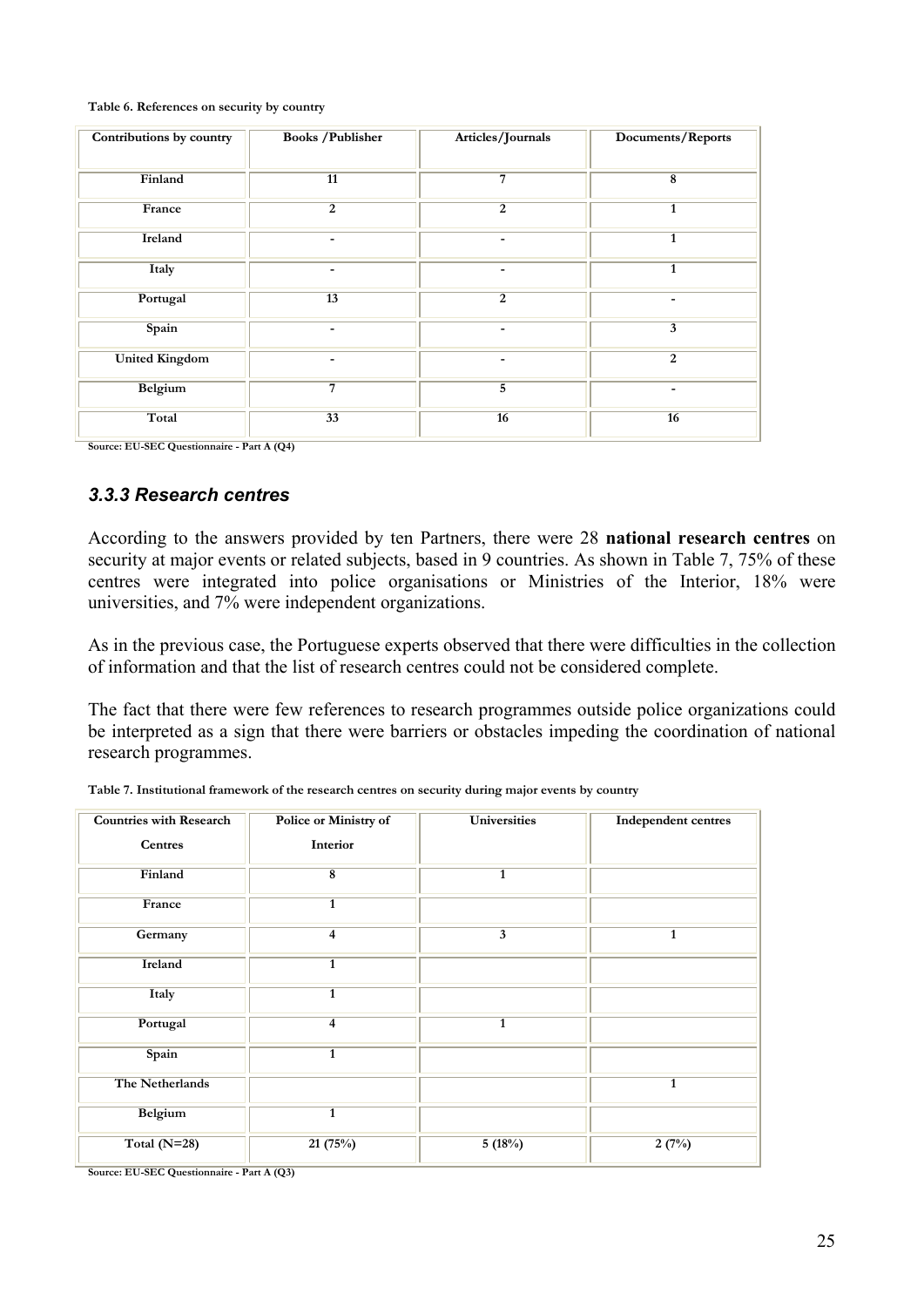**Table 6. References on security by country**

| Contributions by country | <b>Books / Publisher</b> | Articles/Journals | Documents/Reports |
|--------------------------|--------------------------|-------------------|-------------------|
| Finland                  | 11                       | 7                 | 8                 |
| France                   | $\overline{2}$           | $\overline{2}$    | $\mathbf{1}$      |
| Ireland                  |                          |                   | $\mathbf{1}$      |
| Italy                    |                          |                   | $\mathbf{1}$      |
| Portugal                 | 13                       | $\overline{2}$    |                   |
| Spain                    | ۰                        |                   | 3                 |
| <b>United Kingdom</b>    |                          |                   | $\overline{2}$    |
| Belgium                  | $\overline{7}$           | $\overline{5}$    | ٠                 |
| Total                    | 33                       | $\overline{16}$   | 16                |

**Source: EU-SEC Questionnaire - Part A (Q4)**

#### *3.3.3 Research centres*

According to the answers provided by ten Partners, there were 28 **national research centres** on security at major events or related subjects, based in 9 countries. As shown in Table 7, 75% of these centres were integrated into police organisations or Ministries of the Interior, 18% were universities, and 7% were independent organizations.

As in the previous case, the Portuguese experts observed that there were difficulties in the collection of information and that the list of research centres could not be considered complete.

The fact that there were few references to research programmes outside police organizations could be interpreted as a sign that there were barriers or obstacles impeding the coordination of national research programmes.

| <b>Countries with Research</b> | <b>Police or Ministry of</b> | <b>Universities</b> | <b>Independent centres</b> |
|--------------------------------|------------------------------|---------------------|----------------------------|
| <b>Centres</b>                 | Interior                     |                     |                            |
| Finland                        | $\overline{\mathbf{8}}$      | $\mathbf{1}$        |                            |
| France                         | $\mathbf{1}$                 |                     |                            |
| Germany                        | $\overline{4}$               | 3                   | $\mathbf{1}$               |
| Ireland                        | $\mathbf{1}$                 |                     |                            |
| Italy                          | $\mathbf{1}$                 |                     |                            |
| Portugal                       | 4                            | $\mathbf{1}$        |                            |
| Spain                          | $\mathbf{1}$                 |                     |                            |
| The Netherlands                |                              |                     | $\mathbf{1}$               |
| Belgium                        | $\mathbf{1}$                 |                     |                            |
| Total $(N=28)$                 | 21(75%)                      | 5(18%)              | 2(7%)                      |

**Table 7. Institutional framework of the research centres on security during major events by country**

**Source: EU-SEC Questionnaire - Part A (Q3)**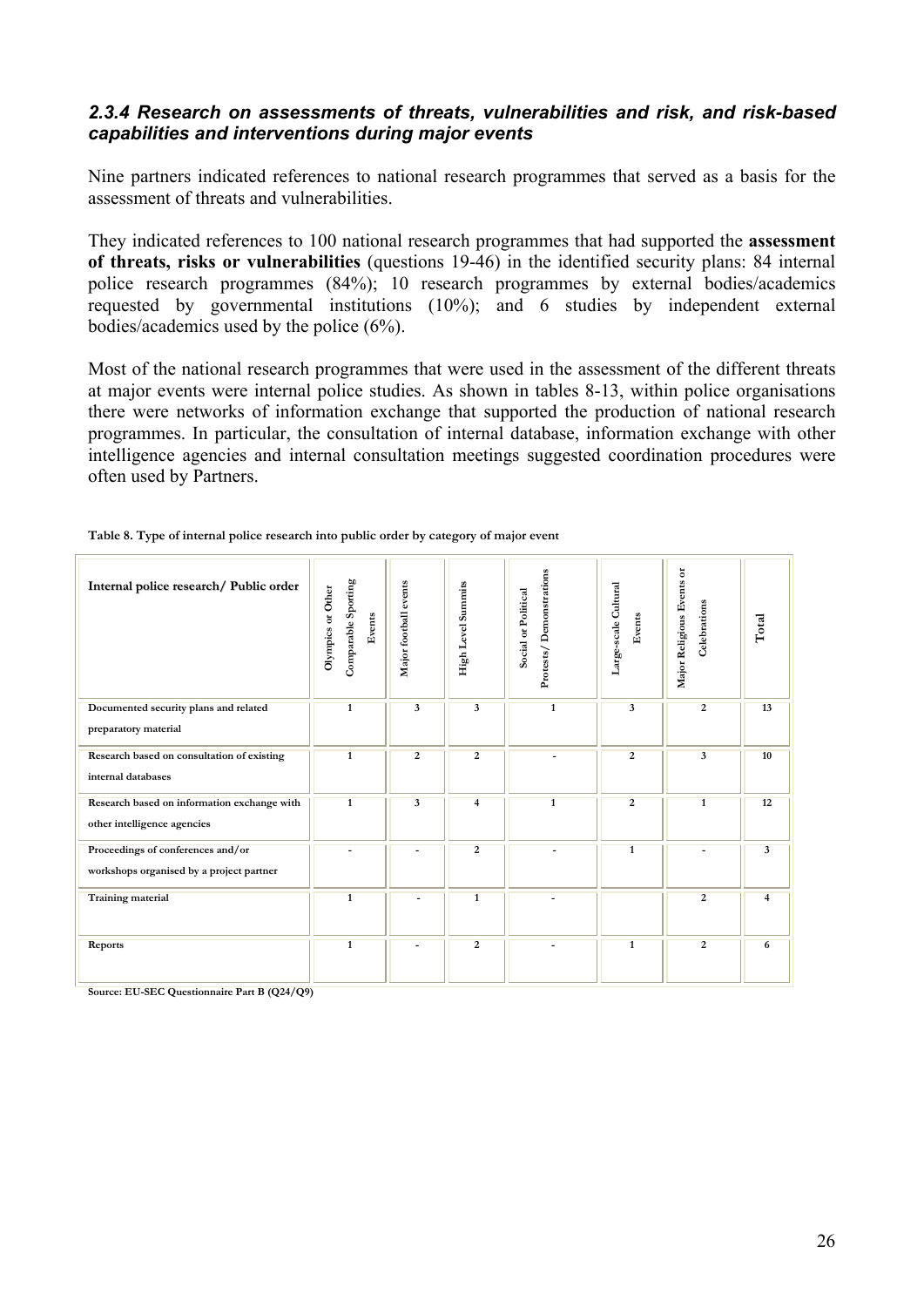#### *2.3.4 Research on assessments of threats, vulnerabilities and risk, and risk-based capabilities and interventions during major events*

Nine partners indicated references to national research programmes that served as a basis for the assessment of threats and vulnerabilities.

They indicated references to 100 national research programmes that had supported the **assessment of threats, risks or vulnerabilities** (questions 19-46) in the identified security plans: 84 internal police research programmes (84%); 10 research programmes by external bodies/academics requested by governmental institutions (10%); and 6 studies by independent external bodies/academics used by the police (6%).

Most of the national research programmes that were used in the assessment of the different threats at major events were internal police studies. As shown in tables 8-13, within police organisations there were networks of information exchange that supported the production of national research programmes. In particular, the consultation of internal database, information exchange with other intelligence agencies and internal consultation meetings suggested coordination procedures were often used by Partners.

| Internal police research/ Public order                                        | Comparable Sporting<br>Olympics or Other<br>Events | Major football events    | High Level Summits      | Protests/Demonstrations<br>Social or Political | Large-scale Cultural<br>Events | $\overline{\sigma}$<br>Major Religious Events<br>Celebrations | Total                   |
|-------------------------------------------------------------------------------|----------------------------------------------------|--------------------------|-------------------------|------------------------------------------------|--------------------------------|---------------------------------------------------------------|-------------------------|
| Documented security plans and related<br>preparatory material                 | $\overline{1}$                                     | $\overline{\mathbf{3}}$  | $\overline{\mathbf{3}}$ | $\overline{1}$                                 | $\overline{\mathbf{3}}$        | $\overline{2}$                                                | 13                      |
| Research based on consultation of existing<br>internal databases              | $\mathbf{1}$                                       | $\overline{2}$           | $\overline{2}$          |                                                | 2                              | $\overline{\mathbf{3}}$                                       | 10                      |
| Research based on information exchange with<br>other intelligence agencies    | $\mathbf{1}$                                       | 3                        | 4                       | $\mathbf{1}$                                   | $\overline{2}$                 | $\mathbf{1}$                                                  | 12                      |
| Proceedings of conferences and/or<br>workshops organised by a project partner |                                                    | $\overline{\phantom{a}}$ | $\overline{2}$          |                                                | $\overline{1}$                 | ۰                                                             | $\overline{\mathbf{3}}$ |
| Training material                                                             | $\overline{1}$                                     |                          | $\overline{1}$          |                                                |                                | $\overline{2}$                                                | 4                       |
| Reports                                                                       | $\mathbf{1}$                                       | $\blacksquare$           | 2                       | $\overline{\phantom{a}}$                       | $\mathbf{1}$                   | 2                                                             | 6                       |

| Table 8. Type of internal police research into public order by category of major event |  |  |  |  |
|----------------------------------------------------------------------------------------|--|--|--|--|
|                                                                                        |  |  |  |  |

**Source: EU-SEC Questionnaire Part B (Q24/Q9)**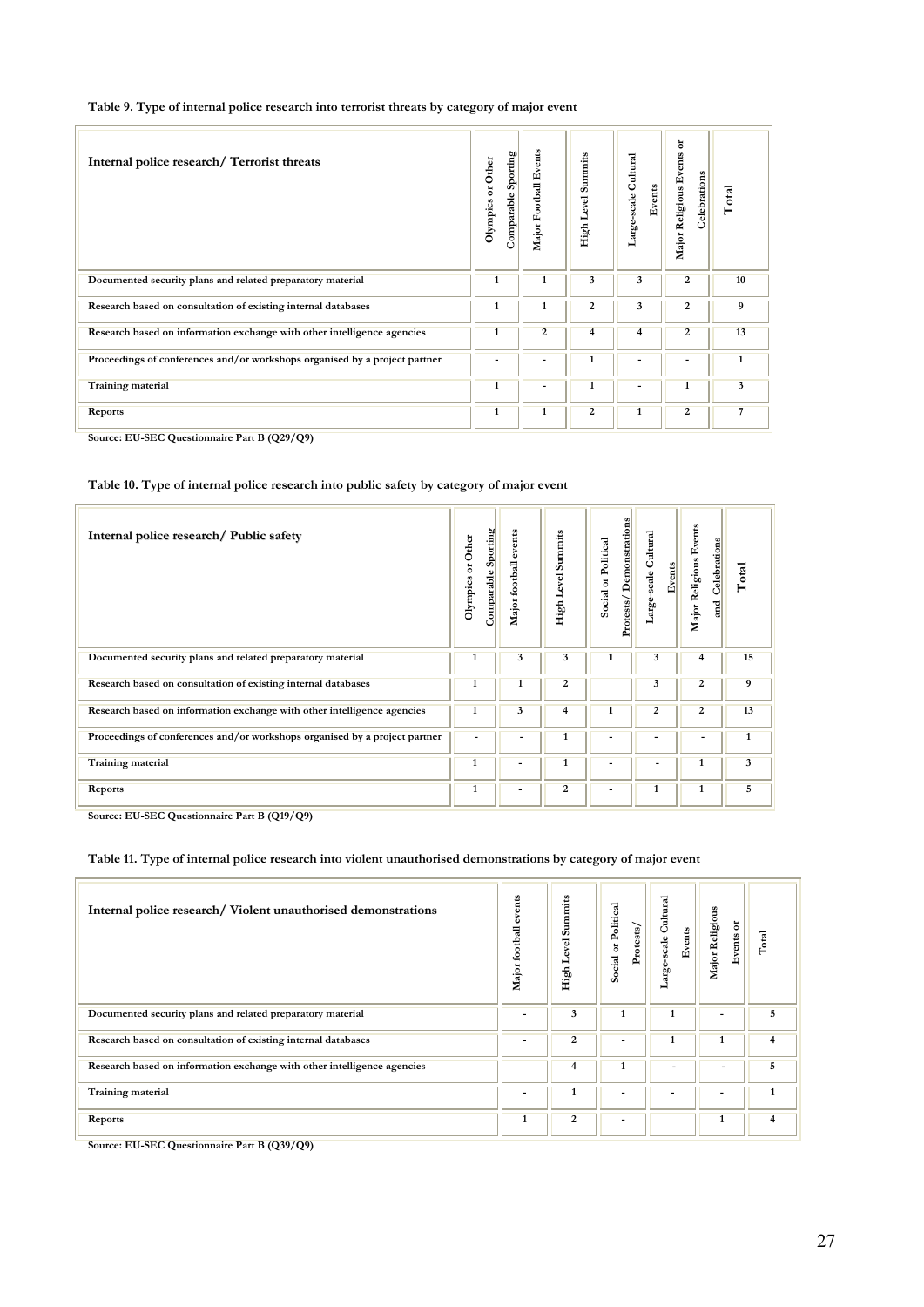| Table 9. Type of internal police research into terrorist threats by category of major event |  |  |  |  |  |  |  |  |  |  |  |
|---------------------------------------------------------------------------------------------|--|--|--|--|--|--|--|--|--|--|--|
|---------------------------------------------------------------------------------------------|--|--|--|--|--|--|--|--|--|--|--|

| Internal police research/Terrorist threats                                 | Sporting<br>Olympics or Other<br>Comparable | Major Football Events | Summits<br>High Level | Large-scale Cultural<br>Events | ă<br>Major Religious Events<br>Celebrations | Total |
|----------------------------------------------------------------------------|---------------------------------------------|-----------------------|-----------------------|--------------------------------|---------------------------------------------|-------|
| Documented security plans and related preparatory material                 | 1                                           | $\mathbf{1}$          | 3                     | 3                              | 2                                           | 10    |
| Research based on consultation of existing internal databases              | 1                                           | 1                     | 2                     | 3                              | 2                                           | 9     |
| Research based on information exchange with other intelligence agencies    | $\mathbf{1}$                                | 2                     | 4                     | 4                              | 2                                           | 13    |
| Proceedings of conferences and/or workshops organised by a project partner |                                             |                       | 1                     |                                | -                                           | 1     |
| Training material                                                          | $\mathbf{1}$                                |                       | 1                     | $\overline{\phantom{a}}$       | 1                                           | 3     |
| Reports                                                                    | $\mathbf{1}$                                | $\mathbf{1}$          | $\overline{2}$        | $\mathbf{1}$                   | $\overline{2}$                              | 7     |
| -------                                                                    |                                             |                       |                       |                                |                                             |       |

**Source: EU-SEC Questionnaire Part B (Q29/Q9)**

#### **Table 10. Type of internal police research into public safety by category of major event**

| Internal police research/ Public safety                                    | Comparable Sporting<br>Olympics or Other | Major football events | Summits<br>Level<br>High | Demonstrations<br>Social or Political<br>Protests/ | Large-scale Cultural<br>Events | Major Religious Events<br>Celebrations<br>g | Total        |
|----------------------------------------------------------------------------|------------------------------------------|-----------------------|--------------------------|----------------------------------------------------|--------------------------------|---------------------------------------------|--------------|
| Documented security plans and related preparatory material                 | 1                                        | 3                     | 3                        | 1                                                  | 3                              | 4                                           | 15           |
| Research based on consultation of existing internal databases              | 1                                        | 1                     | 2                        |                                                    | 3                              | 2                                           | 9            |
| Research based on information exchange with other intelligence agencies    | 1                                        | 3                     | 4                        | 1                                                  | $\overline{2}$                 | $\overline{2}$                              | 13           |
| Proceedings of conferences and/or workshops organised by a project partner |                                          | ٠                     | 1                        |                                                    |                                |                                             | $\mathbf{1}$ |
| <b>Training material</b>                                                   | 1                                        | $\blacksquare$        | 1                        |                                                    |                                | 1                                           | 3            |
| Reports                                                                    | 1                                        | -                     | $\overline{2}$           |                                                    | 1                              | 1                                           | 5            |

**Source: EU-SEC Questionnaire Part B (Q19/Q9)**

#### **Table 11. Type of internal police research into violent unauthorised demonstrations by category of major event**

| Internal police research/Violent unauthorised demonstrations            | events<br>Major football | Summits<br>Level<br>High | Social or Political<br>Protests/ | arge-scale Cultural<br>Events | Major Religious<br>Events or | Total          |
|-------------------------------------------------------------------------|--------------------------|--------------------------|----------------------------------|-------------------------------|------------------------------|----------------|
| Documented security plans and related preparatory material              |                          | 3                        | 1                                |                               |                              | 5              |
| Research based on consultation of existing internal databases           |                          | 2                        |                                  |                               |                              | $\overline{4}$ |
| Research based on information exchange with other intelligence agencies |                          | 4                        | 1                                |                               |                              | 5              |
| <b>Training material</b>                                                |                          |                          |                                  |                               |                              |                |
| Reports                                                                 | 1                        | 2                        | ٠                                |                               | 1                            | 4              |

**Source: EU-SEC Questionnaire Part B (Q39/Q9)**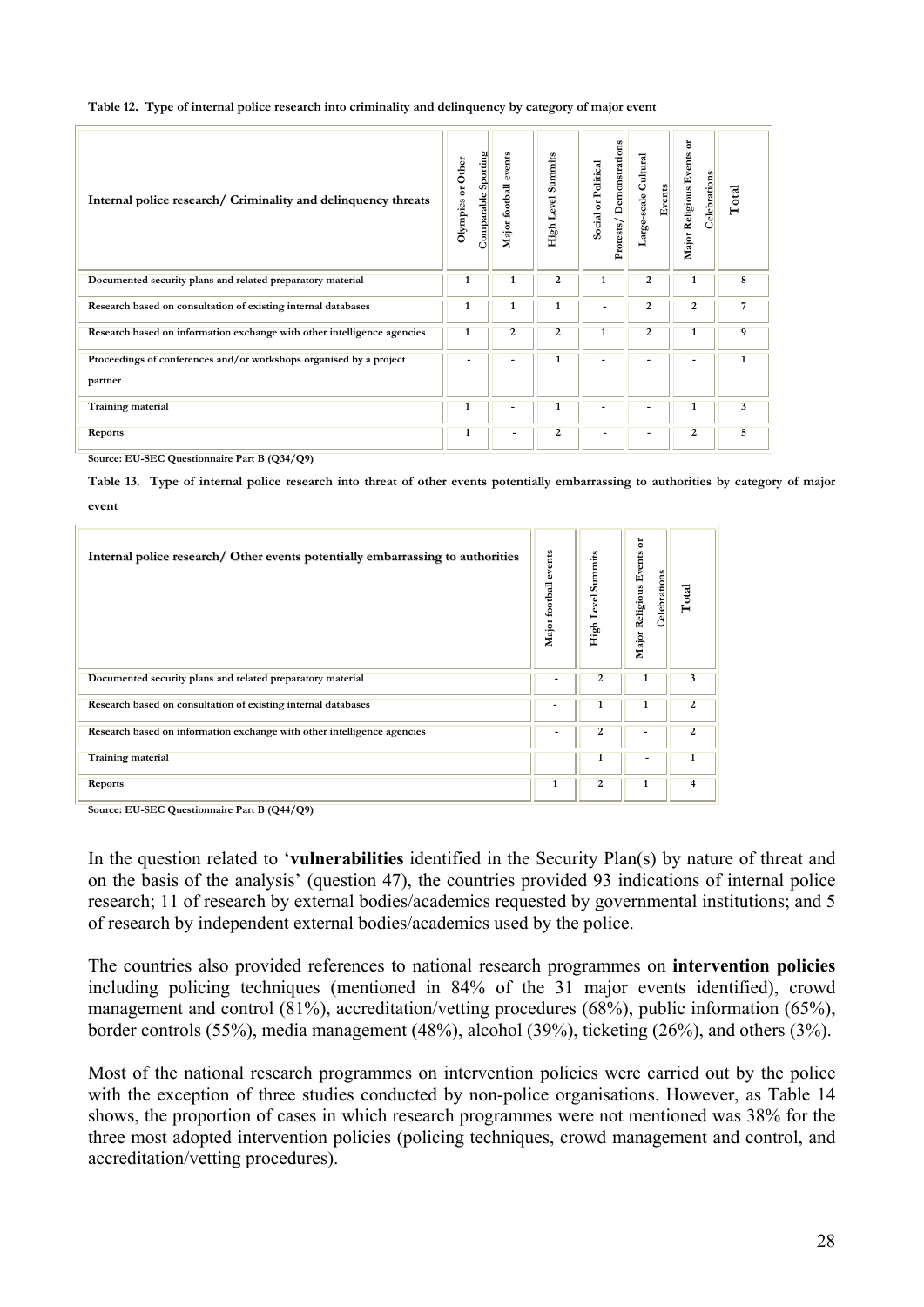| Internal police research/ Criminality and delinquency threats           | Sporting<br>Olympics or Other<br>Comparable | events<br>Major football | <b>Summits</b><br>High Level | Protests/Demonstrations<br>Social or Political | Large-scale Cultural<br>Events | ă<br>Major Religious Events<br>Celebrations | Total        |
|-------------------------------------------------------------------------|---------------------------------------------|--------------------------|------------------------------|------------------------------------------------|--------------------------------|---------------------------------------------|--------------|
| Documented security plans and related preparatory material              | 1                                           | 1                        | 2                            | 1                                              | 2                              | 1                                           | 8            |
| Research based on consultation of existing internal databases           | 1                                           | 1                        | 1                            | ۰                                              | $\overline{2}$                 | 2                                           | 7            |
| Research based on information exchange with other intelligence agencies | $\mathbf{1}$                                | 2                        | 2                            | 1                                              | 2                              | 1                                           | 9            |
| Proceedings of conferences and/or workshops organised by a project      |                                             |                          | 1                            |                                                |                                |                                             | $\mathbf{1}$ |
| partner                                                                 |                                             |                          |                              |                                                |                                |                                             |              |
| Training material                                                       | $\mathbf{1}$                                |                          | 1                            |                                                | ۰                              | 1                                           | 3            |
| Reports                                                                 | 1                                           | ۰                        | 2                            | ۰                                              | -                              | 2                                           | 5            |

**Source: EU-SEC Questionnaire Part B (Q34/Q9)**

**Table 13. Type of internal police research into threat of other events potentially embarrassing to authorities by category of major event**

| Internal police research/Other events potentially embarrassing to authorities | events<br>Major football | Summits<br>yel<br>ه<br>High L | ă<br>Events<br>Celebrations<br>Major Religious | Total        |
|-------------------------------------------------------------------------------|--------------------------|-------------------------------|------------------------------------------------|--------------|
| Documented security plans and related preparatory material                    |                          | 2                             | 1                                              | 3            |
| Research based on consultation of existing internal databases                 | $\overline{\phantom{a}}$ | 1                             | 1                                              | 2            |
| Research based on information exchange with other intelligence agencies       |                          | 2                             |                                                | 2            |
| Training material                                                             |                          | 1                             |                                                | $\mathbf{1}$ |
| <b>Reports</b>                                                                | 1                        | 2                             | 1                                              | 4            |

**Source: EU-SEC Questionnaire Part B (Q44/Q9)**

In the question related to '**vulnerabilities** identified in the Security Plan(s) by nature of threat and on the basis of the analysis' (question 47), the countries provided 93 indications of internal police research; 11 of research by external bodies/academics requested by governmental institutions; and 5 of research by independent external bodies/academics used by the police.

The countries also provided references to national research programmes on **intervention policies** including policing techniques (mentioned in 84% of the 31 major events identified), crowd management and control (81%), accreditation/vetting procedures (68%), public information (65%), border controls (55%), media management (48%), alcohol (39%), ticketing (26%), and others (3%).

Most of the national research programmes on intervention policies were carried out by the police with the exception of three studies conducted by non-police organisations. However, as Table 14 shows, the proportion of cases in which research programmes were not mentioned was 38% for the three most adopted intervention policies (policing techniques, crowd management and control, and accreditation/vetting procedures).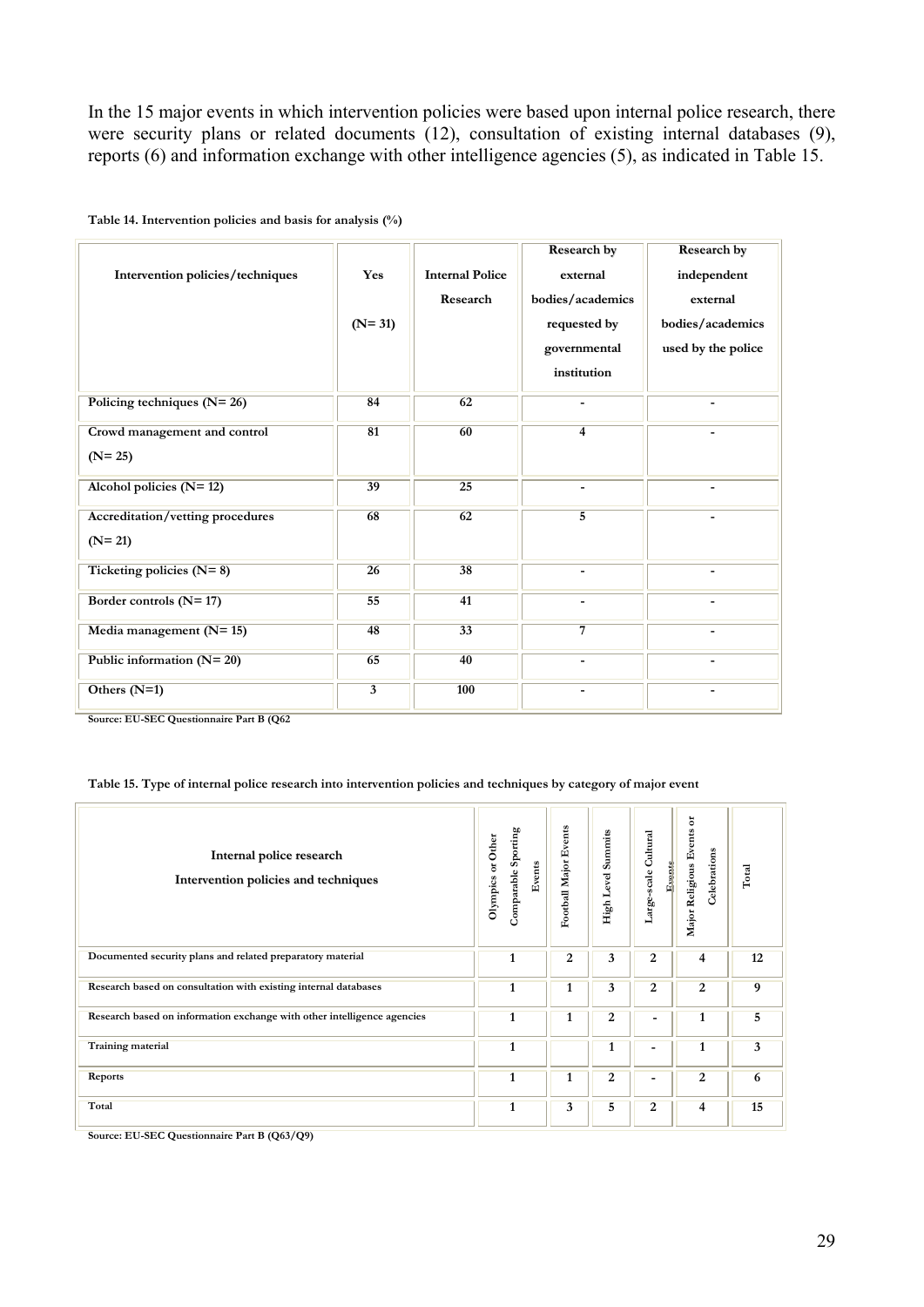In the 15 major events in which intervention policies were based upon internal police research, there were security plans or related documents (12), consultation of existing internal databases (9), reports (6) and information exchange with other intelligence agencies (5), as indicated in Table 15.

| Intervention policies/techniques             | Yes<br>$(N=31)$         | <b>Internal Police</b><br>Research | Research by<br>external<br>bodies/academics<br>requested by<br>governmental<br>institution | Research by<br>independent<br>external<br>bodies/academics<br>used by the police |
|----------------------------------------------|-------------------------|------------------------------------|--------------------------------------------------------------------------------------------|----------------------------------------------------------------------------------|
| Policing techniques $(N=26)$                 | 84                      | 62                                 |                                                                                            |                                                                                  |
| Crowd management and control<br>$(N=25)$     | 81                      | 60                                 | $\overline{\mathbf{4}}$                                                                    |                                                                                  |
| Alcohol policies $(N=12)$                    | 39                      | 25                                 |                                                                                            |                                                                                  |
| Accreditation/vetting procedures<br>$(N=21)$ | 68                      | 62                                 | $\overline{5}$                                                                             |                                                                                  |
| Ticketing policies $(N=8)$                   | $\overline{26}$         | 38                                 | $\overline{\phantom{0}}$                                                                   |                                                                                  |
| Border controls $(N=17)$                     | 55                      | 41                                 |                                                                                            |                                                                                  |
| Media management $(N=15)$                    | 48                      | $\overline{33}$                    | $\overline{7}$                                                                             |                                                                                  |
| Public information $(N=20)$                  | 65                      | 40                                 |                                                                                            |                                                                                  |
| Others $(N=1)$                               | $\overline{\mathbf{3}}$ | 100                                |                                                                                            |                                                                                  |

**Table 14. Intervention policies and basis for analysis (%)**

**Source: EU-SEC Questionnaire Part B (Q62**

#### **Table 15. Type of internal police research into intervention policies and techniques by category of major event**

| Internal police research<br>Intervention policies and techniques        | Comparable Sporting<br>Olympics or Other<br>Events | Football Major Events | Summits<br>High Level | Large-scale Cultural<br>Events | ă<br>Major Religious Events<br>Celebrations | $\rm Total$ |
|-------------------------------------------------------------------------|----------------------------------------------------|-----------------------|-----------------------|--------------------------------|---------------------------------------------|-------------|
| Documented security plans and related preparatory material              | 1                                                  | 2                     | 3                     | 2                              | 4                                           | 12          |
| Research based on consultation with existing internal databases         | $\mathbf{1}$                                       | 1                     | 3                     | $\overline{c}$                 | $\overline{c}$                              | 9           |
| Research based on information exchange with other intelligence agencies | 1                                                  | 1                     | $\overline{2}$        | ۰                              | 1                                           | 5           |
| <b>Training material</b>                                                | 1                                                  |                       | 1                     | ۰                              | 1                                           | 3           |
| Reports                                                                 | 1                                                  | 1                     | 2                     | ۰                              | 2                                           | 6           |
| Total                                                                   | $\mathbf{1}$                                       | 3                     | 5                     | 2                              | 4                                           | 15          |

**Source: EU-SEC Questionnaire Part B (Q63/Q9)**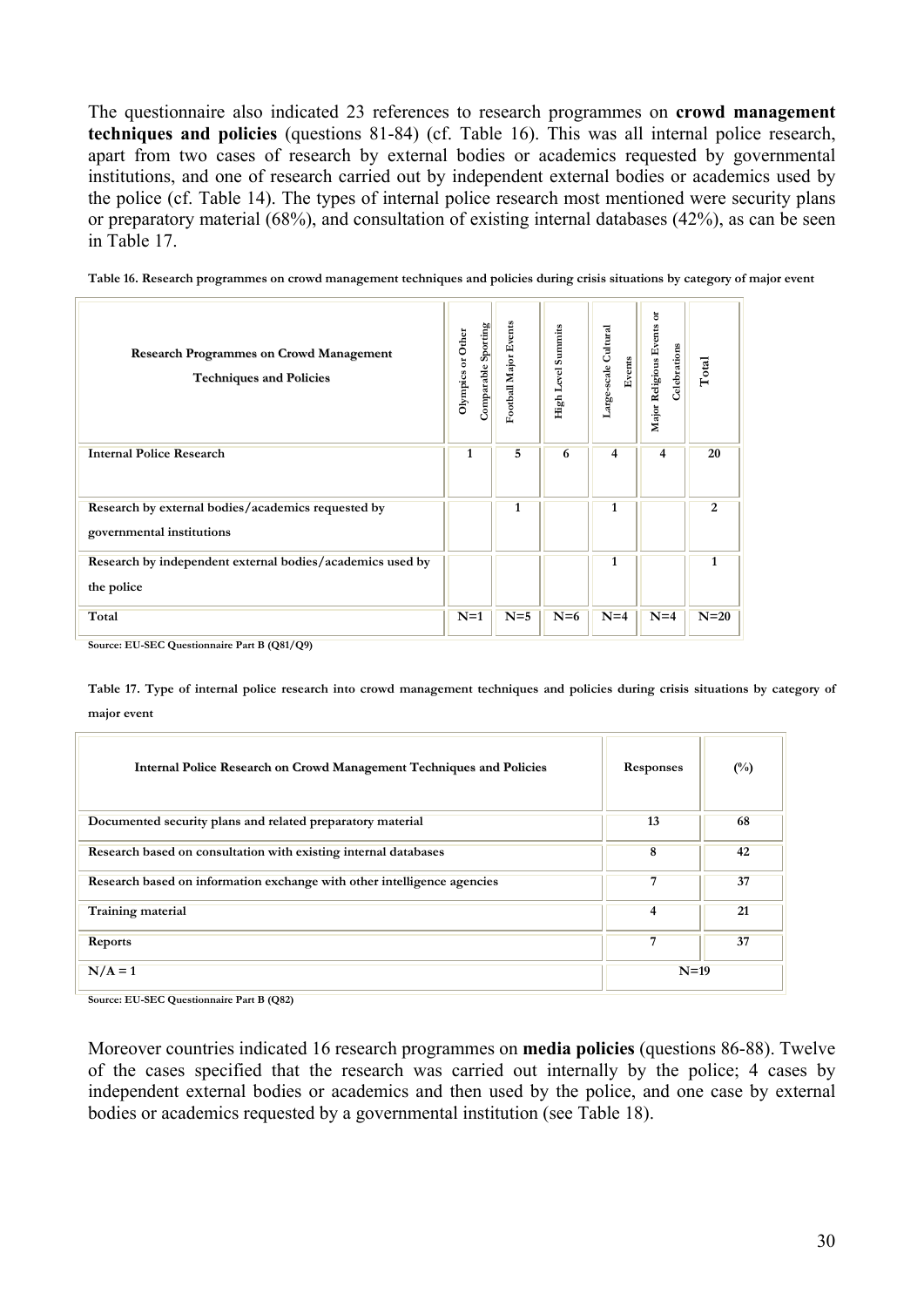The questionnaire also indicated 23 references to research programmes on **crowd management techniques and policies** (questions 81-84) (cf. Table 16). This was all internal police research, apart from two cases of research by external bodies or academics requested by governmental institutions, and one of research carried out by independent external bodies or academics used by the police (cf. Table 14). The types of internal police research most mentioned were security plans or preparatory material (68%), and consultation of existing internal databases (42%), as can be seen in Table 17.

| <b>Research Programmes on Crowd Management</b><br><b>Techniques and Policies</b> | Comparable Sporting<br>Olympics or Other | Football Major Events | Summits<br>High Level | Cultural<br>Events<br>Large-scale | ៵<br>Major Religious Events<br>Celebrations | Total  |
|----------------------------------------------------------------------------------|------------------------------------------|-----------------------|-----------------------|-----------------------------------|---------------------------------------------|--------|
| <b>Internal Police Research</b>                                                  | 1                                        | 5                     | 6                     | 4                                 | 4                                           | 20     |
| Research by external bodies/academics requested by<br>governmental institutions  |                                          | 1                     |                       | 1                                 |                                             | 2      |
| Research by independent external bodies/academics used by<br>the police          |                                          |                       |                       | 1                                 |                                             | 1      |
| Total                                                                            | $N=1$                                    | $N=5$                 | $N=6$                 | $N=4$                             | $N=4$                                       | $N=20$ |

**Table 16. Research programmes on crowd management techniques and policies during crisis situations by category of major event**

**Source: EU-SEC Questionnaire Part B (Q81/Q9)**

**Table 17. Type of internal police research into crowd management techniques and policies during crisis situations by category of major event**

| <b>Internal Police Research on Crowd Management Techniques and Policies</b> | Responses | $\binom{0}{0}$ |
|-----------------------------------------------------------------------------|-----------|----------------|
| Documented security plans and related preparatory material                  | 13        | 68             |
| Research based on consultation with existing internal databases             | 8         | 42             |
| Research based on information exchange with other intelligence agencies     | 7         | 37             |
| Training material                                                           | 4         | 21             |
| Reports                                                                     | 7         | 37             |
| $N/A = 1$                                                                   | $N=19$    |                |

**Source: EU-SEC Questionnaire Part B (Q82)**

Moreover countries indicated 16 research programmes on **media policies** (questions 86-88). Twelve of the cases specified that the research was carried out internally by the police; 4 cases by independent external bodies or academics and then used by the police, and one case by external bodies or academics requested by a governmental institution (see Table 18).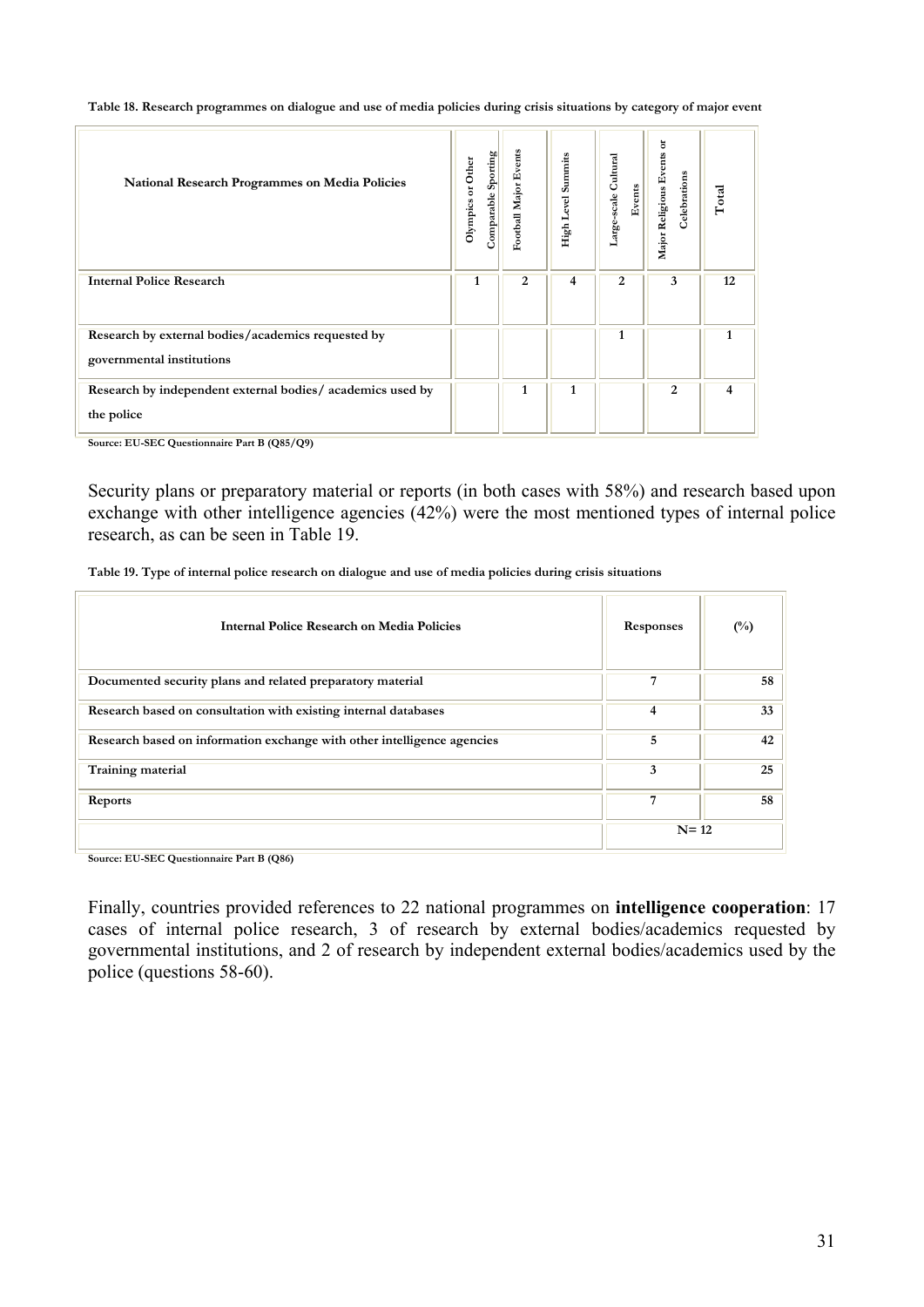**Table 18. Research programmes on dialogue and use of media policies during crisis situations by category of major event**

| <b>National Research Programmes on Media Policies</b>                           | Comparable Sporting<br>Olympics or Other | Football Major Events | High Level Summits | Large-scale Cultural<br>Events | ă<br>Major Religious Events<br>Celebrations | Total |
|---------------------------------------------------------------------------------|------------------------------------------|-----------------------|--------------------|--------------------------------|---------------------------------------------|-------|
| <b>Internal Police Research</b>                                                 | 1                                        | $\overline{2}$        | 4                  | 2                              | 3                                           | 12    |
| Research by external bodies/academics requested by<br>governmental institutions |                                          |                       |                    | 1                              |                                             |       |
| Research by independent external bodies/ academics used by<br>the police        |                                          | 1                     | 1                  |                                | 2                                           | 4     |

**Source: EU-SEC Questionnaire Part B (Q85/Q9)**

Security plans or preparatory material or reports (in both cases with 58%) and research based upon exchange with other intelligence agencies (42%) were the most mentioned types of internal police research, as can be seen in Table 19.

| Table 19. Type of internal police research on dialogue and use of media policies during crisis situations |  |  |
|-----------------------------------------------------------------------------------------------------------|--|--|
|                                                                                                           |  |  |

| Internal Police Research on Media Policies                              | <b>Responses</b> | $\binom{0}{0}$ |
|-------------------------------------------------------------------------|------------------|----------------|
| Documented security plans and related preparatory material              |                  | 58             |
| Research based on consultation with existing internal databases         | 4                | 33             |
| Research based on information exchange with other intelligence agencies | 5                | 42             |
| Training material                                                       | 3                | 25             |
| Reports                                                                 | 7                | 58             |
|                                                                         | $N = 12$         |                |

**Source: EU-SEC Questionnaire Part B (Q86)**

Finally, countries provided references to 22 national programmes on **intelligence cooperation**: 17 cases of internal police research, 3 of research by external bodies/academics requested by governmental institutions, and 2 of research by independent external bodies/academics used by the police (questions 58-60).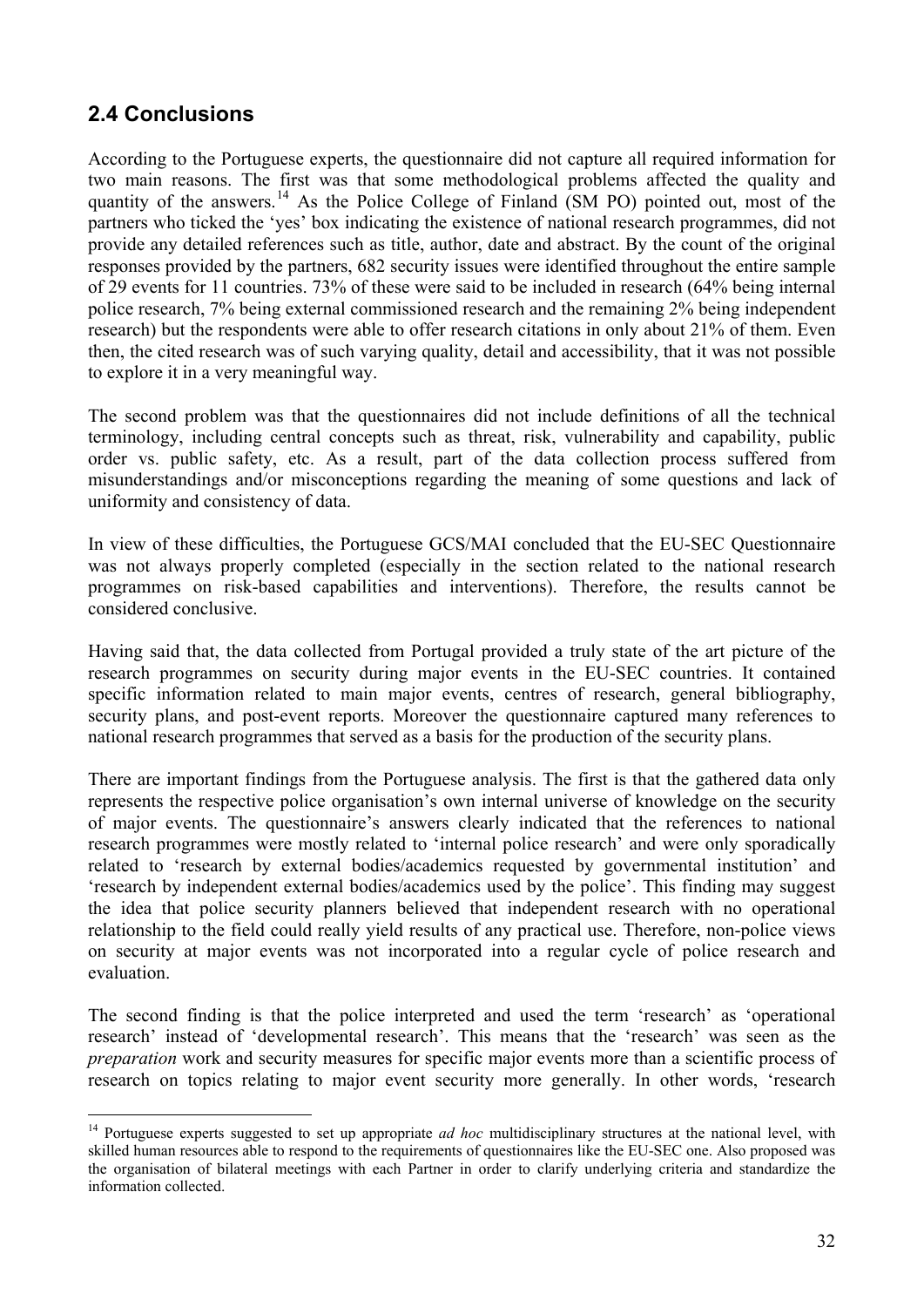## <span id="page-31-0"></span>**2.4 Conclusions**

 $\overline{a}$ 

According to the Portuguese experts, the questionnaire did not capture all required information for two main reasons. The first was that some methodological problems affected the quality and quantity of the answers.<sup>[1](#page-31-1)4</sup> As the Police College of Finland (SM PO) pointed out, most of the partners who ticked the 'yes' box indicating the existence of national research programmes, did not provide any detailed references such as title, author, date and abstract. By the count of the original responses provided by the partners, 682 security issues were identified throughout the entire sample of 29 events for 11 countries. 73% of these were said to be included in research (64% being internal police research, 7% being external commissioned research and the remaining 2% being independent research) but the respondents were able to offer research citations in only about 21% of them. Even then, the cited research was of such varying quality, detail and accessibility, that it was not possible to explore it in a very meaningful way.

The second problem was that the questionnaires did not include definitions of all the technical terminology, including central concepts such as threat, risk, vulnerability and capability, public order vs. public safety, etc. As a result, part of the data collection process suffered from misunderstandings and/or misconceptions regarding the meaning of some questions and lack of uniformity and consistency of data.

In view of these difficulties, the Portuguese GCS/MAI concluded that the EU-SEC Questionnaire was not always properly completed (especially in the section related to the national research programmes on risk-based capabilities and interventions). Therefore, the results cannot be considered conclusive.

Having said that, the data collected from Portugal provided a truly state of the art picture of the research programmes on security during major events in the EU-SEC countries. It contained specific information related to main major events, centres of research, general bibliography, security plans, and post-event reports. Moreover the questionnaire captured many references to national research programmes that served as a basis for the production of the security plans.

There are important findings from the Portuguese analysis. The first is that the gathered data only represents the respective police organisation's own internal universe of knowledge on the security of major events. The questionnaire's answers clearly indicated that the references to national research programmes were mostly related to 'internal police research' and were only sporadically related to 'research by external bodies/academics requested by governmental institution' and 'research by independent external bodies/academics used by the police'. This finding may suggest the idea that police security planners believed that independent research with no operational relationship to the field could really yield results of any practical use. Therefore, non-police views on security at major events was not incorporated into a regular cycle of police research and evaluation.

The second finding is that the police interpreted and used the term 'research' as 'operational research' instead of 'developmental research'. This means that the 'research' was seen as the *preparation* work and security measures for specific major events more than a scientific process of research on topics relating to major event security more generally. In other words, 'research

<span id="page-31-1"></span><sup>14</sup> Portuguese experts suggested to set up appropriate *ad hoc* multidisciplinary structures at the national level, with skilled human resources able to respond to the requirements of questionnaires like the EU-SEC one. Also proposed was the organisation of bilateral meetings with each Partner in order to clarify underlying criteria and standardize the information collected.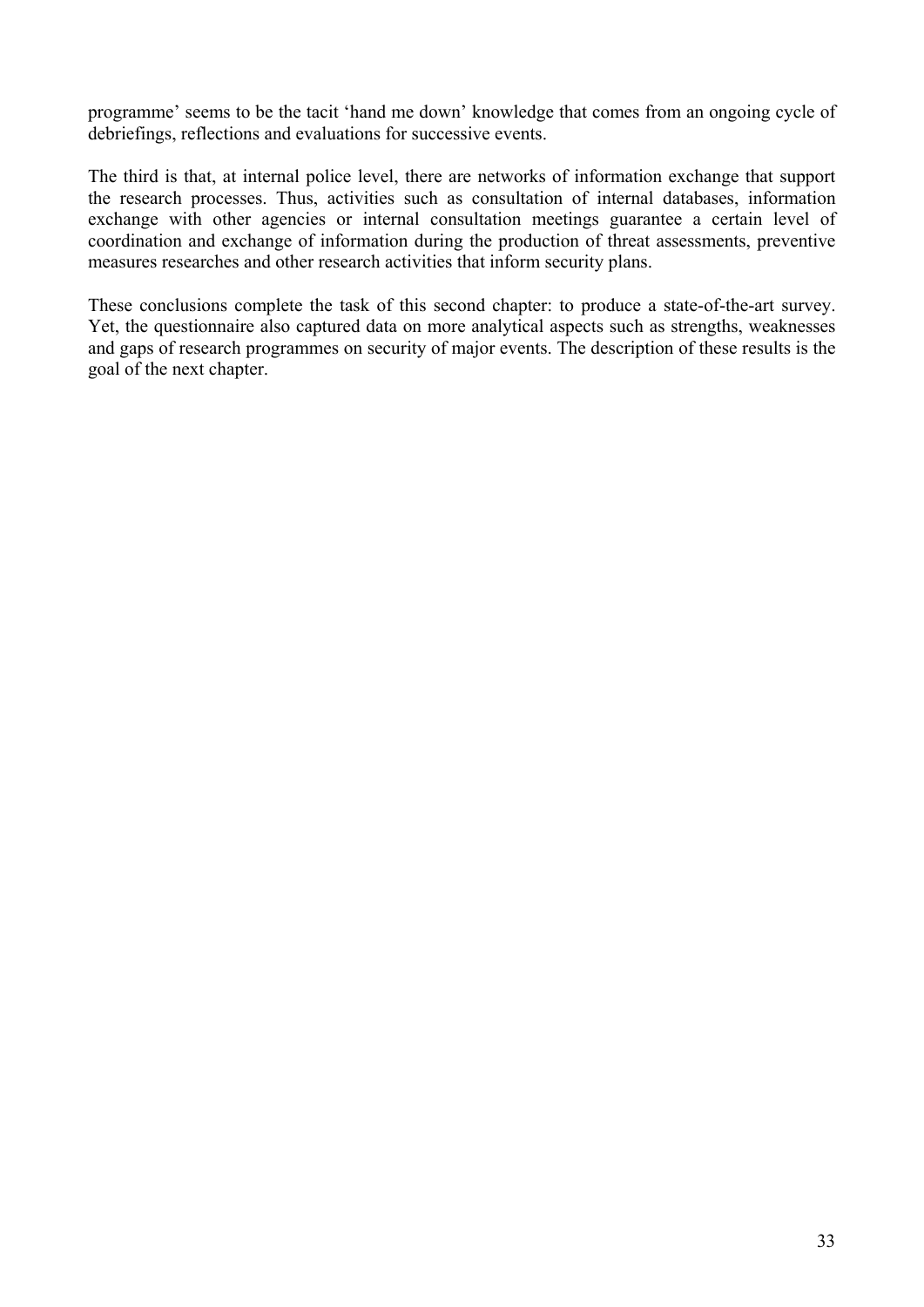programme' seems to be the tacit 'hand me down' knowledge that comes from an ongoing cycle of debriefings, reflections and evaluations for successive events.

The third is that, at internal police level, there are networks of information exchange that support the research processes. Thus, activities such as consultation of internal databases, information exchange with other agencies or internal consultation meetings guarantee a certain level of coordination and exchange of information during the production of threat assessments, preventive measures researches and other research activities that inform security plans.

These conclusions complete the task of this second chapter: to produce a state-of-the-art survey. Yet, the questionnaire also captured data on more analytical aspects such as strengths, weaknesses and gaps of research programmes on security of major events. The description of these results is the goal of the next chapter.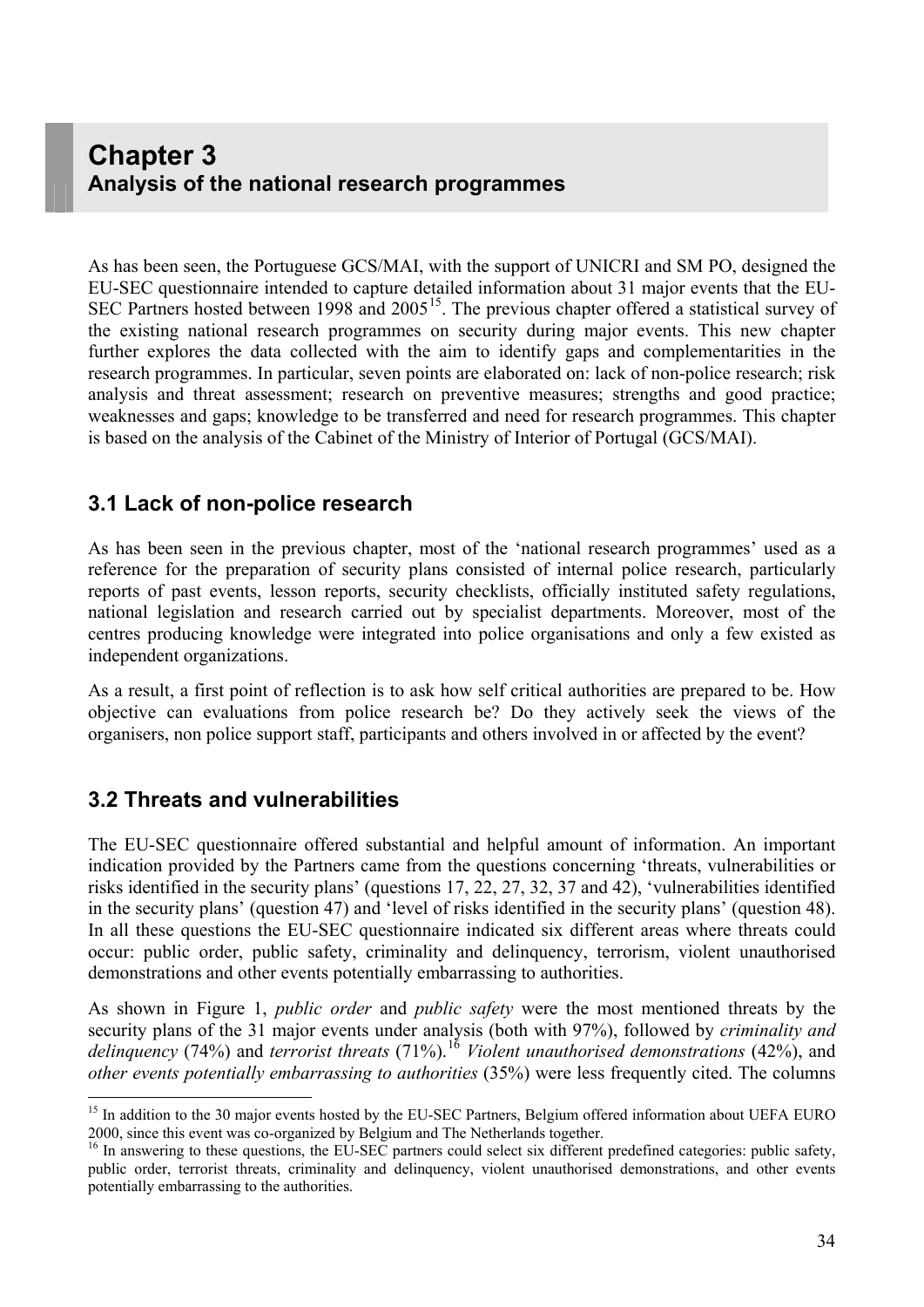## <span id="page-33-0"></span>**Chapter 3 Analysis of the national research programmes**

As has been seen, the Portuguese GCS/MAI, with the support of UNICRI and SM PO, designed the EU-SEC questionnaire intended to capture detailed information about 31 major events that the EU-SEC Partners hosted between 1998 and  $2005^{15}$  $2005^{15}$  $2005^{15}$ . The previous chapter offered a statistical survey of the existing national research programmes on security during major events. This new chapter further explores the data collected with the aim to identify gaps and complementarities in the research programmes. In particular, seven points are elaborated on: lack of non-police research; risk analysis and threat assessment; research on preventive measures; strengths and good practice; weaknesses and gaps; knowledge to be transferred and need for research programmes. This chapter is based on the analysis of the Cabinet of the Ministry of Interior of Portugal (GCS/MAI).

## **3.1 Lack of non-police research**

As has been seen in the previous chapter, most of the 'national research programmes' used as a reference for the preparation of security plans consisted of internal police research, particularly reports of past events, lesson reports, security checklists, officially instituted safety regulations, national legislation and research carried out by specialist departments. Moreover, most of the centres producing knowledge were integrated into police organisations and only a few existed as independent organizations.

As a result, a first point of reflection is to ask how self critical authorities are prepared to be. How objective can evaluations from police research be? Do they actively seek the views of the organisers, non police support staff, participants and others involved in or affected by the event?

## **3.2 Threats and vulnerabilities**

 $\overline{a}$ 

The EU-SEC questionnaire offered substantial and helpful amount of information. An important indication provided by the Partners came from the questions concerning 'threats, vulnerabilities or risks identified in the security plans' (questions 17, 22, 27, 32, 37 and 42), 'vulnerabilities identified in the security plans' (question 47) and 'level of risks identified in the security plans' (question 48). In all these questions the EU-SEC questionnaire indicated six different areas where threats could occur: public order, public safety, criminality and delinquency, terrorism, violent unauthorised demonstrations and other events potentially embarrassing to authorities.

As shown in Figure 1, *public order* and *public safety* were the most mentioned threats by the security plans of the 31 major events under analysis (both with 97%), followed by *criminality and delinquency* (74%) and *terrorist threats* (71%).[16](#page-33-2) *Violent unauthorised demonstrations* (42%), and *other events potentially embarrassing to authorities* (35%) were less frequently cited. The columns

<span id="page-33-1"></span><sup>&</sup>lt;sup>15</sup> In addition to the 30 major events hosted by the EU-SEC Partners, Belgium offered information about UEFA EURO 2000, since this event was co-organized by Belgium and The Netherlands together.

<span id="page-33-2"></span> $16$  In answering to these questions, the EU-SEC partners could select six different predefined categories: public safety, public order, terrorist threats, criminality and delinquency, violent unauthorised demonstrations, and other events potentially embarrassing to the authorities.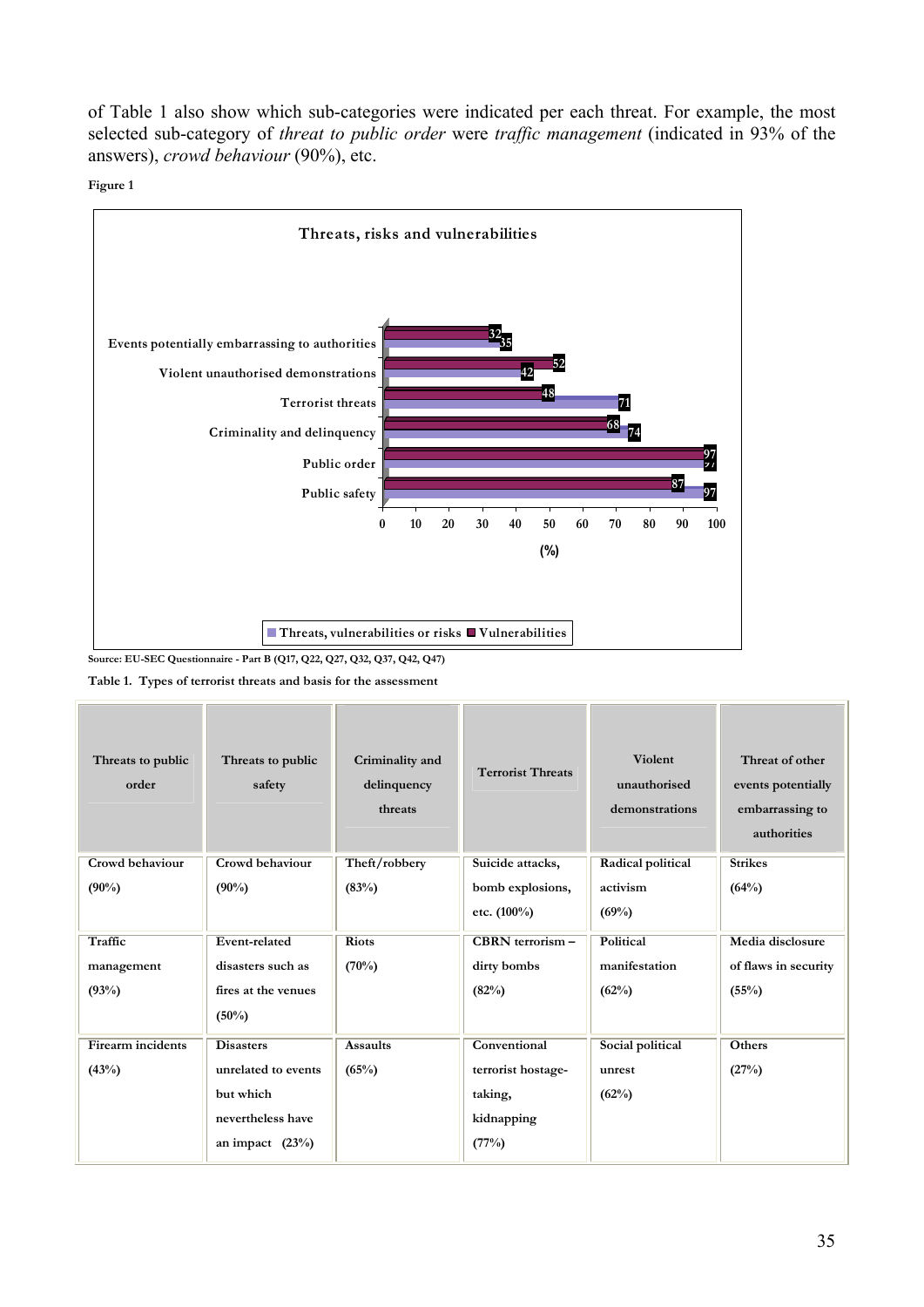of Table 1 also show which sub-categories were indicated per each threat. For example, the most selected sub-category of *threat to public order* were *traffic management* (indicated in 93% of the answers), *crowd behaviour* (90%), etc.





**Table 1. Types of terrorist threats and basis for the assessment**

| Threats to public<br>order | Threats to public<br>safety | Criminality and<br>delinquency<br>threats | <b>Terrorist Threats</b> | <b>Violent</b><br>unauthorised<br>demonstrations | Threat of other<br>events potentially<br>embarrassing to<br>authorities |
|----------------------------|-----------------------------|-------------------------------------------|--------------------------|--------------------------------------------------|-------------------------------------------------------------------------|
| Crowd behaviour            | Crowd behaviour             | Theft/robbery                             | Suicide attacks,         | Radical political                                | <b>Strikes</b>                                                          |
| $(90\%)$                   | $(90\%)$                    | (83%)                                     | bomb explosions,         | activism                                         | (64%)                                                                   |
|                            |                             |                                           | etc. (100%)              | (69%)                                            |                                                                         |
| Traffic                    | Event-related               | <b>Riots</b>                              | $CBRN$ terrorism $-$     | <b>Political</b>                                 | Media disclosure                                                        |
| management                 | disasters such as           | (70%)                                     | dirty bombs              | manifestation                                    | of flaws in security                                                    |
| (93%)                      | fires at the venues         |                                           | (82%)                    | (62%)                                            | (55%)                                                                   |
|                            | $(50\%)$                    |                                           |                          |                                                  |                                                                         |
| <b>Firearm</b> incidents   | <b>Disasters</b>            | <b>Assaults</b>                           | Conventional             | Social political                                 | <b>Others</b>                                                           |
| (43%)                      | unrelated to events         | (65%)                                     | terrorist hostage-       | unrest                                           | (27%)                                                                   |
|                            | but which                   |                                           | taking,                  | (62%)                                            |                                                                         |
|                            | nevertheless have           |                                           | kidnapping               |                                                  |                                                                         |
|                            | an impact $(23\%)$          |                                           | (77%)                    |                                                  |                                                                         |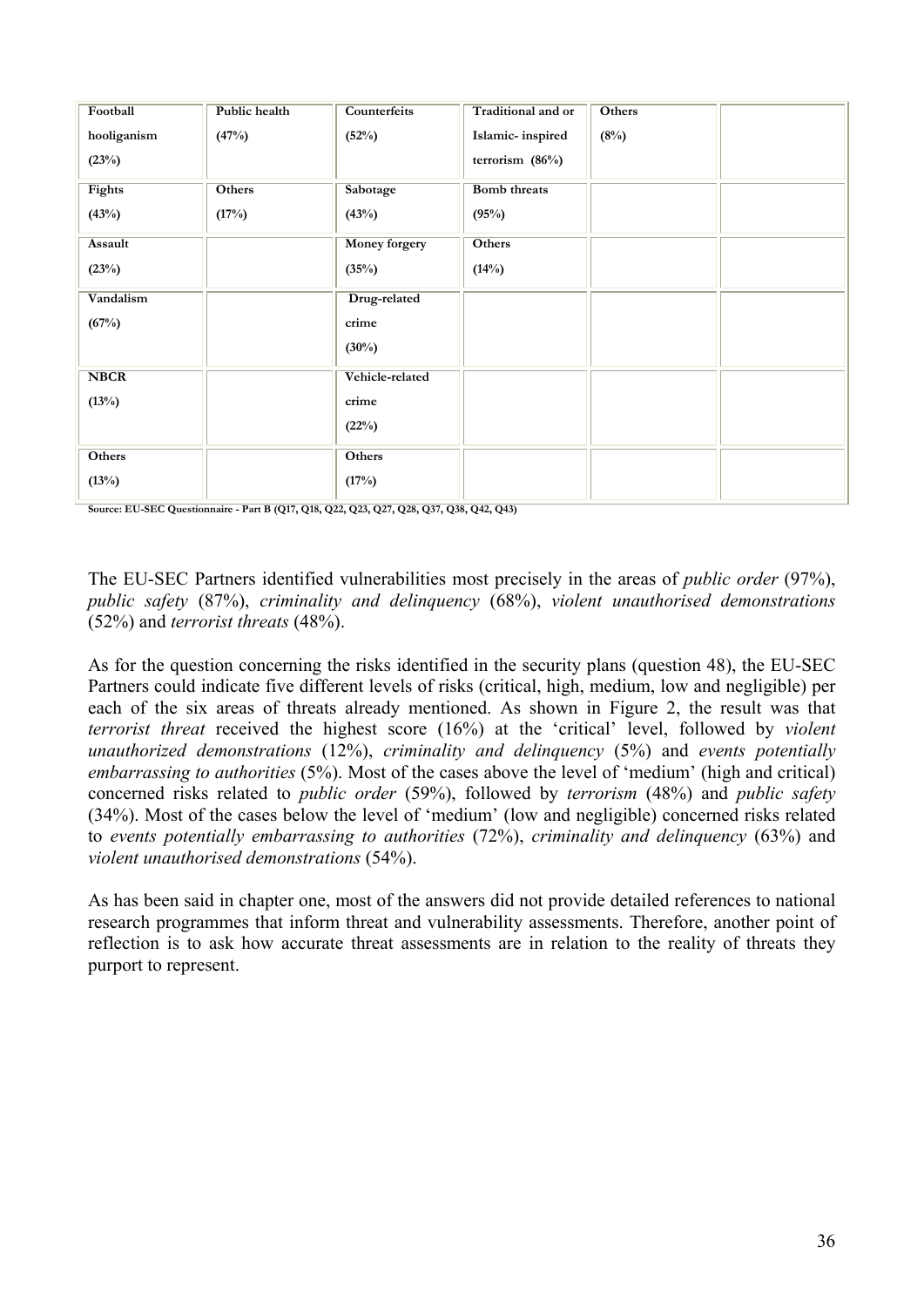| Football    | Public health | Counterfeits    | Traditional and or  | <b>Others</b> |  |
|-------------|---------------|-----------------|---------------------|---------------|--|
| hooliganism | (47%)         | (52%)           | Islamic-inspired    | (8%)          |  |
| (23%)       |               |                 | terrorism (86%)     |               |  |
| Fights      | Others        | Sabotage        | <b>Bomb</b> threats |               |  |
| (43%)       | (17%)         | (43%)           | (95%)               |               |  |
| Assault     |               | Money forgery   | Others              |               |  |
| (23%)       |               | (35%)           | (14%)               |               |  |
| Vandalism   |               | Drug-related    |                     |               |  |
| (67%)       |               | crime           |                     |               |  |
|             |               | $(30\%)$        |                     |               |  |
| <b>NBCR</b> |               | Vehicle-related |                     |               |  |
| (13%)       |               | crime           |                     |               |  |
|             |               | (22%)           |                     |               |  |
| Others      |               | Others          |                     |               |  |
| (13%)       |               | (17%)           |                     |               |  |

**Source: EU-SEC Questionnaire - Part B (Q17, Q18, Q22, Q23, Q27, Q28, Q37, Q38, Q42, Q43)**

The EU-SEC Partners identified vulnerabilities most precisely in the areas of *public order* (97%), *public safety* (87%), *criminality and delinquency* (68%), *violent unauthorised demonstrations* (52%) and *terrorist threats* (48%).

As for the question concerning the risks identified in the security plans (question 48), the EU-SEC Partners could indicate five different levels of risks (critical, high, medium, low and negligible) per each of the six areas of threats already mentioned. As shown in Figure 2, the result was that *terrorist threat* received the highest score (16%) at the 'critical' level, followed by *violent unauthorized demonstrations* (12%), *criminality and delinquency* (5%) and *events potentially embarrassing to authorities* (5%). Most of the cases above the level of 'medium' (high and critical) concerned risks related to *public order* (59%), followed by *terrorism* (48%) and *public safety* (34%). Most of the cases below the level of 'medium' (low and negligible) concerned risks related to *events potentially embarrassing to authorities* (72%), *criminality and delinquency* (63%) and *violent unauthorised demonstrations* (54%).

As has been said in chapter one, most of the answers did not provide detailed references to national research programmes that inform threat and vulnerability assessments. Therefore, another point of reflection is to ask how accurate threat assessments are in relation to the reality of threats they purport to represent.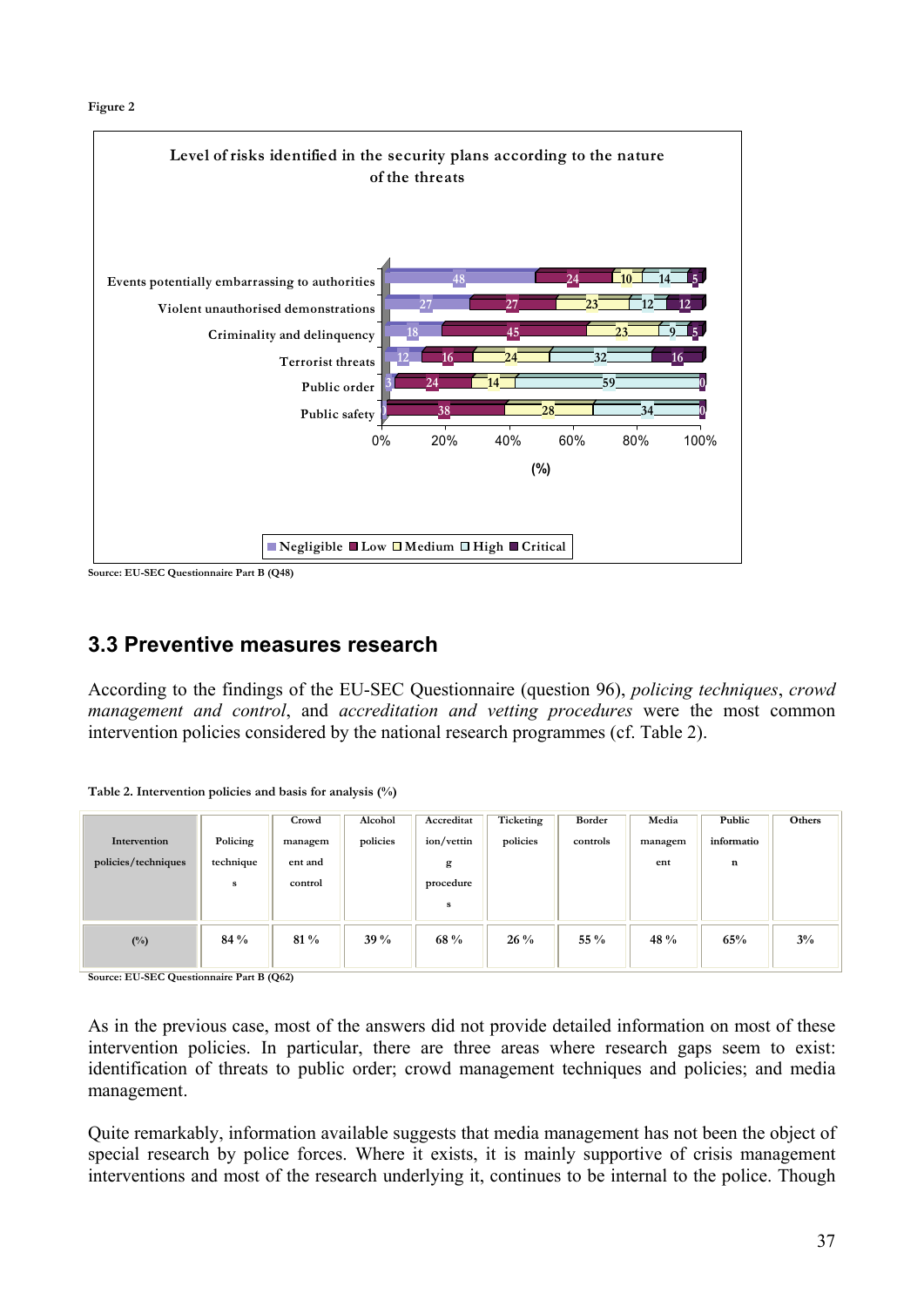

**Source: EU-SEC Questionnaire Part B (Q48)** 

### **3.3 Preventive measures research**

According to the findings of the EU-SEC Questionnaire (question 96), *policing techniques*, *crowd management and control*, and *accreditation and vetting procedures* were the most common intervention policies considered by the national research programmes (cf. Table 2).

|  | Table 2. Intervention policies and basis for analysis (%) |  |  |  |  |  |
|--|-----------------------------------------------------------|--|--|--|--|--|
|--|-----------------------------------------------------------|--|--|--|--|--|

| Intervention<br>policies/techniques | Policing<br>technique<br>s | Crowd<br>managem<br>ent and<br>control | Alcohol<br>policies | Accreditat<br>ion/vettin<br>g<br>procedure<br>s | Ticketing<br>policies | Border<br>controls | Media<br>managem<br>ent | Public<br>informatio<br>n | Others |
|-------------------------------------|----------------------------|----------------------------------------|---------------------|-------------------------------------------------|-----------------------|--------------------|-------------------------|---------------------------|--------|
| $(^{0}/_{0})$                       | $84\%$                     | $81\%$                                 | $39\%$              | 68 %                                            | $26\%$                | 55 $\%$            | 48 %                    | 65%                       | $3\%$  |

**Source: EU-SEC Questionnaire Part B (Q62)**

As in the previous case, most of the answers did not provide detailed information on most of these intervention policies. In particular, there are three areas where research gaps seem to exist: identification of threats to public order; crowd management techniques and policies; and media management.

Quite remarkably, information available suggests that media management has not been the object of special research by police forces. Where it exists, it is mainly supportive of crisis management interventions and most of the research underlying it, continues to be internal to the police. Though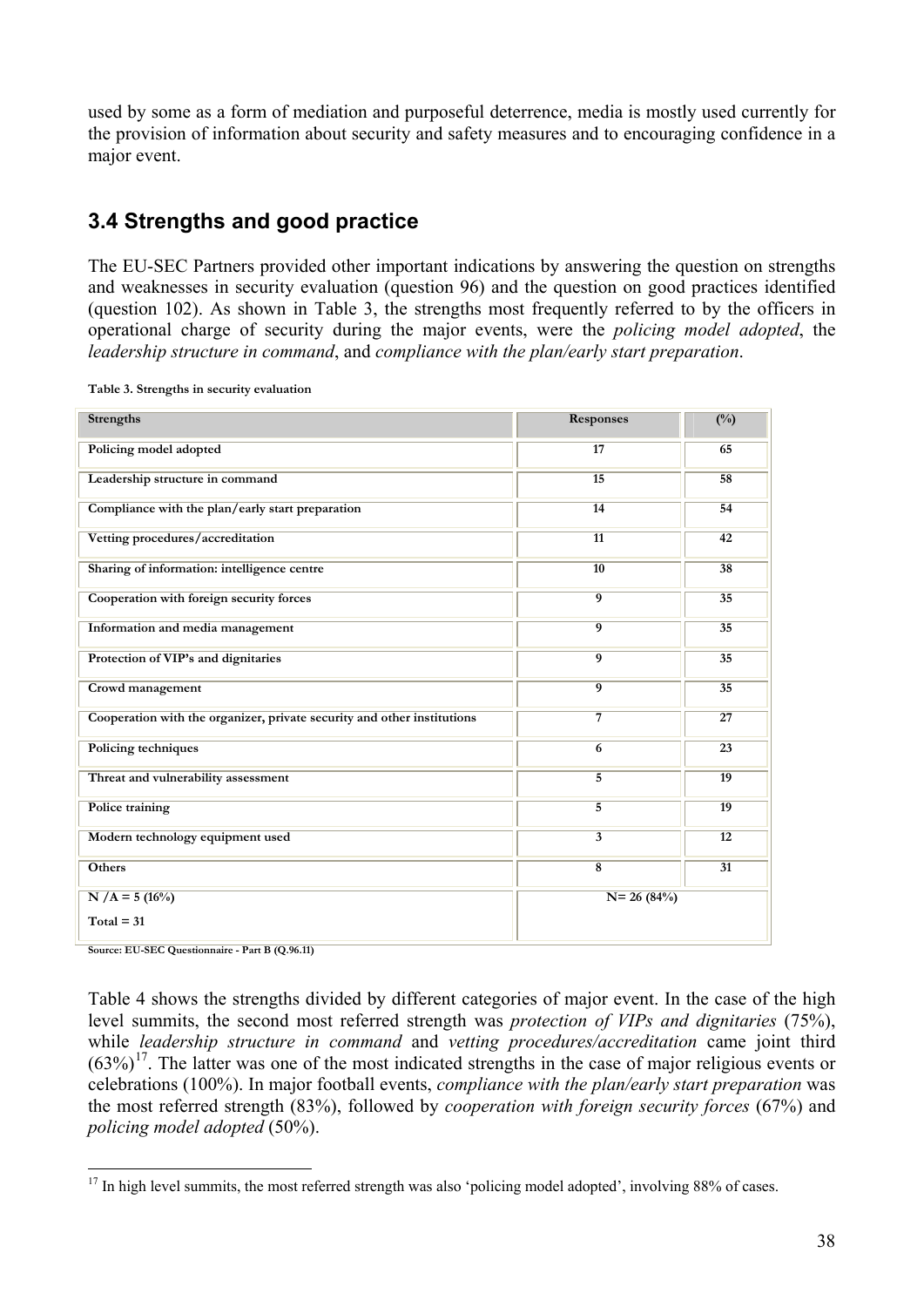used by some as a form of mediation and purposeful deterrence, media is mostly used currently for the provision of information about security and safety measures and to encouraging confidence in a major event.

# **3.4 Strengths and good practice**

The EU-SEC Partners provided other important indications by answering the question on strengths and weaknesses in security evaluation (question 96) and the question on good practices identified (question 102). As shown in Table 3, the strengths most frequently referred to by the officers in operational charge of security during the major events, were the *policing model adopted*, the *leadership structure in command*, and *compliance with the plan/early start preparation*.

| <b>Strengths</b>                                                        | <b>Responses</b>        | $\frac{(\%)}{(\%)}$ |
|-------------------------------------------------------------------------|-------------------------|---------------------|
| Policing model adopted                                                  | 17                      | 65                  |
| Leadership structure in command                                         | $\overline{15}$         | 58                  |
| Compliance with the plan/early start preparation                        | $\overline{14}$         | 54                  |
| Vetting procedures/accreditation                                        | $\overline{11}$         | 42                  |
| Sharing of information: intelligence centre                             | 10                      | 38                  |
| Cooperation with foreign security forces                                | $\overline{9}$          | $\overline{35}$     |
| Information and media management                                        | $\overline{9}$          | 35                  |
| Protection of VIP's and dignitaries                                     | $\overline{9}$          | $\overline{35}$     |
| Crowd management                                                        | $\overline{9}$          | $\overline{35}$     |
| Cooperation with the organizer, private security and other institutions | 7                       | 27                  |
| Policing techniques                                                     | 6                       | $\overline{23}$     |
| Threat and vulnerability assessment                                     | $\overline{5}$          | 19                  |
| Police training                                                         | $\overline{5}$          | 19                  |
| Modern technology equipment used                                        | $\overline{3}$          | $\overline{12}$     |
| Others                                                                  | $\overline{\mathbf{8}}$ | $\overline{31}$     |
| $N/A = 5(16%)$<br>$Total = 31$                                          | $N = 26(84%)$           |                     |
|                                                                         |                         |                     |

**Table 3. Strengths in security evaluation** 

**Source: EU-SEC Questionnaire - Part B (Q.96.11)**

Table 4 shows the strengths divided by different categories of major event. In the case of the high level summits, the second most referred strength was *protection of VIPs and dignitaries* (75%), while *leadership structure in command* and *vetting procedures/accreditation* came joint third  $(63\%)$ <sup>[1](#page-37-0)7</sup>. The latter was one of the most indicated strengths in the case of major religious events or celebrations (100%). In major football events, *compliance with the plan/early start preparation* was the most referred strength (83%), followed by *cooperation with foreign security forces* (67%) and *policing model adopted* (50%).

<span id="page-37-0"></span> $\overline{a}$ <sup>17</sup> In high level summits, the most referred strength was also 'policing model adopted', involving 88% of cases.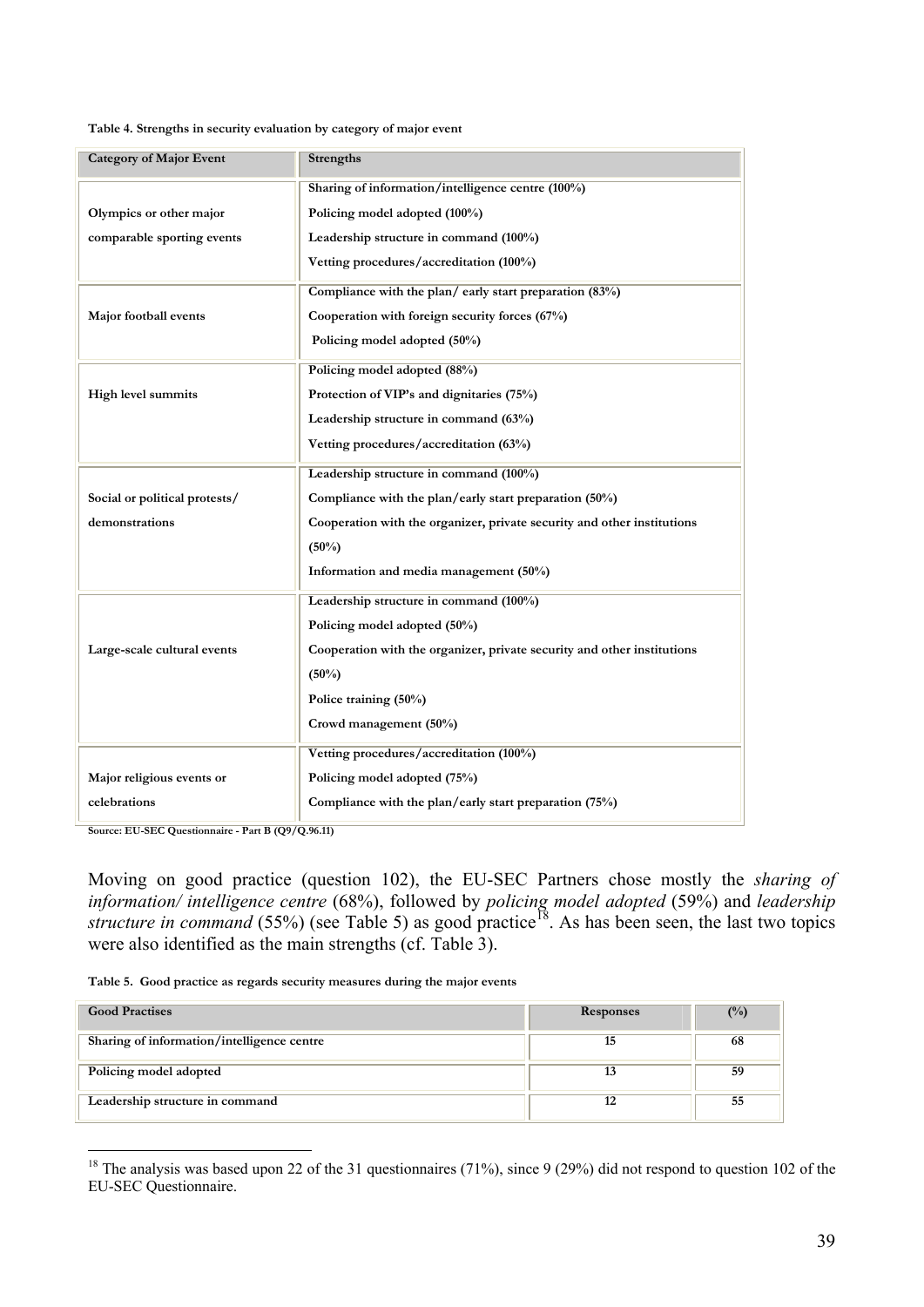#### **Table 4. Strengths in security evaluation by category of major event**

| <b>Category of Major Event</b> | <b>Strengths</b>                                                        |
|--------------------------------|-------------------------------------------------------------------------|
|                                | Sharing of information/intelligence centre (100%)                       |
| Olympics or other major        | Policing model adopted (100%)                                           |
| comparable sporting events     | Leadership structure in command (100%)                                  |
|                                | Vetting procedures/accreditation (100%)                                 |
|                                | Compliance with the plan/early start preparation (83%)                  |
| Major football events          | Cooperation with foreign security forces (67%)                          |
|                                | Policing model adopted (50%)                                            |
|                                | Policing model adopted (88%)                                            |
| High level summits             | Protection of VIP's and dignitaries (75%)                               |
|                                | Leadership structure in command (63%)                                   |
|                                | Vetting procedures/accreditation (63%)                                  |
|                                | Leadership structure in command (100%)                                  |
| Social or political protests/  | Compliance with the plan/early start preparation $(50\%)$               |
| demonstrations                 | Cooperation with the organizer, private security and other institutions |
|                                | $(50\%)$                                                                |
|                                | Information and media management (50%)                                  |
|                                | Leadership structure in command (100%)                                  |
|                                | Policing model adopted (50%)                                            |
| Large-scale cultural events    | Cooperation with the organizer, private security and other institutions |
|                                | $(50\%)$                                                                |
|                                | Police training (50%)                                                   |
|                                | Crowd management (50%)                                                  |
|                                | Vetting procedures/accreditation (100%)                                 |
| Major religious events or      | Policing model adopted (75%)                                            |
| celebrations                   | Compliance with the plan/early start preparation $(75%)$                |

**Source: EU-SEC Questionnaire - Part B (Q9/Q.96.11)**

 $\overline{a}$ 

Moving on good practice (question 102), the EU-SEC Partners chose mostly the *sharing of information/ intelligence centre* (68%), followed by *policing model adopted* (59%) and *leadership structure in command* (55%) (see Table 5) as good practice<sup>[18](#page-38-0)</sup>. As has been seen, the last two topics were also identified as the main strengths (cf. Table 3).

**Table 5. Good practice as regards security measures during the major events**

| <b>Good Practises</b>                      | <b>Responses</b> | $(^{0}/_{0})$ |
|--------------------------------------------|------------------|---------------|
| Sharing of information/intelligence centre | 15               | 68            |
| Policing model adopted                     | 13               | 59            |
| Leadership structure in command            | 12               | 55            |

<span id="page-38-0"></span><sup>&</sup>lt;sup>18</sup> The analysis was based upon 22 of the 31 questionnaires (71%), since 9 (29%) did not respond to question 102 of the EU-SEC Questionnaire.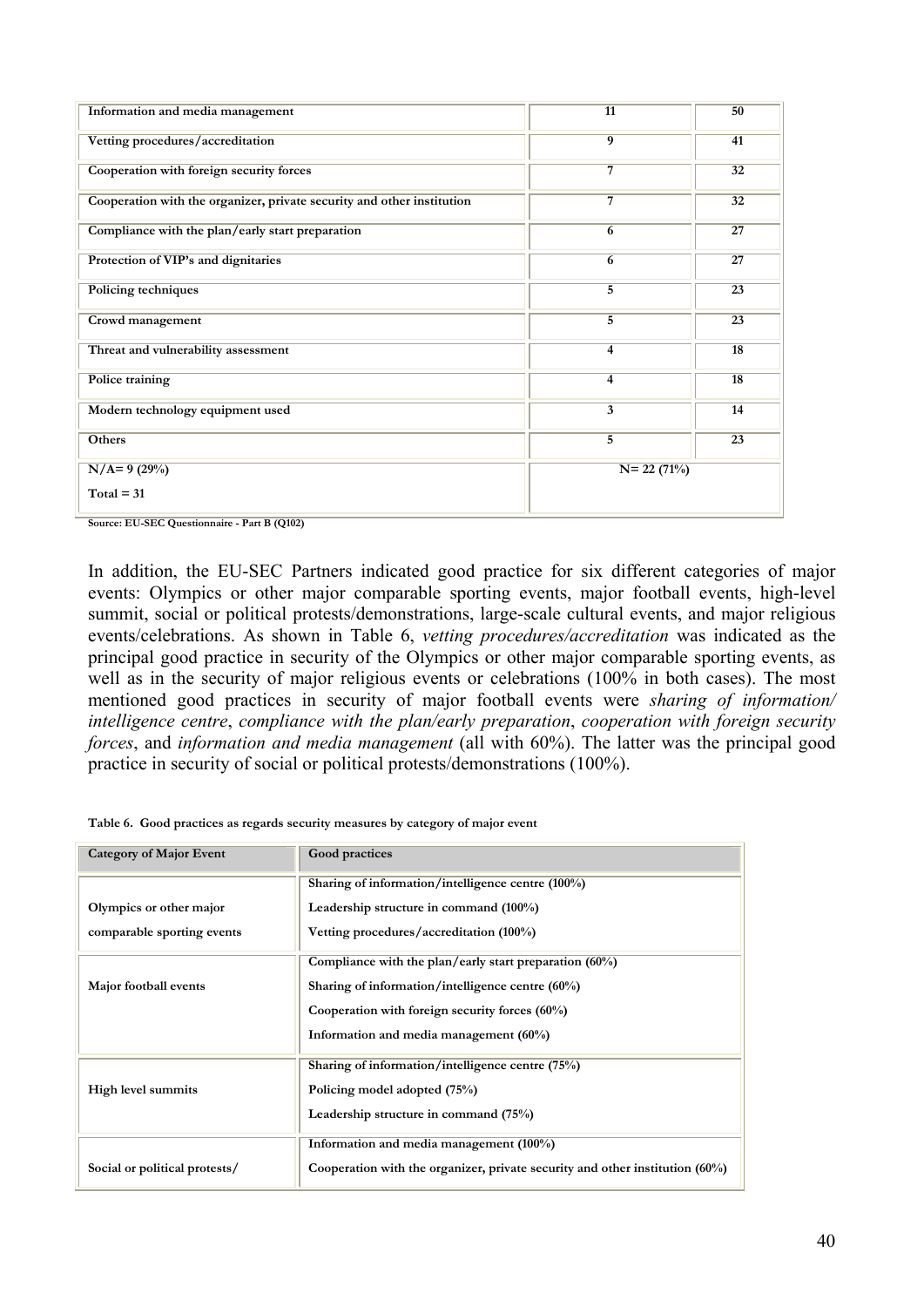| Information and media management                                       | 11             | 50              |
|------------------------------------------------------------------------|----------------|-----------------|
| Vetting procedures/accreditation                                       | $\overline{9}$ | 41              |
| Cooperation with foreign security forces                               | 7              | 32              |
| Cooperation with the organizer, private security and other institution | 7              | $\overline{32}$ |
| Compliance with the plan/early start preparation                       | 6              | $\overline{27}$ |
| Protection of VIP's and dignitaries                                    | 6              | 27              |
| Policing techniques                                                    | $\overline{5}$ | $\overline{23}$ |
| Crowd management                                                       | 5              | $\overline{23}$ |
| Threat and vulnerability assessment                                    | 4              | 18              |
| Police training                                                        | $\overline{4}$ | $\overline{18}$ |
| Modern technology equipment used                                       | 3              | 14              |
| Others                                                                 | 5              | 23              |
| $N/A=9(29%)$                                                           | $N = 22(71%)$  |                 |
| $Total = 31$                                                           |                |                 |

**Source: EU-SEC Questionnaire - Part B (Q102)**

In addition, the EU-SEC Partners indicated good practice for six different categories of major events: Olympics or other major comparable sporting events, major football events, high-level summit, social or political protests/demonstrations, large-scale cultural events, and major religious events/celebrations. As shown in Table 6, *vetting procedures/accreditation* was indicated as the principal good practice in security of the Olympics or other major comparable sporting events, as well as in the security of major religious events or celebrations (100% in both cases). The most mentioned good practices in security of major football events were *sharing of information/ intelligence centre*, *compliance with the plan/early preparation*, *cooperation with foreign security forces*, and *information and media management* (all with 60%). The latter was the principal good practice in security of social or political protests/demonstrations (100%).

**Table 6. Good practices as regards security measures by category of major event**

| <b>Category of Major Event</b> | Good practices                                                                  |
|--------------------------------|---------------------------------------------------------------------------------|
|                                | Sharing of information/intelligence centre (100%)                               |
| Olympics or other major        | Leadership structure in command (100%)                                          |
| comparable sporting events     | Vetting procedures/accreditation (100%)                                         |
|                                | Compliance with the plan/early start preparation $(60\%)$                       |
| Major football events          | Sharing of information/intelligence centre $(60\%)$                             |
|                                | Cooperation with foreign security forces $(60\%)$                               |
|                                | Information and media management (60%)                                          |
|                                | Sharing of information/intelligence centre (75%)                                |
| High level summits             | Policing model adopted (75%)                                                    |
|                                | Leadership structure in command (75%)                                           |
|                                | Information and media management (100%)                                         |
| Social or political protests/  | Cooperation with the organizer, private security and other institution $(60\%)$ |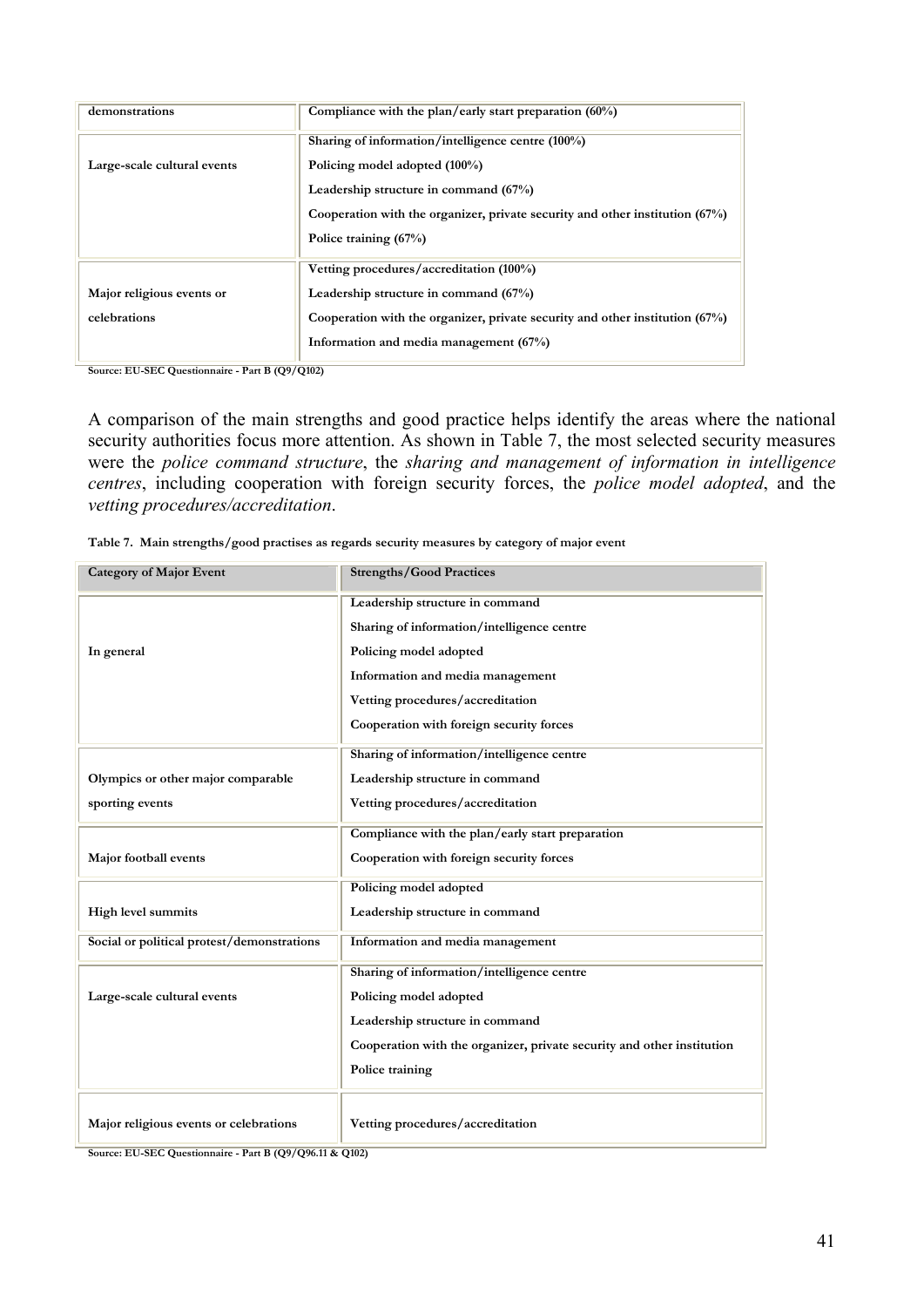| demonstrations              | Compliance with the plan/early start preparation $(60\%)$                      |
|-----------------------------|--------------------------------------------------------------------------------|
|                             | Sharing of information/intelligence centre (100%)                              |
| Large-scale cultural events | Policing model adopted (100%)                                                  |
|                             | Leadership structure in command (67%)                                          |
|                             | Cooperation with the organizer, private security and other institution $(67%)$ |
|                             | Police training (67%)                                                          |
|                             | Vetting procedures/accreditation (100%)                                        |
| Major religious events or   | Leadership structure in command (67%)                                          |
| celebrations                | Cooperation with the organizer, private security and other institution $(67%)$ |
|                             | Information and media management (67%)                                         |

**Source: EU-SEC Questionnaire - Part B (Q9/Q102)**

A comparison of the main strengths and good practice helps identify the areas where the national security authorities focus more attention. As shown in Table 7, the most selected security measures were the *police command structure*, the *sharing and management of information in intelligence centres*, including cooperation with foreign security forces, the *police model adopted*, and the *vetting procedures/accreditation*.

|  |  |  | Table 7. Main strengths/good practises as regards security measures by category of major event |  |  |  |
|--|--|--|------------------------------------------------------------------------------------------------|--|--|--|
|--|--|--|------------------------------------------------------------------------------------------------|--|--|--|

| <b>Category of Major Event</b>             | <b>Strengths/Good Practices</b>                                        |
|--------------------------------------------|------------------------------------------------------------------------|
|                                            | Leadership structure in command                                        |
|                                            | Sharing of information/intelligence centre                             |
| In general                                 | Policing model adopted                                                 |
|                                            | Information and media management                                       |
|                                            | Vetting procedures/accreditation                                       |
|                                            | Cooperation with foreign security forces                               |
|                                            | Sharing of information/intelligence centre                             |
| Olympics or other major comparable         | Leadership structure in command                                        |
| sporting events                            | Vetting procedures/accreditation                                       |
|                                            | Compliance with the plan/early start preparation                       |
| Major football events                      | Cooperation with foreign security forces                               |
|                                            | Policing model adopted                                                 |
| High level summits                         | Leadership structure in command                                        |
| Social or political protest/demonstrations | Information and media management                                       |
|                                            | Sharing of information/intelligence centre                             |
| Large-scale cultural events                | Policing model adopted                                                 |
|                                            | Leadership structure in command                                        |
|                                            | Cooperation with the organizer, private security and other institution |
|                                            | Police training                                                        |
|                                            |                                                                        |
| Major religious events or celebrations     | Vetting procedures/accreditation                                       |

**Source: EU-SEC Questionnaire - Part B (Q9/Q96.11 & Q102)**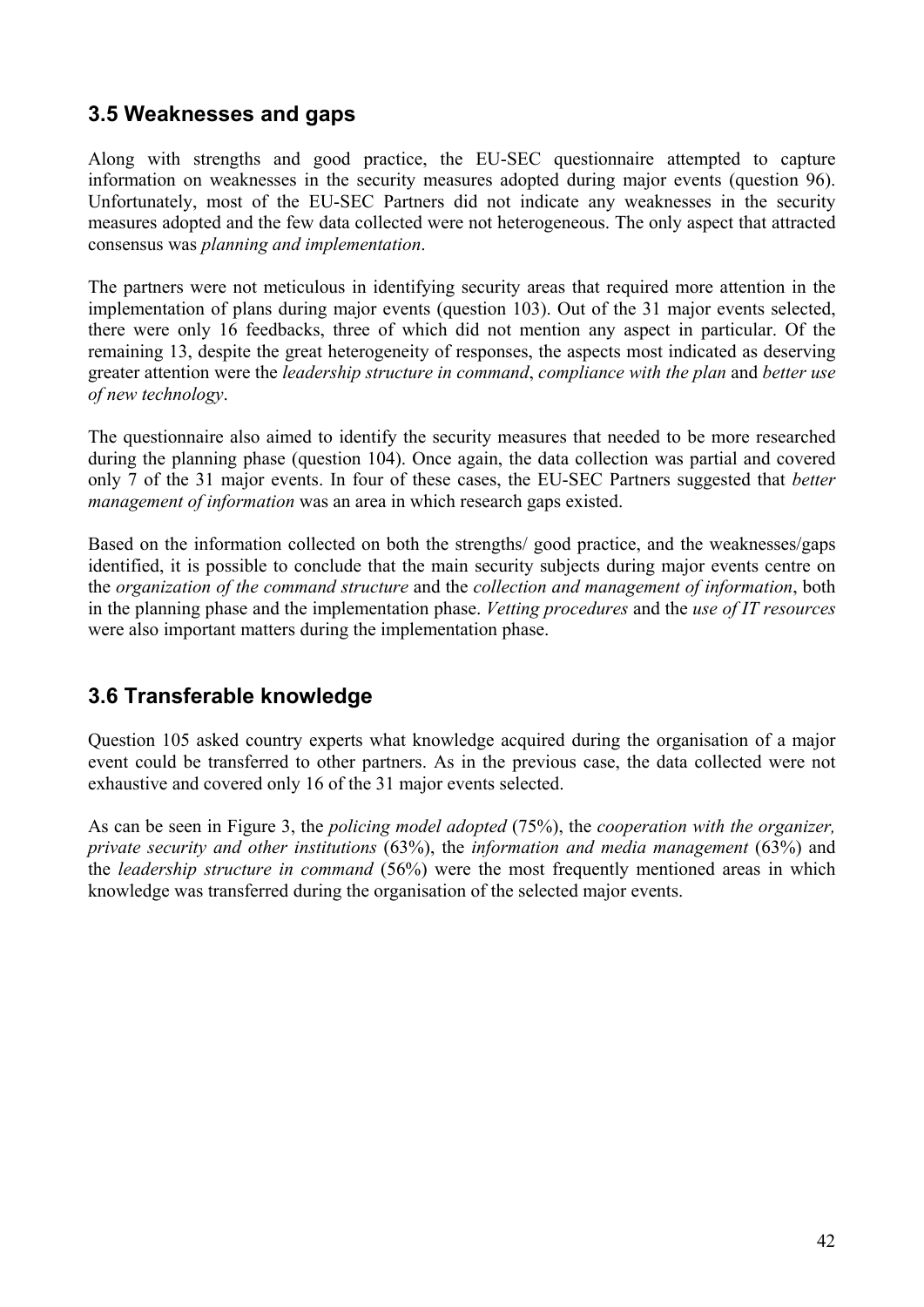### **3.5 Weaknesses and gaps**

Along with strengths and good practice, the EU-SEC questionnaire attempted to capture information on weaknesses in the security measures adopted during major events (question 96). Unfortunately, most of the EU-SEC Partners did not indicate any weaknesses in the security measures adopted and the few data collected were not heterogeneous. The only aspect that attracted consensus was *planning and implementation*.

The partners were not meticulous in identifying security areas that required more attention in the implementation of plans during major events (question 103). Out of the 31 major events selected, there were only 16 feedbacks, three of which did not mention any aspect in particular. Of the remaining 13, despite the great heterogeneity of responses, the aspects most indicated as deserving greater attention were the *leadership structure in command*, *compliance with the plan* and *better use of new technology*.

The questionnaire also aimed to identify the security measures that needed to be more researched during the planning phase (question 104). Once again, the data collection was partial and covered only 7 of the 31 major events. In four of these cases, the EU-SEC Partners suggested that *better management of information* was an area in which research gaps existed.

Based on the information collected on both the strengths/ good practice, and the weaknesses/gaps identified, it is possible to conclude that the main security subjects during major events centre on the *organization of the command structure* and the *collection and management of information*, both in the planning phase and the implementation phase. *Vetting procedures* and the *use of IT resources* were also important matters during the implementation phase.

### **3.6 Transferable knowledge**

Question 105 asked country experts what knowledge acquired during the organisation of a major event could be transferred to other partners. As in the previous case, the data collected were not exhaustive and covered only 16 of the 31 major events selected.

As can be seen in Figure 3, the *policing model adopted* (75%), the *cooperation with the organizer, private security and other institutions* (63%), the *information and media management* (63%) and the *leadership structure in command* (56%) were the most frequently mentioned areas in which knowledge was transferred during the organisation of the selected major events.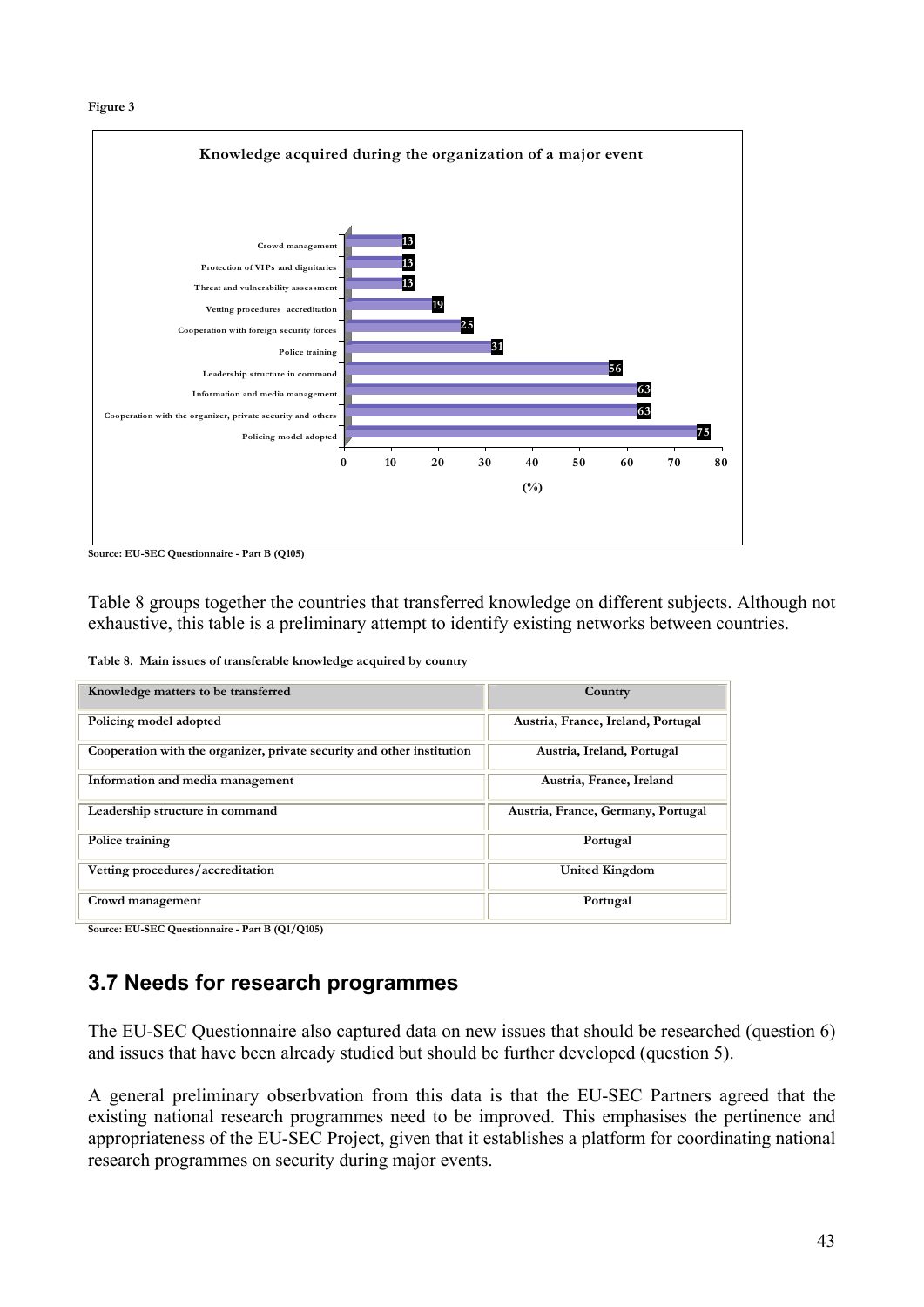



**Source: EU-SEC Questionnaire - Part B (Q105)**

Table 8 groups together the countries that transferred knowledge on different subjects. Although not exhaustive, this table is a preliminary attempt to identify existing networks between countries.

**Table 8. Main issues of transferable knowledge acquired by country**

| Knowledge matters to be transferred                                    | Country                            |
|------------------------------------------------------------------------|------------------------------------|
| Policing model adopted                                                 | Austria, France, Ireland, Portugal |
| Cooperation with the organizer, private security and other institution | Austria, Ireland, Portugal         |
| Information and media management                                       | Austria, France, Ireland           |
| Leadership structure in command                                        | Austria, France, Germany, Portugal |
| Police training                                                        | Portugal                           |
| Vetting procedures/accreditation                                       | <b>United Kingdom</b>              |
| Crowd management                                                       | Portugal                           |

**Source: EU-SEC Questionnaire - Part B (Q1/Q105)**

### **3.7 Needs for research programmes**

The EU-SEC Questionnaire also captured data on new issues that should be researched (question 6) and issues that have been already studied but should be further developed (question 5).

A general preliminary obserbvation from this data is that the EU-SEC Partners agreed that the existing national research programmes need to be improved. This emphasises the pertinence and appropriateness of the EU-SEC Project, given that it establishes a platform for coordinating national research programmes on security during major events.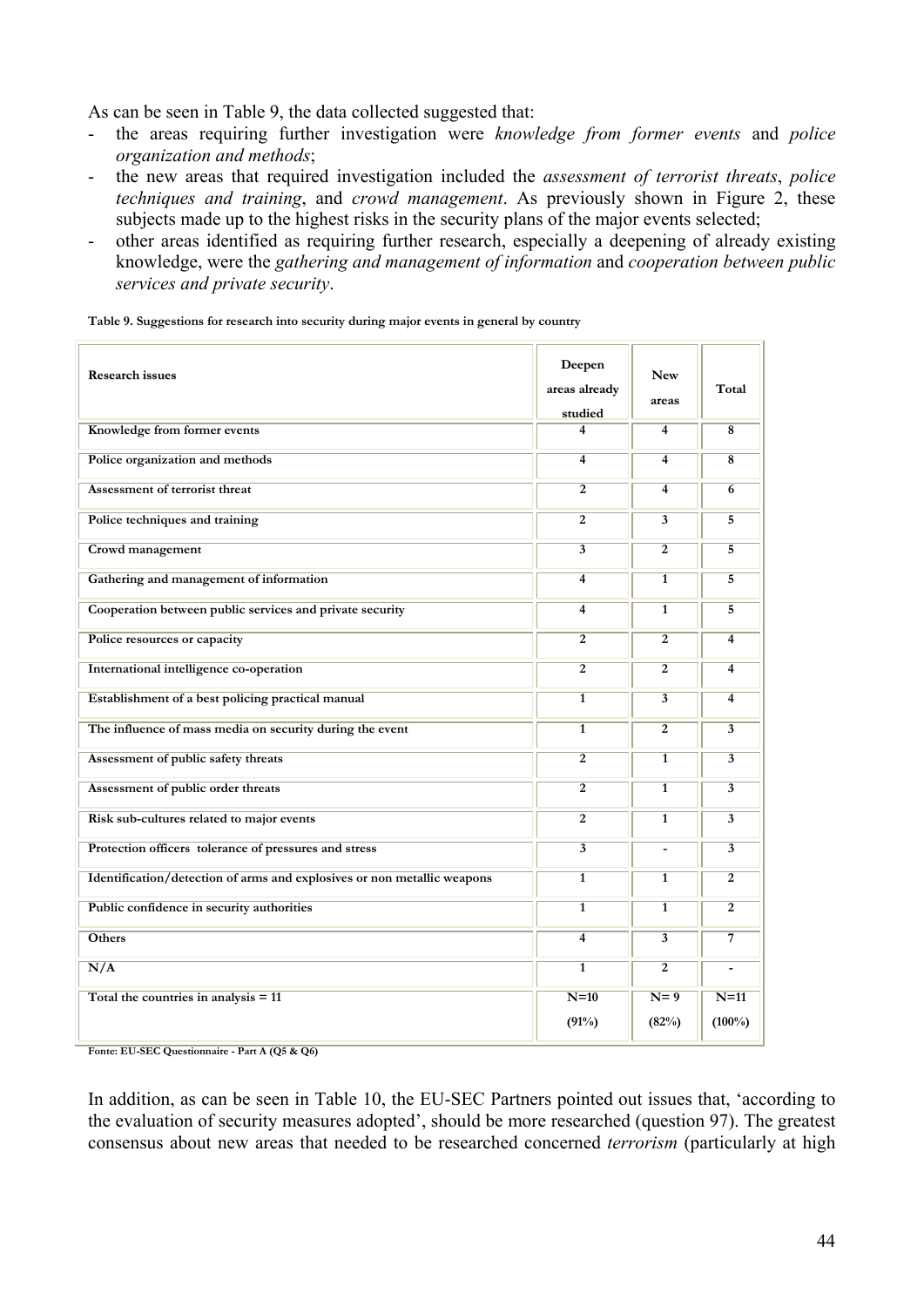As can be seen in Table 9, the data collected suggested that:

- the areas requiring further investigation were *knowledge from former events* and *police organization and methods*;
- the new areas that required investigation included the *assessment of terrorist threats*, *police techniques and training*, and *crowd management*. As previously shown in Figure 2, these subjects made up to the highest risks in the security plans of the major events selected;
- other areas identified as requiring further research, especially a deepening of already existing knowledge, were the *gathering and management of information* and *cooperation between public services and private security*.

**Table 9. Suggestions for research into security during major events in general by country** 

| <b>Research issues</b>                                                  | Deepen<br>areas already<br>studied | <b>New</b><br>areas     | Total                   |
|-------------------------------------------------------------------------|------------------------------------|-------------------------|-------------------------|
| Knowledge from former events                                            | 4                                  | 4                       | $\overline{\mathbf{8}}$ |
| Police organization and methods                                         | $\overline{4}$                     | $\overline{4}$          | $\overline{\mathbf{8}}$ |
| <b>Assessment of terrorist threat</b>                                   | $\overline{2}$                     | $\overline{\mathbf{4}}$ | 6                       |
| Police techniques and training                                          | $\overline{2}$                     | $\overline{3}$          | $\overline{5}$          |
| Crowd management                                                        | $\overline{\mathbf{3}}$            | $\overline{2}$          | $\overline{5}$          |
| Gathering and management of information                                 | 4                                  | $\mathbf{1}$            | 5                       |
| Cooperation between public services and private security                | $\overline{4}$                     | $\overline{1}$          | $\overline{5}$          |
| Police resources or capacity                                            | $\overline{2}$                     | $\overline{2}$          | 4                       |
| International intelligence co-operation                                 | $\overline{2}$                     | $\overline{2}$          | $\overline{4}$          |
| Establishment of a best policing practical manual                       | $\overline{1}$                     | $\overline{\mathbf{3}}$ | $\overline{4}$          |
| The influence of mass media on security during the event                | $\mathbf{1}$                       | $\overline{2}$          | 3                       |
| Assessment of public safety threats                                     | $\overline{2}$                     | $\overline{1}$          | $\overline{3}$          |
| Assessment of public order threats                                      | $\overline{2}$                     | $\overline{1}$          | $\overline{3}$          |
| Risk sub-cultures related to major events                               | $\overline{2}$                     | $\mathbf{1}$            | 3                       |
| Protection officers tolerance of pressures and stress                   | $\overline{3}$                     | $\blacksquare$          | $\overline{3}$          |
| Identification/detection of arms and explosives or non metallic weapons | $\mathbf{1}$                       | $\mathbf{1}$            | $\overline{2}$          |
| Public confidence in security authorities                               | $\mathbf{1}$                       | $\mathbf{1}$            | $\overline{2}$          |
| <b>Others</b>                                                           | $\overline{4}$                     | $\overline{3}$          | $\overline{7}$          |
| N/A                                                                     | $\overline{1}$                     | $\overline{2}$          |                         |
| Total the countries in analysis $= 11$                                  | $N=10$<br>(91%)                    | $N=9$<br>(82%)          | $N=11$<br>$(100\%)$     |

**Fonte: EU-SEC Questionnaire - Part A (Q5 & Q6)** 

In addition, as can be seen in Table 10, the EU-SEC Partners pointed out issues that, 'according to the evaluation of security measures adopted', should be more researched (question 97). The greatest consensus about new areas that needed to be researched concerned *terrorism* (particularly at high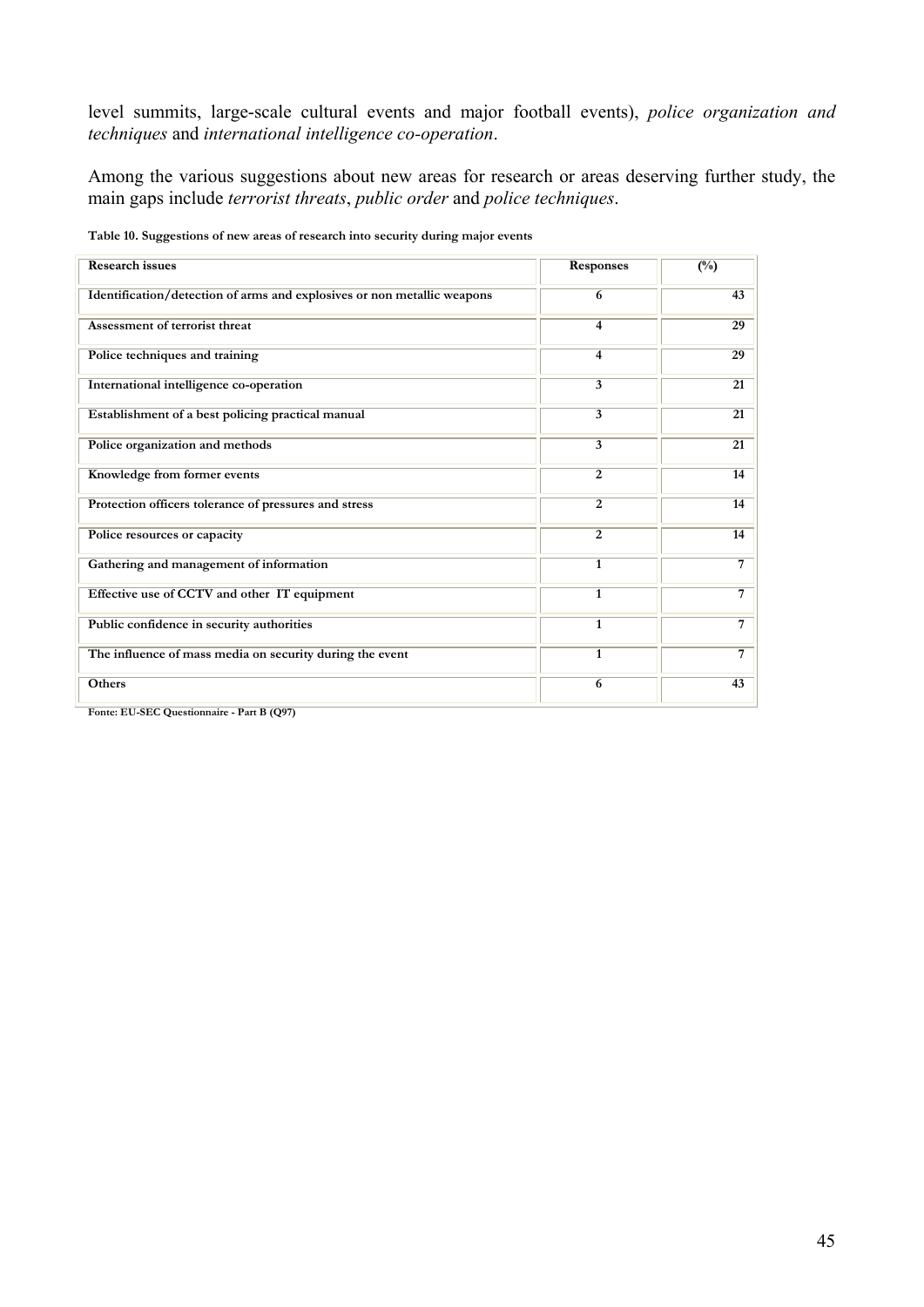level summits, large-scale cultural events and major football events), *police organization and techniques* and *international intelligence co-operation*.

Among the various suggestions about new areas for research or areas deserving further study, the main gaps include *terrorist threats*, *public order* and *police techniques*.

| <b>Research issues</b>                                                  | <b>Responses</b> | $(\%)$          |
|-------------------------------------------------------------------------|------------------|-----------------|
| Identification/detection of arms and explosives or non metallic weapons | 6                | 43              |
| Assessment of terrorist threat                                          | $\overline{4}$   | 29              |
| Police techniques and training                                          | $\overline{4}$   | 29              |
| International intelligence co-operation                                 | $\overline{3}$   | $\overline{21}$ |
| Establishment of a best policing practical manual                       | $\overline{3}$   | $\overline{21}$ |
| Police organization and methods                                         | 3                | 21              |
| Knowledge from former events                                            | $\overline{2}$   | 14              |
| Protection officers tolerance of pressures and stress                   | $\overline{2}$   | 14              |
| Police resources or capacity                                            | 2                | 14              |
| Gathering and management of information                                 | $\mathbf{1}$     | $\overline{7}$  |
| Effective use of CCTV and other IT equipment                            | $\mathbf{1}$     | $\overline{7}$  |
| Public confidence in security authorities                               | $\mathbf{1}$     | 7               |
| The influence of mass media on security during the event                | 1                | $\overline{7}$  |
| Others                                                                  | 6                | $\overline{43}$ |

**Table 10. Suggestions of new areas of research into security during major events** 

**Fonte: EU-SEC Questionnaire - Part B (Q97)**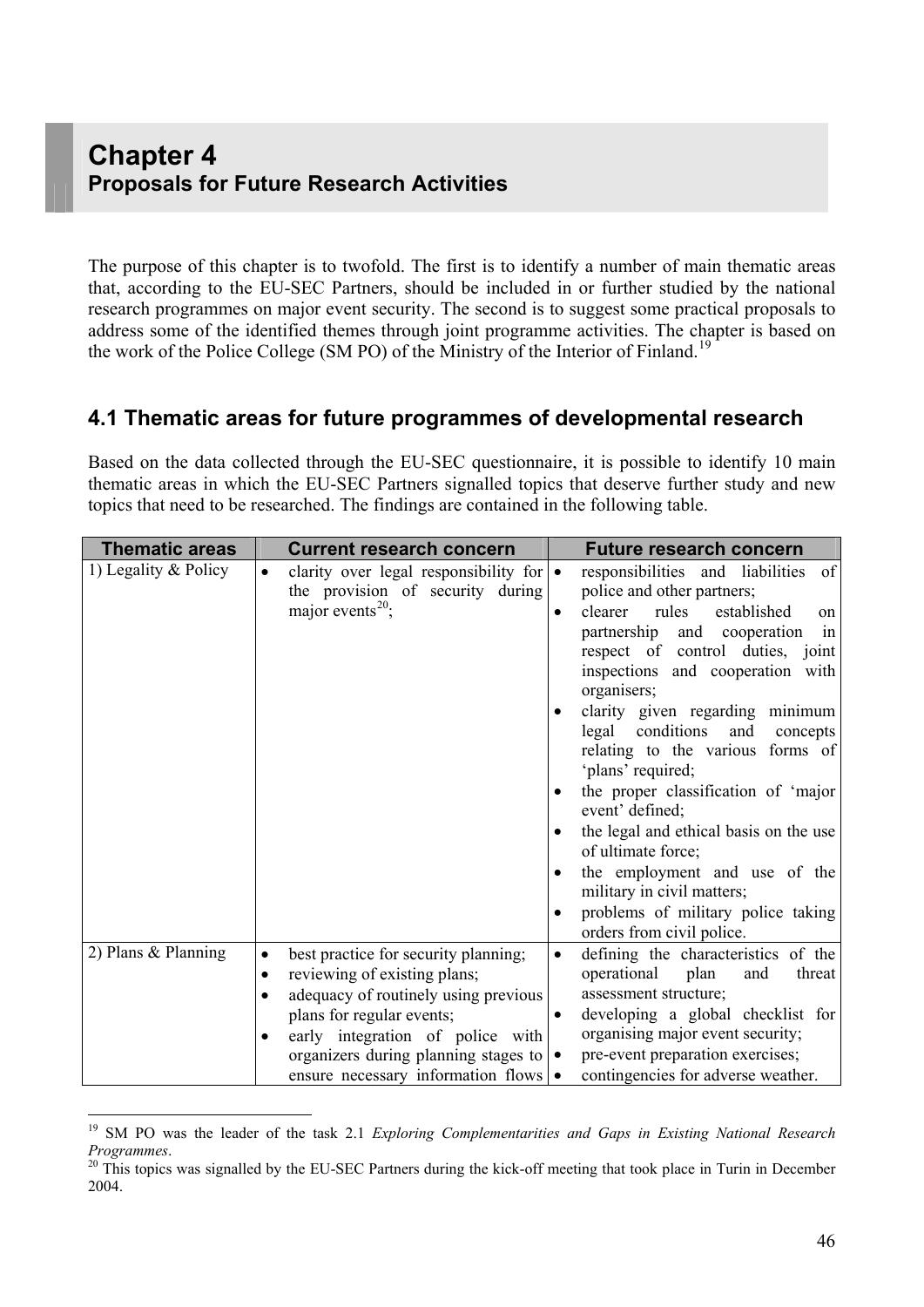# **Chapter 4 Proposals for Future Research Activities**

The purpose of this chapter is to twofold. The first is to identify a number of main thematic areas that, according to the EU-SEC Partners, should be included in or further studied by the national research programmes on major event security. The second is to suggest some practical proposals to address some of the identified themes through joint programme activities. The chapter is based on the work of the Police College (SM PO) of the Ministry of the Interior of Finland.<sup>[1](#page-45-0)9</sup>

#### **4.1 Thematic areas for future programmes of developmental research**

Based on the data collected through the EU-SEC questionnaire, it is possible to identify 10 main thematic areas in which the EU-SEC Partners signalled topics that deserve further study and new topics that need to be researched. The findings are contained in the following table.

| <b>Thematic areas</b>  | <b>Current research concern</b>                                                                                                                                                                                                                                                | <b>Future research concern</b>                                                                                                                                                                                                                                                                                                                                                                                                                                                                                                                                                                                                                           |
|------------------------|--------------------------------------------------------------------------------------------------------------------------------------------------------------------------------------------------------------------------------------------------------------------------------|----------------------------------------------------------------------------------------------------------------------------------------------------------------------------------------------------------------------------------------------------------------------------------------------------------------------------------------------------------------------------------------------------------------------------------------------------------------------------------------------------------------------------------------------------------------------------------------------------------------------------------------------------------|
| 1) Legality $&$ Policy | clarity over legal responsibility for $\bullet$<br>$\bullet$<br>the provision of security during<br>major events <sup>20</sup> ;                                                                                                                                               | responsibilities and liabilities<br>of<br>police and other partners;<br>clearer<br>rules<br>established<br>on<br>partnership and cooperation<br>in<br>respect of control duties, joint<br>inspections and cooperation with<br>organisers;<br>clarity given regarding minimum<br>conditions<br>legal<br>and<br>concepts<br>relating to the various forms of<br>'plans' required;<br>the proper classification of 'major<br>$\bullet$<br>event' defined;<br>the legal and ethical basis on the use<br>of ultimate force;<br>the employment and use of the<br>military in civil matters;<br>problems of military police taking<br>orders from civil police. |
| 2) Plans & Planning    | best practice for security planning;<br>٠<br>reviewing of existing plans;<br>adequacy of routinely using previous<br>plans for regular events;<br>early integration of police with<br>organizers during planning stages to $\bullet$<br>ensure necessary information flows   • | defining the characteristics of the<br>$\bullet$<br>operational<br>plan<br>threat<br>and<br>assessment structure;<br>developing a global checklist for<br>organising major event security;<br>pre-event preparation exercises;<br>contingencies for adverse weather.                                                                                                                                                                                                                                                                                                                                                                                     |

<span id="page-45-0"></span><sup>19</sup> SM PO was the leader of the task 2.1 *Exploring Complementarities and Gaps in Existing National Research Programmes.*<br><sup>20</sup> This topics was signalled by the EU-SEC Partners during the kick-off meeting that took place in Turin in December

<span id="page-45-1"></span><sup>2004.</sup>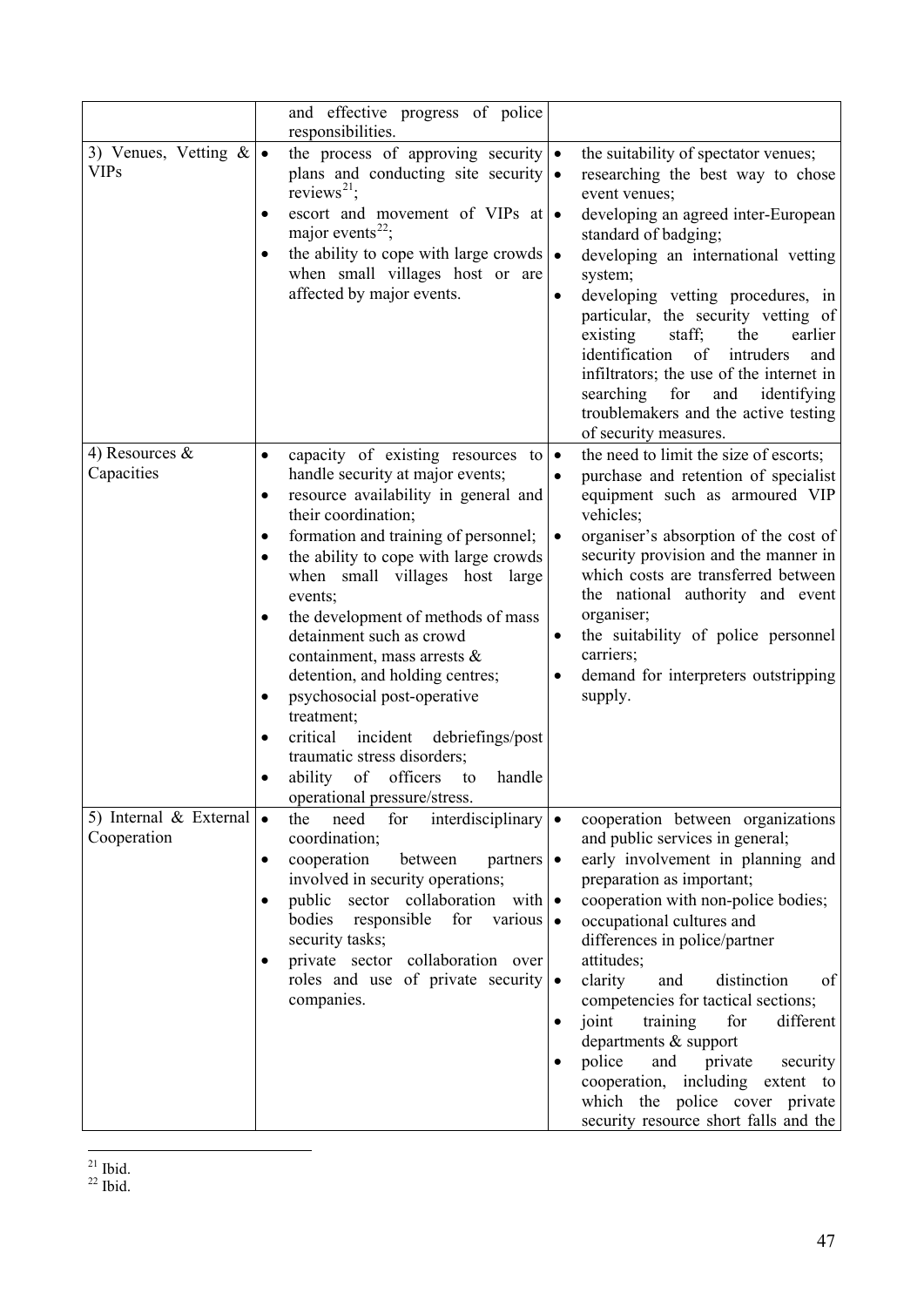<span id="page-46-1"></span><span id="page-46-0"></span>

|                                          |                                               | and effective progress of police<br>responsibilities.                                                                                                                                                                                                                                                                                                                                                                                                                                                                                                                                              |                        |                                                                                                                                                                                                                                                                                                                                                                                                                                                                                                                                                                  |
|------------------------------------------|-----------------------------------------------|----------------------------------------------------------------------------------------------------------------------------------------------------------------------------------------------------------------------------------------------------------------------------------------------------------------------------------------------------------------------------------------------------------------------------------------------------------------------------------------------------------------------------------------------------------------------------------------------------|------------------------|------------------------------------------------------------------------------------------------------------------------------------------------------------------------------------------------------------------------------------------------------------------------------------------------------------------------------------------------------------------------------------------------------------------------------------------------------------------------------------------------------------------------------------------------------------------|
| 3) Venues, Vetting $\&$<br><b>VIPs</b>   | $\bullet$<br>$\bullet$                        | the process of approving security<br>plans and conducting site security $\bullet$<br>reviews <sup>21</sup> ;<br>escort and movement of VIPs at $\bullet$<br>major events <sup>22</sup> ;<br>the ability to cope with large crowds $\cdot$<br>when small villages host or are<br>affected by major events.                                                                                                                                                                                                                                                                                          |                        | the suitability of spectator venues;<br>researching the best way to chose<br>event venues;<br>developing an agreed inter-European<br>standard of badging;<br>developing an international vetting<br>system;<br>developing vetting procedures, in<br>particular, the security vetting of<br>staff;<br>earlier<br>existing<br>the<br>identification of<br>intruders<br>and<br>infiltrators; the use of the internet in<br>searching for<br>and<br>identifying<br>troublemakers and the active testing<br>of security measures.                                     |
| 4) Resources $\&$<br>Capacities          | $\bullet$<br>$\bullet$<br>٠<br>٠<br>$\bullet$ | capacity of existing resources to<br>handle security at major events;<br>resource availability in general and<br>their coordination;<br>formation and training of personnel;<br>the ability to cope with large crowds<br>when small villages host large<br>events;<br>the development of methods of mass<br>detainment such as crowd<br>containment, mass arrests &<br>detention, and holding centres;<br>psychosocial post-operative<br>treatment;<br>critical incident debriefings/post<br>traumatic stress disorders;<br>of officers<br>ability<br>to<br>handle<br>operational pressure/stress. | $\bullet$<br>$\bullet$ | the need to limit the size of escorts;<br>purchase and retention of specialist<br>equipment such as armoured VIP<br>vehicles;<br>organiser's absorption of the cost of<br>security provision and the manner in<br>which costs are transferred between<br>the national authority and event<br>organiser;<br>the suitability of police personnel<br>carriers;<br>demand for interpreters outstripping<br>supply.                                                                                                                                                   |
| 5) Internal $\&$ External<br>Cooperation | $\bullet$<br>$\bullet$<br>٠                   | the<br>need<br>for<br>interdisciplinary $\cdot$<br>coordination;<br>cooperation<br>between<br>$partners \mid \bullet$<br>involved in security operations;<br>public<br>sector collaboration with $\bullet$<br>bodies<br>responsible<br>for<br>various $\bullet$<br>security tasks;<br>private sector collaboration over<br>roles and use of private security<br>companies.                                                                                                                                                                                                                         | $\bullet$<br>$\bullet$ | cooperation between organizations<br>and public services in general;<br>early involvement in planning and<br>preparation as important;<br>cooperation with non-police bodies;<br>occupational cultures and<br>differences in police/partner<br>attitudes;<br>clarity<br>distinction<br>and<br>of<br>competencies for tactical sections;<br>joint<br>training<br>for<br>different<br>departments & support<br>police<br>and<br>private<br>security<br>cooperation, including extent to<br>which the police cover private<br>security resource short falls and the |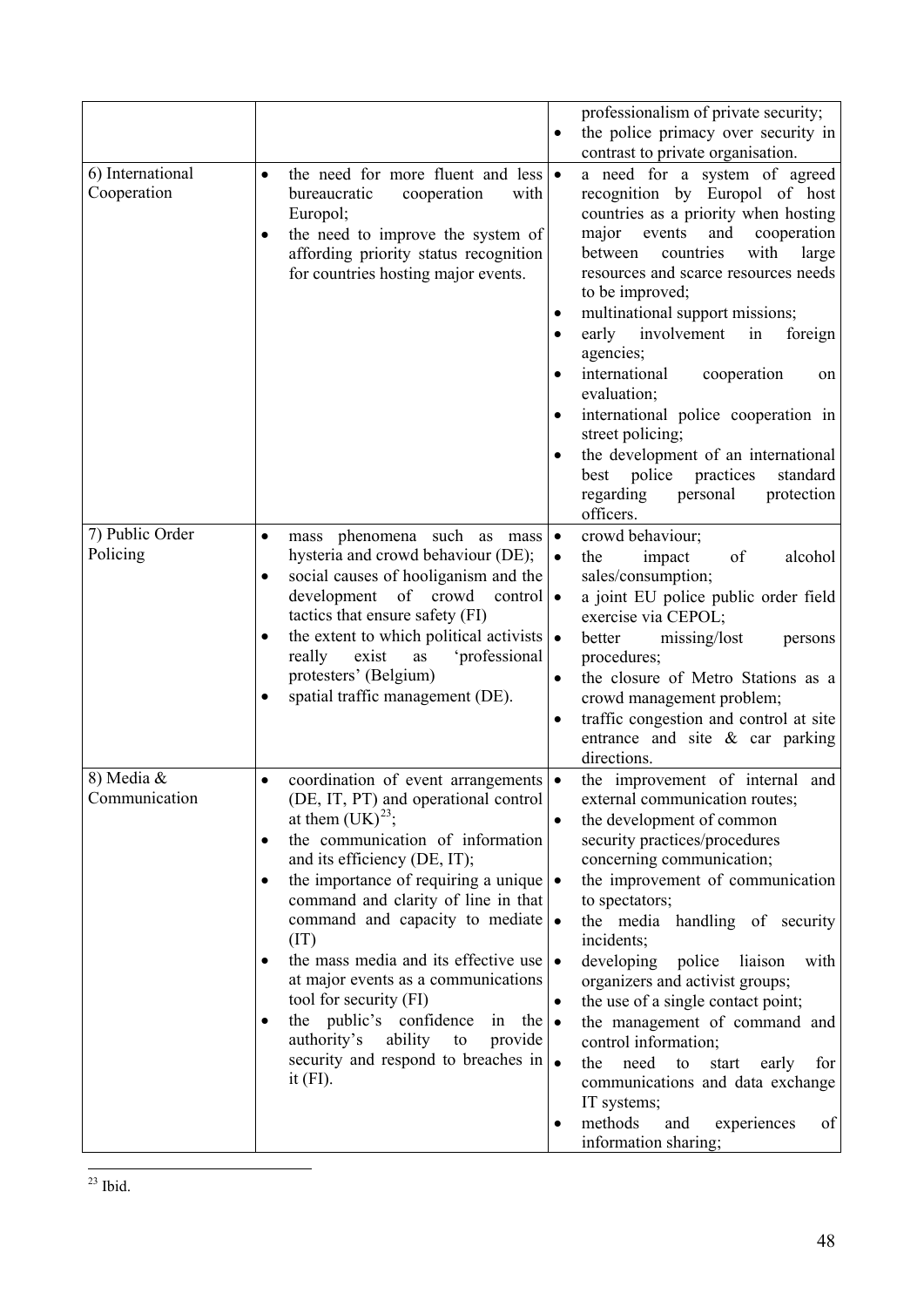<span id="page-47-0"></span>

|                                 |                                                                                                                                                                                                                                                                                                                                                                                                                                                                                                                                                                                                                                               | professionalism of private security;<br>the police primacy over security in                                                                                                                                                                                                                                                                                                                                                                                                                                                                                                                                                                                            |
|---------------------------------|-----------------------------------------------------------------------------------------------------------------------------------------------------------------------------------------------------------------------------------------------------------------------------------------------------------------------------------------------------------------------------------------------------------------------------------------------------------------------------------------------------------------------------------------------------------------------------------------------------------------------------------------------|------------------------------------------------------------------------------------------------------------------------------------------------------------------------------------------------------------------------------------------------------------------------------------------------------------------------------------------------------------------------------------------------------------------------------------------------------------------------------------------------------------------------------------------------------------------------------------------------------------------------------------------------------------------------|
| 6) International<br>Cooperation | the need for more fluent and less $\bullet$<br>$\bullet$<br>bureaucratic<br>cooperation<br>with<br>Europol;<br>the need to improve the system of<br>$\bullet$<br>affording priority status recognition<br>for countries hosting major events.                                                                                                                                                                                                                                                                                                                                                                                                 | contrast to private organisation.<br>a need for a system of agreed<br>recognition by Europol of host<br>countries as a priority when hosting<br>major events<br>and<br>cooperation<br>with<br>between<br>countries<br>large<br>resources and scarce resources needs<br>to be improved;<br>multinational support missions;<br>$\bullet$<br>early<br>involvement<br>in<br>foreign<br>$\bullet$<br>agencies;<br>international<br>cooperation<br>on<br>evaluation;<br>international police cooperation in<br>$\bullet$<br>street policing;<br>the development of an international<br>best police practices<br>standard<br>regarding<br>protection<br>personal<br>officers. |
| 7) Public Order<br>Policing     | mass phenomena such as mass<br>$\bullet$<br>hysteria and crowd behaviour (DE);<br>social causes of hooliganism and the<br>$\bullet$<br>of crowd<br>development<br>control<br>tactics that ensure safety (FI)<br>the extent to which political activists $\cdot$<br>$\bullet$<br>really<br>'professional<br>exist<br>as<br>protesters' (Belgium)<br>spatial traffic management (DE).                                                                                                                                                                                                                                                           | crowd behaviour;<br>$\bullet$<br>impact<br>of<br>alcohol<br>the<br>sales/consumption;<br>a joint EU police public order field<br>$\bullet$<br>exercise via CEPOL;<br>better<br>missing/lost<br>persons<br>procedures;<br>the closure of Metro Stations as a<br>$\bullet$<br>crowd management problem;<br>traffic congestion and control at site<br>$\bullet$<br>entrance and site $\&$ car parking<br>directions.                                                                                                                                                                                                                                                      |
| 8) Media &<br>Communication     | coordination of event arrangements<br>$\bullet$<br>(DE, IT, PT) and operational control<br>at them $(UK)^{23}$ ;<br>the communication of information<br>٠<br>and its efficiency (DE, IT);<br>the importance of requiring a unique $\cdot$<br>$\bullet$<br>command and clarity of line in that<br>command and capacity to mediate •<br>(IT)<br>the mass media and its effective use<br>$\bullet$<br>at major events as a communications<br>tool for security (FI)<br>public's confidence<br>the<br>the $\bullet$<br>in<br>$\bullet$<br>authority's<br>ability<br>to<br>provide<br>security and respond to breaches in $\bullet$<br>it $(FI)$ . | the improvement of internal and<br>external communication routes;<br>the development of common<br>security practices/procedures<br>concerning communication;<br>the improvement of communication<br>to spectators;<br>the media handling of security<br>incidents;<br>developing<br>police<br>liaison<br>with<br>$\bullet$<br>organizers and activist groups;<br>the use of a single contact point;<br>$\bullet$<br>the management of command and<br>control information;<br>the<br>need<br>to<br>for<br>start<br>early<br>communications and data exchange<br>IT systems;<br>methods<br>of<br>and<br>experiences<br>$\bullet$<br>information sharing;                 |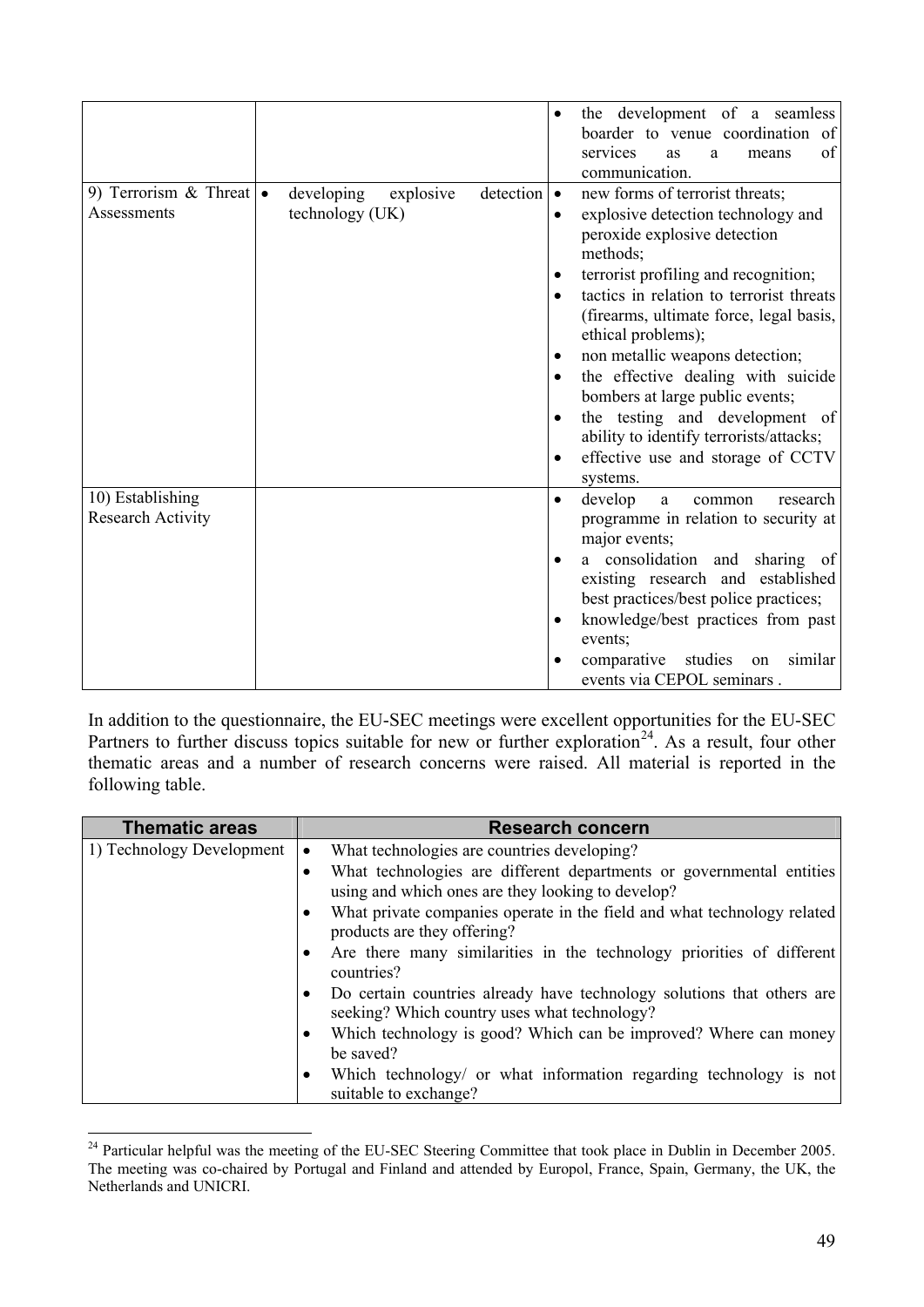|                                                |                                                         | the development of a seamless<br>$\bullet$<br>boarder to venue coordination of<br>services<br>of<br>as<br>means<br>a<br>communication.                                                                                                                                                                                                                                                                                                                                                                                                                               |
|------------------------------------------------|---------------------------------------------------------|----------------------------------------------------------------------------------------------------------------------------------------------------------------------------------------------------------------------------------------------------------------------------------------------------------------------------------------------------------------------------------------------------------------------------------------------------------------------------------------------------------------------------------------------------------------------|
| 9) Terrorism & Threat $\bullet$<br>Assessments | detection<br>developing<br>explosive<br>technology (UK) | new forms of terrorist threats;<br>$\bullet$<br>explosive detection technology and<br>peroxide explosive detection<br>methods;<br>terrorist profiling and recognition;<br>$\bullet$<br>tactics in relation to terrorist threats<br>(firearms, ultimate force, legal basis,<br>ethical problems);<br>non metallic weapons detection;<br>$\bullet$<br>the effective dealing with suicide<br>bombers at large public events;<br>the testing and development of<br>$\bullet$<br>ability to identify terrorists/attacks;<br>effective use and storage of CCTV<br>systems. |
| 10) Establishing<br><b>Research Activity</b>   |                                                         | develop<br>research<br>a<br>common<br>$\bullet$<br>programme in relation to security at<br>major events;<br>a consolidation and sharing of<br>$\bullet$<br>existing research and established<br>best practices/best police practices;<br>knowledge/best practices from past<br>events;<br>similar<br>comparative<br>studies<br>on<br>events via CEPOL seminars.                                                                                                                                                                                                      |

In addition to the questionnaire, the EU-SEC meetings were excellent opportunities for the EU-SEC Partners to further discuss topics suitable for new or further exploration<sup>[2](#page-48-0)4</sup>. As a result, four other thematic areas and a number of research concerns were raised. All material is reported in the following table.

| <b>Thematic areas</b>     | <b>Research concern</b>                                                                                                   |
|---------------------------|---------------------------------------------------------------------------------------------------------------------------|
| 1) Technology Development | What technologies are countries developing?<br>$\bullet$                                                                  |
|                           | What technologies are different departments or governmental entities<br>using and which ones are they looking to develop? |
|                           | What private companies operate in the field and what technology related<br>products are they offering?                    |
|                           | Are there many similarities in the technology priorities of different<br>countries?                                       |
|                           | Do certain countries already have technology solutions that others are<br>seeking? Which country uses what technology?    |
|                           | Which technology is good? Which can be improved? Where can money<br>be saved?                                             |
|                           | Which technology/ or what information regarding technology is not<br>suitable to exchange?                                |

<span id="page-48-0"></span><sup>&</sup>lt;sup>24</sup> Particular helpful was the meeting of the EU-SEC Steering Committee that took place in Dublin in December 2005. The meeting was co-chaired by Portugal and Finland and attended by Europol, France, Spain, Germany, the UK, the Netherlands and UNICRI.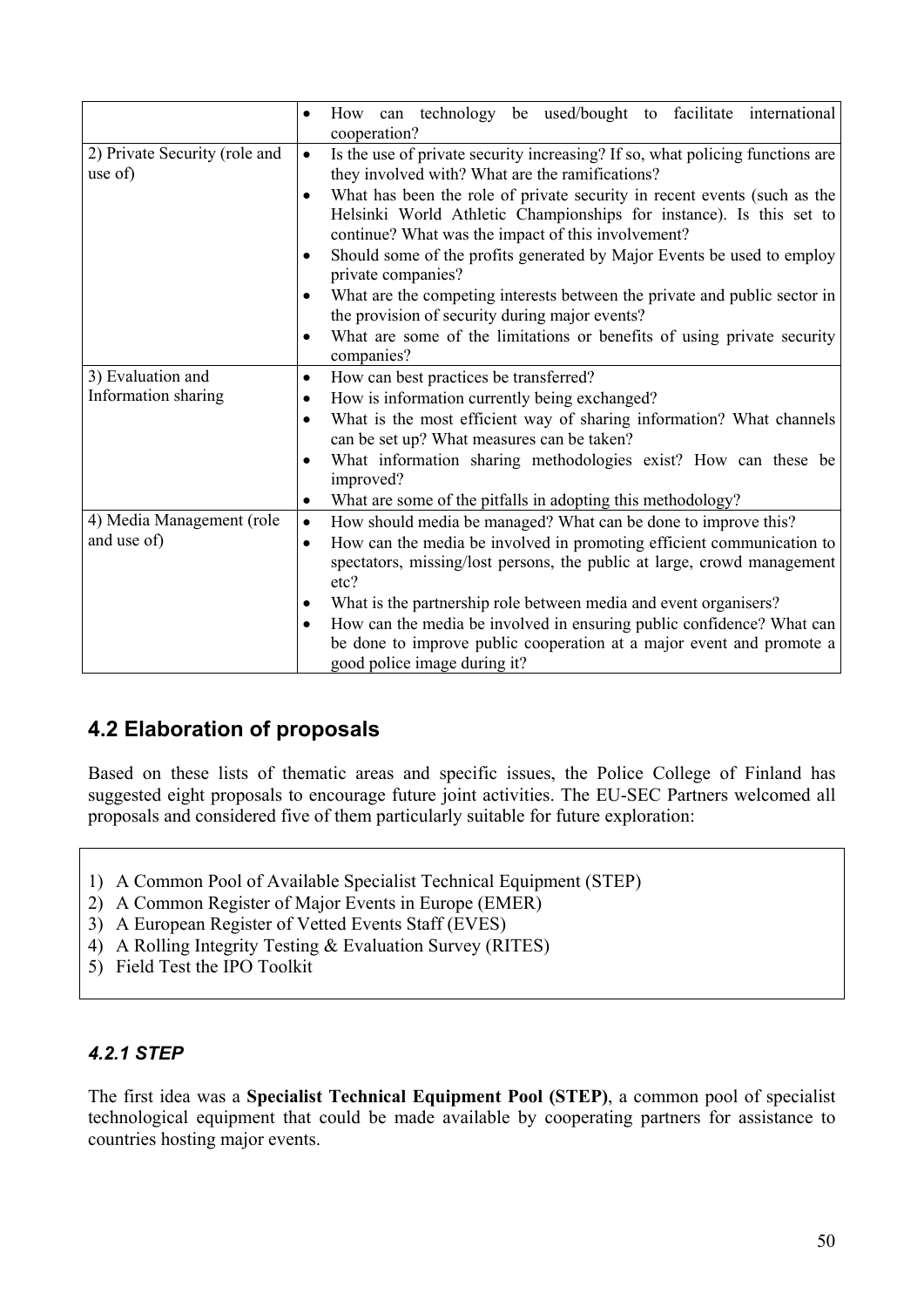|                                          | How can technology be used/bought to facilitate international<br>$\bullet$<br>cooperation?                                                                                                                                                                                                                                                                                                                                                                                                                                                                                                                                                                                                                           |
|------------------------------------------|----------------------------------------------------------------------------------------------------------------------------------------------------------------------------------------------------------------------------------------------------------------------------------------------------------------------------------------------------------------------------------------------------------------------------------------------------------------------------------------------------------------------------------------------------------------------------------------------------------------------------------------------------------------------------------------------------------------------|
| 2) Private Security (role and<br>use of) | Is the use of private security increasing? If so, what policing functions are<br>$\bullet$<br>they involved with? What are the ramifications?<br>What has been the role of private security in recent events (such as the<br>$\bullet$<br>Helsinki World Athletic Championships for instance). Is this set to<br>continue? What was the impact of this involvement?<br>Should some of the profits generated by Major Events be used to employ<br>private companies?<br>What are the competing interests between the private and public sector in<br>$\bullet$<br>the provision of security during major events?<br>What are some of the limitations or benefits of using private security<br>$\bullet$<br>companies? |
| 3) Evaluation and<br>Information sharing | How can best practices be transferred?<br>$\bullet$<br>How is information currently being exchanged?<br>What is the most efficient way of sharing information? What channels<br>$\bullet$<br>can be set up? What measures can be taken?<br>What information sharing methodologies exist? How can these be<br>improved?<br>What are some of the pitfalls in adopting this methodology?<br>٠                                                                                                                                                                                                                                                                                                                           |
| 4) Media Management (role<br>and use of) | How should media be managed? What can be done to improve this?<br>$\bullet$<br>How can the media be involved in promoting efficient communication to<br>$\bullet$<br>spectators, missing/lost persons, the public at large, crowd management<br>etc?<br>What is the partnership role between media and event organisers?<br>٠<br>How can the media be involved in ensuring public confidence? What can<br>٠<br>be done to improve public cooperation at a major event and promote a<br>good police image during it?                                                                                                                                                                                                  |

### **4.2 Elaboration of proposals**

Based on these lists of thematic areas and specific issues, the Police College of Finland has suggested eight proposals to encourage future joint activities. The EU-SEC Partners welcomed all proposals and considered five of them particularly suitable for future exploration:

- 1) A Common Pool of Available Specialist Technical Equipment (STEP)
- 2) A Common Register of Major Events in Europe (EMER)
- 3) A European Register of Vetted Events Staff (EVES)
- 4) A Rolling Integrity Testing & Evaluation Survey (RITES)
- 5) Field Test the IPO Toolkit

#### *4.2.1 STEP*

The first idea was a **Specialist Technical Equipment Pool (STEP)**, a common pool of specialist technological equipment that could be made available by cooperating partners for assistance to countries hosting major events.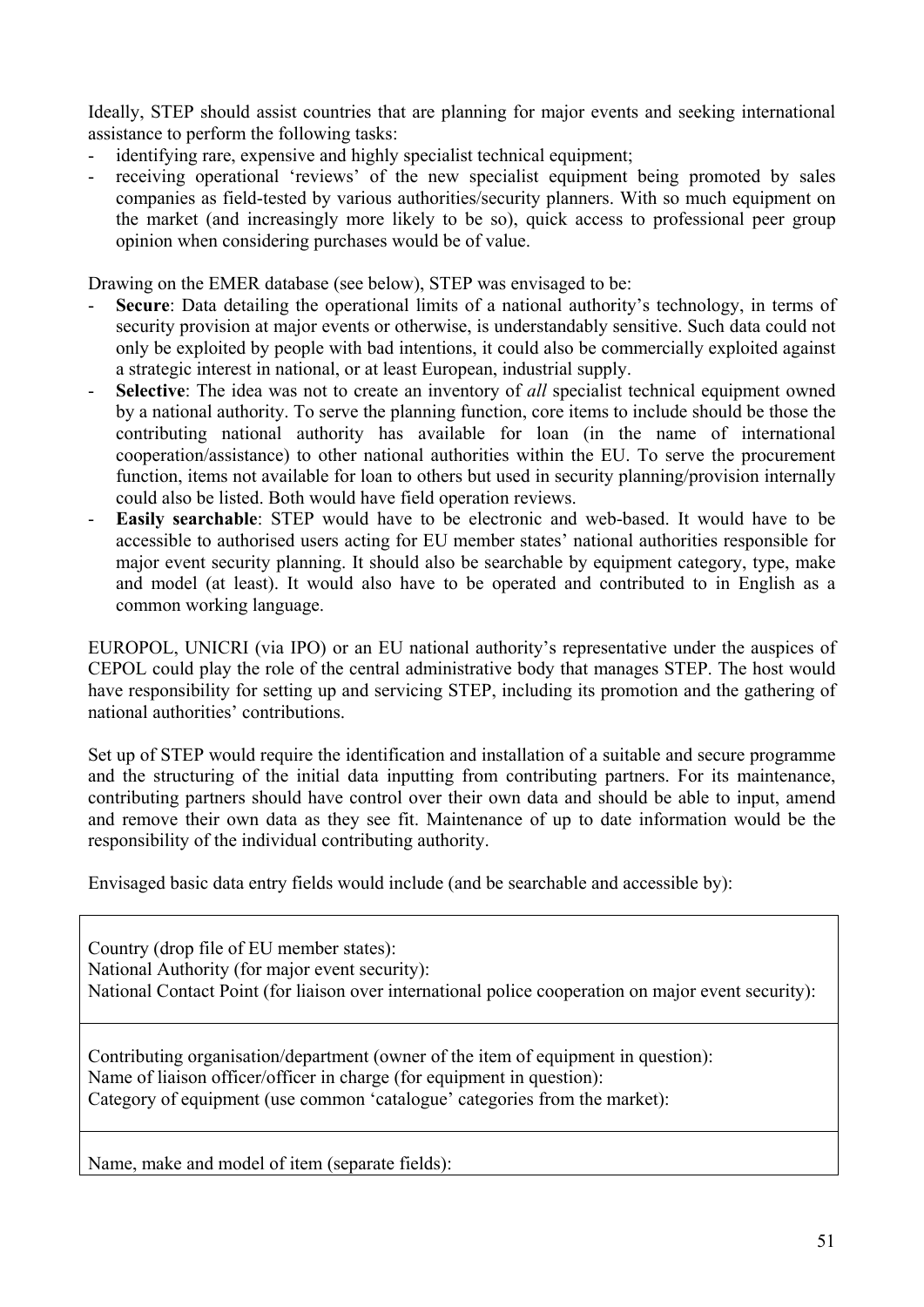Ideally, STEP should assist countries that are planning for major events and seeking international assistance to perform the following tasks:

- identifying rare, expensive and highly specialist technical equipment;
- receiving operational 'reviews' of the new specialist equipment being promoted by sales companies as field-tested by various authorities/security planners. With so much equipment on the market (and increasingly more likely to be so), quick access to professional peer group opinion when considering purchases would be of value.

Drawing on the EMER database (see below), STEP was envisaged to be:

- Secure: Data detailing the operational limits of a national authority's technology, in terms of security provision at major events or otherwise, is understandably sensitive. Such data could not only be exploited by people with bad intentions, it could also be commercially exploited against a strategic interest in national, or at least European, industrial supply.
- Selective: The idea was not to create an inventory of *all* specialist technical equipment owned by a national authority. To serve the planning function, core items to include should be those the contributing national authority has available for loan (in the name of international cooperation/assistance) to other national authorities within the EU. To serve the procurement function, items not available for loan to others but used in security planning/provision internally could also be listed. Both would have field operation reviews.
- **Easily searchable**: STEP would have to be electronic and web-based. It would have to be accessible to authorised users acting for EU member states' national authorities responsible for major event security planning. It should also be searchable by equipment category, type, make and model (at least). It would also have to be operated and contributed to in English as a common working language.

EUROPOL, UNICRI (via IPO) or an EU national authority's representative under the auspices of CEPOL could play the role of the central administrative body that manages STEP. The host would have responsibility for setting up and servicing STEP, including its promotion and the gathering of national authorities' contributions.

Set up of STEP would require the identification and installation of a suitable and secure programme and the structuring of the initial data inputting from contributing partners. For its maintenance, contributing partners should have control over their own data and should be able to input, amend and remove their own data as they see fit. Maintenance of up to date information would be the responsibility of the individual contributing authority.

Envisaged basic data entry fields would include (and be searchable and accessible by):

Country (drop file of EU member states): National Authority (for major event security): National Contact Point (for liaison over international police cooperation on major event security):

Contributing organisation/department (owner of the item of equipment in question): Name of liaison officer/officer in charge (for equipment in question): Category of equipment (use common 'catalogue' categories from the market):

Name, make and model of item (separate fields):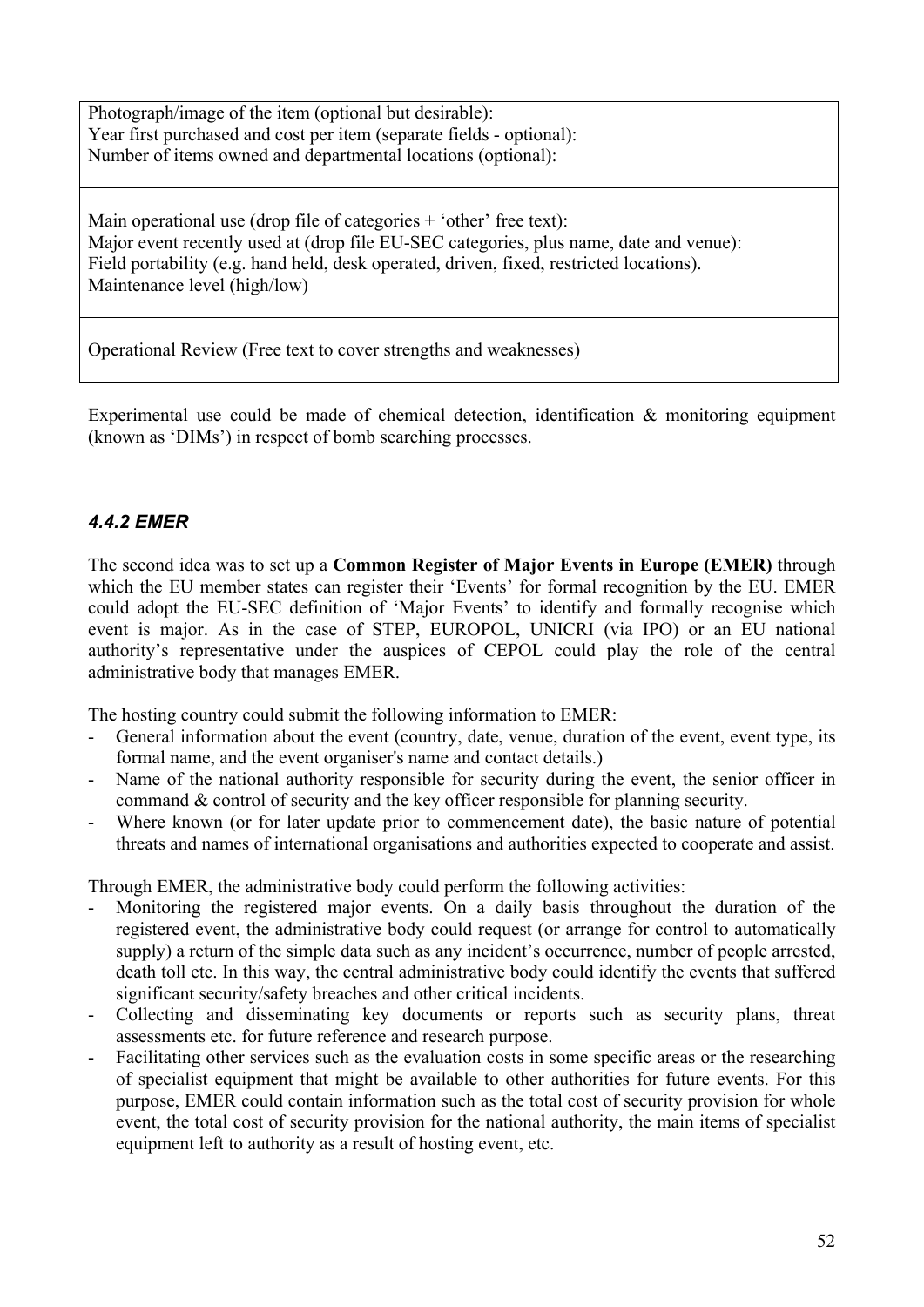Photograph/image of the item (optional but desirable): Year first purchased and cost per item (separate fields - optional): Number of items owned and departmental locations (optional):

Main operational use (drop file of categories  $+$  'other' free text): Major event recently used at (drop file EU-SEC categories, plus name, date and venue): Field portability (e.g. hand held, desk operated, driven, fixed, restricted locations). Maintenance level (high/low)

Operational Review (Free text to cover strengths and weaknesses)

Experimental use could be made of chemical detection, identification & monitoring equipment (known as 'DIMs') in respect of bomb searching processes.

#### *4.4.2 EMER*

The second idea was to set up a **Common Register of Major Events in Europe (EMER)** through which the EU member states can register their 'Events' for formal recognition by the EU. EMER could adopt the EU-SEC definition of 'Major Events' to identify and formally recognise which event is major. As in the case of STEP, EUROPOL, UNICRI (via IPO) or an EU national authority's representative under the auspices of CEPOL could play the role of the central administrative body that manages EMER.

The hosting country could submit the following information to EMER:

- General information about the event (country, date, venue, duration of the event, event type, its formal name, and the event organiser's name and contact details.)
- Name of the national authority responsible for security during the event, the senior officer in command & control of security and the key officer responsible for planning security.
- Where known (or for later update prior to commencement date), the basic nature of potential threats and names of international organisations and authorities expected to cooperate and assist.

Through EMER, the administrative body could perform the following activities:

- Monitoring the registered major events. On a daily basis throughout the duration of the registered event, the administrative body could request (or arrange for control to automatically supply) a return of the simple data such as any incident's occurrence, number of people arrested, death toll etc. In this way, the central administrative body could identify the events that suffered significant security/safety breaches and other critical incidents.
- Collecting and disseminating key documents or reports such as security plans, threat assessments etc. for future reference and research purpose.
- Facilitating other services such as the evaluation costs in some specific areas or the researching of specialist equipment that might be available to other authorities for future events. For this purpose, EMER could contain information such as the total cost of security provision for whole event, the total cost of security provision for the national authority, the main items of specialist equipment left to authority as a result of hosting event, etc.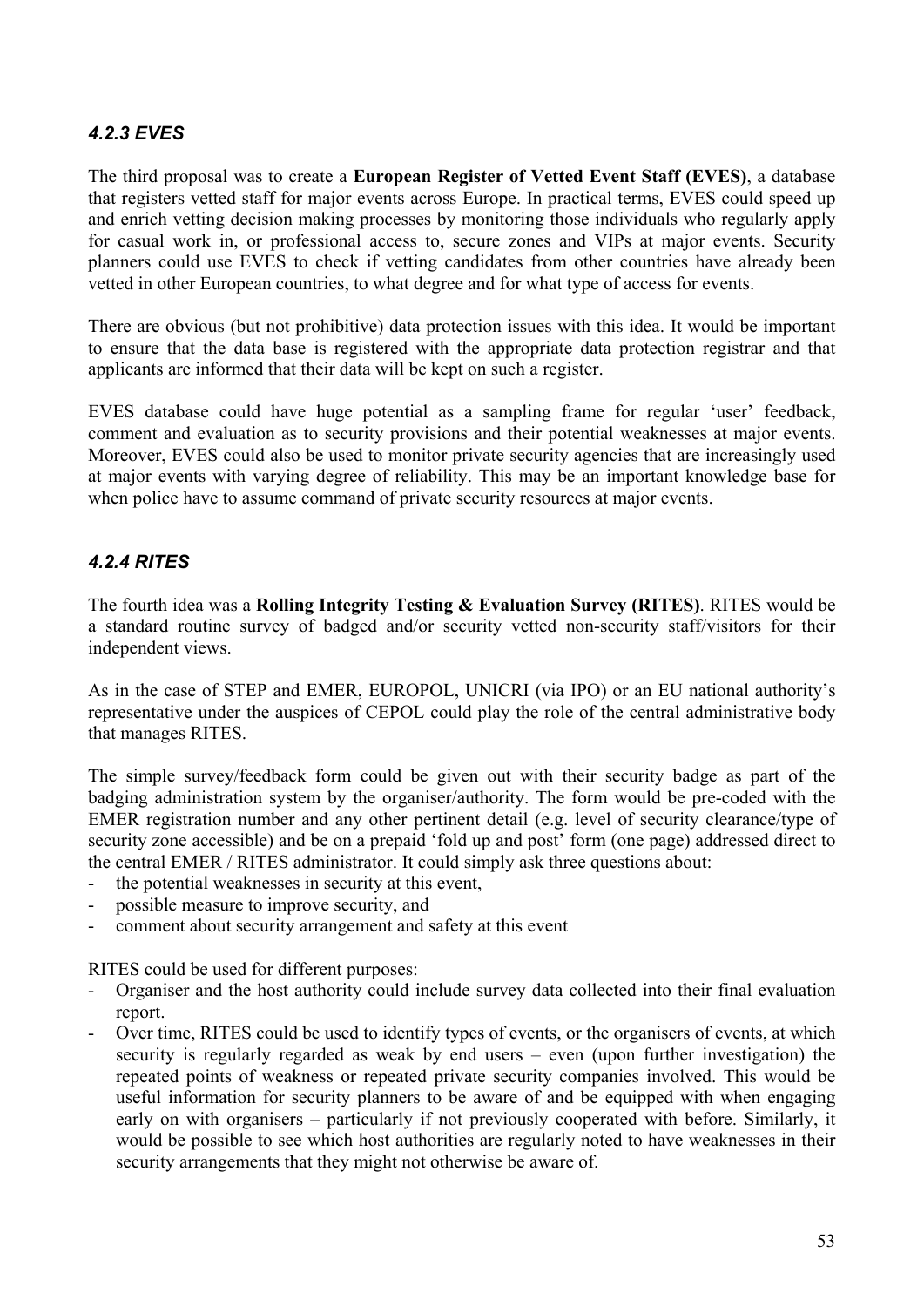#### *4.2.3 EVES*

The third proposal was to create a **European Register of Vetted Event Staff (EVES)**, a database that registers vetted staff for major events across Europe. In practical terms, EVES could speed up and enrich vetting decision making processes by monitoring those individuals who regularly apply for casual work in, or professional access to, secure zones and VIPs at major events. Security planners could use EVES to check if vetting candidates from other countries have already been vetted in other European countries, to what degree and for what type of access for events.

There are obvious (but not prohibitive) data protection issues with this idea. It would be important to ensure that the data base is registered with the appropriate data protection registrar and that applicants are informed that their data will be kept on such a register.

EVES database could have huge potential as a sampling frame for regular 'user' feedback, comment and evaluation as to security provisions and their potential weaknesses at major events. Moreover, EVES could also be used to monitor private security agencies that are increasingly used at major events with varying degree of reliability. This may be an important knowledge base for when police have to assume command of private security resources at major events.

#### *4.2.4 RITES*

The fourth idea was a **Rolling Integrity Testing & Evaluation Survey (RITES)**. RITES would be a standard routine survey of badged and/or security vetted non-security staff/visitors for their independent views.

As in the case of STEP and EMER, EUROPOL, UNICRI (via IPO) or an EU national authority's representative under the auspices of CEPOL could play the role of the central administrative body that manages RITES.

The simple survey/feedback form could be given out with their security badge as part of the badging administration system by the organiser/authority. The form would be pre-coded with the EMER registration number and any other pertinent detail (e.g. level of security clearance/type of security zone accessible) and be on a prepaid 'fold up and post' form (one page) addressed direct to the central EMER / RITES administrator. It could simply ask three questions about:

- the potential weaknesses in security at this event,
- possible measure to improve security, and
- comment about security arrangement and safety at this event

RITES could be used for different purposes:

- Organiser and the host authority could include survey data collected into their final evaluation report.
- Over time, RITES could be used to identify types of events, or the organisers of events, at which security is regularly regarded as weak by end users – even (upon further investigation) the repeated points of weakness or repeated private security companies involved. This would be useful information for security planners to be aware of and be equipped with when engaging early on with organisers – particularly if not previously cooperated with before. Similarly, it would be possible to see which host authorities are regularly noted to have weaknesses in their security arrangements that they might not otherwise be aware of.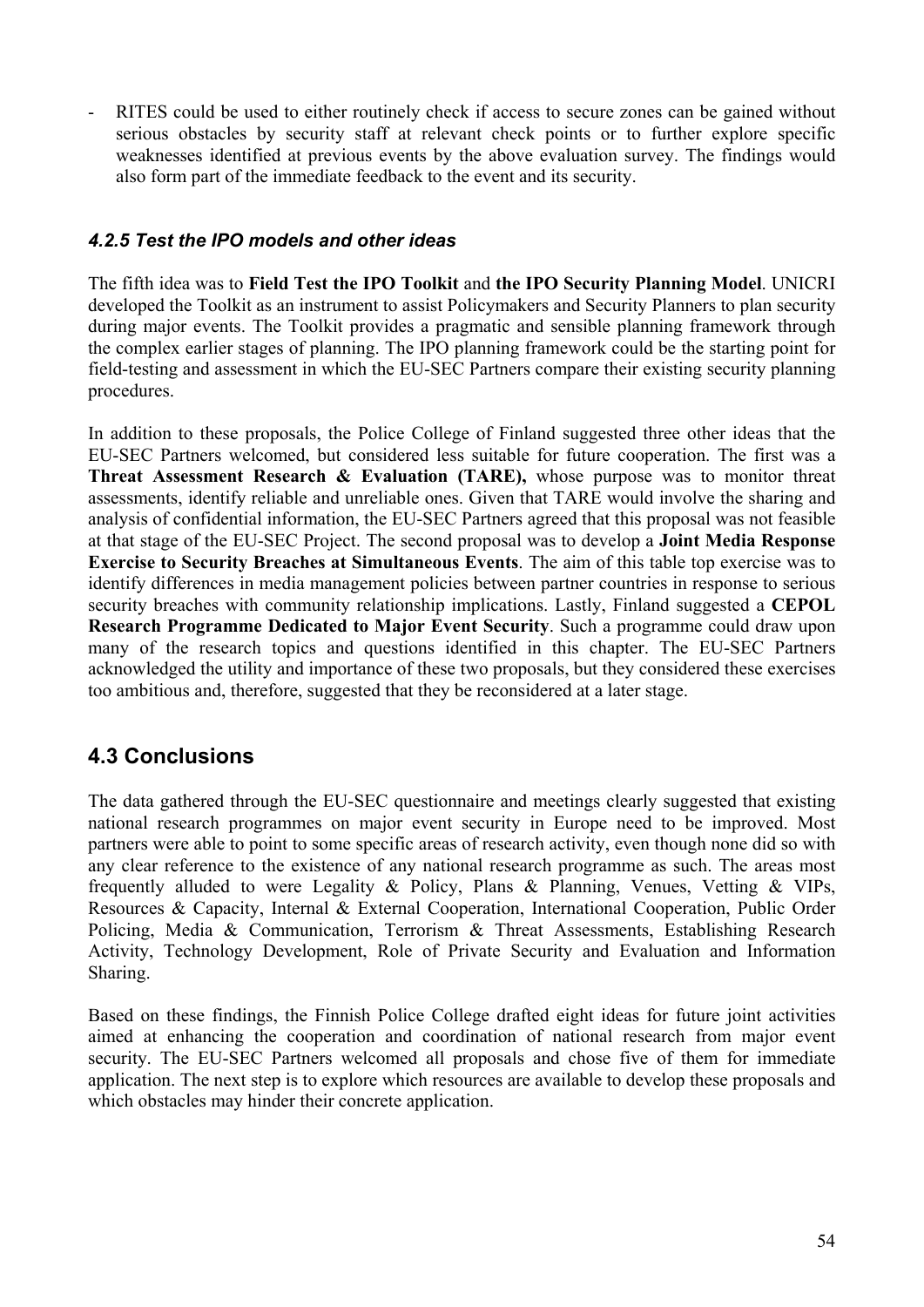RITES could be used to either routinely check if access to secure zones can be gained without serious obstacles by security staff at relevant check points or to further explore specific weaknesses identified at previous events by the above evaluation survey. The findings would also form part of the immediate feedback to the event and its security.

#### *4.2.5 Test the IPO models and other ideas*

The fifth idea was to **Field Test the IPO Toolkit** and **the IPO Security Planning Model**. UNICRI developed the Toolkit as an instrument to assist Policymakers and Security Planners to plan security during major events. The Toolkit provides a pragmatic and sensible planning framework through the complex earlier stages of planning. The IPO planning framework could be the starting point for field-testing and assessment in which the EU-SEC Partners compare their existing security planning procedures.

In addition to these proposals, the Police College of Finland suggested three other ideas that the EU-SEC Partners welcomed, but considered less suitable for future cooperation. The first was a **Threat Assessment Research & Evaluation (TARE),** whose purpose was to monitor threat assessments, identify reliable and unreliable ones. Given that TARE would involve the sharing and analysis of confidential information, the EU-SEC Partners agreed that this proposal was not feasible at that stage of the EU-SEC Project. The second proposal was to develop a **Joint Media Response Exercise to Security Breaches at Simultaneous Events**. The aim of this table top exercise was to identify differences in media management policies between partner countries in response to serious security breaches with community relationship implications. Lastly, Finland suggested a **CEPOL Research Programme Dedicated to Major Event Security**. Such a programme could draw upon many of the research topics and questions identified in this chapter. The EU-SEC Partners acknowledged the utility and importance of these two proposals, but they considered these exercises too ambitious and, therefore, suggested that they be reconsidered at a later stage.

## **4.3 Conclusions**

The data gathered through the EU-SEC questionnaire and meetings clearly suggested that existing national research programmes on major event security in Europe need to be improved. Most partners were able to point to some specific areas of research activity, even though none did so with any clear reference to the existence of any national research programme as such. The areas most frequently alluded to were Legality & Policy, Plans & Planning, Venues, Vetting & VIPs, Resources & Capacity, Internal & External Cooperation, International Cooperation, Public Order Policing, Media & Communication, Terrorism & Threat Assessments, Establishing Research Activity, Technology Development, Role of Private Security and Evaluation and Information Sharing.

Based on these findings, the Finnish Police College drafted eight ideas for future joint activities aimed at enhancing the cooperation and coordination of national research from major event security. The EU-SEC Partners welcomed all proposals and chose five of them for immediate application. The next step is to explore which resources are available to develop these proposals and which obstacles may hinder their concrete application.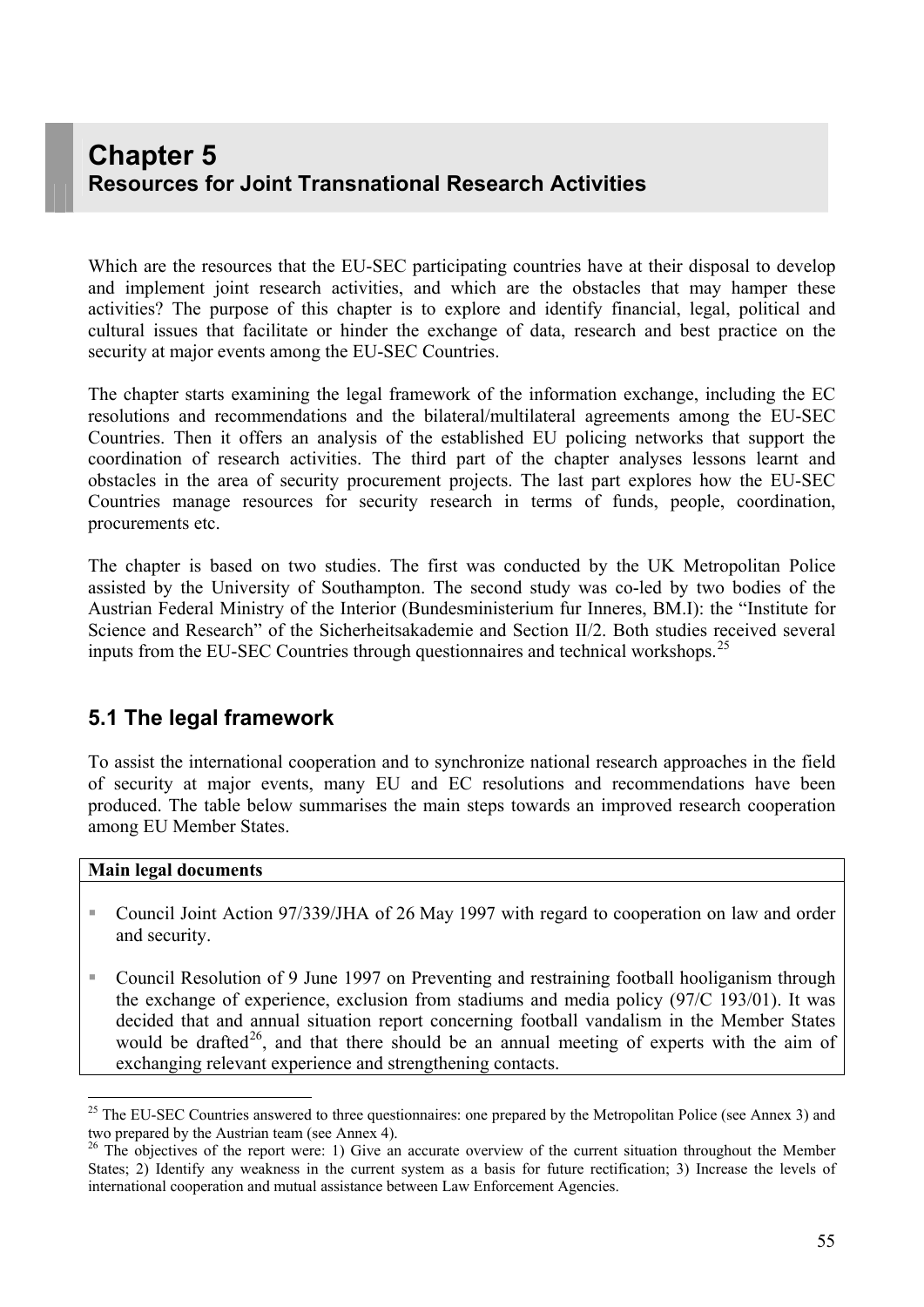# **Chapter 5 Resources for Joint Transnational Research Activities**

Which are the resources that the EU-SEC participating countries have at their disposal to develop and implement joint research activities, and which are the obstacles that may hamper these activities? The purpose of this chapter is to explore and identify financial, legal, political and cultural issues that facilitate or hinder the exchange of data, research and best practice on the security at major events among the EU-SEC Countries.

The chapter starts examining the legal framework of the information exchange, including the EC resolutions and recommendations and the bilateral/multilateral agreements among the EU-SEC Countries. Then it offers an analysis of the established EU policing networks that support the coordination of research activities. The third part of the chapter analyses lessons learnt and obstacles in the area of security procurement projects. The last part explores how the EU-SEC Countries manage resources for security research in terms of funds, people, coordination, procurements etc.

The chapter is based on two studies. The first was conducted by the UK Metropolitan Police assisted by the University of Southampton. The second study was co-led by two bodies of the Austrian Federal Ministry of the Interior (Bundesministerium fur Inneres, BM.I): the "Institute for Science and Research" of the Sicherheitsakademie and Section II/2. Both studies received several inputs from the EU-SEC Countries through questionnaires and technical workshops.<sup>[2](#page-54-0)5</sup>

#### **5.1 The legal framework**

To assist the international cooperation and to synchronize national research approaches in the field of security at major events, many EU and EC resolutions and recommendations have been produced. The table below summarises the main steps towards an improved research cooperation among EU Member States.

#### **Main legal documents**

- Council Joint Action 97/339/JHA of 26 May 1997 with regard to cooperation on law and order and security.
- Council Resolution of 9 June 1997 on Preventing and restraining football hooliganism through the exchange of experience, exclusion from stadiums and media policy (97/C 193/01). It was decided that and annual situation report concerning football vandalism in the Member States would be drafted<sup>[2](#page-54-1)6</sup>, and that there should be an annual meeting of experts with the aim of exchanging relevant experience and strengthening contacts.

<span id="page-54-0"></span> $25$  The EU-SEC Countries answered to three questionnaires: one prepared by the Metropolitan Police (see Annex 3) and two prepared by the Austrian team (see Annex 4).

<span id="page-54-1"></span><sup>&</sup>lt;sup>26</sup> The objectives of the report were: 1) Give an accurate overview of the current situation throughout the Member States; 2) Identify any weakness in the current system as a basis for future rectification; 3) Increase the levels of international cooperation and mutual assistance between Law Enforcement Agencies.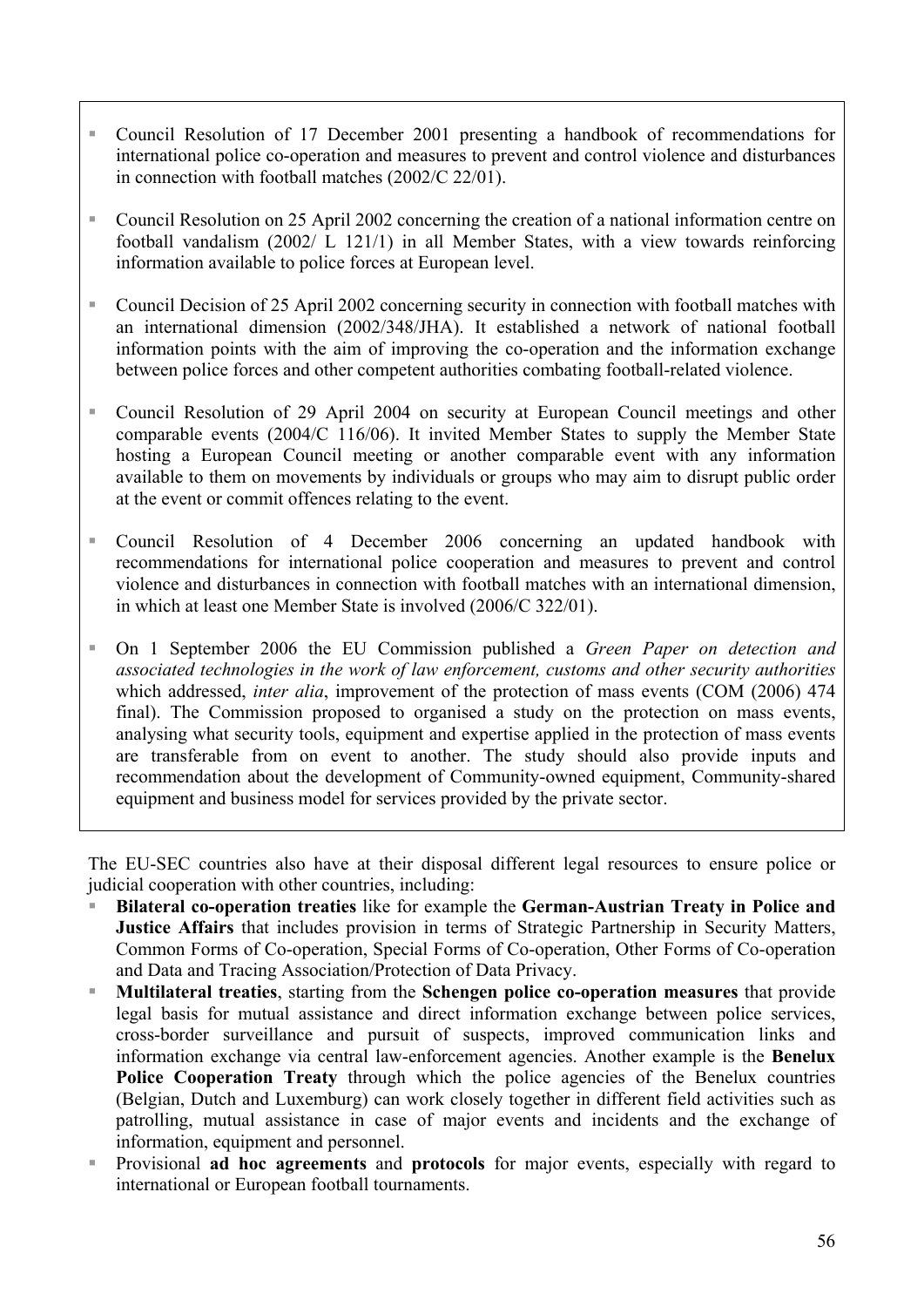- Council Resolution of 17 December 2001 presenting a handbook of recommendations for international police co-operation and measures to prevent and control violence and disturbances in connection with football matches (2002/C 22/01).
- Council Resolution on 25 April 2002 concerning the creation of a national information centre on football vandalism (2002/ L 121/1) in all Member States, with a view towards reinforcing information available to police forces at European level.
- Council Decision of 25 April 2002 concerning security in connection with football matches with an international dimension (2002/348/JHA). It established a network of national football information points with the aim of improving the co-operation and the information exchange between police forces and other competent authorities combating football-related violence.
- Council Resolution of 29 April 2004 on security at European Council meetings and other comparable events (2004/C 116/06). It invited Member States to supply the Member State hosting a European Council meeting or another comparable event with any information available to them on movements by individuals or groups who may aim to disrupt public order at the event or commit offences relating to the event.
- Council Resolution of 4 December 2006 concerning an updated handbook with recommendations for international police cooperation and measures to prevent and control violence and disturbances in connection with football matches with an international dimension, in which at least one Member State is involved (2006/C 322/01).
- On 1 September 2006 the EU Commission published a *Green Paper on detection and associated technologies in the work of law enforcement, customs and other security authorities* which addressed, *inter alia*, improvement of the protection of mass events (COM (2006) 474 final). The Commission proposed to organised a study on the protection on mass events, analysing what security tools, equipment and expertise applied in the protection of mass events are transferable from on event to another. The study should also provide inputs and recommendation about the development of Community-owned equipment, Community-shared equipment and business model for services provided by the private sector.

The EU-SEC countries also have at their disposal different legal resources to ensure police or judicial cooperation with other countries, including:

- **Bilateral co-operation treaties** like for example the **German-Austrian Treaty in Police and Justice Affairs** that includes provision in terms of Strategic Partnership in Security Matters, Common Forms of Co-operation, Special Forms of Co-operation, Other Forms of Co-operation and Data and Tracing Association/Protection of Data Privacy.
- **Multilateral treaties**, starting from the **Schengen police co-operation measures** that provide legal basis for mutual assistance and direct information exchange between police services, cross-border surveillance and pursuit of suspects, improved communication links and information exchange via central law-enforcement agencies. Another example is the **Benelux Police Cooperation Treaty** through which the police agencies of the Benelux countries (Belgian, Dutch and Luxemburg) can work closely together in different field activities such as patrolling, mutual assistance in case of major events and incidents and the exchange of information, equipment and personnel.
- Provisional **ad hoc agreements** and **protocols** for major events, especially with regard to international or European football tournaments.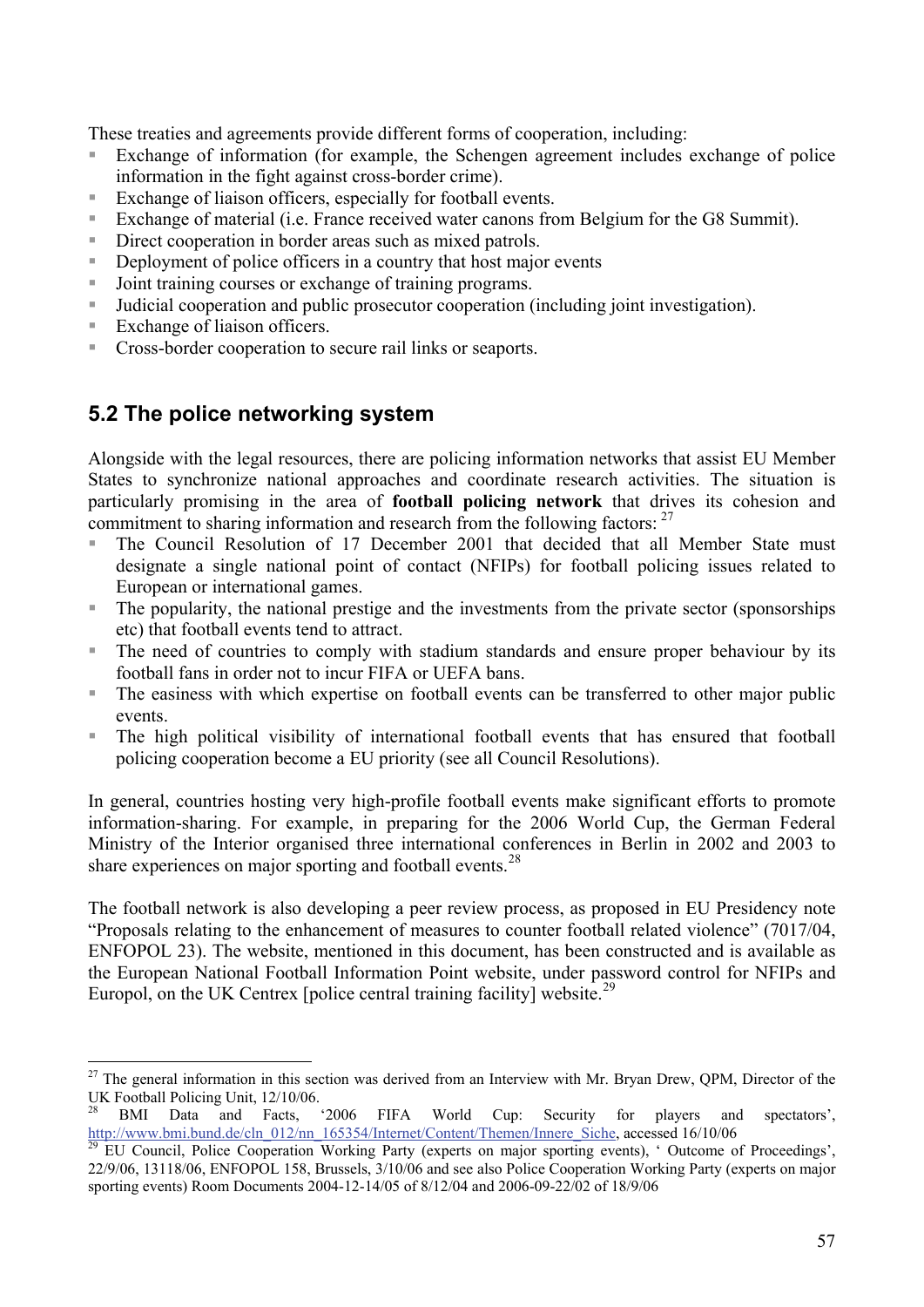These treaties and agreements provide different forms of cooperation, including:

- Exchange of information (for example, the Schengen agreement includes exchange of police information in the fight against cross-border crime).
- Exchange of liaison officers, especially for football events.
- Exchange of material (i.e. France received water canons from Belgium for the G8 Summit).
- Direct cooperation in border areas such as mixed patrols.
- Deployment of police officers in a country that host major events
- Joint training courses or exchange of training programs.
- Judicial cooperation and public prosecutor cooperation (including joint investigation).
- Exchange of liaison officers.
- **Cross-border cooperation to secure rail links or seaports.**

## **5.2 The police networking system**

Alongside with the legal resources, there are policing information networks that assist EU Member States to synchronize national approaches and coordinate research activities. The situation is particularly promising in the area of **football policing network** that drives its cohesion and commitment to sharing information and research from the following factors:  $27$  $27$ 

- The Council Resolution of 17 December 2001 that decided that all Member State must designate a single national point of contact (NFIPs) for football policing issues related to European or international games.
- The popularity, the national prestige and the investments from the private sector (sponsorships etc) that football events tend to attract.
- The need of countries to comply with stadium standards and ensure proper behaviour by its football fans in order not to incur FIFA or UEFA bans.
- The easiness with which expertise on football events can be transferred to other major public events.
- The high political visibility of international football events that has ensured that football policing cooperation become a EU priority (see all Council Resolutions).

In general, countries hosting very high-profile football events make significant efforts to promote information-sharing. For example, in preparing for the 2006 World Cup, the German Federal Ministry of the Interior organised three international conferences in Berlin in 2002 and 2003 to share experiences on major sporting and football events.<sup>[28](#page-56-1)</sup>

The football network is also developing a peer review process, as proposed in EU Presidency note "Proposals relating to the enhancement of measures to counter football related violence" (7017/04, ENFOPOL 23). The website, mentioned in this document, has been constructed and is available as the European National Football Information Point website, under password control for NFIPs and Europol, on the UK Centrex [police central training facility] website.<sup>[29](#page-56-2)</sup>

<span id="page-56-0"></span> $\overline{a}$  $27$  The general information in this section was derived from an Interview with Mr. Bryan Drew, QPM, Director of the UK Football Policing Unit, 12/10/06.

<span id="page-56-1"></span><sup>&</sup>lt;sup>28</sup> BMI Data and Facts, '2006 FIFA World Cup: Security for players and spectators', http://www.bm<u>i.bund.de/cln 012/nn 165354/Internet/Content/Themen/Innere Siche</u>, accessed 16/10/06

<span id="page-56-2"></span>EU Council, Police Cooperation Working Party (experts on major sporting events), ' Outcome of Proceedings', 22/9/06, 13118/06, ENFOPOL 158, Brussels, 3/10/06 and see also Police Cooperation Working Party (experts on major sporting events) Room Documents 2004-12-14/05 of 8/12/04 and 2006-09-22/02 of 18/9/06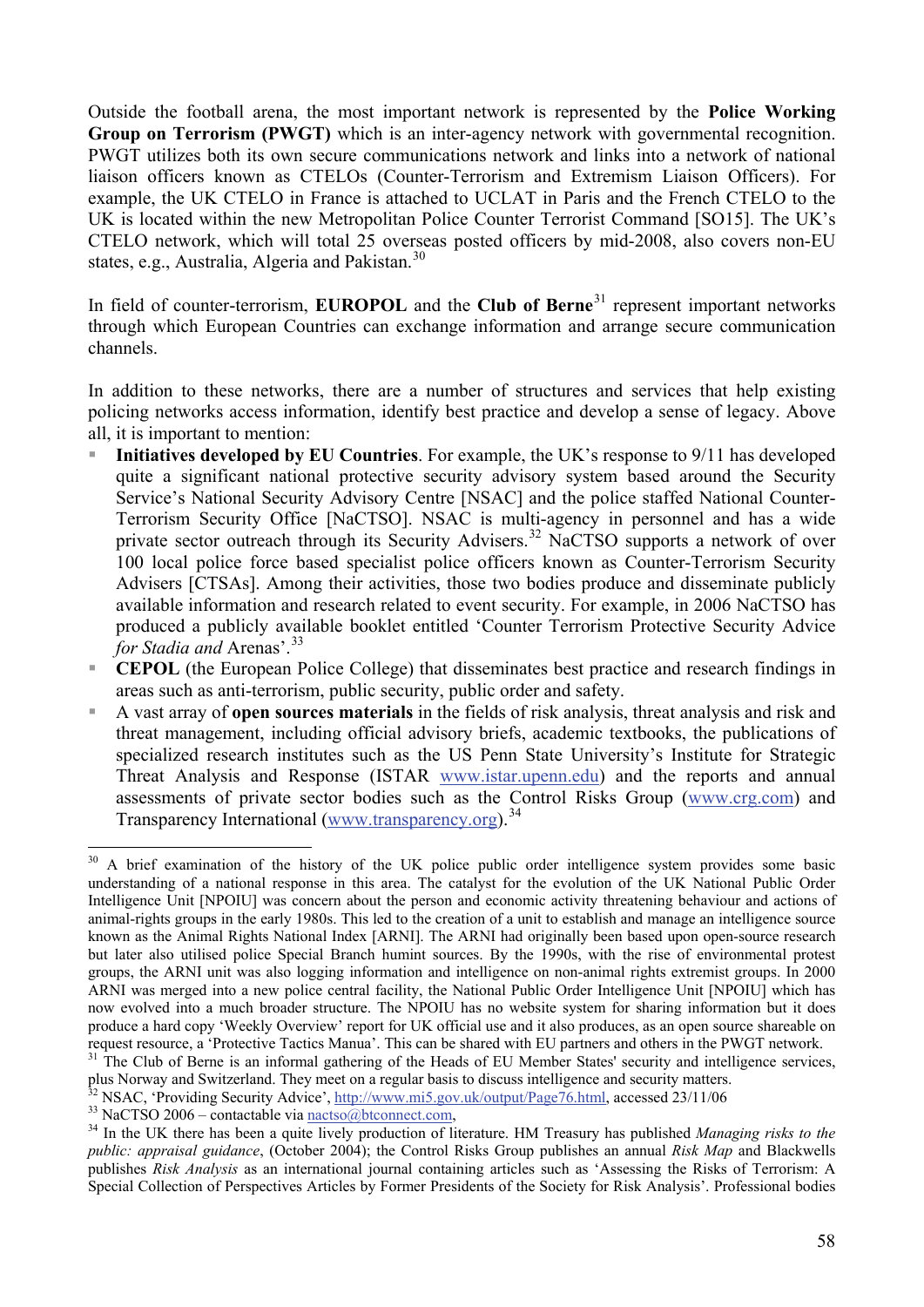Outside the football arena, the most important network is represented by the **Police Working Group on Terrorism (PWGT)** which is an inter-agency network with governmental recognition. PWGT utilizes both its own secure communications network and links into a network of national liaison officers known as CTELOs (Counter-Terrorism and Extremism Liaison Officers). For example, the UK CTELO in France is attached to UCLAT in Paris and the French CTELO to the UK is located within the new Metropolitan Police Counter Terrorist Command [SO15]. The UK's CTELO network, which will total 25 overseas posted officers by mid-2008, also covers non-EU states, e.g., Australia, Algeria and Pakistan. $30$  $30$ 

In field of counter-terrorism, **EUROPOL** and the **Club of Berne**[31](#page-57-1) represent important networks through which European Countries can exchange information and arrange secure communication channels.

In addition to these networks, there are a number of structures and services that help existing policing networks access information, identify best practice and develop a sense of legacy. Above all, it is important to mention:

- **Initiatives developed by EU Countries**. For example, the UK's response to 9/11 has developed quite a significant national protective security advisory system based around the Security Service's National Security Advisory Centre [NSAC] and the police staffed National Counter-Terrorism Security Office [NaCTSO]. NSAC is multi-agency in personnel and has a wide private sector outreach through its Security Advisers.<sup>[3](#page-57-2)2</sup> NaCTSO supports a network of over 100 local police force based specialist police officers known as Counter-Terrorism Security Advisers [CTSAs]. Among their activities, those two bodies produce and disseminate publicly available information and research related to event security. For example, in 2006 NaCTSO has produced a publicly available booklet entitled 'Counter Terrorism Protective Security Advice *for Stadia and Arenas'.*<sup>[33](#page-57-3)</sup>
- **CEPOL** (the European Police College) that disseminates best practice and research findings in areas such as anti-terrorism, public security, public order and safety.
- A vast array of **open sources materials** in the fields of risk analysis, threat analysis and risk and threat management, including official advisory briefs, academic textbooks, the publications of specialized research institutes such as the US Penn State University's Institute for Strategic Threat Analysis and Response (ISTAR [www.istar.upenn.edu](http://www.istar.upenn.edu/)) and the reports and annual assessments of private sector bodies such as the Control Risks Group ([www.crg.com\)](http://www.crg.com/) and Transparency International [\(www.transparency.org\)](http://www.transparency.org/).<sup>[3](#page-57-4)4</sup>

<span id="page-57-0"></span><sup>30</sup> A brief examination of the history of the UK police public order intelligence system provides some basic understanding of a national response in this area. The catalyst for the evolution of the UK National Public Order Intelligence Unit [NPOIU] was concern about the person and economic activity threatening behaviour and actions of animal-rights groups in the early 1980s. This led to the creation of a unit to establish and manage an intelligence source known as the Animal Rights National Index [ARNI]. The ARNI had originally been based upon open-source research but later also utilised police Special Branch humint sources. By the 1990s, with the rise of environmental protest groups, the ARNI unit was also logging information and intelligence on non-animal rights extremist groups. In 2000 ARNI was merged into a new police central facility, the National Public Order Intelligence Unit [NPOIU] which has now evolved into a much broader structure. The NPOIU has no website system for sharing information but it does produce a hard copy 'Weekly Overview' report for UK official use and it also produces, as an open source shareable on request resource, a 'Protective Tactics Manua'. This can be shared with EU partners and others in the PW

<span id="page-57-1"></span> $31$  The Club of Berne is an informal gathering of the Heads of EU Member States' security and intelligence services, plus Norway and Switzerland. They meet on a regular basis to discuss intelligence and security matters.

<span id="page-57-4"></span><span id="page-57-3"></span>

<span id="page-57-2"></span><sup>&</sup>lt;sup>32</sup> NSAC, 'Providing Security Advice', http://www.mi5.gov.uk/output/Page76.html, accessed 23/11/06<br><sup>33</sup> NaCTSO 2006 – contactable via nactso@btconnect.com,<br><sup>34</sup> In the UK there has been a quite lively production of liter *public: appraisal guidance*, (October 2004); the Control Risks Group publishes an annual *Risk Map* and Blackwells publishes *Risk Analysis* as an international journal containing articles such as 'Assessing the Risks of Terrorism: A Special Collection of Perspectives Articles by Former Presidents of the Society for Risk Analysis'. Professional bodies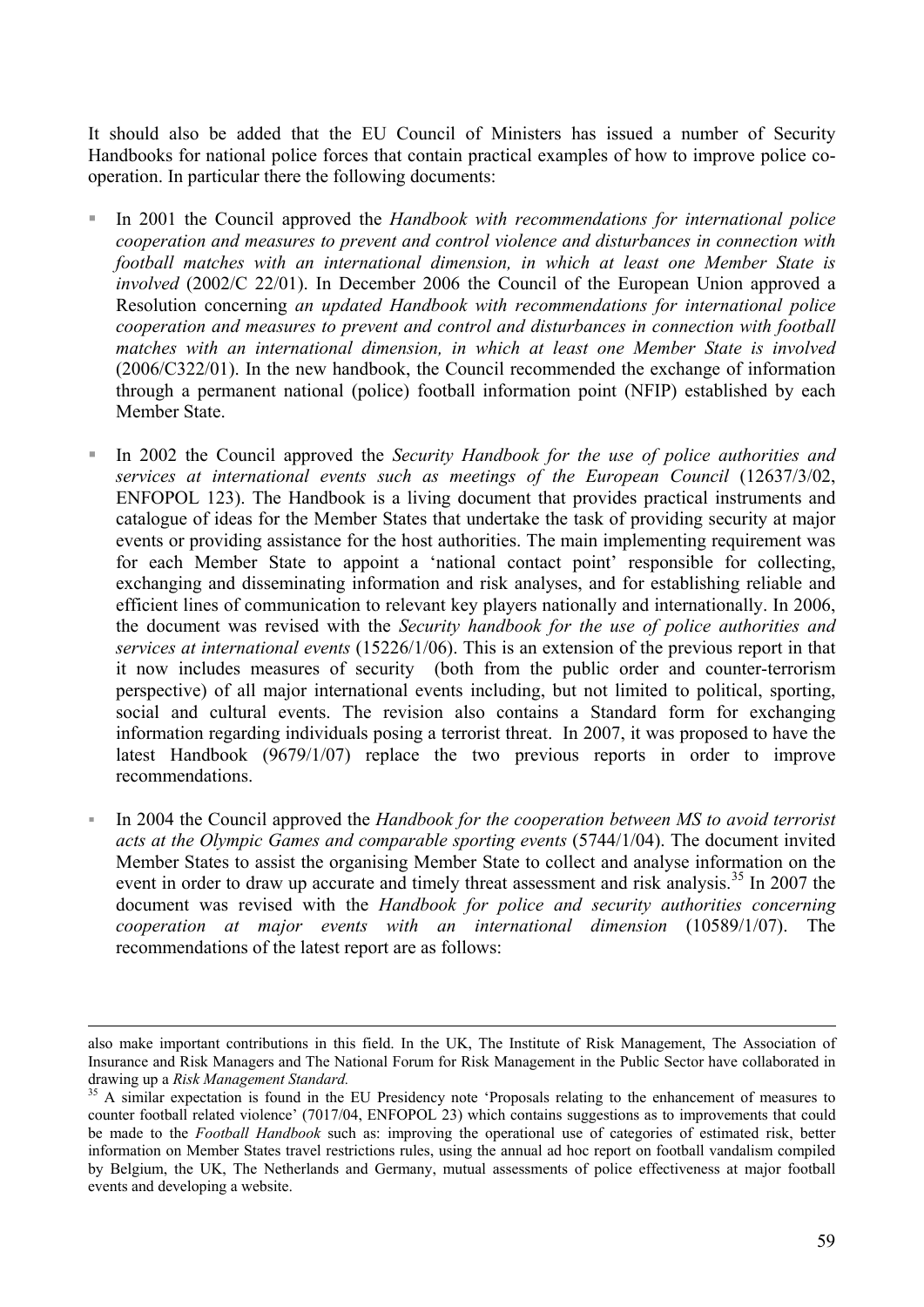It should also be added that the EU Council of Ministers has issued a number of Security Handbooks for national police forces that contain practical examples of how to improve police cooperation. In particular there the following documents:

- In 2001 the Council approved the *Handbook with recommendations for international police cooperation and measures to prevent and control violence and disturbances in connection with football matches with an international dimension, in which at least one Member State is involved* (2002/C 22/01). In December 2006 the Council of the European Union approved a Resolution concerning *an updated Handbook with recommendations for international police cooperation and measures to prevent and control and disturbances in connection with football matches with an international dimension, in which at least one Member State is involved* (2006/C322/01). In the new handbook, the Council recommended the exchange of information through a permanent national (police) football information point (NFIP) established by each Member State.
- In 2002 the Council approved the *Security Handbook for the use of police authorities and services at international events such as meetings of the European Council* (12637/3/02, ENFOPOL 123). The Handbook is a living document that provides practical instruments and catalogue of ideas for the Member States that undertake the task of providing security at major events or providing assistance for the host authorities. The main implementing requirement was for each Member State to appoint a 'national contact point' responsible for collecting, exchanging and disseminating information and risk analyses, and for establishing reliable and efficient lines of communication to relevant key players nationally and internationally. In 2006, the document was revised with the *Security handbook for the use of police authorities and services at international events* (15226/1/06). This is an extension of the previous report in that it now includes measures of security (both from the public order and counter-terrorism perspective) of all major international events including, but not limited to political, sporting, social and cultural events. The revision also contains a Standard form for exchanging information regarding individuals posing a terrorist threat. In 2007, it was proposed to have the latest Handbook (9679/1/07) replace the two previous reports in order to improve recommendations.
- In 2004 the Council approved the *Handbook for the cooperation between MS to avoid terrorist acts at the Olympic Games and comparable sporting events* (5744/1/04). The document invited Member States to assist the organising Member State to collect and analyse information on the event in order to draw up accurate and timely threat assessment and risk analysis.<sup>[35](#page-58-0)</sup> In 2007 the document was revised with the *Handbook for police and security authorities concerning cooperation at major events with an international dimension* (10589/1/07). The recommendations of the latest report are as follows:

also make important contributions in this field. In the UK, The Institute of Risk Management, The Association of Insurance and Risk Managers and The National Forum for Risk Management in the Public Sector have collaborated in drawing up a *Risk Management Standard.*<br><sup>35</sup> A similar expectation is found in the EU Presidency note 'Proposals relating to the enhancement of measures to

<span id="page-58-0"></span>counter football related violence' (7017/04, ENFOPOL 23) which contains suggestions as to improvements that could be made to the *Football Handbook* such as: improving the operational use of categories of estimated risk, better information on Member States travel restrictions rules, using the annual ad hoc report on football vandalism compiled by Belgium, the UK, The Netherlands and Germany, mutual assessments of police effectiveness at major football events and developing a website.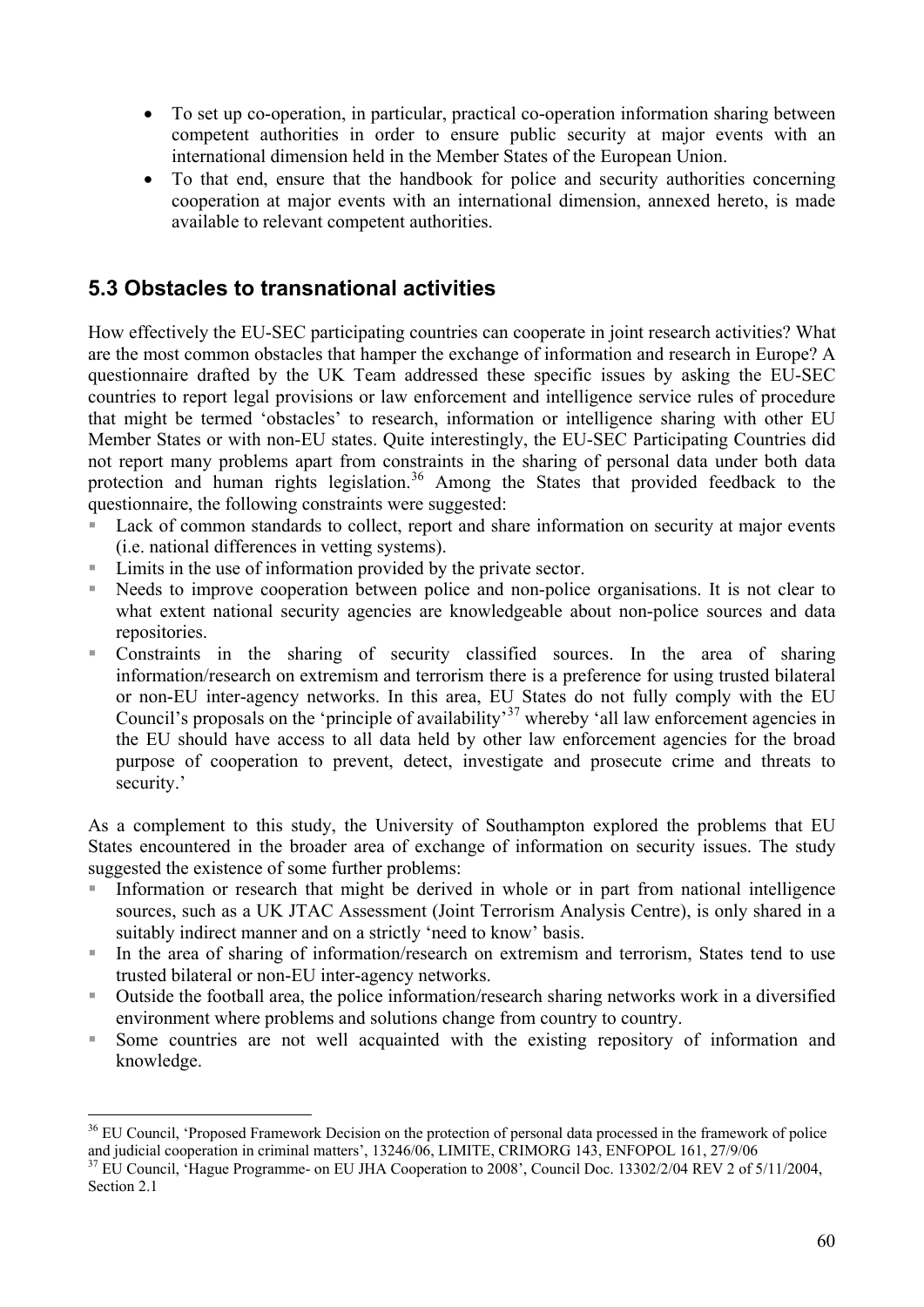- To set up co-operation, in particular, practical co-operation information sharing between competent authorities in order to ensure public security at major events with an international dimension held in the Member States of the European Union.
- To that end, ensure that the handbook for police and security authorities concerning cooperation at major events with an international dimension, annexed hereto, is made available to relevant competent authorities.

### **5.3 Obstacles to transnational activities**

How effectively the EU-SEC participating countries can cooperate in joint research activities? What are the most common obstacles that hamper the exchange of information and research in Europe? A questionnaire drafted by the UK Team addressed these specific issues by asking the EU-SEC countries to report legal provisions or law enforcement and intelligence service rules of procedure that might be termed 'obstacles' to research, information or intelligence sharing with other EU Member States or with non-EU states. Quite interestingly, the EU-SEC Participating Countries did not report many problems apart from constraints in the sharing of personal data under both data protection and human rights legislation.<sup>[3](#page-59-0)6</sup> Among the States that provided feedback to the questionnaire, the following constraints were suggested:

- Lack of common standards to collect, report and share information on security at major events (i.e. national differences in vetting systems).
- Limits in the use of information provided by the private sector.

 $\overline{a}$ 

- Needs to improve cooperation between police and non-police organisations. It is not clear to what extent national security agencies are knowledgeable about non-police sources and data repositories.
- Constraints in the sharing of security classified sources. In the area of sharing information/research on extremism and terrorism there is a preference for using trusted bilateral or non-EU inter-agency networks. In this area, EU States do not fully comply with the EU Council's proposals on the 'principle of availability'[3](#page-59-1)7 whereby 'all law enforcement agencies in the EU should have access to all data held by other law enforcement agencies for the broad purpose of cooperation to prevent, detect, investigate and prosecute crime and threats to security.'

As a complement to this study, the University of Southampton explored the problems that EU States encountered in the broader area of exchange of information on security issues. The study suggested the existence of some further problems:

- Information or research that might be derived in whole or in part from national intelligence sources, such as a UK JTAC Assessment (Joint Terrorism Analysis Centre), is only shared in a suitably indirect manner and on a strictly 'need to know' basis.
- In the area of sharing of information/research on extremism and terrorism, States tend to use trusted bilateral or non-EU inter-agency networks.
- Outside the football area, the police information/research sharing networks work in a diversified environment where problems and solutions change from country to country.
- Some countries are not well acquainted with the existing repository of information and knowledge.

<span id="page-59-0"></span> $36$  EU Council, 'Proposed Framework Decision on the protection of personal data processed in the framework of police and judicial cooperation in criminal matters',  $13246/06$ , LIMITE, CRIMORG 143, ENFOPOL 161, 27/9/06

<span id="page-59-1"></span> $37$  EU Council, 'Hague Programme- on EU JHA Cooperation to 2008', Council Doc. 13302/2/04 REV 2 of 5/11/2004, Section 2.1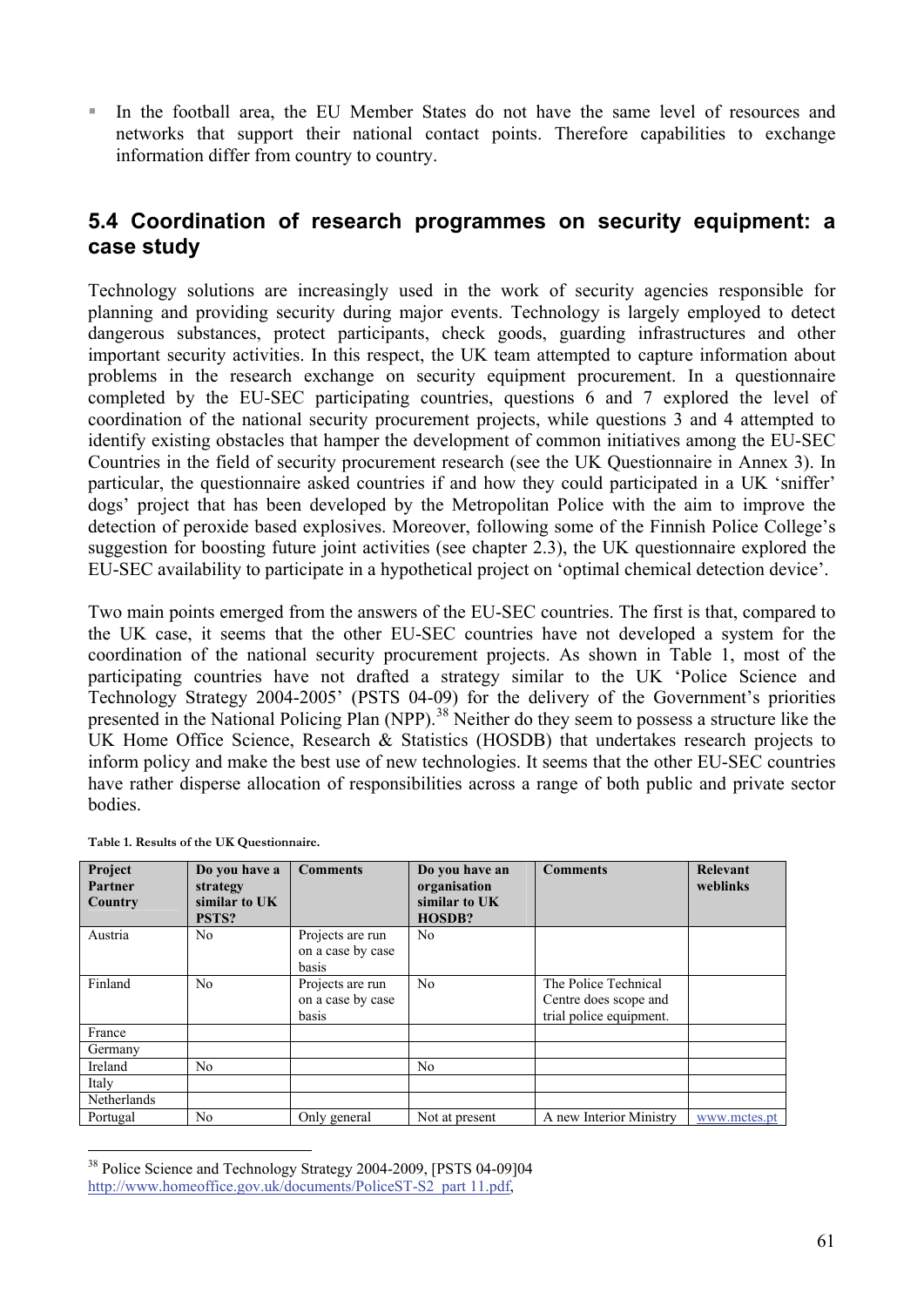In the football area, the EU Member States do not have the same level of resources and networks that support their national contact points. Therefore capabilities to exchange information differ from country to country.

### **5.4 Coordination of research programmes on security equipment: a case study**

Technology solutions are increasingly used in the work of security agencies responsible for planning and providing security during major events. Technology is largely employed to detect dangerous substances, protect participants, check goods, guarding infrastructures and other important security activities. In this respect, the UK team attempted to capture information about problems in the research exchange on security equipment procurement. In a questionnaire completed by the EU-SEC participating countries, questions 6 and 7 explored the level of coordination of the national security procurement projects, while questions 3 and 4 attempted to identify existing obstacles that hamper the development of common initiatives among the EU-SEC Countries in the field of security procurement research (see the UK Questionnaire in Annex 3). In particular, the questionnaire asked countries if and how they could participated in a UK 'sniffer' dogs' project that has been developed by the Metropolitan Police with the aim to improve the detection of peroxide based explosives. Moreover, following some of the Finnish Police College's suggestion for boosting future joint activities (see chapter 2.3), the UK questionnaire explored the EU-SEC availability to participate in a hypothetical project on 'optimal chemical detection device'.

Two main points emerged from the answers of the EU-SEC countries. The first is that, compared to the UK case, it seems that the other EU-SEC countries have not developed a system for the coordination of the national security procurement projects. As shown in Table 1, most of the participating countries have not drafted a strategy similar to the UK 'Police Science and Technology Strategy 2004-2005' (PSTS 04-09) for the delivery of the Government's priorities presented in the National Policing Plan (NPP).<sup>[3](#page-60-0)8</sup> Neither do they seem to possess a structure like the UK Home Office Science, Research & Statistics (HOSDB) that undertakes research projects to inform policy and make the best use of new technologies. It seems that the other EU-SEC countries have rather disperse allocation of responsibilities across a range of both public and private sector bodies.

| Project<br>Partner<br>Country | Do you have a<br>strategy<br>similar to UK<br>PSTS? | <b>Comments</b>                                | Do you have an<br>organisation<br>similar to UK<br><b>HOSDB?</b> | <b>Comments</b>                                                          | Relevant<br>weblinks |
|-------------------------------|-----------------------------------------------------|------------------------------------------------|------------------------------------------------------------------|--------------------------------------------------------------------------|----------------------|
| Austria                       | No                                                  | Projects are run<br>on a case by case<br>basis | N <sub>0</sub>                                                   |                                                                          |                      |
| Finland                       | N <sub>0</sub>                                      | Projects are run<br>on a case by case<br>basis | No                                                               | The Police Technical<br>Centre does scope and<br>trial police equipment. |                      |
| France                        |                                                     |                                                |                                                                  |                                                                          |                      |
| Germany                       |                                                     |                                                |                                                                  |                                                                          |                      |
| Ireland                       | N <sub>0</sub>                                      |                                                | N <sub>0</sub>                                                   |                                                                          |                      |
| Italy                         |                                                     |                                                |                                                                  |                                                                          |                      |
| Netherlands                   |                                                     |                                                |                                                                  |                                                                          |                      |
| Portugal                      | N <sub>o</sub>                                      | Only general                                   | Not at present                                                   | A new Interior Ministry                                                  | www.mctes.pt         |

**Table 1. Results of the UK Questionnaire.**

<span id="page-60-0"></span><sup>&</sup>lt;sup>38</sup> Police Science and Technology Strategy 2004-2009, [PSTS 04-09]04 http://www.homeoffice.gov.uk/documents/PoliceST-S2\_part 11.pdf,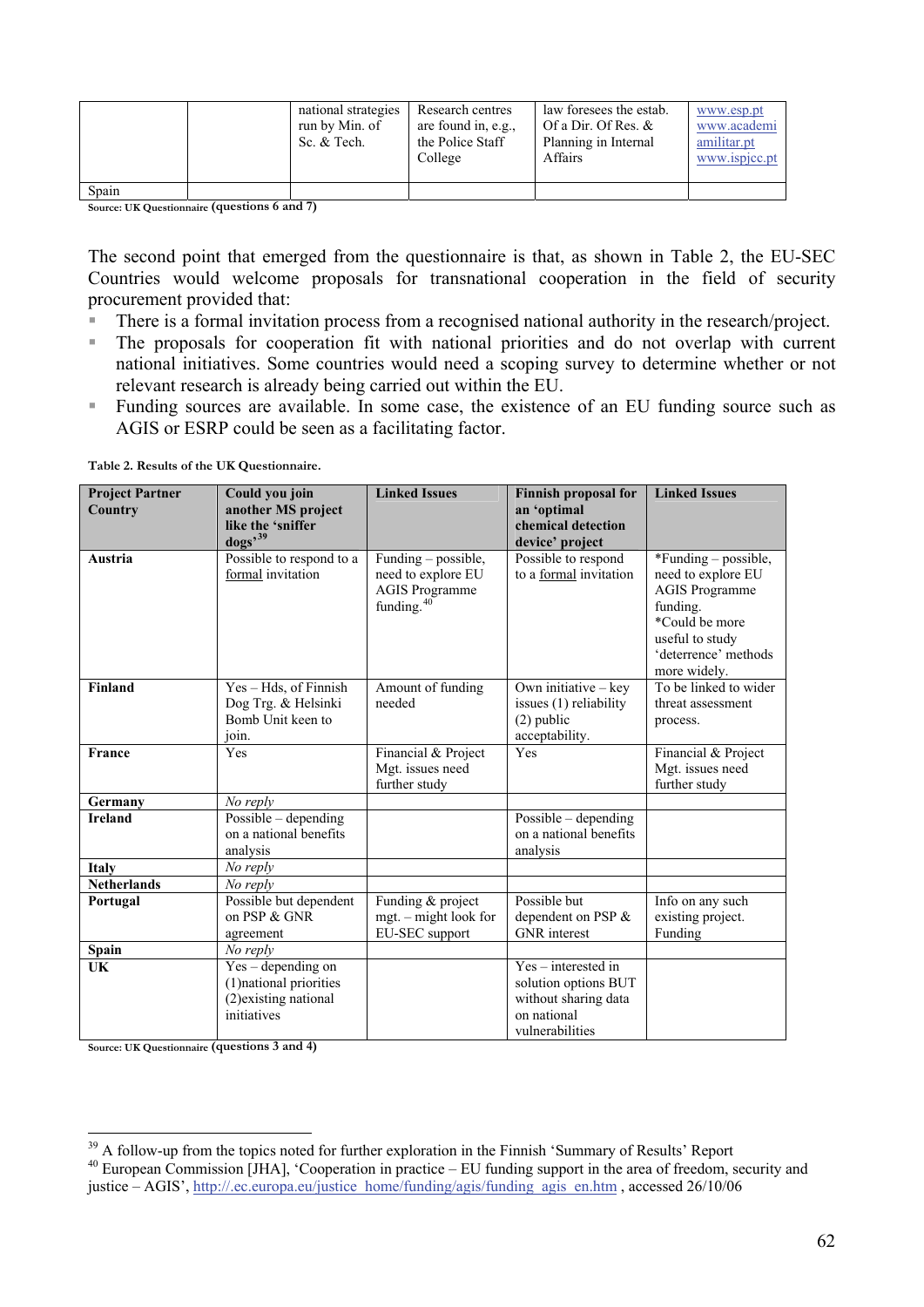|       | national strategies<br>run by Min. of<br>Sc. & Tech. | Research centres<br>are found in, e.g.,<br>the Police Staff<br>College | law foresees the estab.<br>Of a Dir. Of Res. $&$<br>Planning in Internal<br>Affairs | www.esp.pt<br>www.academi<br>amilitar.pt<br>www.ispjcc.pt |
|-------|------------------------------------------------------|------------------------------------------------------------------------|-------------------------------------------------------------------------------------|-----------------------------------------------------------|
| Spain |                                                      |                                                                        |                                                                                     |                                                           |

**Source: UK Questionnaire (questions 6 and 7)**

The second point that emerged from the questionnaire is that, as shown in Table 2, the EU-SEC Countries would welcome proposals for transnational cooperation in the field of security procurement provided that:

- There is a formal invitation process from a recognised national authority in the research/project.
- The proposals for cooperation fit with national priorities and do not overlap with current national initiatives. Some countries would need a scoping survey to determine whether or not relevant research is already being carried out within the EU.
- Funding sources are available. In some case, the existence of an EU funding source such as AGIS or ESRP could be seen as a facilitating factor.

**Table 2. Results of the UK Questionnaire.**

| <b>Project Partner</b><br>Country | Could you join<br>another MS project     | <b>Linked Issues</b>   | <b>Finnish proposal for</b><br>an 'optimal | <b>Linked Issues</b>  |
|-----------------------------------|------------------------------------------|------------------------|--------------------------------------------|-----------------------|
|                                   | like the 'sniffer                        |                        | chemical detection                         |                       |
|                                   | $\log s^{39}$                            |                        | device' project                            |                       |
| Austria                           | Possible to respond to a                 | Funding – possible,    | Possible to respond                        | *Funding – possible,  |
|                                   | formal invitation                        | need to explore EU     | to a formal invitation                     | need to explore EU    |
|                                   |                                          | <b>AGIS Programme</b>  |                                            | <b>AGIS Programme</b> |
|                                   |                                          | funding. <sup>40</sup> |                                            | funding.              |
|                                   |                                          |                        |                                            | *Could be more        |
|                                   |                                          |                        |                                            | useful to study       |
|                                   |                                          |                        |                                            | 'deterrence' methods  |
|                                   |                                          |                        |                                            | more widely.          |
| <b>Finland</b>                    | Yes - Hds, of Finnish                    | Amount of funding      | Own initiative $-$ key                     | To be linked to wider |
|                                   | Dog Trg. & Helsinki<br>Bomb Unit keen to | needed                 | issues (1) reliability                     | threat assessment     |
|                                   |                                          |                        | $(2)$ public                               | process.              |
| <b>France</b>                     | join.<br>Yes                             | Financial & Project    | acceptability.<br>Yes                      | Financial & Project   |
|                                   |                                          | Mgt. issues need       |                                            | Mgt. issues need      |
|                                   |                                          | further study          |                                            | further study         |
| Germany                           | No reply                                 |                        |                                            |                       |
| <b>Ireland</b>                    | Possible - depending                     |                        | Possible $-$ depending                     |                       |
|                                   | on a national benefits                   |                        | on a national benefits                     |                       |
|                                   | analysis                                 |                        | analysis                                   |                       |
| <b>Italy</b>                      | No reply                                 |                        |                                            |                       |
| <b>Netherlands</b>                | No reply                                 |                        |                                            |                       |
| Portugal                          | Possible but dependent                   | Funding & project      | Possible but                               | Info on any such      |
|                                   | on PSP & GNR                             | mgt. – might look for  | dependent on PSP &                         | existing project.     |
|                                   | agreement                                | EU-SEC support         | <b>GNR</b> interest                        | Funding               |
| Spain                             | No reply                                 |                        |                                            |                       |
| UK                                | $Yes$ – depending on                     |                        | $Yes - interested in$                      |                       |
|                                   | (1) national priorities                  |                        | solution options BUT                       |                       |
|                                   | (2) existing national                    |                        | without sharing data                       |                       |
|                                   | initiatives                              |                        | on national                                |                       |
|                                   |                                          |                        | vulnerabilities                            |                       |

**Source: UK Questionnaire (questions 3 and 4)**

<span id="page-61-1"></span><span id="page-61-0"></span> $39$  A follow-up from the topics noted for further exploration in the Finnish 'Summary of Results' Report <sup>40</sup> European Commission [JHA], 'Cooperation in practice – EU funding support in the area of freedom, security and justice – AGIS', http://.ec.europa.eu/justice\_home/funding/agis/funding\_agis\_en.htm , accessed 26/10/06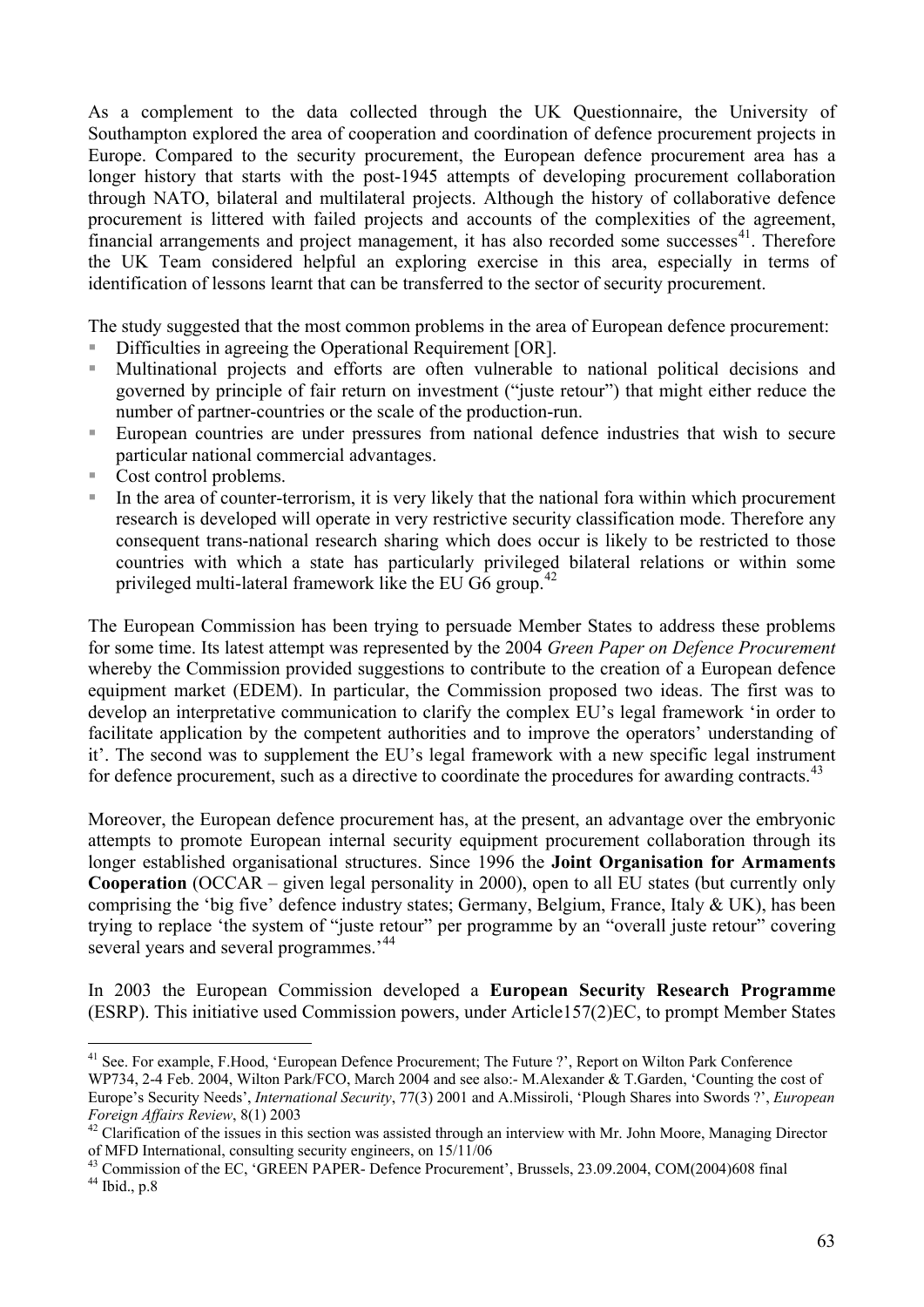As a complement to the data collected through the UK Questionnaire, the University of Southampton explored the area of cooperation and coordination of defence procurement projects in Europe. Compared to the security procurement, the European defence procurement area has a longer history that starts with the post-1945 attempts of developing procurement collaboration through NATO, bilateral and multilateral projects. Although the history of collaborative defence procurement is littered with failed projects and accounts of the complexities of the agreement, financial arrangements and project management, it has also recorded some successes $41$  $41$ . Therefore the UK Team considered helpful an exploring exercise in this area, especially in terms of identification of lessons learnt that can be transferred to the sector of security procurement.

The study suggested that the most common problems in the area of European defence procurement:

- Difficulties in agreeing the Operational Requirement [OR].
- Multinational projects and efforts are often vulnerable to national political decisions and governed by principle of fair return on investment ("juste retour") that might either reduce the number of partner-countries or the scale of the production-run.
- European countries are under pressures from national defence industries that wish to secure particular national commercial advantages.
- Cost control problems.

 $\overline{a}$ 

 In the area of counter-terrorism, it is very likely that the national fora within which procurement research is developed will operate in very restrictive security classification mode. Therefore any consequent trans-national research sharing which does occur is likely to be restricted to those countries with which a state has particularly privileged bilateral relations or within some privileged multi-lateral framework like the EU G6 group.<sup>[4](#page-62-1)2</sup>

The European Commission has been trying to persuade Member States to address these problems for some time. Its latest attempt was represented by the 2004 *Green Paper on Defence Procurement* whereby the Commission provided suggestions to contribute to the creation of a European defence equipment market (EDEM). In particular, the Commission proposed two ideas. The first was to develop an interpretative communication to clarify the complex EU's legal framework 'in order to facilitate application by the competent authorities and to improve the operators' understanding of it'. The second was to supplement the EU's legal framework with a new specific legal instrument for defence procurement, such as a directive to coordinate the procedures for awarding contracts.<sup>[43](#page-62-2)</sup>

Moreover, the European defence procurement has, at the present, an advantage over the embryonic attempts to promote European internal security equipment procurement collaboration through its longer established organisational structures. Since 1996 the **Joint Organisation for Armaments Cooperation** (OCCAR – given legal personality in 2000), open to all EU states (but currently only comprising the 'big five' defence industry states; Germany, Belgium, France, Italy & UK), has been trying to replace 'the system of "juste retour" per programme by an "overall juste retour" covering several years and several programmes.<sup>[44](#page-62-3)</sup>

In 2003 the European Commission developed a **European Security Research Programme** (ESRP). This initiative used Commission powers, under Article157(2)EC, to prompt Member States

<span id="page-62-0"></span><sup>&</sup>lt;sup>41</sup> See. For example, F.Hood, 'European Defence Procurement; The Future ?', Report on Wilton Park Conference WP734, 2-4 Feb. 2004, Wilton Park/FCO, March 2004 and see also:- M.Alexander & T.Garden, 'Counting the cost of Europe's Security Needs', *International Security*, 77(3) 2001 and A.Missiroli, 'Plough Shares into Swords ?', *European Foreign Affairs Review*, 8(1) 2003<br><sup>42</sup> Clarification of the issues in this section was assisted through an interview with Mr. John Moore, Managing Director

<span id="page-62-1"></span>of MFD International, consulting security engineers, on 15/11/06

<span id="page-62-3"></span><span id="page-62-2"></span><sup>&</sup>lt;sup>43</sup> Commission of the EC, 'GREEN PAPER- Defence Procurement', Brussels, 23.09.2004, COM(2004)608 final  $44$  Ibid., p.8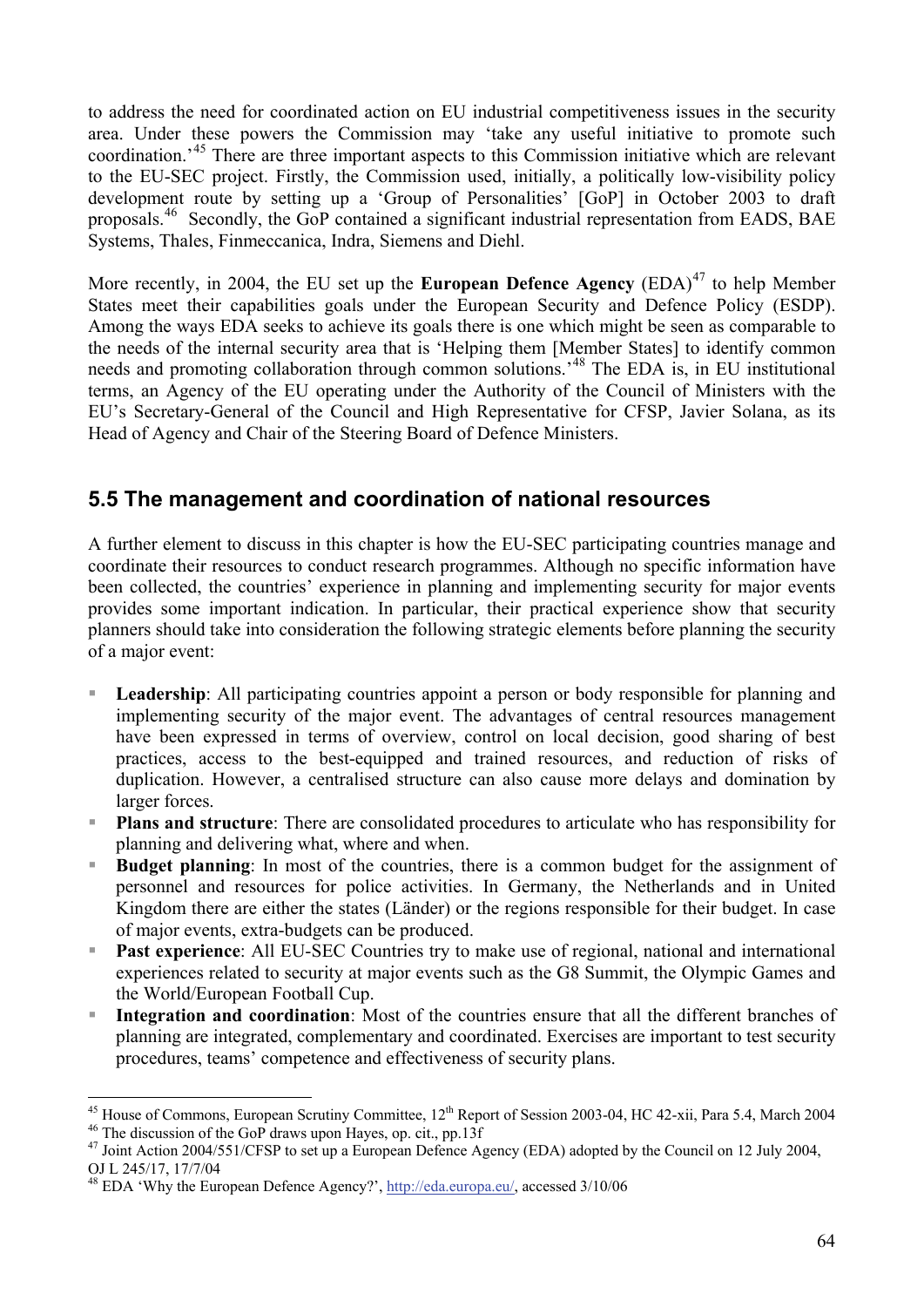to address the need for coordinated action on EU industrial competitiveness issues in the security area. Under these powers the Commission may 'take any useful initiative to promote such coordination.'[45](#page-63-0) There are three important aspects to this Commission initiative which are relevant to the EU-SEC project. Firstly, the Commission used, initially, a politically low-visibility policy development route by setting up a 'Group of Personalities' [GoP] in October 2003 to draft proposals.<sup>[4](#page-63-1)6</sup> Secondly, the GoP contained a significant industrial representation from EADS, BAE Systems, Thales, Finmeccanica, Indra, Siemens and Diehl.

More recently, in 2004, the EU set up the **European Defence Agency** (EDA)<sup>[47](#page-63-2)</sup> to help Member States meet their capabilities goals under the European Security and Defence Policy (ESDP). Among the ways EDA seeks to achieve its goals there is one which might be seen as comparable to the needs of the internal security area that is 'Helping them [Member States] to identify common needs and promoting collaboration through common solutions.<sup>[4](#page-63-3)8</sup> The EDA is, in EU institutional terms, an Agency of the EU operating under the Authority of the Council of Ministers with the EU's Secretary-General of the Council and High Representative for CFSP, Javier Solana, as its Head of Agency and Chair of the Steering Board of Defence Ministers.

#### **5.5 The management and coordination of national resources**

A further element to discuss in this chapter is how the EU-SEC participating countries manage and coordinate their resources to conduct research programmes. Although no specific information have been collected, the countries' experience in planning and implementing security for major events provides some important indication. In particular, their practical experience show that security planners should take into consideration the following strategic elements before planning the security of a major event:

- **Leadership**: All participating countries appoint a person or body responsible for planning and implementing security of the major event. The advantages of central resources management have been expressed in terms of overview, control on local decision, good sharing of best practices, access to the best-equipped and trained resources, and reduction of risks of duplication. However, a centralised structure can also cause more delays and domination by larger forces.
- **Plans and structure**: There are consolidated procedures to articulate who has responsibility for planning and delivering what, where and when.
- **Budget planning**: In most of the countries, there is a common budget for the assignment of personnel and resources for police activities. In Germany, the Netherlands and in United Kingdom there are either the states (Länder) or the regions responsible for their budget. In case of major events, extra-budgets can be produced.
- **Past experience**: All EU-SEC Countries try to make use of regional, national and international experiences related to security at major events such as the G8 Summit, the Olympic Games and the World/European Football Cup.
- **Integration and coordination**: Most of the countries ensure that all the different branches of planning are integrated, complementary and coordinated. Exercises are important to test security procedures, teams' competence and effectiveness of security plans.

<sup>&</sup>lt;sup>45</sup> House of Commons, European Scrutiny Committee,  $12^{th}$  Report of Session 2003-04, HC 42-xii, Para 5.4, March 2004  $^{46}$  The discussion of the GoP draws upon Hayes, op. cit., pp.13f

<span id="page-63-2"></span>

<span id="page-63-1"></span><span id="page-63-0"></span><sup>&</sup>lt;sup>46</sup> The discussion of the GoP draws upon Hayes, op. cit., pp.13f<br><sup>47</sup> Joint Action 2004/551/CFSP to set up a European Defence Agency (EDA) adopted by the Council on 12 July 2004, OJ L 245/17, 17/7/04

<span id="page-63-3"></span><sup>&</sup>lt;sup>48</sup> EDA 'Why the European Defence Agency?', http://eda.europa.eu/, accessed 3/10/06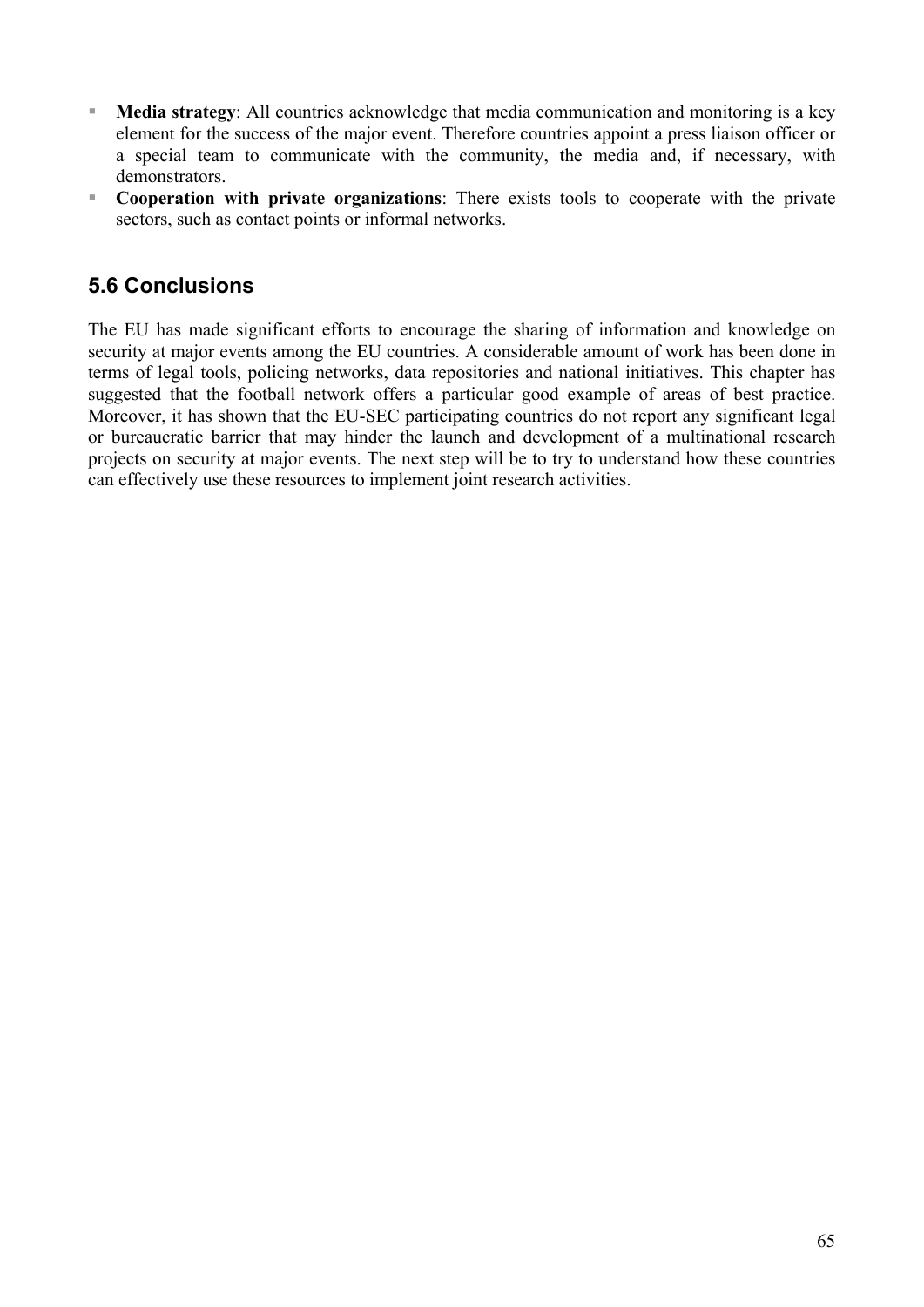- **Media strategy**: All countries acknowledge that media communication and monitoring is a key element for the success of the major event. Therefore countries appoint a press liaison officer or a special team to communicate with the community, the media and, if necessary, with demonstrators.
- **Cooperation with private organizations**: There exists tools to cooperate with the private sectors, such as contact points or informal networks.

### **5.6 Conclusions**

The EU has made significant efforts to encourage the sharing of information and knowledge on security at major events among the EU countries. A considerable amount of work has been done in terms of legal tools, policing networks, data repositories and national initiatives. This chapter has suggested that the football network offers a particular good example of areas of best practice. Moreover, it has shown that the EU-SEC participating countries do not report any significant legal or bureaucratic barrier that may hinder the launch and development of a multinational research projects on security at major events. The next step will be to try to understand how these countries can effectively use these resources to implement joint research activities.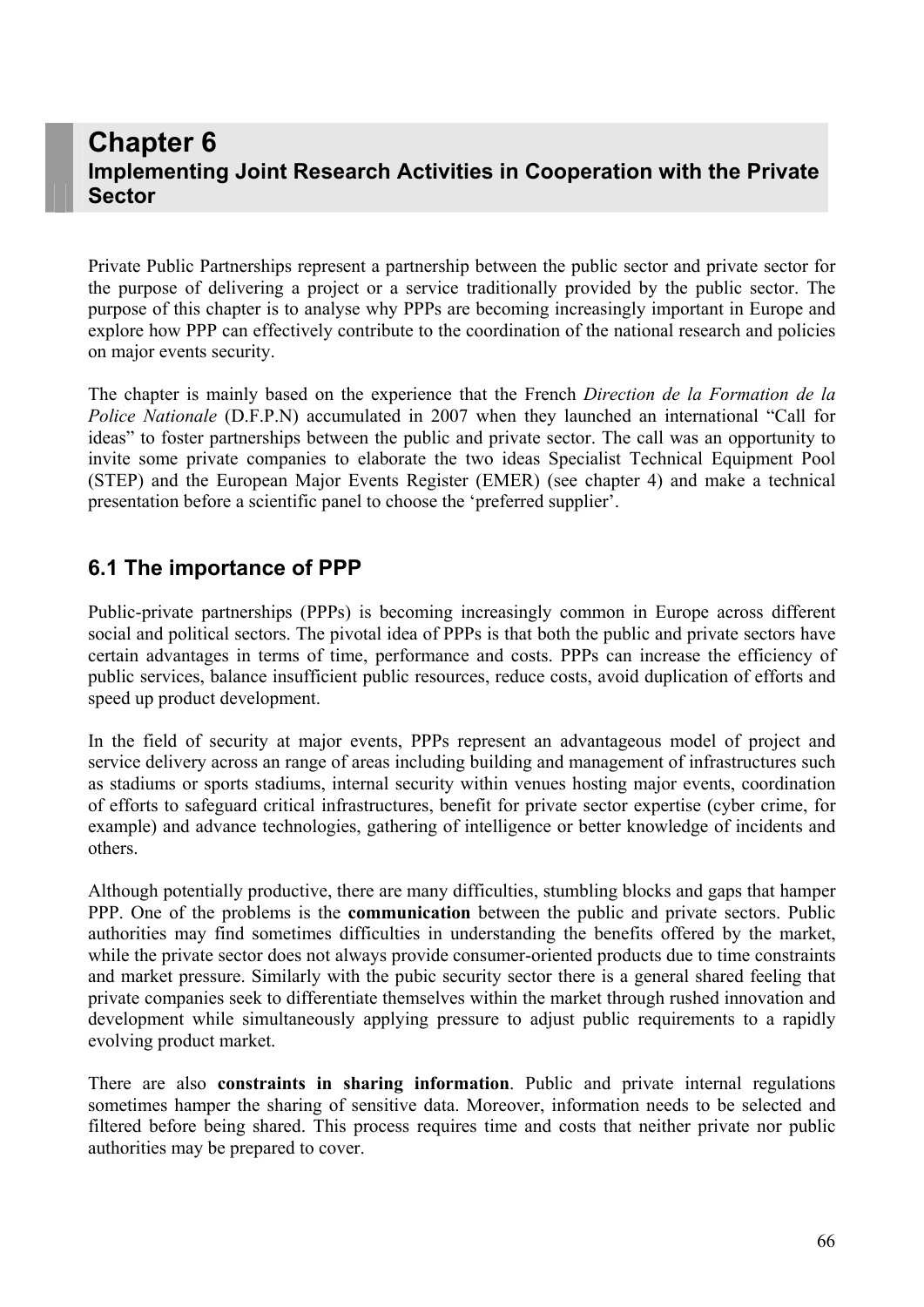# **Chapter 6 Implementing Joint Research Activities in Cooperation with the Private Sector**

Private Public Partnerships represent a partnership between the public sector and private sector for the purpose of delivering a project or a service traditionally provided by the public sector. The purpose of this chapter is to analyse why PPPs are becoming increasingly important in Europe and explore how PPP can effectively contribute to the coordination of the national research and policies on major events security.

The chapter is mainly based on the experience that the French *Direction de la Formation de la Police Nationale* (D.F.P.N) accumulated in 2007 when they launched an international "Call for ideas" to foster partnerships between the public and private sector. The call was an opportunity to invite some private companies to elaborate the two ideas Specialist Technical Equipment Pool (STEP) and the European Major Events Register (EMER) (see chapter 4) and make a technical presentation before a scientific panel to choose the 'preferred supplier'.

### **6.1 The importance of PPP**

Public-private partnerships (PPPs) is becoming increasingly common in Europe across different social and political sectors. The pivotal idea of PPPs is that both the public and private sectors have certain advantages in terms of time, performance and costs. PPPs can increase the efficiency of public services, balance insufficient public resources, reduce costs, avoid duplication of efforts and speed up product development.

In the field of security at major events, PPPs represent an advantageous model of project and service delivery across an range of areas including building and management of infrastructures such as stadiums or sports stadiums, internal security within venues hosting major events, coordination of efforts to safeguard critical infrastructures, benefit for private sector expertise (cyber crime, for example) and advance technologies, gathering of intelligence or better knowledge of incidents and others.

Although potentially productive, there are many difficulties, stumbling blocks and gaps that hamper PPP. One of the problems is the **communication** between the public and private sectors. Public authorities may find sometimes difficulties in understanding the benefits offered by the market, while the private sector does not always provide consumer-oriented products due to time constraints and market pressure. Similarly with the pubic security sector there is a general shared feeling that private companies seek to differentiate themselves within the market through rushed innovation and development while simultaneously applying pressure to adjust public requirements to a rapidly evolving product market.

There are also **constraints in sharing information**. Public and private internal regulations sometimes hamper the sharing of sensitive data. Moreover, information needs to be selected and filtered before being shared. This process requires time and costs that neither private nor public authorities may be prepared to cover.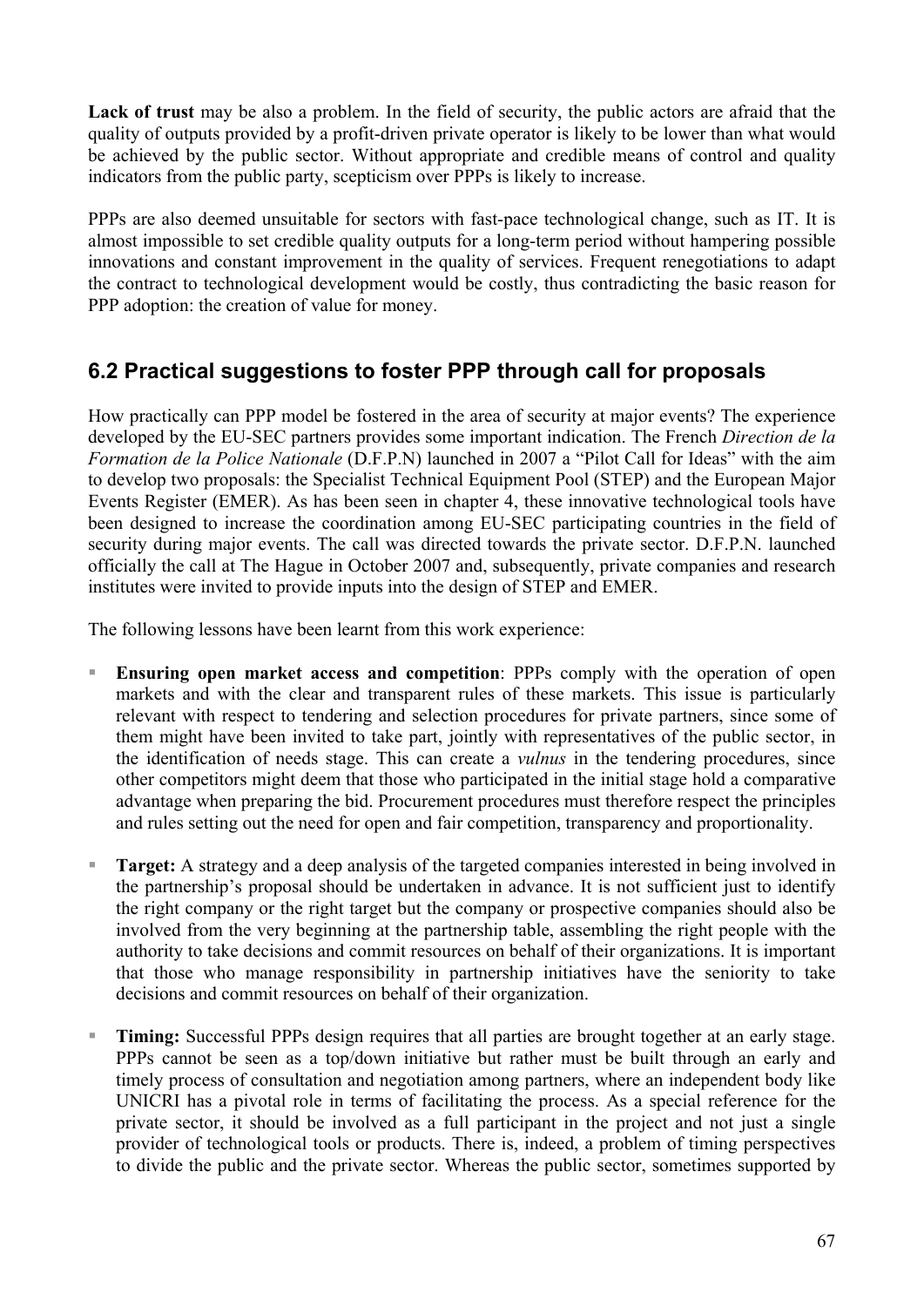**Lack of trust** may be also a problem. In the field of security, the public actors are afraid that the quality of outputs provided by a profit-driven private operator is likely to be lower than what would be achieved by the public sector. Without appropriate and credible means of control and quality indicators from the public party, scepticism over PPPs is likely to increase.

PPPs are also deemed unsuitable for sectors with fast-pace technological change, such as IT. It is almost impossible to set credible quality outputs for a long-term period without hampering possible innovations and constant improvement in the quality of services. Frequent renegotiations to adapt the contract to technological development would be costly, thus contradicting the basic reason for PPP adoption: the creation of value for money.

## **6.2 Practical suggestions to foster PPP through call for proposals**

How practically can PPP model be fostered in the area of security at major events? The experience developed by the EU-SEC partners provides some important indication. The French *Direction de la Formation de la Police Nationale* (D.F.P.N) launched in 2007 a "Pilot Call for Ideas" with the aim to develop two proposals: the Specialist Technical Equipment Pool (STEP) and the European Major Events Register (EMER). As has been seen in chapter 4, these innovative technological tools have been designed to increase the coordination among EU-SEC participating countries in the field of security during major events. The call was directed towards the private sector. D.F.P.N. launched officially the call at The Hague in October 2007 and, subsequently, private companies and research institutes were invited to provide inputs into the design of STEP and EMER.

The following lessons have been learnt from this work experience:

- **Ensuring open market access and competition**: PPPs comply with the operation of open markets and with the clear and transparent rules of these markets. This issue is particularly relevant with respect to tendering and selection procedures for private partners, since some of them might have been invited to take part, jointly with representatives of the public sector, in the identification of needs stage. This can create a *vulnus* in the tendering procedures, since other competitors might deem that those who participated in the initial stage hold a comparative advantage when preparing the bid. Procurement procedures must therefore respect the principles and rules setting out the need for open and fair competition, transparency and proportionality.
- **Target:** A strategy and a deep analysis of the targeted companies interested in being involved in the partnership's proposal should be undertaken in advance. It is not sufficient just to identify the right company or the right target but the company or prospective companies should also be involved from the very beginning at the partnership table, assembling the right people with the authority to take decisions and commit resources on behalf of their organizations. It is important that those who manage responsibility in partnership initiatives have the seniority to take decisions and commit resources on behalf of their organization.
- **Timing:** Successful PPPs design requires that all parties are brought together at an early stage. PPPs cannot be seen as a top/down initiative but rather must be built through an early and timely process of consultation and negotiation among partners, where an independent body like UNICRI has a pivotal role in terms of facilitating the process. As a special reference for the private sector, it should be involved as a full participant in the project and not just a single provider of technological tools or products. There is, indeed, a problem of timing perspectives to divide the public and the private sector. Whereas the public sector, sometimes supported by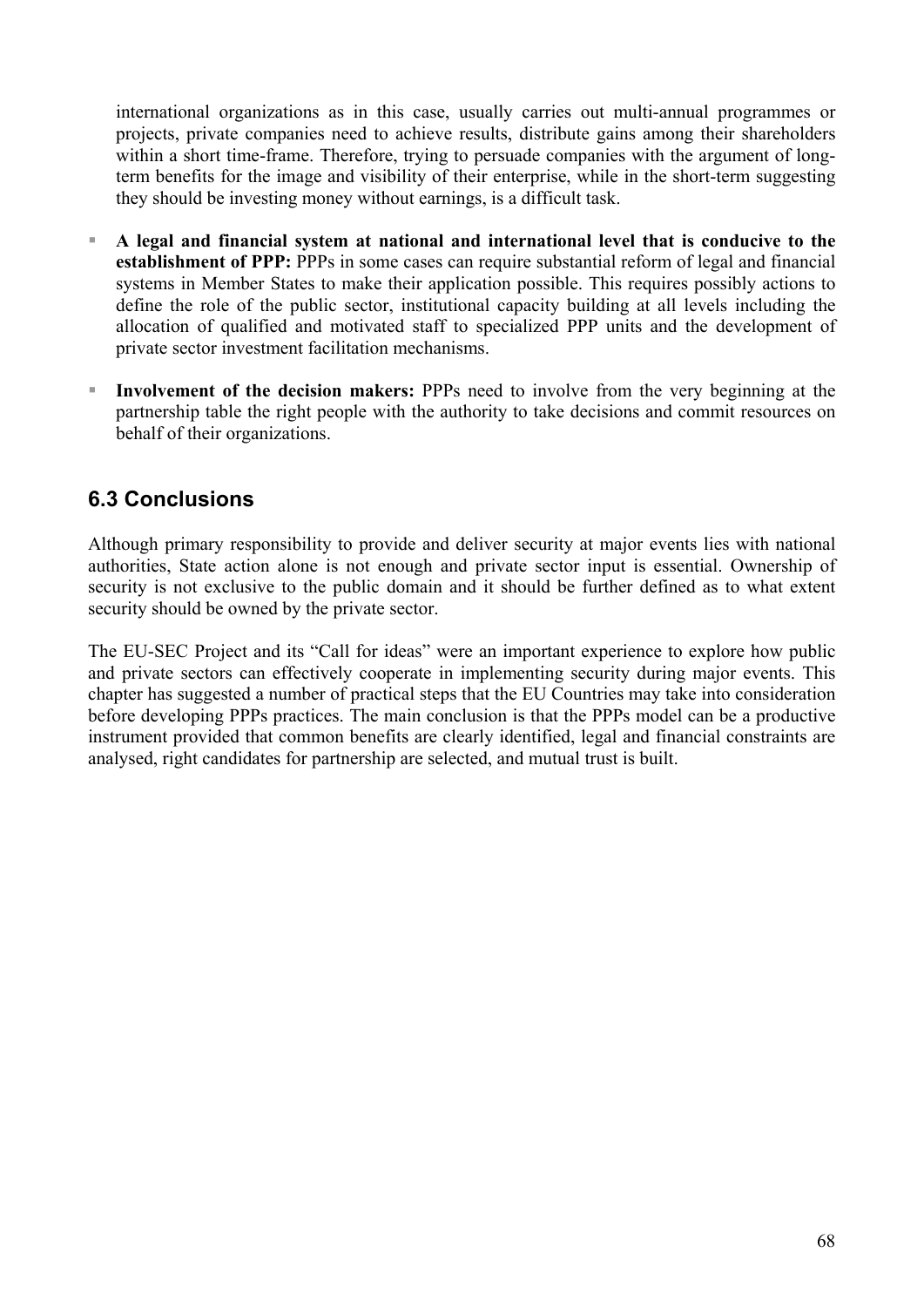international organizations as in this case, usually carries out multi-annual programmes or projects, private companies need to achieve results, distribute gains among their shareholders within a short time-frame. Therefore, trying to persuade companies with the argument of longterm benefits for the image and visibility of their enterprise, while in the short-term suggesting they should be investing money without earnings, is a difficult task.

- **A legal and financial system at national and international level that is conducive to the establishment of PPP:** PPPs in some cases can require substantial reform of legal and financial systems in Member States to make their application possible. This requires possibly actions to define the role of the public sector, institutional capacity building at all levels including the allocation of qualified and motivated staff to specialized PPP units and the development of private sector investment facilitation mechanisms.
- **Involvement of the decision makers:** PPPs need to involve from the very beginning at the partnership table the right people with the authority to take decisions and commit resources on behalf of their organizations.

### **6.3 Conclusions**

Although primary responsibility to provide and deliver security at major events lies with national authorities, State action alone is not enough and private sector input is essential. Ownership of security is not exclusive to the public domain and it should be further defined as to what extent security should be owned by the private sector.

The EU-SEC Project and its "Call for ideas" were an important experience to explore how public and private sectors can effectively cooperate in implementing security during major events. This chapter has suggested a number of practical steps that the EU Countries may take into consideration before developing PPPs practices. The main conclusion is that the PPPs model can be a productive instrument provided that common benefits are clearly identified, legal and financial constraints are analysed, right candidates for partnership are selected, and mutual trust is built.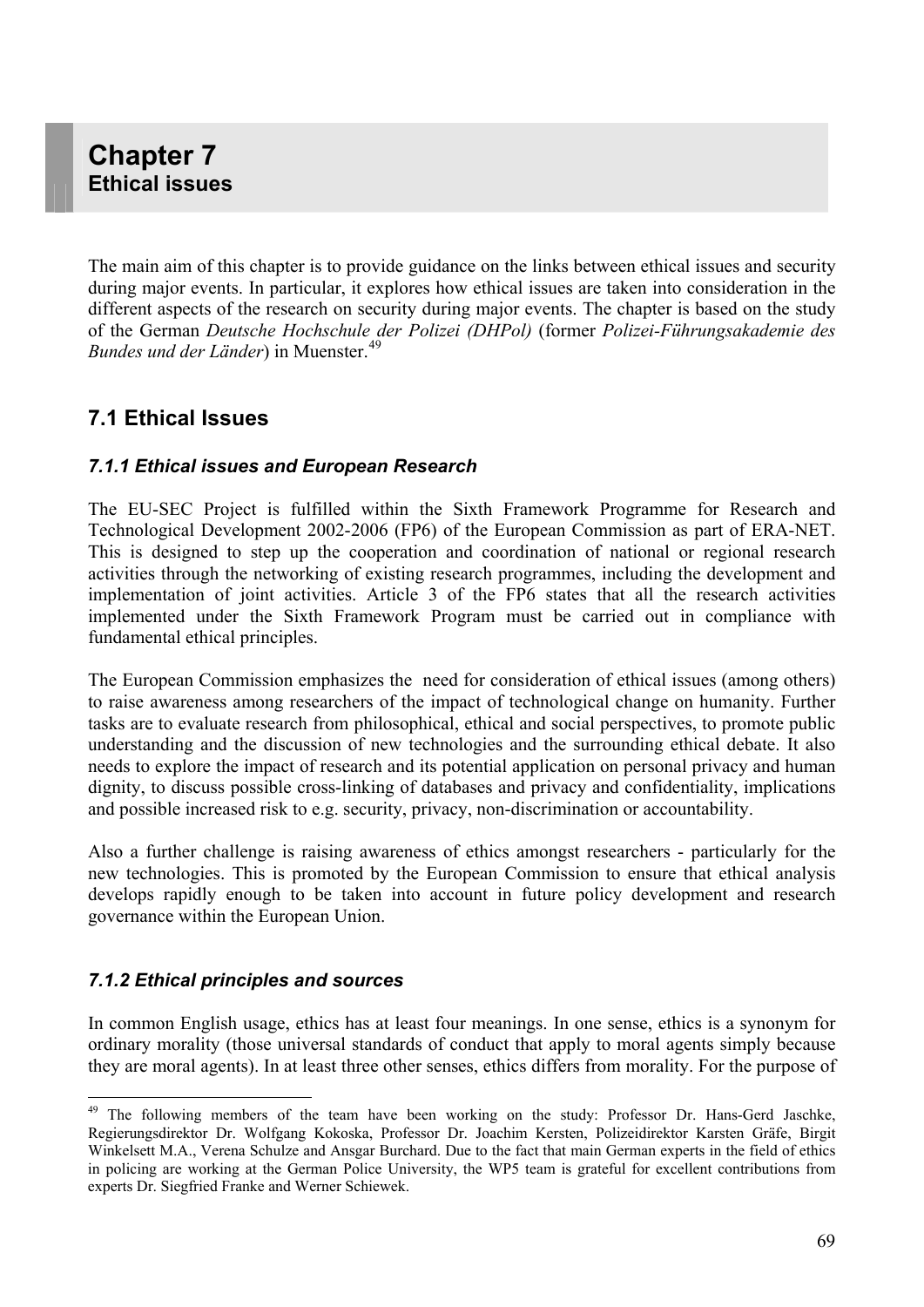The main aim of this chapter is to provide guidance on the links between ethical issues and security during major events. In particular, it explores how ethical issues are taken into consideration in the different aspects of the research on security during major events. The chapter is based on the study of the German *Deutsche Hochschule der Polizei (DHPol)* (former *Polizei-Führungsakademie des Bundes und der Länder*) in Muenster.[49](#page-68-0)

### **7.1 Ethical Issues**

#### *7.1.1 Ethical issues and European Research*

The EU-SEC Project is fulfilled within the Sixth Framework Programme for Research and Technological Development 2002-2006 (FP6) of the European Commission as part of ERA-NET. This is designed to step up the cooperation and coordination of national or regional research activities through the networking of existing research programmes, including the development and implementation of joint activities. Article 3 of the FP6 states that all the research activities implemented under the Sixth Framework Program must be carried out in compliance with fundamental ethical principles.

The European Commission emphasizes the need for consideration of ethical issues (among others) to raise awareness among researchers of the impact of technological change on humanity. Further tasks are to evaluate research from philosophical, ethical and social perspectives, to promote public understanding and the discussion of new technologies and the surrounding ethical debate. It also needs to explore the impact of research and its potential application on personal privacy and human dignity, to discuss possible cross-linking of databases and privacy and confidentiality, implications and possible increased risk to e.g. security, privacy, non-discrimination or accountability.

Also a further challenge is raising awareness of ethics amongst researchers - particularly for the new technologies. This is promoted by the European Commission to ensure that ethical analysis develops rapidly enough to be taken into account in future policy development and research governance within the European Union.

#### *7.1.2 Ethical principles and sources*

 $\overline{a}$ 

In common English usage, ethics has at least four meanings. In one sense, ethics is a synonym for ordinary morality (those universal standards of conduct that apply to moral agents simply because they are moral agents). In at least three other senses, ethics differs from morality. For the purpose of

<span id="page-68-0"></span><sup>&</sup>lt;sup>49</sup> The following members of the team have been working on the study: Professor Dr. Hans-Gerd Jaschke, Regierungsdirektor Dr. Wolfgang Kokoska, Professor Dr. Joachim Kersten, Polizeidirektor Karsten Gräfe, Birgit Winkelsett M.A., Verena Schulze and Ansgar Burchard. Due to the fact that main German experts in the field of ethics in policing are working at the German Police University, the WP5 team is grateful for excellent contributions from experts Dr. Siegfried Franke and Werner Schiewek.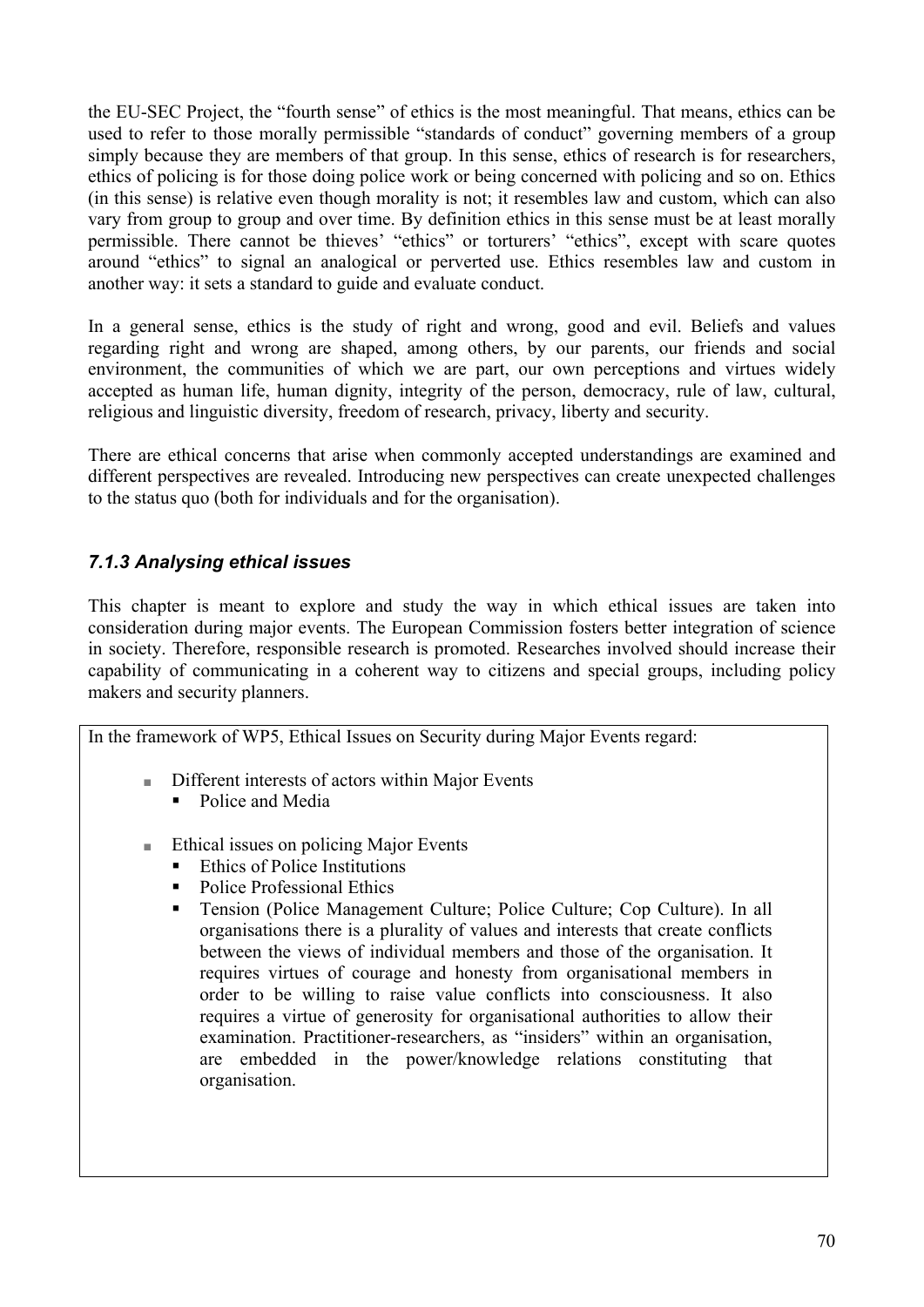the EU-SEC Project, the "fourth sense" of ethics is the most meaningful. That means, ethics can be used to refer to those morally permissible "standards of conduct" governing members of a group simply because they are members of that group. In this sense, ethics of research is for researchers, ethics of policing is for those doing police work or being concerned with policing and so on. Ethics (in this sense) is relative even though morality is not; it resembles law and custom, which can also vary from group to group and over time. By definition ethics in this sense must be at least morally permissible. There cannot be thieves' "ethics" or torturers' "ethics", except with scare quotes around "ethics" to signal an analogical or perverted use. Ethics resembles law and custom in another way: it sets a standard to guide and evaluate conduct.

In a general sense, ethics is the study of right and wrong, good and evil. Beliefs and values regarding right and wrong are shaped, among others, by our parents, our friends and social environment, the communities of which we are part, our own perceptions and virtues widely accepted as human life, human dignity, integrity of the person, democracy, rule of law, cultural, religious and linguistic diversity, freedom of research, privacy, liberty and security.

There are ethical concerns that arise when commonly accepted understandings are examined and different perspectives are revealed. Introducing new perspectives can create unexpected challenges to the status quo (both for individuals and for the organisation).

#### *7.1.3 Analysing ethical issues*

This chapter is meant to explore and study the way in which ethical issues are taken into consideration during major events. The European Commission fosters better integration of science in society. Therefore, responsible research is promoted. Researches involved should increase their capability of communicating in a coherent way to citizens and special groups, including policy makers and security planners.

In the framework of WP5, Ethical Issues on Security during Major Events regard:

- Different interests of actors within Major Events
	- Police and Media
- Ethical issues on policing Major Events
	- Ethics of Police Institutions
	- Police Professional Ethics
	- Tension (Police Management Culture; Police Culture; Cop Culture). In all organisations there is a plurality of values and interests that create conflicts between the views of individual members and those of the organisation. It requires virtues of courage and honesty from organisational members in order to be willing to raise value conflicts into consciousness. It also requires a virtue of generosity for organisational authorities to allow their examination. Practitioner-researchers, as "insiders" within an organisation, are embedded in the power/knowledge relations constituting that organisation.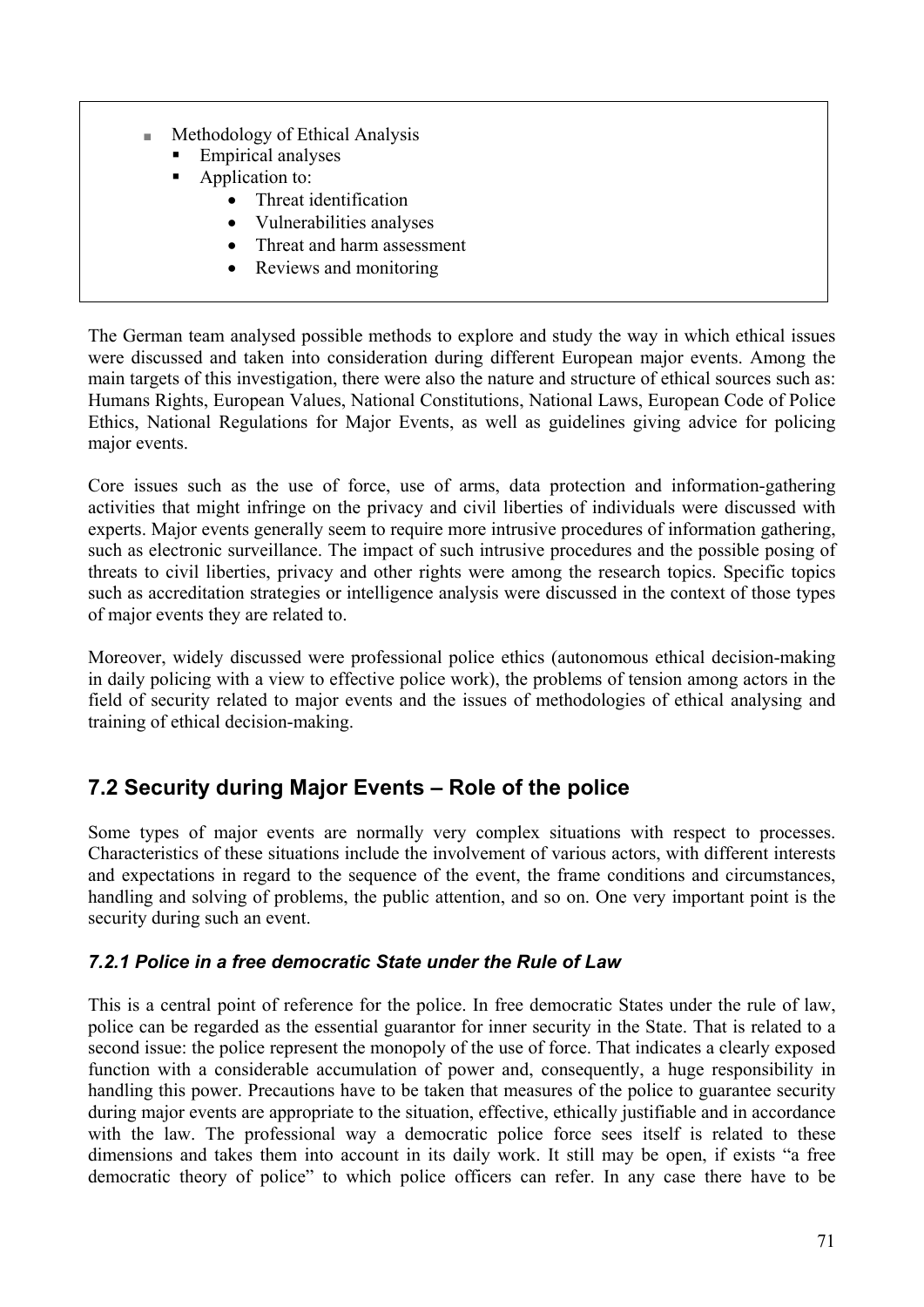- Methodology of Ethical Analysis
	- Empirical analyses
	- Application to:
		- Threat identification
		- Vulnerabilities analyses
		- Threat and harm assessment
		- Reviews and monitoring

The German team analysed possible methods to explore and study the way in which ethical issues were discussed and taken into consideration during different European major events. Among the main targets of this investigation, there were also the nature and structure of ethical sources such as: Humans Rights, European Values, National Constitutions, National Laws, European Code of Police Ethics, National Regulations for Major Events, as well as guidelines giving advice for policing major events.

Core issues such as the use of force, use of arms, data protection and information-gathering activities that might infringe on the privacy and civil liberties of individuals were discussed with experts. Major events generally seem to require more intrusive procedures of information gathering, such as electronic surveillance. The impact of such intrusive procedures and the possible posing of threats to civil liberties, privacy and other rights were among the research topics. Specific topics such as accreditation strategies or intelligence analysis were discussed in the context of those types of major events they are related to.

Moreover, widely discussed were professional police ethics (autonomous ethical decision-making in daily policing with a view to effective police work), the problems of tension among actors in the field of security related to major events and the issues of methodologies of ethical analysing and training of ethical decision-making.

## **7.2 Security during Major Events – Role of the police**

Some types of major events are normally very complex situations with respect to processes. Characteristics of these situations include the involvement of various actors, with different interests and expectations in regard to the sequence of the event, the frame conditions and circumstances, handling and solving of problems, the public attention, and so on. One very important point is the security during such an event.

#### *7.2.1 Police in a free democratic State under the Rule of Law*

This is a central point of reference for the police. In free democratic States under the rule of law, police can be regarded as the essential guarantor for inner security in the State. That is related to a second issue: the police represent the monopoly of the use of force. That indicates a clearly exposed function with a considerable accumulation of power and, consequently, a huge responsibility in handling this power. Precautions have to be taken that measures of the police to guarantee security during major events are appropriate to the situation, effective, ethically justifiable and in accordance with the law. The professional way a democratic police force sees itself is related to these dimensions and takes them into account in its daily work. It still may be open, if exists "a free democratic theory of police" to which police officers can refer. In any case there have to be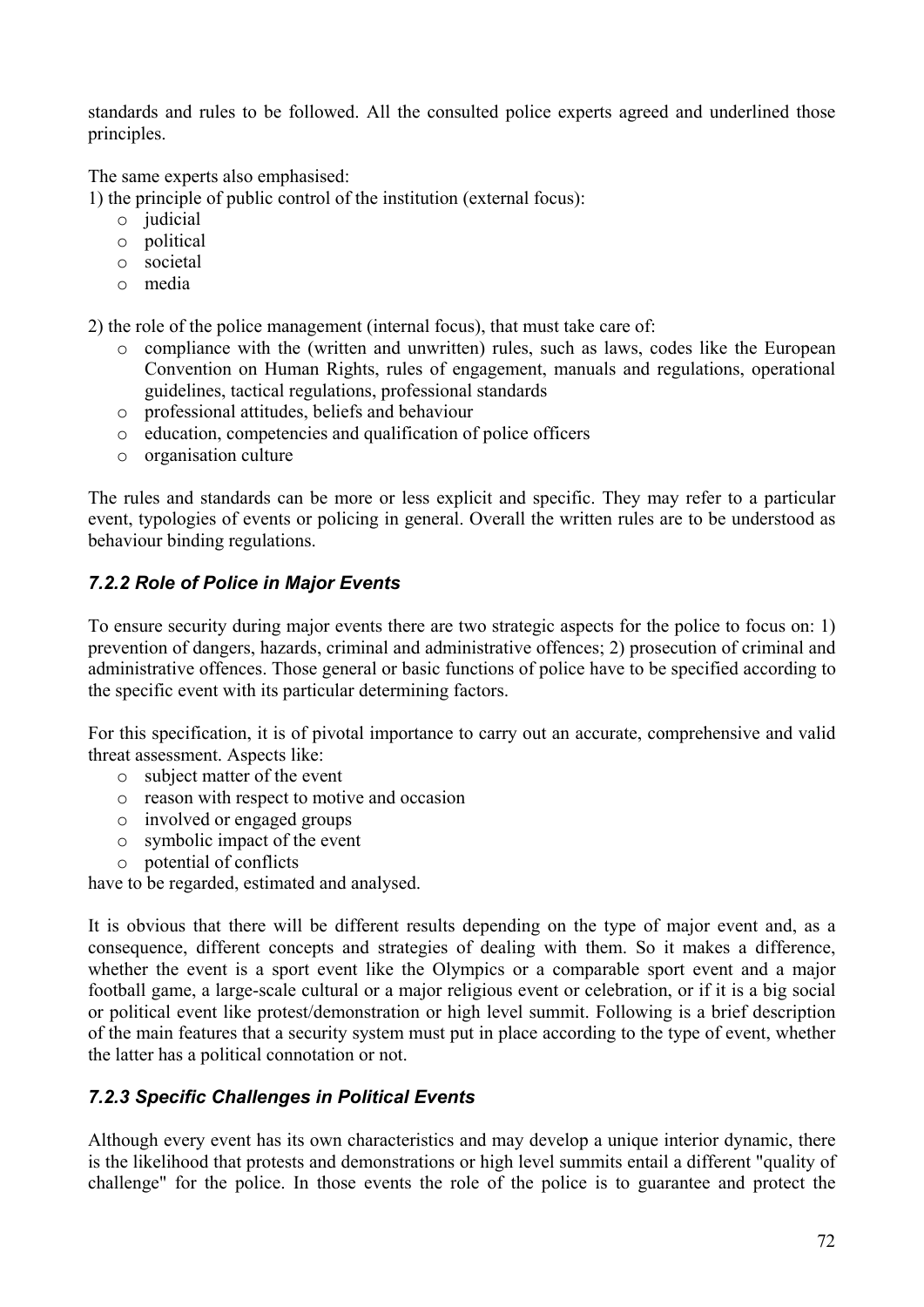standards and rules to be followed. All the consulted police experts agreed and underlined those principles.

The same experts also emphasised:

1) the principle of public control of the institution (external focus):

- o judicial
- o political
- o societal
- o media

2) the role of the police management (internal focus), that must take care of:

- o compliance with the (written and unwritten) rules, such as laws, codes like the European Convention on Human Rights, rules of engagement, manuals and regulations, operational guidelines, tactical regulations, professional standards
- o professional attitudes, beliefs and behaviour
- o education, competencies and qualification of police officers
- o organisation culture

The rules and standards can be more or less explicit and specific. They may refer to a particular event, typologies of events or policing in general. Overall the written rules are to be understood as behaviour binding regulations.

#### *7.2.2 Role of Police in Major Events*

To ensure security during major events there are two strategic aspects for the police to focus on: 1) prevention of dangers, hazards, criminal and administrative offences; 2) prosecution of criminal and administrative offences. Those general or basic functions of police have to be specified according to the specific event with its particular determining factors.

For this specification, it is of pivotal importance to carry out an accurate, comprehensive and valid threat assessment. Aspects like:

- o subject matter of the event
- o reason with respect to motive and occasion
- o involved or engaged groups
- o symbolic impact of the event
- o potential of conflicts

have to be regarded, estimated and analysed.

It is obvious that there will be different results depending on the type of major event and, as a consequence, different concepts and strategies of dealing with them. So it makes a difference, whether the event is a sport event like the Olympics or a comparable sport event and a major football game, a large-scale cultural or a major religious event or celebration, or if it is a big social or political event like protest/demonstration or high level summit. Following is a brief description of the main features that a security system must put in place according to the type of event, whether the latter has a political connotation or not.

#### *7.2.3 Specific Challenges in Political Events*

Although every event has its own characteristics and may develop a unique interior dynamic, there is the likelihood that protests and demonstrations or high level summits entail a different "quality of challenge" for the police. In those events the role of the police is to guarantee and protect the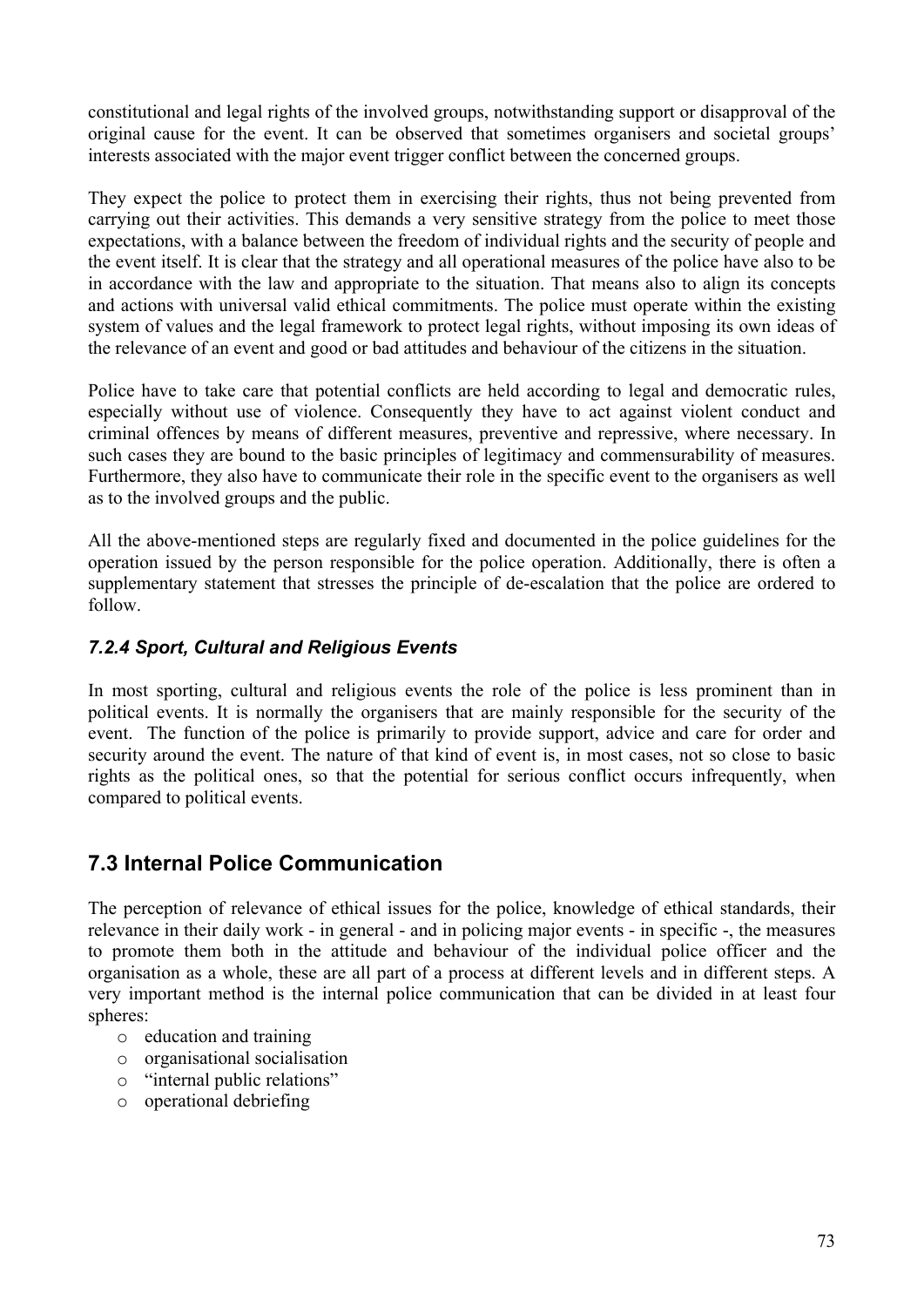constitutional and legal rights of the involved groups, notwithstanding support or disapproval of the original cause for the event. It can be observed that sometimes organisers and societal groups' interests associated with the major event trigger conflict between the concerned groups.

They expect the police to protect them in exercising their rights, thus not being prevented from carrying out their activities. This demands a very sensitive strategy from the police to meet those expectations, with a balance between the freedom of individual rights and the security of people and the event itself. It is clear that the strategy and all operational measures of the police have also to be in accordance with the law and appropriate to the situation. That means also to align its concepts and actions with universal valid ethical commitments. The police must operate within the existing system of values and the legal framework to protect legal rights, without imposing its own ideas of the relevance of an event and good or bad attitudes and behaviour of the citizens in the situation.

Police have to take care that potential conflicts are held according to legal and democratic rules, especially without use of violence. Consequently they have to act against violent conduct and criminal offences by means of different measures, preventive and repressive, where necessary. In such cases they are bound to the basic principles of legitimacy and commensurability of measures. Furthermore, they also have to communicate their role in the specific event to the organisers as well as to the involved groups and the public.

All the above-mentioned steps are regularly fixed and documented in the police guidelines for the operation issued by the person responsible for the police operation. Additionally, there is often a supplementary statement that stresses the principle of de-escalation that the police are ordered to follow.

#### *7.2.4 Sport, Cultural and Religious Events*

In most sporting, cultural and religious events the role of the police is less prominent than in political events. It is normally the organisers that are mainly responsible for the security of the event. The function of the police is primarily to provide support, advice and care for order and security around the event. The nature of that kind of event is, in most cases, not so close to basic rights as the political ones, so that the potential for serious conflict occurs infrequently, when compared to political events.

## **7.3 Internal Police Communication**

The perception of relevance of ethical issues for the police, knowledge of ethical standards, their relevance in their daily work - in general - and in policing major events - in specific -, the measures to promote them both in the attitude and behaviour of the individual police officer and the organisation as a whole, these are all part of a process at different levels and in different steps. A very important method is the internal police communication that can be divided in at least four spheres:

- o education and training
- o organisational socialisation
- o "internal public relations"
- o operational debriefing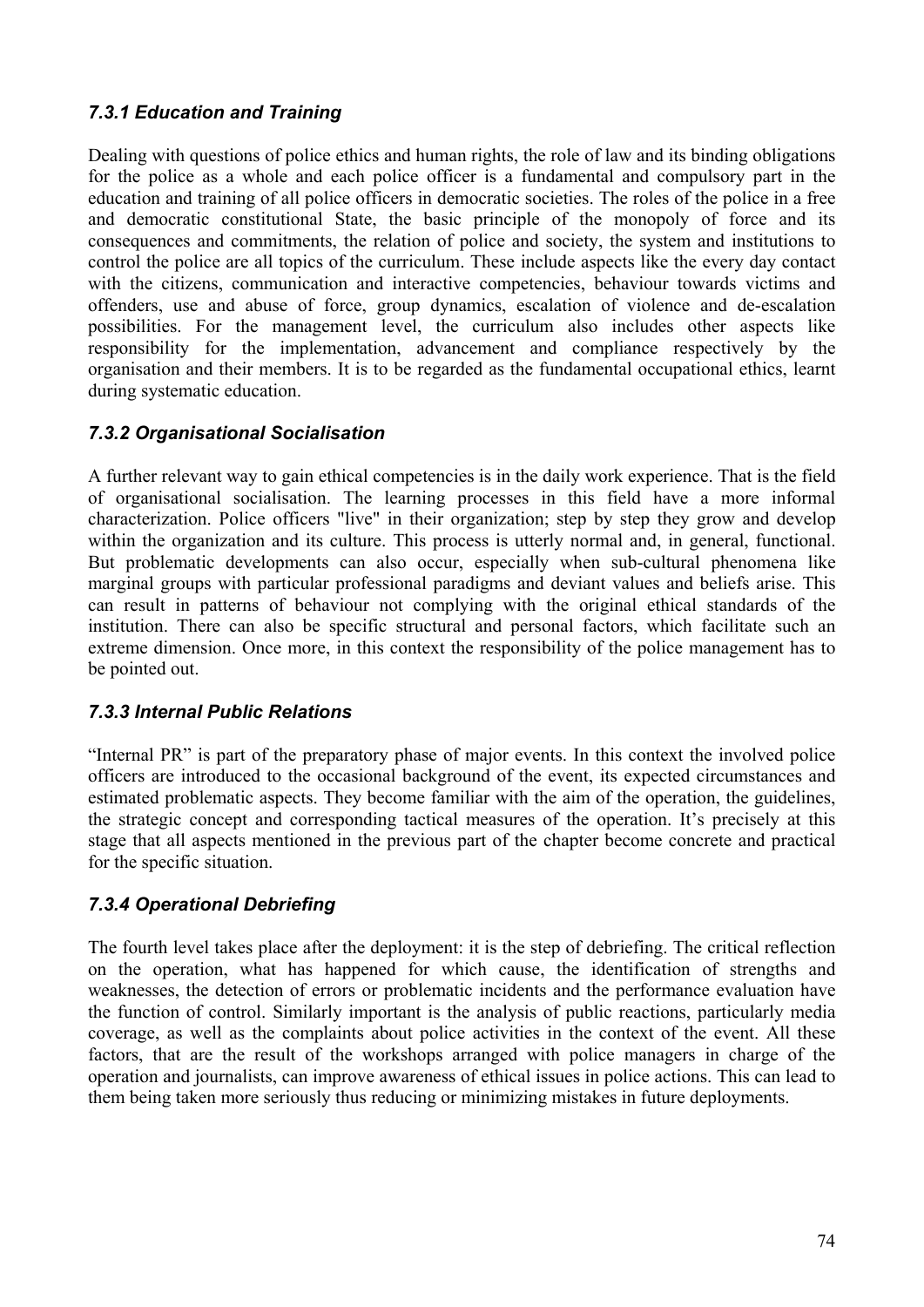### *7.3.1 Education and Training*

Dealing with questions of police ethics and human rights, the role of law and its binding obligations for the police as a whole and each police officer is a fundamental and compulsory part in the education and training of all police officers in democratic societies. The roles of the police in a free and democratic constitutional State, the basic principle of the monopoly of force and its consequences and commitments, the relation of police and society, the system and institutions to control the police are all topics of the curriculum. These include aspects like the every day contact with the citizens, communication and interactive competencies, behaviour towards victims and offenders, use and abuse of force, group dynamics, escalation of violence and de-escalation possibilities. For the management level, the curriculum also includes other aspects like responsibility for the implementation, advancement and compliance respectively by the organisation and their members. It is to be regarded as the fundamental occupational ethics, learnt during systematic education.

#### *7.3.2 Organisational Socialisation*

A further relevant way to gain ethical competencies is in the daily work experience. That is the field of organisational socialisation. The learning processes in this field have a more informal characterization. Police officers "live" in their organization; step by step they grow and develop within the organization and its culture. This process is utterly normal and, in general, functional. But problematic developments can also occur, especially when sub-cultural phenomena like marginal groups with particular professional paradigms and deviant values and beliefs arise. This can result in patterns of behaviour not complying with the original ethical standards of the institution. There can also be specific structural and personal factors, which facilitate such an extreme dimension. Once more, in this context the responsibility of the police management has to be pointed out.

#### *7.3.3 Internal Public Relations*

"Internal PR" is part of the preparatory phase of major events. In this context the involved police officers are introduced to the occasional background of the event, its expected circumstances and estimated problematic aspects. They become familiar with the aim of the operation, the guidelines, the strategic concept and corresponding tactical measures of the operation. It's precisely at this stage that all aspects mentioned in the previous part of the chapter become concrete and practical for the specific situation.

#### *7.3.4 Operational Debriefing*

The fourth level takes place after the deployment: it is the step of debriefing. The critical reflection on the operation, what has happened for which cause, the identification of strengths and weaknesses, the detection of errors or problematic incidents and the performance evaluation have the function of control. Similarly important is the analysis of public reactions, particularly media coverage, as well as the complaints about police activities in the context of the event. All these factors, that are the result of the workshops arranged with police managers in charge of the operation and journalists, can improve awareness of ethical issues in police actions. This can lead to them being taken more seriously thus reducing or minimizing mistakes in future deployments.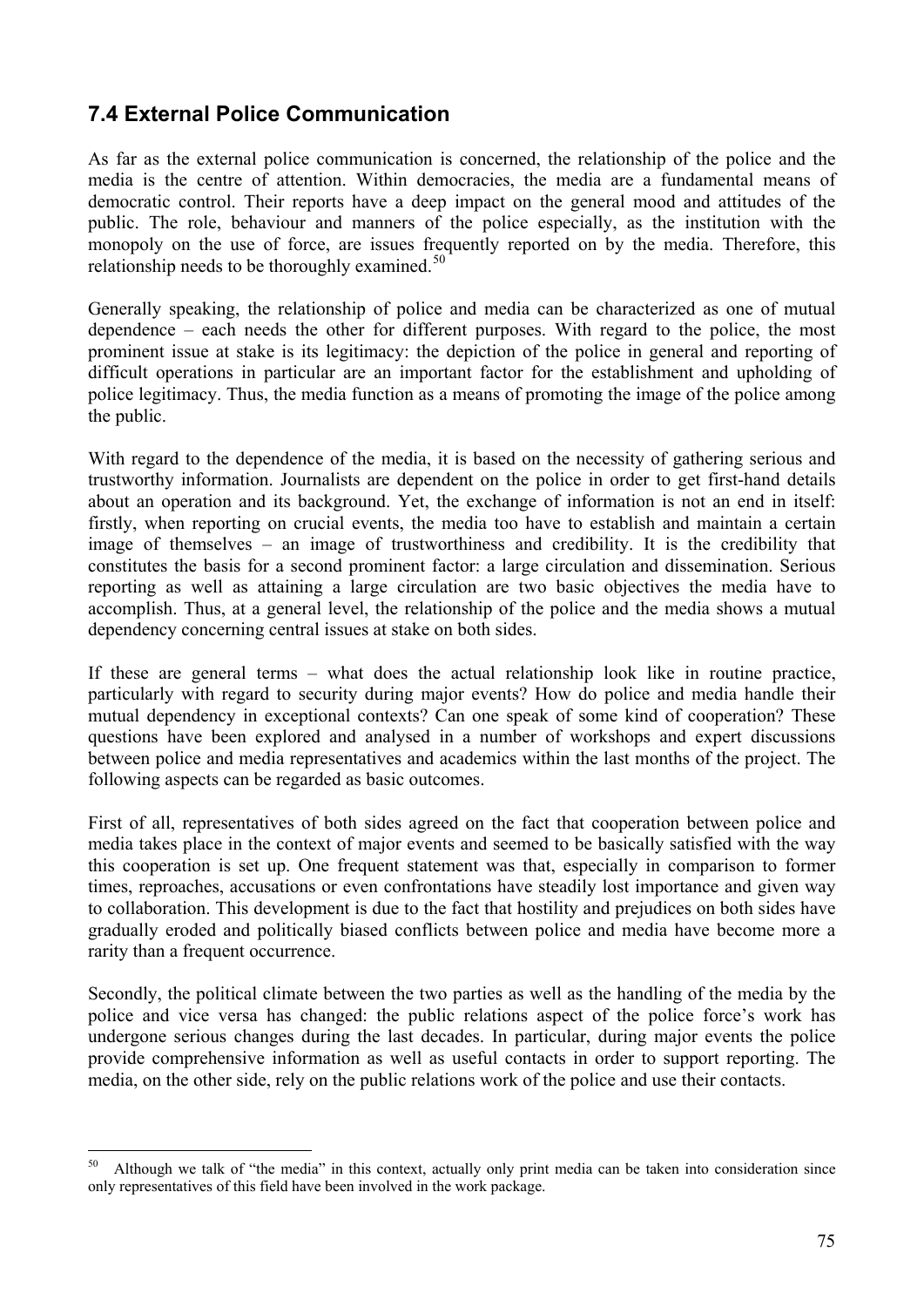## **7.4 External Police Communication**

As far as the external police communication is concerned, the relationship of the police and the media is the centre of attention. Within democracies, the media are a fundamental means of democratic control. Their reports have a deep impact on the general mood and attitudes of the public. The role, behaviour and manners of the police especially, as the institution with the monopoly on the use of force, are issues frequently reported on by the media. Therefore, this relationship needs to be thoroughly examined. $50$  $50$ 

Generally speaking, the relationship of police and media can be characterized as one of mutual dependence – each needs the other for different purposes. With regard to the police, the most prominent issue at stake is its legitimacy: the depiction of the police in general and reporting of difficult operations in particular are an important factor for the establishment and upholding of police legitimacy. Thus, the media function as a means of promoting the image of the police among the public.

With regard to the dependence of the media, it is based on the necessity of gathering serious and trustworthy information. Journalists are dependent on the police in order to get first-hand details about an operation and its background. Yet, the exchange of information is not an end in itself: firstly, when reporting on crucial events, the media too have to establish and maintain a certain image of themselves – an image of trustworthiness and credibility. It is the credibility that constitutes the basis for a second prominent factor: a large circulation and dissemination. Serious reporting as well as attaining a large circulation are two basic objectives the media have to accomplish. Thus, at a general level, the relationship of the police and the media shows a mutual dependency concerning central issues at stake on both sides.

If these are general terms – what does the actual relationship look like in routine practice, particularly with regard to security during major events? How do police and media handle their mutual dependency in exceptional contexts? Can one speak of some kind of cooperation? These questions have been explored and analysed in a number of workshops and expert discussions between police and media representatives and academics within the last months of the project. The following aspects can be regarded as basic outcomes.

First of all, representatives of both sides agreed on the fact that cooperation between police and media takes place in the context of major events and seemed to be basically satisfied with the way this cooperation is set up. One frequent statement was that, especially in comparison to former times, reproaches, accusations or even confrontations have steadily lost importance and given way to collaboration. This development is due to the fact that hostility and prejudices on both sides have gradually eroded and politically biased conflicts between police and media have become more a rarity than a frequent occurrence.

Secondly, the political climate between the two parties as well as the handling of the media by the police and vice versa has changed: the public relations aspect of the police force's work has undergone serious changes during the last decades. In particular, during major events the police provide comprehensive information as well as useful contacts in order to support reporting. The media, on the other side, rely on the public relations work of the police and use their contacts.

<span id="page-74-0"></span><sup>50</sup> 50 Although we talk of "the media" in this context, actually only print media can be taken into consideration since only representatives of this field have been involved in the work package.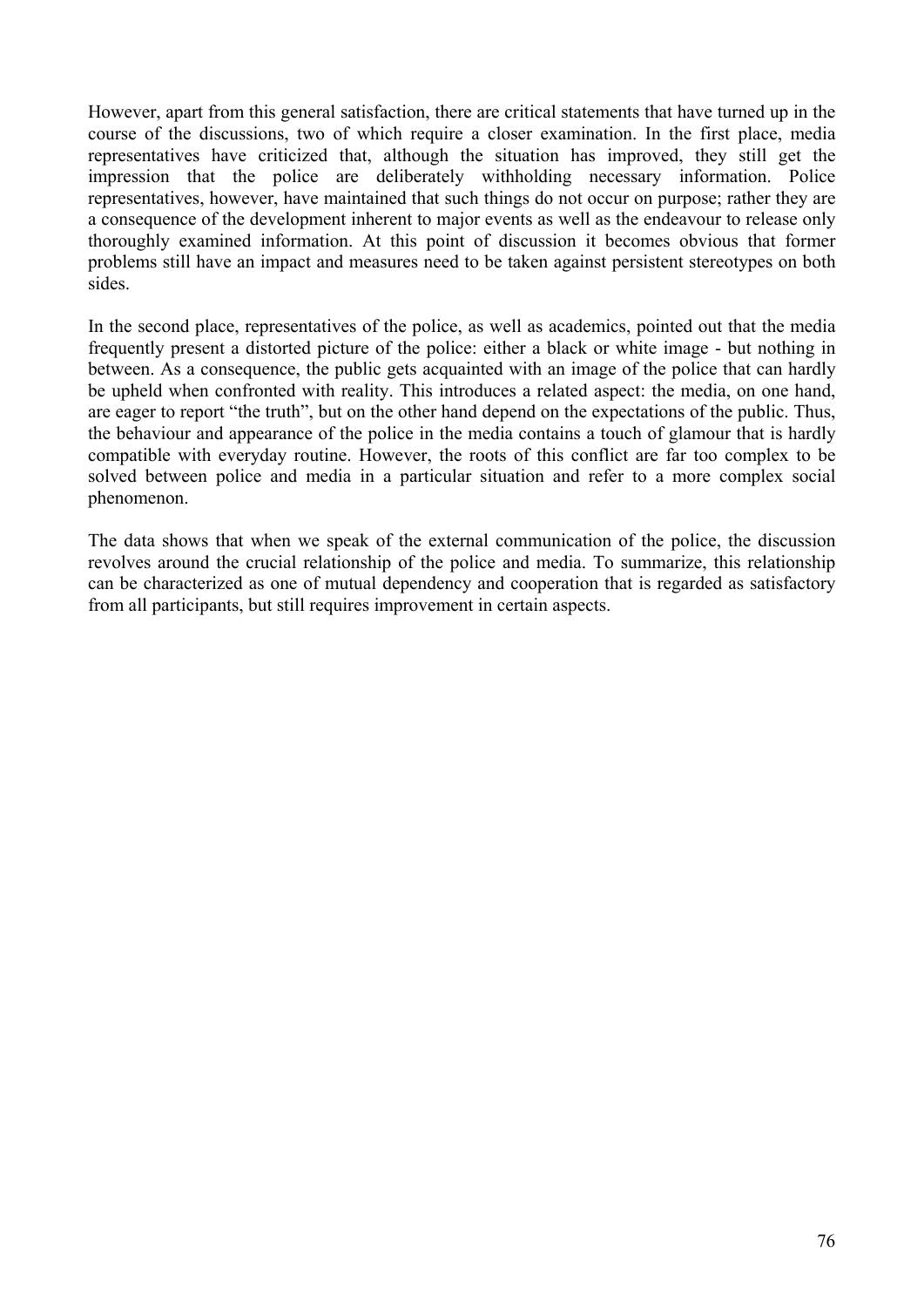However, apart from this general satisfaction, there are critical statements that have turned up in the course of the discussions, two of which require a closer examination. In the first place, media representatives have criticized that, although the situation has improved, they still get the impression that the police are deliberately withholding necessary information. Police representatives, however, have maintained that such things do not occur on purpose; rather they are a consequence of the development inherent to major events as well as the endeavour to release only thoroughly examined information. At this point of discussion it becomes obvious that former problems still have an impact and measures need to be taken against persistent stereotypes on both sides.

In the second place, representatives of the police, as well as academics, pointed out that the media frequently present a distorted picture of the police: either a black or white image - but nothing in between. As a consequence, the public gets acquainted with an image of the police that can hardly be upheld when confronted with reality. This introduces a related aspect: the media, on one hand, are eager to report "the truth", but on the other hand depend on the expectations of the public. Thus, the behaviour and appearance of the police in the media contains a touch of glamour that is hardly compatible with everyday routine. However, the roots of this conflict are far too complex to be solved between police and media in a particular situation and refer to a more complex social phenomenon.

The data shows that when we speak of the external communication of the police, the discussion revolves around the crucial relationship of the police and media. To summarize, this relationship can be characterized as one of mutual dependency and cooperation that is regarded as satisfactory from all participants, but still requires improvement in certain aspects.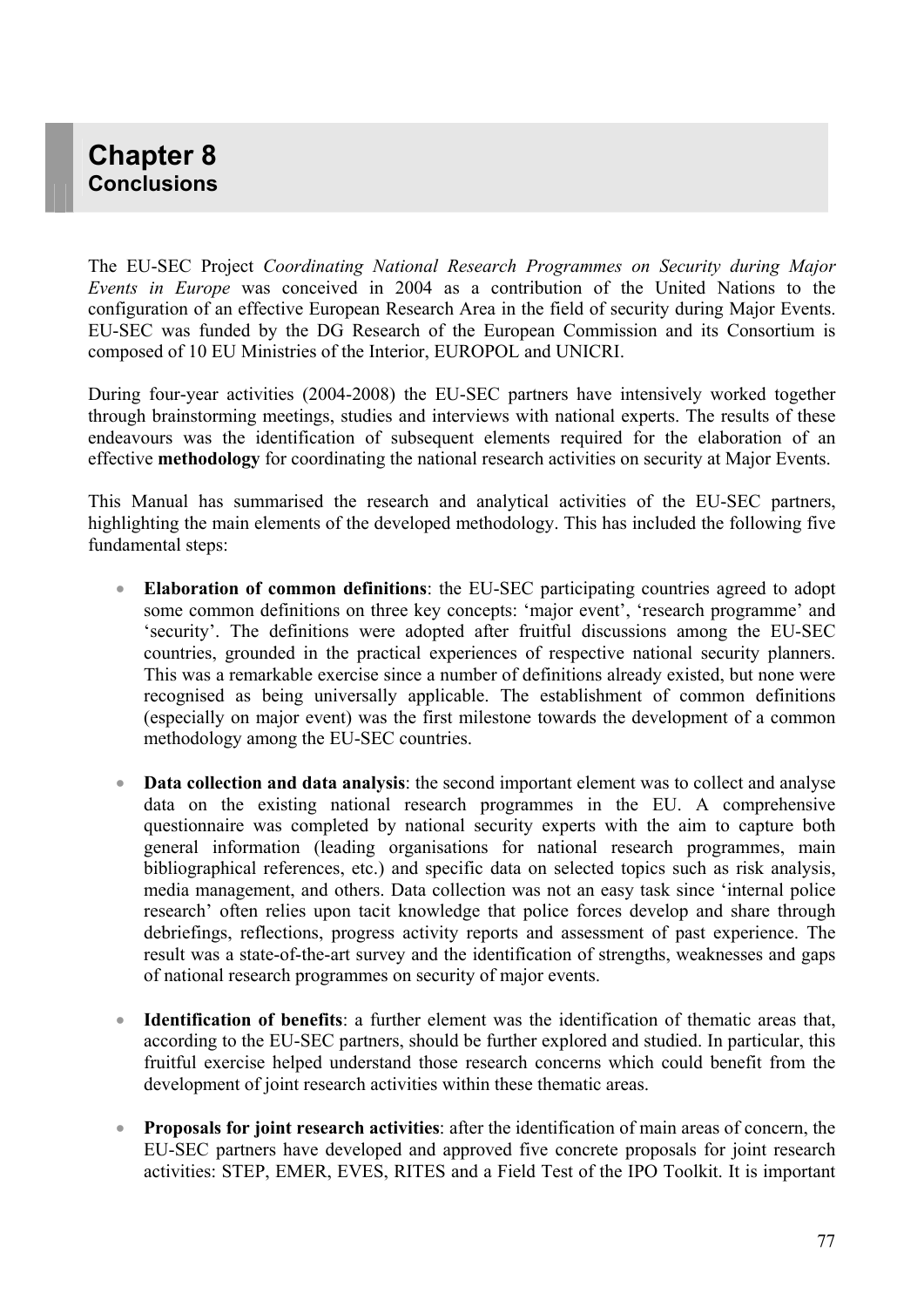# **Chapter 8 Conclusions**

The EU-SEC Project *Coordinating National Research Programmes on Security during Major Events in Europe* was conceived in 2004 as a contribution of the United Nations to the configuration of an effective European Research Area in the field of security during Major Events. EU-SEC was funded by the DG Research of the European Commission and its Consortium is composed of 10 EU Ministries of the Interior, EUROPOL and UNICRI.

During four-year activities (2004-2008) the EU-SEC partners have intensively worked together through brainstorming meetings, studies and interviews with national experts. The results of these endeavours was the identification of subsequent elements required for the elaboration of an effective **methodology** for coordinating the national research activities on security at Major Events.

This Manual has summarised the research and analytical activities of the EU-SEC partners, highlighting the main elements of the developed methodology. This has included the following five fundamental steps:

- **Elaboration of common definitions**: the EU-SEC participating countries agreed to adopt some common definitions on three key concepts: 'major event', 'research programme' and 'security'. The definitions were adopted after fruitful discussions among the EU-SEC countries, grounded in the practical experiences of respective national security planners. This was a remarkable exercise since a number of definitions already existed, but none were recognised as being universally applicable. The establishment of common definitions (especially on major event) was the first milestone towards the development of a common methodology among the EU-SEC countries.
- **Data collection and data analysis**: the second important element was to collect and analyse data on the existing national research programmes in the EU. A comprehensive questionnaire was completed by national security experts with the aim to capture both general information (leading organisations for national research programmes, main bibliographical references, etc.) and specific data on selected topics such as risk analysis, media management, and others. Data collection was not an easy task since 'internal police research' often relies upon tacit knowledge that police forces develop and share through debriefings, reflections, progress activity reports and assessment of past experience. The result was a state-of-the-art survey and the identification of strengths, weaknesses and gaps of national research programmes on security of major events.
- **Identification of benefits**: a further element was the identification of thematic areas that, according to the EU-SEC partners, should be further explored and studied. In particular, this fruitful exercise helped understand those research concerns which could benefit from the development of joint research activities within these thematic areas.
- **Proposals for joint research activities**: after the identification of main areas of concern, the EU-SEC partners have developed and approved five concrete proposals for joint research activities: STEP, EMER, EVES, RITES and a Field Test of the IPO Toolkit. It is important